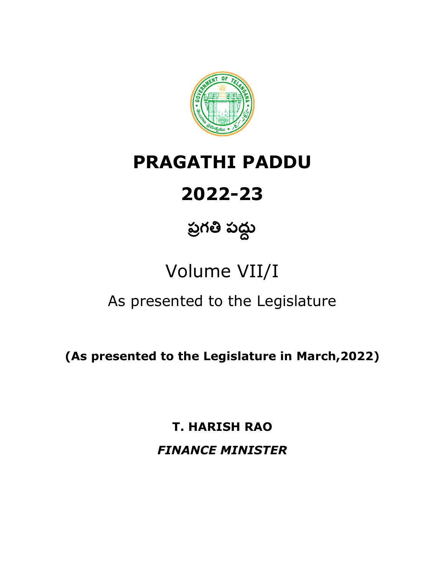

## **PRAGATHI PADDU**

# **2022-23**

# <u>ప్ర</u>గతి పద్ధు

# Volume VII/I

### As presented to the Legislature

**(As presented to the Legislature in March,2022)** 

**T. HARISH RAO**  *FINANCE MINISTER*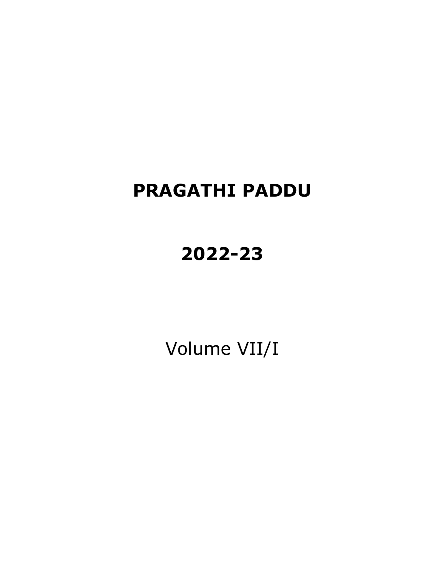### **PRAGATHI PADDU**

## **2022-23**

Volume VII/I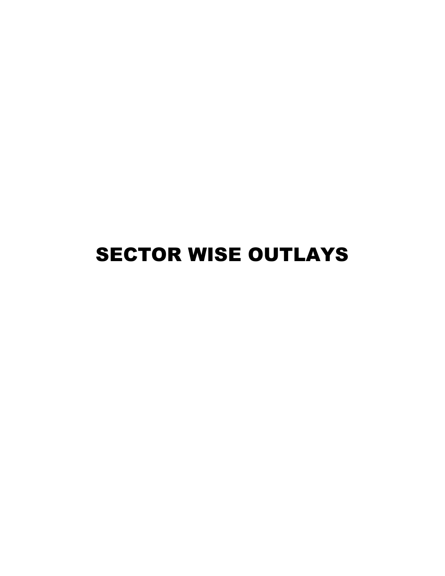# SECTOR WISE OUTLAYS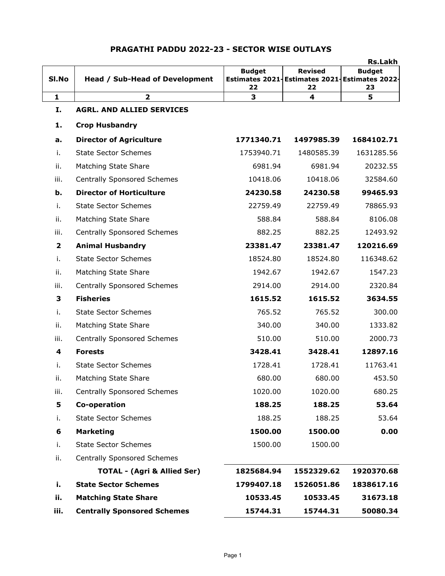|                         |                                        |                     |                                                                       | <b>Rs.Lakh</b>      |
|-------------------------|----------------------------------------|---------------------|-----------------------------------------------------------------------|---------------------|
| SI.No                   | <b>Head / Sub-Head of Development</b>  | <b>Budget</b><br>22 | <b>Revised</b><br>Estimates 2021 Estimates 2021 Estimates 2022-<br>22 | <b>Budget</b><br>23 |
| $\mathbf{1}$            | $\overline{2}$                         | 3                   | 4                                                                     | 5                   |
| Ι.                      | <b>AGRL. AND ALLIED SERVICES</b>       |                     |                                                                       |                     |
| 1.                      | <b>Crop Husbandry</b>                  |                     |                                                                       |                     |
| a.                      | <b>Director of Agriculture</b>         | 1771340.71          | 1497985.39                                                            | 1684102.71          |
| i.                      | <b>State Sector Schemes</b>            | 1753940.71          | 1480585.39                                                            | 1631285.56          |
| ii.                     | Matching State Share                   | 6981.94             | 6981.94                                                               | 20232.55            |
| iii.                    | <b>Centrally Sponsored Schemes</b>     | 10418.06            | 10418.06                                                              | 32584.60            |
| b.                      | <b>Director of Horticulture</b>        | 24230.58            | 24230.58                                                              | 99465.93            |
| i.                      | <b>State Sector Schemes</b>            | 22759.49            | 22759.49                                                              | 78865.93            |
| ii.                     | Matching State Share                   | 588.84              | 588.84                                                                | 8106.08             |
| iii.                    | <b>Centrally Sponsored Schemes</b>     | 882.25              | 882.25                                                                | 12493.92            |
| $\overline{\mathbf{2}}$ | <b>Animal Husbandry</b>                | 23381.47            | 23381.47                                                              | 120216.69           |
| j.                      | <b>State Sector Schemes</b>            | 18524.80            | 18524.80                                                              | 116348.62           |
| ii.                     | Matching State Share                   | 1942.67             | 1942.67                                                               | 1547.23             |
| iii.                    | <b>Centrally Sponsored Schemes</b>     | 2914.00             | 2914.00                                                               | 2320.84             |
| 3                       | <b>Fisheries</b>                       | 1615.52             | 1615.52                                                               | 3634.55             |
| i.                      | <b>State Sector Schemes</b>            | 765.52              | 765.52                                                                | 300.00              |
| ii.                     | Matching State Share                   | 340.00              | 340.00                                                                | 1333.82             |
| iii.                    | <b>Centrally Sponsored Schemes</b>     | 510.00              | 510.00                                                                | 2000.73             |
| 4                       | <b>Forests</b>                         | 3428.41             | 3428.41                                                               | 12897.16            |
| i.                      | <b>State Sector Schemes</b>            | 1728.41             | 1728.41                                                               | 11763.41            |
| ii.                     | Matching State Share                   | 680.00              | 680.00                                                                | 453.50              |
| iii.                    | <b>Centrally Sponsored Schemes</b>     | 1020.00             | 1020.00                                                               | 680.25              |
| 5                       | Co-operation                           | 188.25              | 188.25                                                                | 53.64               |
| i.                      | <b>State Sector Schemes</b>            | 188.25              | 188.25                                                                | 53.64               |
| 6                       | <b>Marketing</b>                       | 1500.00             | 1500.00                                                               | 0.00                |
| i.                      | <b>State Sector Schemes</b>            | 1500.00             | 1500.00                                                               |                     |
| ii.                     | <b>Centrally Sponsored Schemes</b>     |                     |                                                                       |                     |
|                         | <b>TOTAL - (Agri &amp; Allied Ser)</b> | 1825684.94          | 1552329.62                                                            | 1920370.68          |
| i.                      | <b>State Sector Schemes</b>            | 1799407.18          | 1526051.86                                                            | 1838617.16          |
| ii.                     | <b>Matching State Share</b>            | 10533.45            | 10533.45                                                              | 31673.18            |
| iii.                    | <b>Centrally Sponsored Schemes</b>     | 15744.31            | 15744.31                                                              | 50080.34            |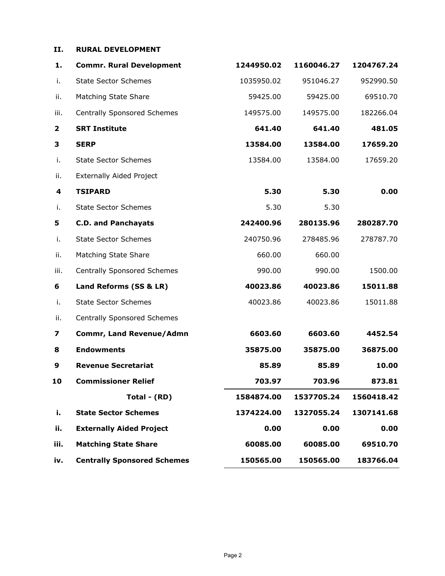#### **II. RURAL DEVELOPMENT**

| 1.                      | <b>Commr. Rural Development</b>    | 1244950.02 | 1160046.27 | 1204767.24 |
|-------------------------|------------------------------------|------------|------------|------------|
| i.                      | <b>State Sector Schemes</b>        | 1035950.02 | 951046.27  | 952990.50  |
| ii.                     | Matching State Share               | 59425.00   | 59425.00   | 69510.70   |
| iii.                    | <b>Centrally Sponsored Schemes</b> | 149575.00  | 149575.00  | 182266.04  |
| $\overline{\mathbf{2}}$ | <b>SRT Institute</b>               | 641.40     | 641.40     | 481.05     |
| 3                       | <b>SERP</b>                        | 13584.00   | 13584.00   | 17659.20   |
| i.                      | <b>State Sector Schemes</b>        | 13584.00   | 13584.00   | 17659.20   |
| ii.                     | <b>Externally Aided Project</b>    |            |            |            |
| 4                       | <b>TSIPARD</b>                     | 5.30       | 5.30       | 0.00       |
| i.                      | <b>State Sector Schemes</b>        | 5.30       | 5.30       |            |
| 5                       | <b>C.D. and Panchayats</b>         | 242400.96  | 280135.96  | 280287.70  |
| i.                      | <b>State Sector Schemes</b>        | 240750.96  | 278485.96  | 278787.70  |
| ii.                     | Matching State Share               | 660.00     | 660.00     |            |
| iii.                    | <b>Centrally Sponsored Schemes</b> | 990.00     | 990.00     | 1500.00    |
| 6                       | Land Reforms (SS & LR)             | 40023.86   | 40023.86   | 15011.88   |
| i.                      | <b>State Sector Schemes</b>        | 40023.86   | 40023.86   | 15011.88   |
| ii.                     | <b>Centrally Sponsored Schemes</b> |            |            |            |
| 7                       | Commr, Land Revenue/Admn           | 6603.60    | 6603.60    | 4452.54    |
| 8                       | <b>Endowments</b>                  | 35875.00   | 35875.00   | 36875.00   |
| 9                       | <b>Revenue Secretariat</b>         | 85.89      | 85.89      | 10.00      |
| 10                      | <b>Commissioner Relief</b>         | 703.97     | 703.96     | 873.81     |
|                         | Total - (RD)                       | 1584874.00 | 1537705.24 | 1560418.42 |
| i.                      | <b>State Sector Schemes</b>        | 1374224.00 | 1327055.24 | 1307141.68 |
| ii.                     | <b>Externally Aided Project</b>    | 0.00       | 0.00       | 0.00       |
| iii.                    | <b>Matching State Share</b>        | 60085.00   | 60085.00   | 69510.70   |
| iv.                     | <b>Centrally Sponsored Schemes</b> | 150565.00  | 150565.00  | 183766.04  |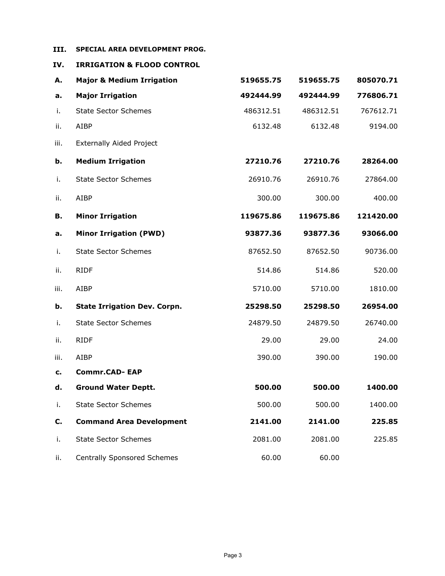### **III. SPECIAL AREA DEVELOPMENT PROG.**

**IV. IRRIGATION & FLOOD CONTROL**

| А.   | <b>Major &amp; Medium Irrigation</b> | 519655.75 | 519655.75 | 805070.71 |
|------|--------------------------------------|-----------|-----------|-----------|
| а.   | <b>Major Irrigation</b>              | 492444.99 | 492444.99 | 776806.71 |
| i.   | <b>State Sector Schemes</b>          | 486312.51 | 486312.51 | 767612.71 |
| ii.  | AIBP                                 | 6132.48   | 6132.48   | 9194.00   |
| iii. | <b>Externally Aided Project</b>      |           |           |           |
| b.   | <b>Medium Irrigation</b>             | 27210.76  | 27210.76  | 28264.00  |
| i.   | <b>State Sector Schemes</b>          | 26910.76  | 26910.76  | 27864.00  |
| ii.  | AIBP                                 | 300.00    | 300.00    | 400.00    |
| В.   | <b>Minor Irrigation</b>              | 119675.86 | 119675.86 | 121420.00 |
| а.   | <b>Minor Irrigation (PWD)</b>        | 93877.36  | 93877.36  | 93066.00  |
| i.   | <b>State Sector Schemes</b>          | 87652.50  | 87652.50  | 90736.00  |
| ii.  | <b>RIDF</b>                          | 514.86    | 514.86    | 520.00    |
| iii. | <b>AIBP</b>                          | 5710.00   | 5710.00   | 1810.00   |
| b.   | <b>State Irrigation Dev. Corpn.</b>  | 25298.50  | 25298.50  | 26954.00  |
| i.   | <b>State Sector Schemes</b>          | 24879.50  | 24879.50  | 26740.00  |
| ii.  | <b>RIDF</b>                          | 29.00     | 29.00     | 24.00     |
| iii. | <b>AIBP</b>                          | 390.00    | 390.00    | 190.00    |
| c.   | <b>Commr.CAD-EAP</b>                 |           |           |           |
| d.   | <b>Ground Water Deptt.</b>           | 500.00    | 500.00    | 1400.00   |
| i.   | <b>State Sector Schemes</b>          | 500.00    | 500.00    | 1400.00   |
| C.   | <b>Command Area Development</b>      | 2141.00   | 2141.00   | 225.85    |
| i.   | <b>State Sector Schemes</b>          | 2081.00   | 2081.00   | 225.85    |
| ii.  | <b>Centrally Sponsored Schemes</b>   | 60.00     | 60.00     |           |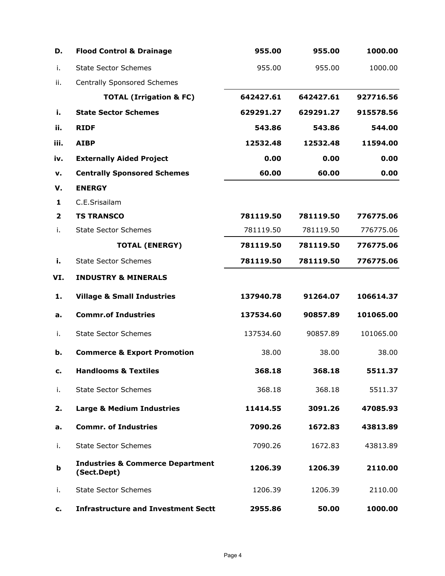| D.             | <b>Flood Control &amp; Drainage</b>                        | 955.00    | 955.00    | 1000.00   |
|----------------|------------------------------------------------------------|-----------|-----------|-----------|
| i.             | <b>State Sector Schemes</b>                                | 955.00    | 955.00    | 1000.00   |
| ii.            | <b>Centrally Sponsored Schemes</b>                         |           |           |           |
|                | <b>TOTAL (Irrigation &amp; FC)</b>                         | 642427.61 | 642427.61 | 927716.56 |
| i.             | <b>State Sector Schemes</b>                                | 629291.27 | 629291.27 | 915578.56 |
| ii.            | <b>RIDF</b>                                                | 543.86    | 543.86    | 544.00    |
| iii.           | <b>AIBP</b>                                                | 12532.48  | 12532.48  | 11594.00  |
| iv.            | <b>Externally Aided Project</b>                            | 0.00      | 0.00      | 0.00      |
| v.             | <b>Centrally Sponsored Schemes</b>                         | 60.00     | 60.00     | 0.00      |
| v.             | <b>ENERGY</b>                                              |           |           |           |
| 1              | C.E.Srisailam                                              |           |           |           |
| $\overline{2}$ | <b>TS TRANSCO</b>                                          | 781119.50 | 781119.50 | 776775.06 |
| i.             | <b>State Sector Schemes</b>                                | 781119.50 | 781119.50 | 776775.06 |
|                | <b>TOTAL (ENERGY)</b>                                      | 781119.50 | 781119.50 | 776775.06 |
| i.             | <b>State Sector Schemes</b>                                | 781119.50 | 781119.50 | 776775.06 |
| VI.            | <b>INDUSTRY &amp; MINERALS</b>                             |           |           |           |
| 1.             | <b>Village &amp; Small Industries</b>                      | 137940.78 | 91264.07  | 106614.37 |
| а.             | <b>Commr.of Industries</b>                                 | 137534.60 | 90857.89  | 101065.00 |
| i.             | <b>State Sector Schemes</b>                                | 137534.60 | 90857.89  | 101065.00 |
| b.             | <b>Commerce &amp; Export Promotion</b>                     | 38.00     | 38.00     | 38.00     |
| c.             | <b>Handlooms &amp; Textiles</b>                            | 368.18    | 368.18    | 5511.37   |
| i.             | <b>State Sector Schemes</b>                                | 368.18    | 368.18    | 5511.37   |
| 2.             | <b>Large &amp; Medium Industries</b>                       | 11414.55  | 3091.26   | 47085.93  |
| а.             | <b>Commr. of Industries</b>                                | 7090.26   | 1672.83   | 43813.89  |
| i.             | <b>State Sector Schemes</b>                                | 7090.26   | 1672.83   | 43813.89  |
| b              | <b>Industries &amp; Commerce Department</b><br>(Sect.Dept) | 1206.39   | 1206.39   | 2110.00   |
| i.             | <b>State Sector Schemes</b>                                | 1206.39   | 1206.39   | 2110.00   |
| c.             | <b>Infrastructure and Investment Sectt</b>                 | 2955.86   | 50.00     | 1000.00   |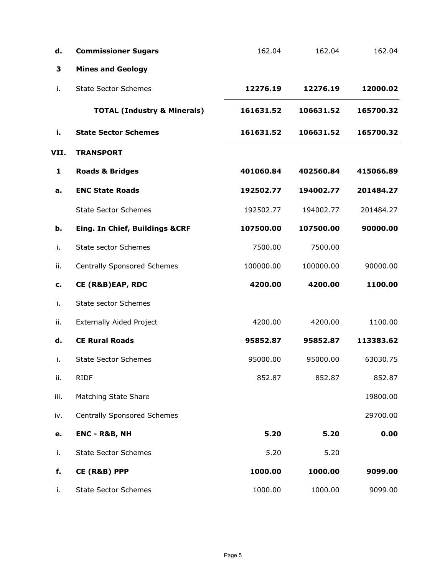| d.   | <b>Commissioner Sugars</b>             | 162.04    | 162.04    | 162.04    |
|------|----------------------------------------|-----------|-----------|-----------|
| 3    | <b>Mines and Geology</b>               |           |           |           |
| i.   | <b>State Sector Schemes</b>            | 12276.19  | 12276.19  | 12000.02  |
|      | <b>TOTAL (Industry &amp; Minerals)</b> | 161631.52 | 106631.52 | 165700.32 |
| i.   | <b>State Sector Schemes</b>            | 161631.52 | 106631.52 | 165700.32 |
| VII. | <b>TRANSPORT</b>                       |           |           |           |
| 1    | <b>Roads &amp; Bridges</b>             | 401060.84 | 402560.84 | 415066.89 |
| a.   | <b>ENC State Roads</b>                 | 192502.77 | 194002.77 | 201484.27 |
|      | <b>State Sector Schemes</b>            | 192502.77 | 194002.77 | 201484.27 |
| b.   | Eing. In Chief, Buildings &CRF         | 107500.00 | 107500.00 | 90000.00  |
| i.   | <b>State sector Schemes</b>            | 7500.00   | 7500.00   |           |
| ii.  | <b>Centrally Sponsored Schemes</b>     | 100000.00 | 100000.00 | 90000.00  |
| c.   | CE (R&B)EAP, RDC                       | 4200.00   | 4200.00   | 1100.00   |
| i.   | <b>State sector Schemes</b>            |           |           |           |
| ii.  | <b>Externally Aided Project</b>        | 4200.00   | 4200.00   | 1100.00   |
| d.   | <b>CE Rural Roads</b>                  | 95852.87  | 95852.87  | 113383.62 |
| i.   | <b>State Sector Schemes</b>            | 95000.00  | 95000.00  | 63030.75  |
| ii.  | <b>RIDF</b>                            | 852.87    | 852.87    | 852.87    |
| iii. | <b>Matching State Share</b>            |           |           | 19800.00  |
| iv.  | <b>Centrally Sponsored Schemes</b>     |           |           | 29700.00  |
| e.   | <b>ENC - R&amp;B, NH</b>               | 5.20      | 5.20      | 0.00      |
| i.   | <b>State Sector Schemes</b>            | 5.20      | 5.20      |           |
| f.   | CE (R&B) PPP                           | 1000.00   | 1000.00   | 9099.00   |
| i.   | <b>State Sector Schemes</b>            | 1000.00   | 1000.00   | 9099.00   |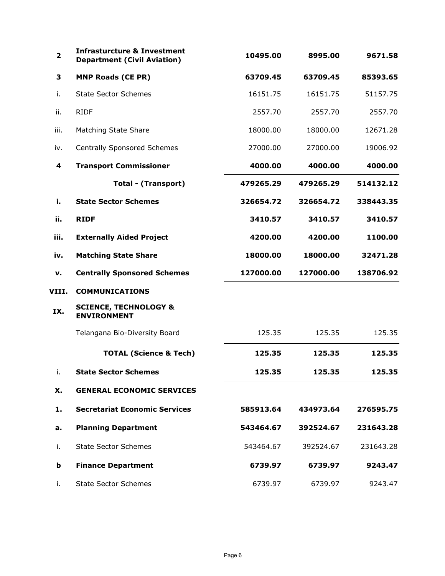| $\overline{\mathbf{2}}$ | <b>Infrasturcture &amp; Investment</b><br><b>Department (Civil Aviation)</b> | 10495.00  | 8995.00   | 9671.58   |
|-------------------------|------------------------------------------------------------------------------|-----------|-----------|-----------|
| 3                       | <b>MNP Roads (CE PR)</b>                                                     | 63709.45  | 63709.45  | 85393.65  |
| i.                      | <b>State Sector Schemes</b>                                                  | 16151.75  | 16151.75  | 51157.75  |
| ii.                     | <b>RIDF</b>                                                                  | 2557.70   | 2557.70   | 2557.70   |
| iii.                    | Matching State Share                                                         | 18000.00  | 18000.00  | 12671.28  |
| iv.                     | <b>Centrally Sponsored Schemes</b>                                           | 27000.00  | 27000.00  | 19006.92  |
| 4                       | <b>Transport Commissioner</b>                                                | 4000.00   | 4000.00   | 4000.00   |
|                         | <b>Total - (Transport)</b>                                                   | 479265.29 | 479265.29 | 514132.12 |
| i.                      | <b>State Sector Schemes</b>                                                  | 326654.72 | 326654.72 | 338443.35 |
| ii.                     | <b>RIDF</b>                                                                  | 3410.57   | 3410.57   | 3410.57   |
| iii.                    | <b>Externally Aided Project</b>                                              | 4200.00   | 4200.00   | 1100.00   |
| iv.                     | <b>Matching State Share</b>                                                  | 18000.00  | 18000.00  | 32471.28  |
| v.                      | <b>Centrally Sponsored Schemes</b>                                           | 127000.00 | 127000.00 | 138706.92 |
| VIII.                   | <b>COMMUNICATIONS</b>                                                        |           |           |           |
| IX.                     | <b>SCIENCE, TECHNOLOGY &amp;</b><br><b>ENVIRONMENT</b>                       |           |           |           |
|                         | Telangana Bio-Diversity Board                                                | 125.35    | 125.35    | 125.35    |
|                         | <b>TOTAL (Science &amp; Tech)</b>                                            | 125.35    | 125.35    | 125.35    |
| i.                      | <b>State Sector Schemes</b>                                                  | 125.35    | 125.35    | 125.35    |
| X.                      | <b>GENERAL ECONOMIC SERVICES</b>                                             |           |           |           |
| 1.                      | <b>Secretariat Economic Services</b>                                         | 585913.64 | 434973.64 | 276595.75 |
| a.                      | <b>Planning Department</b>                                                   | 543464.67 | 392524.67 | 231643.28 |
| i.                      | <b>State Sector Schemes</b>                                                  | 543464.67 | 392524.67 | 231643.28 |
| b                       | <b>Finance Department</b>                                                    | 6739.97   | 6739.97   | 9243.47   |
| i.                      | <b>State Sector Schemes</b>                                                  | 6739.97   | 6739.97   | 9243.47   |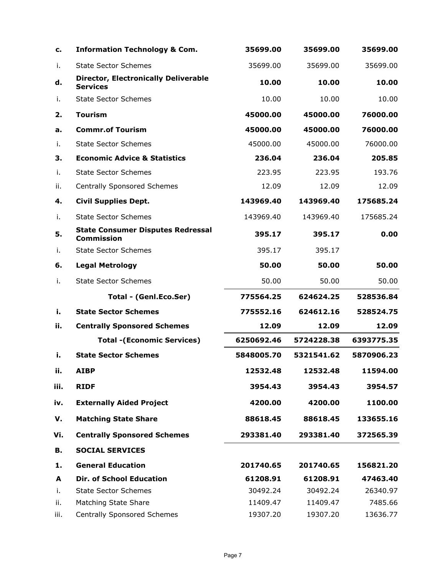| с.   | <b>Information Technology &amp; Com.</b>                       | 35699.00   | 35699.00   | 35699.00   |
|------|----------------------------------------------------------------|------------|------------|------------|
| i.   | <b>State Sector Schemes</b>                                    | 35699.00   | 35699.00   | 35699.00   |
| d.   | <b>Director, Electronically Deliverable</b><br><b>Services</b> | 10.00      | 10.00      | 10.00      |
| i.   | <b>State Sector Schemes</b>                                    | 10.00      | 10.00      | 10.00      |
| 2.   | <b>Tourism</b>                                                 | 45000.00   | 45000.00   | 76000.00   |
| а.   | <b>Commr.of Tourism</b>                                        | 45000.00   | 45000.00   | 76000.00   |
| Ť.   | <b>State Sector Schemes</b>                                    | 45000.00   | 45000.00   | 76000.00   |
| З.   | <b>Economic Advice &amp; Statistics</b>                        | 236.04     | 236.04     | 205.85     |
| Ť.   | <b>State Sector Schemes</b>                                    | 223.95     | 223.95     | 193.76     |
| ii.  | <b>Centrally Sponsored Schemes</b>                             | 12.09      | 12.09      | 12.09      |
| 4.   | <b>Civil Supplies Dept.</b>                                    | 143969.40  | 143969.40  | 175685.24  |
| j.   | <b>State Sector Schemes</b>                                    | 143969.40  | 143969.40  | 175685.24  |
| 5.   | <b>State Consumer Disputes Redressal</b><br><b>Commission</b>  | 395.17     | 395.17     | 0.00       |
| i.   | <b>State Sector Schemes</b>                                    | 395.17     | 395.17     |            |
| 6.   | <b>Legal Metrology</b>                                         | 50.00      | 50.00      | 50.00      |
| i.   | <b>State Sector Schemes</b>                                    | 50.00      | 50.00      | 50.00      |
|      | Total - (Genl.Eco.Ser)                                         | 775564.25  | 624624.25  | 528536.84  |
| i.   | <b>State Sector Schemes</b>                                    | 775552.16  | 624612.16  | 528524.75  |
| ii.  | <b>Centrally Sponsored Schemes</b>                             | 12.09      | 12.09      | 12.09      |
|      | <b>Total -(Economic Services)</b>                              | 6250692.46 | 5724228.38 | 6393775.35 |
| i.   | <b>State Sector Schemes</b>                                    | 5848005.70 | 5321541.62 | 5870906.23 |
| ii.  | <b>AIBP</b>                                                    | 12532.48   | 12532.48   | 11594.00   |
| iii. | <b>RIDF</b>                                                    | 3954.43    | 3954.43    | 3954.57    |
| iv.  | <b>Externally Aided Project</b>                                | 4200.00    | 4200.00    | 1100.00    |
| v.   | <b>Matching State Share</b>                                    | 88618.45   | 88618.45   | 133655.16  |
| Vi.  | <b>Centrally Sponsored Schemes</b>                             | 293381.40  | 293381.40  | 372565.39  |
| В.   | <b>SOCIAL SERVICES</b>                                         |            |            |            |
| 1.   | <b>General Education</b>                                       | 201740.65  | 201740.65  | 156821.20  |
| A    | <b>Dir. of School Education</b>                                | 61208.91   | 61208.91   | 47463.40   |
| i.   | <b>State Sector Schemes</b>                                    | 30492.24   | 30492.24   | 26340.97   |
| ii.  | Matching State Share                                           | 11409.47   | 11409.47   | 7485.66    |
| iii. | <b>Centrally Sponsored Schemes</b>                             | 19307.20   | 19307.20   | 13636.77   |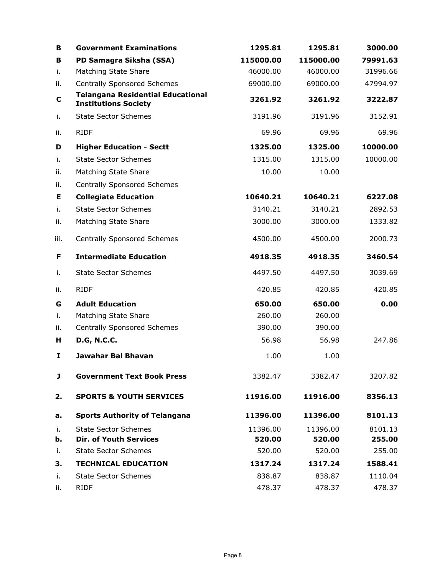| В    | <b>Government Examinations</b>                                          | 1295.81   | 1295.81   | 3000.00  |
|------|-------------------------------------------------------------------------|-----------|-----------|----------|
| в    | PD Samagra Siksha (SSA)                                                 | 115000.00 | 115000.00 | 79991.63 |
| i.   | Matching State Share                                                    | 46000.00  | 46000.00  | 31996.66 |
| ii.  | <b>Centrally Sponsored Schemes</b>                                      | 69000.00  | 69000.00  | 47994.97 |
| C    | <b>Telangana Residential Educational</b><br><b>Institutions Society</b> | 3261.92   | 3261.92   | 3222.87  |
| i.   | <b>State Sector Schemes</b>                                             | 3191.96   | 3191.96   | 3152.91  |
| ii.  | <b>RIDF</b>                                                             | 69.96     | 69.96     | 69.96    |
| D    | <b>Higher Education - Sectt</b>                                         | 1325.00   | 1325.00   | 10000.00 |
| i.   | <b>State Sector Schemes</b>                                             | 1315.00   | 1315.00   | 10000.00 |
| ii.  | Matching State Share                                                    | 10.00     | 10.00     |          |
| ii.  | <b>Centrally Sponsored Schemes</b>                                      |           |           |          |
| Е    | <b>Collegiate Education</b>                                             | 10640.21  | 10640.21  | 6227.08  |
| i.   | <b>State Sector Schemes</b>                                             | 3140.21   | 3140.21   | 2892.53  |
| ii.  | Matching State Share                                                    | 3000.00   | 3000.00   | 1333.82  |
| iii. | <b>Centrally Sponsored Schemes</b>                                      | 4500.00   | 4500.00   | 2000.73  |
| F    | <b>Intermediate Education</b>                                           | 4918.35   | 4918.35   | 3460.54  |
| i.   | <b>State Sector Schemes</b>                                             | 4497.50   | 4497.50   | 3039.69  |
| ii.  | <b>RIDF</b>                                                             | 420.85    | 420.85    | 420.85   |
| G    | <b>Adult Education</b>                                                  | 650.00    | 650.00    | 0.00     |
| i.   | Matching State Share                                                    | 260.00    | 260.00    |          |
| ii.  | <b>Centrally Sponsored Schemes</b>                                      | 390.00    | 390.00    |          |
| н    | <b>D.G, N.C.C.</b>                                                      | 56.98     | 56.98     | 247.86   |
| I    | <b>Jawahar Bal Bhavan</b>                                               | 1.00      | 1.00      |          |
| J    | <b>Government Text Book Press</b>                                       | 3382.47   | 3382.47   | 3207.82  |
| 2.   | <b>SPORTS &amp; YOUTH SERVICES</b>                                      | 11916.00  | 11916.00  | 8356.13  |
| а.   | <b>Sports Authority of Telangana</b>                                    | 11396.00  | 11396.00  | 8101.13  |
| i.   | <b>State Sector Schemes</b>                                             | 11396.00  | 11396.00  | 8101.13  |
| b.   | <b>Dir. of Youth Services</b>                                           | 520.00    | 520.00    | 255.00   |
| i.   | <b>State Sector Schemes</b>                                             | 520.00    | 520.00    | 255.00   |
| 3.   | <b>TECHNICAL EDUCATION</b>                                              | 1317.24   | 1317.24   | 1588.41  |
| i.   | <b>State Sector Schemes</b>                                             | 838.87    | 838.87    | 1110.04  |
| ii.  | <b>RIDF</b>                                                             | 478.37    | 478.37    | 478.37   |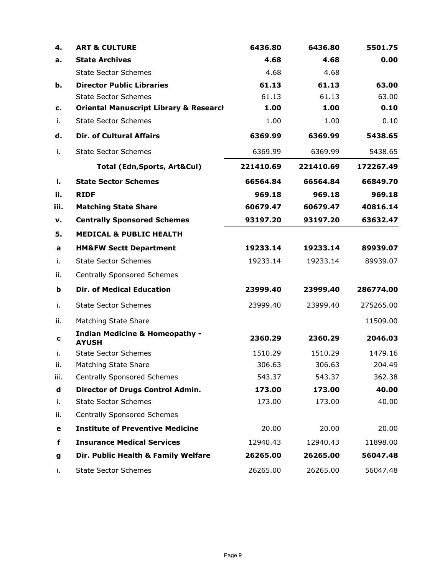| 4.   | <b>ART &amp; CULTURE</b>                                  | 6436.80   | 6436.80   | 5501.75   |
|------|-----------------------------------------------------------|-----------|-----------|-----------|
| а.   | <b>State Archives</b>                                     | 4.68      | 4.68      | 0.00      |
|      | <b>State Sector Schemes</b>                               | 4.68      | 4.68      |           |
| b.   | <b>Director Public Libraries</b>                          | 61.13     | 61.13     | 63.00     |
|      | <b>State Sector Schemes</b>                               | 61.13     | 61.13     | 63.00     |
| c.   | <b>Oriental Manuscript Library &amp; Research</b>         | 1.00      | 1.00      | 0.10      |
| i.   | <b>State Sector Schemes</b>                               | 1.00      | 1.00      | 0.10      |
| d.   | <b>Dir. of Cultural Affairs</b>                           | 6369.99   | 6369.99   | 5438.65   |
| i.   | <b>State Sector Schemes</b>                               | 6369.99   | 6369.99   | 5438.65   |
|      | Total (Edn, Sports, Art&Cul)                              | 221410.69 | 221410.69 | 172267.49 |
| i.   | <b>State Sector Schemes</b>                               | 66564.84  | 66564.84  | 66849.70  |
| ii.  | <b>RIDF</b>                                               | 969.18    | 969.18    | 969.18    |
| iii. | <b>Matching State Share</b>                               | 60679.47  | 60679.47  | 40816.14  |
| v.   | <b>Centrally Sponsored Schemes</b>                        | 93197.20  | 93197.20  | 63632.47  |
| 5.   | <b>MEDICAL &amp; PUBLIC HEALTH</b>                        |           |           |           |
| a    | <b>HM&amp;FW Sectt Department</b>                         | 19233.14  | 19233.14  | 89939.07  |
| i.   | <b>State Sector Schemes</b>                               | 19233.14  | 19233.14  | 89939.07  |
| ii.  | <b>Centrally Sponsored Schemes</b>                        |           |           |           |
| b    | <b>Dir. of Medical Education</b>                          | 23999.40  | 23999.40  | 286774.00 |
| i.   | <b>State Sector Schemes</b>                               | 23999.40  | 23999.40  | 275265.00 |
| ii.  | Matching State Share                                      |           |           | 11509.00  |
| c    | <b>Indian Medicine &amp; Homeopathy -</b><br><b>AYUSH</b> | 2360.29   | 2360.29   | 2046.03   |
| i.   | <b>State Sector Schemes</b>                               | 1510.29   | 1510.29   | 1479.16   |
| н.   | <b>Matching State Share</b>                               | 306.63    | 306.63    | 204.49    |
| iii. | <b>Centrally Sponsored Schemes</b>                        | 543.37    | 543.37    | 362.38    |
| d    | <b>Director of Drugs Control Admin.</b>                   | 173.00    | 173.00    | 40.00     |
| i.   | <b>State Sector Schemes</b>                               | 173.00    | 173.00    | 40.00     |
| ii.  | <b>Centrally Sponsored Schemes</b>                        |           |           |           |
| е    | <b>Institute of Preventive Medicine</b>                   | 20.00     | 20.00     | 20.00     |
| f    | <b>Insurance Medical Services</b>                         | 12940.43  | 12940.43  | 11898.00  |
| g    | Dir. Public Health & Family Welfare                       | 26265.00  | 26265.00  | 56047.48  |
| i.   | <b>State Sector Schemes</b>                               | 26265.00  | 26265.00  | 56047.48  |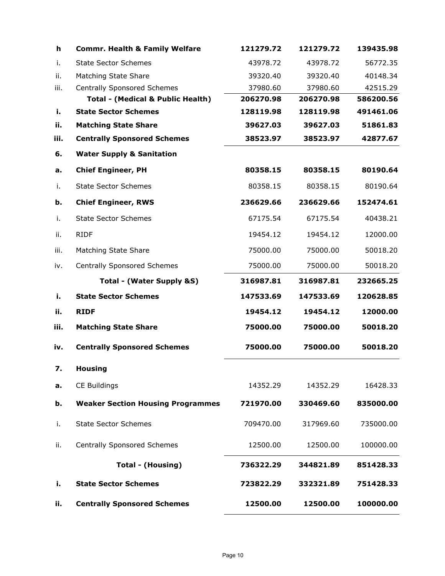| h    | <b>Commr. Health &amp; Family Welfare</b> | 121279.72 | 121279.72 | 139435.98 |
|------|-------------------------------------------|-----------|-----------|-----------|
| i.   | <b>State Sector Schemes</b>               | 43978.72  | 43978.72  | 56772.35  |
| ii.  | Matching State Share                      | 39320.40  | 39320.40  | 40148.34  |
| iii. | <b>Centrally Sponsored Schemes</b>        | 37980.60  | 37980.60  | 42515.29  |
|      | Total - (Medical & Public Health)         | 206270.98 | 206270.98 | 586200.56 |
| i.   | <b>State Sector Schemes</b>               | 128119.98 | 128119.98 | 491461.06 |
| ii.  | <b>Matching State Share</b>               | 39627.03  | 39627.03  | 51861.83  |
| iii. | <b>Centrally Sponsored Schemes</b>        | 38523.97  | 38523.97  | 42877.67  |
| 6.   | <b>Water Supply &amp; Sanitation</b>      |           |           |           |
| a.   | <b>Chief Engineer, PH</b>                 | 80358.15  | 80358.15  | 80190.64  |
| i.   | <b>State Sector Schemes</b>               | 80358.15  | 80358.15  | 80190.64  |
| b.   | <b>Chief Engineer, RWS</b>                | 236629.66 | 236629.66 | 152474.61 |
| i.   | <b>State Sector Schemes</b>               | 67175.54  | 67175.54  | 40438.21  |
| ii.  | <b>RIDF</b>                               | 19454.12  | 19454.12  | 12000.00  |
| iii. | Matching State Share                      | 75000.00  | 75000.00  | 50018.20  |
| iv.  | <b>Centrally Sponsored Schemes</b>        | 75000.00  | 75000.00  | 50018.20  |
|      | Total - (Water Supply &S)                 | 316987.81 | 316987.81 | 232665.25 |
| i.   | <b>State Sector Schemes</b>               | 147533.69 | 147533.69 | 120628.85 |
| ii.  | <b>RIDF</b>                               | 19454.12  | 19454.12  | 12000.00  |
| iii. | <b>Matching State Share</b>               | 75000.00  | 75000.00  | 50018.20  |
| iv.  | <b>Centrally Sponsored Schemes</b>        | 75000.00  | 75000.00  | 50018.20  |
| 7.   | <b>Housing</b>                            |           |           |           |
| a.   | CE Buildings                              | 14352.29  | 14352.29  | 16428.33  |
| b.   | <b>Weaker Section Housing Programmes</b>  | 721970.00 | 330469.60 | 835000.00 |
| i.   | <b>State Sector Schemes</b>               | 709470.00 | 317969.60 | 735000.00 |
| ii.  | <b>Centrally Sponsored Schemes</b>        | 12500.00  | 12500.00  | 100000.00 |
|      | Total - (Housing)                         | 736322.29 | 344821.89 | 851428.33 |
| i.   | <b>State Sector Schemes</b>               | 723822.29 | 332321.89 | 751428.33 |
| ii.  | <b>Centrally Sponsored Schemes</b>        | 12500.00  | 12500.00  | 100000.00 |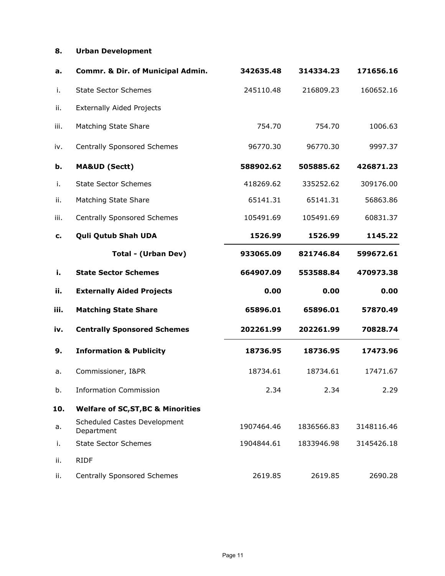### **8. Urban Development**

| a.   | Commr. & Dir. of Municipal Admin.             | 342635.48  | 314334.23  | 171656.16  |
|------|-----------------------------------------------|------------|------------|------------|
| i.   | <b>State Sector Schemes</b>                   | 245110.48  | 216809.23  | 160652.16  |
| ii.  | <b>Externally Aided Projects</b>              |            |            |            |
| iii. | Matching State Share                          | 754.70     | 754.70     | 1006.63    |
| iv.  | <b>Centrally Sponsored Schemes</b>            | 96770.30   | 96770.30   | 9997.37    |
| b.   | <b>MA&amp;UD (Sectt)</b>                      | 588902.62  | 505885.62  | 426871.23  |
| i.   | <b>State Sector Schemes</b>                   | 418269.62  | 335252.62  | 309176.00  |
| ii.  | Matching State Share                          | 65141.31   | 65141.31   | 56863.86   |
| iii. | <b>Centrally Sponsored Schemes</b>            | 105491.69  | 105491.69  | 60831.37   |
| c.   | <b>Quli Qutub Shah UDA</b>                    | 1526.99    | 1526.99    | 1145.22    |
|      | <b>Total - (Urban Dev)</b>                    | 933065.09  | 821746.84  | 599672.61  |
| i.   | <b>State Sector Schemes</b>                   | 664907.09  | 553588.84  | 470973.38  |
| ii.  | <b>Externally Aided Projects</b>              | 0.00       | 0.00       | 0.00       |
| iii. | <b>Matching State Share</b>                   | 65896.01   | 65896.01   | 57870.49   |
| iv.  | <b>Centrally Sponsored Schemes</b>            | 202261.99  | 202261.99  | 70828.74   |
| 9.   | <b>Information &amp; Publicity</b>            | 18736.95   | 18736.95   | 17473.96   |
| a.   | Commissioner, I&PR                            | 18734.61   | 18734.61   | 17471.67   |
| b.   | <b>Information Commission</b>                 | 2.34       | 2.34       | 2.29       |
| 10.  | <b>Welfare of SC, ST, BC &amp; Minorities</b> |            |            |            |
| а.   | Scheduled Castes Development<br>Department    | 1907464.46 | 1836566.83 | 3148116.46 |
| i.   | <b>State Sector Schemes</b>                   | 1904844.61 | 1833946.98 | 3145426.18 |
| ii.  | <b>RIDF</b>                                   |            |            |            |
| ii.  | <b>Centrally Sponsored Schemes</b>            | 2619.85    | 2619.85    | 2690.28    |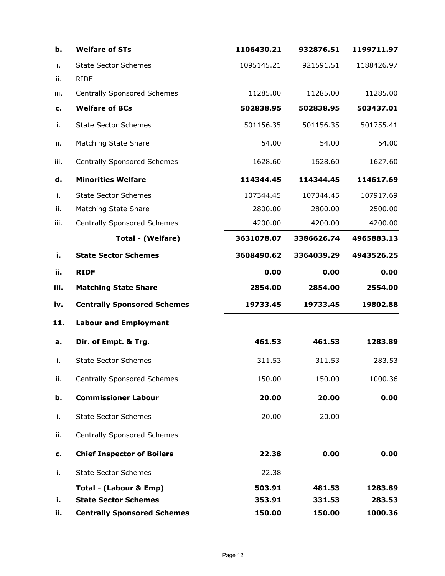| b.   | <b>Welfare of STs</b>              | 1106430.21 | 932876.51  | 1199711.97 |
|------|------------------------------------|------------|------------|------------|
| i.   | <b>State Sector Schemes</b>        | 1095145.21 | 921591.51  | 1188426.97 |
| ii.  | <b>RIDF</b>                        |            |            |            |
| iii. | <b>Centrally Sponsored Schemes</b> | 11285.00   | 11285.00   | 11285.00   |
| c.   | <b>Welfare of BCs</b>              | 502838.95  | 502838.95  | 503437.01  |
| i.   | <b>State Sector Schemes</b>        | 501156.35  | 501156.35  | 501755.41  |
| ii.  | Matching State Share               | 54.00      | 54.00      | 54.00      |
| iii. | <b>Centrally Sponsored Schemes</b> | 1628.60    | 1628.60    | 1627.60    |
| d.   | <b>Minorities Welfare</b>          | 114344.45  | 114344.45  | 114617.69  |
| i.   | <b>State Sector Schemes</b>        | 107344.45  | 107344.45  | 107917.69  |
| ii.  | Matching State Share               | 2800.00    | 2800.00    | 2500.00    |
| iii. | <b>Centrally Sponsored Schemes</b> | 4200.00    | 4200.00    | 4200.00    |
|      | Total - (Welfare)                  | 3631078.07 | 3386626.74 | 4965883.13 |
| i.   | <b>State Sector Schemes</b>        | 3608490.62 | 3364039.29 | 4943526.25 |
| ii.  | <b>RIDF</b>                        | 0.00       | 0.00       | 0.00       |
| iii. | <b>Matching State Share</b>        | 2854.00    | 2854.00    | 2554.00    |
| iv.  | <b>Centrally Sponsored Schemes</b> | 19733.45   | 19733.45   | 19802.88   |
| 11.  | <b>Labour and Employment</b>       |            |            |            |
| a.   | Dir. of Empt. & Trg.               | 461.53     | 461.53     | 1283.89    |
| i.   | <b>State Sector Schemes</b>        | 311.53     | 311.53     | 283.53     |
| ii.  | <b>Centrally Sponsored Schemes</b> | 150.00     | 150.00     | 1000.36    |
| b.   | <b>Commissioner Labour</b>         | 20.00      | 20.00      | 0.00       |
| i.   | <b>State Sector Schemes</b>        | 20.00      | 20.00      |            |
| ii.  | <b>Centrally Sponsored Schemes</b> |            |            |            |
| c.   | <b>Chief Inspector of Boilers</b>  | 22.38      | 0.00       | 0.00       |
| i.   | <b>State Sector Schemes</b>        | 22.38      |            |            |
|      | Total - (Labour & Emp)             | 503.91     | 481.53     | 1283.89    |
| i.   | <b>State Sector Schemes</b>        | 353.91     | 331.53     | 283.53     |
| ii.  | <b>Centrally Sponsored Schemes</b> | 150.00     | 150.00     | 1000.36    |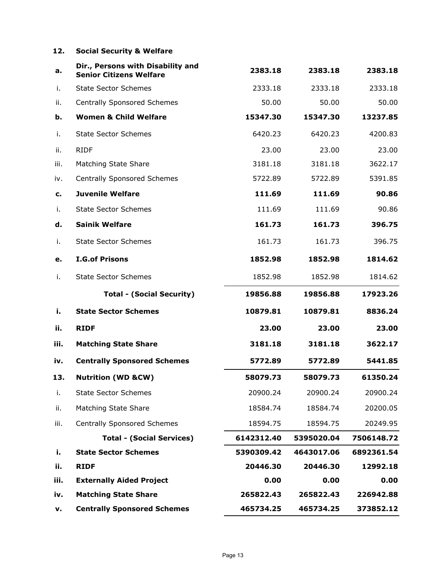### **12. Social Security & Welfare**

| a.   | Dir., Persons with Disability and<br><b>Senior Citizens Welfare</b> | 2383.18    | 2383.18    | 2383.18    |
|------|---------------------------------------------------------------------|------------|------------|------------|
| i.   | <b>State Sector Schemes</b>                                         | 2333.18    | 2333.18    | 2333.18    |
| ii.  | <b>Centrally Sponsored Schemes</b>                                  | 50.00      | 50.00      | 50.00      |
| b.   | <b>Women &amp; Child Welfare</b>                                    | 15347.30   | 15347.30   | 13237.85   |
| i.   | <b>State Sector Schemes</b>                                         | 6420.23    | 6420.23    | 4200.83    |
| ii.  | <b>RIDF</b>                                                         | 23.00      | 23.00      | 23.00      |
| iii. | Matching State Share                                                | 3181.18    | 3181.18    | 3622.17    |
| iv.  | <b>Centrally Sponsored Schemes</b>                                  | 5722.89    | 5722.89    | 5391.85    |
| c.   | <b>Juvenile Welfare</b>                                             | 111.69     | 111.69     | 90.86      |
| i.   | <b>State Sector Schemes</b>                                         | 111.69     | 111.69     | 90.86      |
| d.   | <b>Sainik Welfare</b>                                               | 161.73     | 161.73     | 396.75     |
| i.   | <b>State Sector Schemes</b>                                         | 161.73     | 161.73     | 396.75     |
| e.   | <b>I.G.of Prisons</b>                                               | 1852.98    | 1852.98    | 1814.62    |
| i.   | <b>State Sector Schemes</b>                                         | 1852.98    | 1852.98    | 1814.62    |
|      | <b>Total - (Social Security)</b>                                    | 19856.88   | 19856.88   | 17923.26   |
| i.   | <b>State Sector Schemes</b>                                         | 10879.81   | 10879.81   | 8836.24    |
| ii.  | <b>RIDF</b>                                                         | 23.00      | 23.00      | 23.00      |
| iii. | <b>Matching State Share</b>                                         | 3181.18    | 3181.18    | 3622.17    |
| iv.  | <b>Centrally Sponsored Schemes</b>                                  | 5772.89    | 5772.89    | 5441.85    |
| 13.  | <b>Nutrition (WD &amp;CW)</b>                                       | 58079.73   | 58079.73   | 61350.24   |
| i.   | <b>State Sector Schemes</b>                                         | 20900.24   | 20900.24   | 20900.24   |
| ii.  | Matching State Share                                                | 18584.74   | 18584.74   | 20200.05   |
| iii. | <b>Centrally Sponsored Schemes</b>                                  | 18594.75   | 18594.75   | 20249.95   |
|      | <b>Total - (Social Services)</b>                                    | 6142312.40 | 5395020.04 | 7506148.72 |
| i.   | <b>State Sector Schemes</b>                                         | 5390309.42 | 4643017.06 | 6892361.54 |
| ii.  | <b>RIDF</b>                                                         | 20446.30   | 20446.30   | 12992.18   |
| iii. | <b>Externally Aided Project</b>                                     | 0.00       | 0.00       | 0.00       |
| iv.  | <b>Matching State Share</b>                                         | 265822.43  | 265822.43  | 226942.88  |
| v.   | <b>Centrally Sponsored Schemes</b>                                  | 465734.25  | 465734.25  | 373852.12  |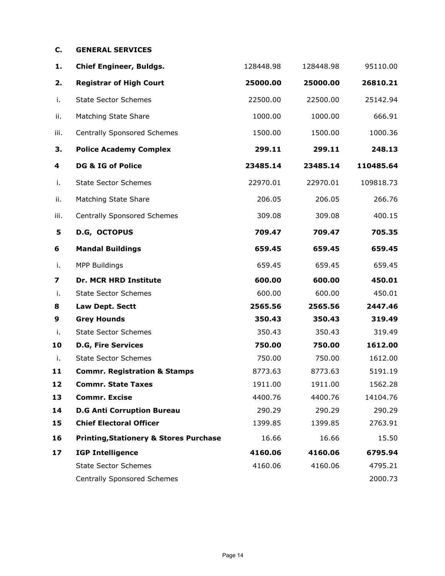### **C. GENERAL SERVICES**

| 1.   | <b>Chief Engineer, Buldgs.</b>                    | 128448.98 | 128448.98 | 95110.00  |
|------|---------------------------------------------------|-----------|-----------|-----------|
| 2.   | <b>Registrar of High Court</b>                    | 25000.00  | 25000.00  | 26810.21  |
| i.   | <b>State Sector Schemes</b>                       | 22500.00  | 22500.00  | 25142.94  |
| ii.  | Matching State Share                              | 1000.00   | 1000.00   | 666.91    |
| iii. | <b>Centrally Sponsored Schemes</b>                | 1500.00   | 1500.00   | 1000.36   |
| 3.   | <b>Police Academy Complex</b>                     | 299.11    | 299.11    | 248.13    |
| 4    | DG & IG of Police                                 | 23485.14  | 23485.14  | 110485.64 |
| i.   | <b>State Sector Schemes</b>                       | 22970.01  | 22970.01  | 109818.73 |
| ii.  | Matching State Share                              | 206.05    | 206.05    | 266.76    |
| iii. | <b>Centrally Sponsored Schemes</b>                | 309.08    | 309.08    | 400.15    |
| 5    | D.G, OCTOPUS                                      | 709.47    | 709.47    | 705.35    |
| 6    | <b>Mandal Buildings</b>                           | 659.45    | 659.45    | 659.45    |
| i.   | <b>MPP Buildings</b>                              | 659.45    | 659.45    | 659.45    |
| 7    | <b>Dr. MCR HRD Institute</b>                      | 600.00    | 600.00    | 450.01    |
| i.   | <b>State Sector Schemes</b>                       | 600.00    | 600.00    | 450.01    |
| 8    | Law Dept. Sectt                                   | 2565.56   | 2565.56   | 2447.46   |
| 9    | <b>Grey Hounds</b>                                | 350.43    | 350.43    | 319.49    |
| i.   | <b>State Sector Schemes</b>                       | 350.43    | 350.43    | 319.49    |
| 10   | <b>D.G, Fire Services</b>                         | 750.00    | 750.00    | 1612.00   |
| i.   | <b>State Sector Schemes</b>                       | 750.00    | 750.00    | 1612.00   |
| 11   | <b>Commr. Registration &amp; Stamps</b>           | 8773.63   | 8773.63   | 5191.19   |
| 12   | <b>Commr. State Taxes</b>                         | 1911.00   | 1911.00   | 1562.28   |
| 13   | <b>Commr. Excise</b>                              | 4400.76   | 4400.76   | 14104.76  |
| 14   | <b>D.G Anti Corruption Bureau</b>                 | 290.29    | 290.29    | 290.29    |
| 15   | <b>Chief Electoral Officer</b>                    | 1399.85   | 1399.85   | 2763.91   |
| 16   | <b>Printing, Stationery &amp; Stores Purchase</b> | 16.66     | 16.66     | 15.50     |
| 17   | <b>IGP Intelligence</b>                           | 4160.06   | 4160.06   | 6795.94   |
|      | <b>State Sector Schemes</b>                       | 4160.06   | 4160.06   | 4795.21   |
|      | <b>Centrally Sponsored Schemes</b>                |           |           | 2000.73   |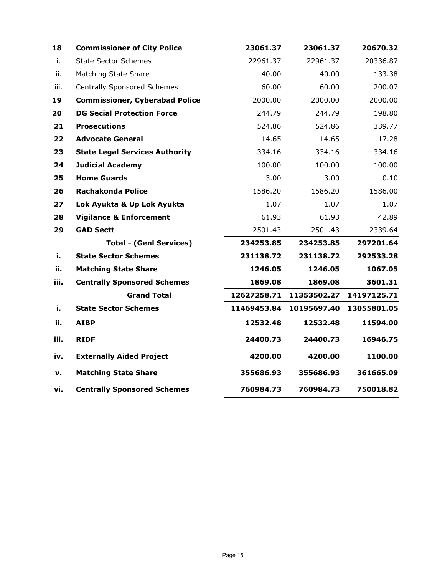| 18   | <b>Commissioner of City Police</b>    | 23061.37    | 23061.37    | 20670.32    |
|------|---------------------------------------|-------------|-------------|-------------|
| i.   | <b>State Sector Schemes</b>           | 22961.37    | 22961.37    | 20336.87    |
| ii.  | Matching State Share                  | 40.00       | 40.00       | 133.38      |
| iii. | <b>Centrally Sponsored Schemes</b>    | 60.00       | 60.00       | 200.07      |
| 19   | <b>Commissioner, Cyberabad Police</b> | 2000.00     | 2000.00     | 2000.00     |
| 20   | <b>DG Secial Protection Force</b>     | 244.79      | 244.79      | 198.80      |
| 21   | <b>Prosecutions</b>                   | 524.86      | 524.86      | 339.77      |
| 22   | <b>Advocate General</b>               | 14.65       | 14.65       | 17.28       |
| 23   | <b>State Legal Services Authority</b> | 334.16      | 334.16      | 334.16      |
| 24   | <b>Judicial Academy</b>               | 100.00      | 100.00      | 100.00      |
| 25   | <b>Home Guards</b>                    | 3.00        | 3.00        | 0.10        |
| 26   | <b>Rachakonda Police</b>              | 1586.20     | 1586.20     | 1586.00     |
| 27   | Lok Ayukta & Up Lok Ayukta            | 1.07        | 1.07        | 1.07        |
| 28   | <b>Vigilance &amp; Enforcement</b>    | 61.93       | 61.93       | 42.89       |
| 29   | <b>GAD Sectt</b>                      | 2501.43     | 2501.43     | 2339.64     |
|      | <b>Total - (Genl Services)</b>        | 234253.85   | 234253.85   | 297201.64   |
| i.   | <b>State Sector Schemes</b>           | 231138.72   | 231138.72   | 292533.28   |
| ii.  | <b>Matching State Share</b>           | 1246.05     | 1246.05     | 1067.05     |
| iii. | <b>Centrally Sponsored Schemes</b>    | 1869.08     | 1869.08     | 3601.31     |
|      | <b>Grand Total</b>                    | 12627258.71 | 11353502.27 | 14197125.71 |
| i.   | <b>State Sector Schemes</b>           | 11469453.84 | 10195697.40 | 13055801.05 |
| ii.  | <b>AIBP</b>                           | 12532.48    | 12532.48    | 11594.00    |
| iii. | <b>RIDF</b>                           | 24400.73    | 24400.73    | 16946.75    |
| iv.  | <b>Externally Aided Project</b>       | 4200.00     | 4200.00     | 1100.00     |
| v.   | <b>Matching State Share</b>           | 355686.93   | 355686.93   | 361665.09   |
| vi.  | <b>Centrally Sponsored Schemes</b>    | 760984.73   | 760984.73   | 750018.82   |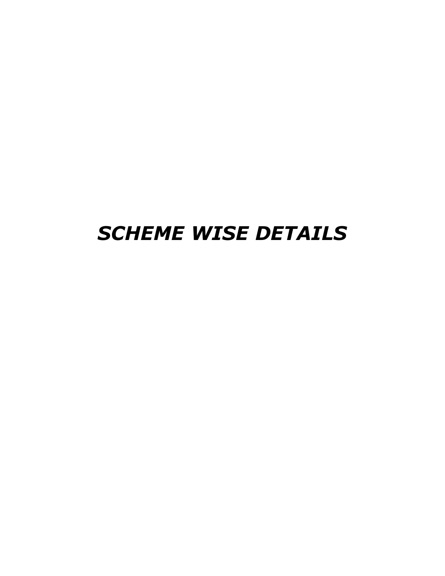# *SCHEME WISE DETAILS*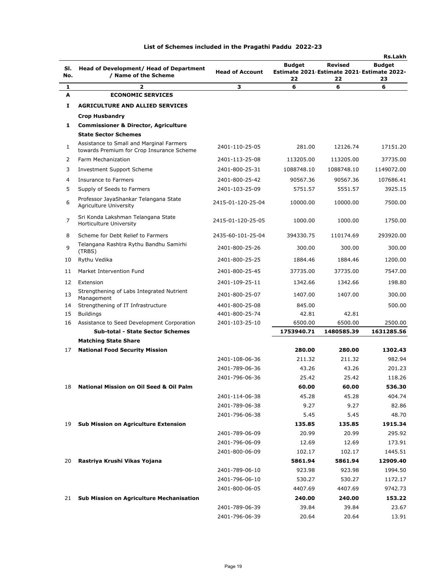|     |                                                                                       |                        |                                                  |                | Rs.Lakh       |
|-----|---------------------------------------------------------------------------------------|------------------------|--------------------------------------------------|----------------|---------------|
| SI. | Head of Development/ Head of Department                                               |                        | <b>Budget</b>                                    | <b>Revised</b> | <b>Budget</b> |
| No. | / Name of the Scheme                                                                  | <b>Head of Account</b> | Estimate 2021 Estimate 2021 Estimate 2022-<br>22 | 22             | 23            |
| 1   | 2                                                                                     | З                      | 6                                                | 6              | 6             |
| Α   | <b>ECONOMIC SERVICES</b>                                                              |                        |                                                  |                |               |
| 1   | <b>AGRICULTURE AND ALLIED SERVICES</b>                                                |                        |                                                  |                |               |
|     | <b>Crop Husbandry</b>                                                                 |                        |                                                  |                |               |
| 1   | <b>Commissioner &amp; Director, Agriculture</b>                                       |                        |                                                  |                |               |
|     | <b>State Sector Schemes</b>                                                           |                        |                                                  |                |               |
| 1   | Assistance to Small and Marginal Farmers<br>towards Premium for Crop Insurance Scheme | 2401-110-25-05         | 281.00                                           | 12126.74       | 17151.20      |
| 2   | Farm Mechanization                                                                    | 2401-113-25-08         | 113205.00                                        | 113205.00      | 37735.00      |
| 3   | Investment Support Scheme                                                             | 2401-800-25-31         | 1088748.10                                       | 1088748.10     | 1149072.00    |
| 4   | Insurance to Farmers                                                                  | 2401-800-25-42         | 90567.36                                         | 90567.36       | 107686.41     |
| 5   | Supply of Seeds to Farmers                                                            | 2401-103-25-09         | 5751.57                                          | 5551.57        | 3925.15       |
| 6   | Professor JayaShankar Telangana State<br>Agriculture University                       | 2415-01-120-25-04      | 10000.00                                         | 10000.00       | 7500.00       |
| 7   | Sri Konda Lakshman Telangana State<br>Horticulture University                         | 2415-01-120-25-05      | 1000.00                                          | 1000.00        | 1750.00       |
| 8   | Scheme for Debt Relief to Farmers                                                     | 2435-60-101-25-04      | 394330.75                                        | 110174.69      | 293920.00     |
| 9   | Telangana Rashtra Rythu Bandhu Samirhi<br>(TRBS)                                      | 2401-800-25-26         | 300.00                                           | 300.00         | 300.00        |
| 10  | Rythu Vedika                                                                          | 2401-800-25-25         | 1884.46                                          | 1884.46        | 1200.00       |
| 11  | Market Intervention Fund                                                              | 2401-800-25-45         | 37735.00                                         | 37735.00       | 7547.00       |
| 12  | Extension                                                                             | 2401-109-25-11         | 1342.66                                          | 1342.66        | 198.80        |
| 13  | Strengthening of Labs Integrated Nutrient                                             | 2401-800-25-07         | 1407.00                                          | 1407.00        | 300.00        |
| 14  | Management<br>Strengthening of IT Infrastructure                                      | 4401-800-25-08         | 845.00                                           |                | 500.00        |
| 15  | <b>Buildings</b>                                                                      | 4401-800-25-74         | 42.81                                            | 42.81          |               |
| 16  | Assistance to Seed Development Corporation                                            | 2401-103-25-10         | 6500.00                                          | 6500.00        | 2500.00       |
|     | <b>Sub-total - State Sector Schemes</b>                                               |                        | 1753940.71                                       | 1480585.39     | 1631285.56    |
|     | <b>Matching State Share</b>                                                           |                        |                                                  |                |               |
| 17  | <b>National Food Security Mission</b>                                                 |                        | 280.00                                           | 280.00         | 1302.43       |
|     |                                                                                       | 2401-108-06-36         | 211.32                                           | 211.32         | 982.94        |
|     |                                                                                       | 2401-789-06-36         | 43.26                                            | 43.26          | 201.23        |
|     |                                                                                       | 2401-796-06-36         | 25.42                                            | 25.42          | 118.26        |
| 18  | <b>National Mission on Oil Seed &amp; Oil Palm</b>                                    |                        | 60.00                                            | 60.00          | 536.30        |
|     |                                                                                       | 2401-114-06-38         | 45.28                                            | 45.28          | 404.74        |
|     |                                                                                       | 2401-789-06-38         | 9.27                                             | 9.27           | 82.86         |
|     |                                                                                       | 2401-796-06-38         | 5.45                                             | 5.45           | 48.70         |
| 19  | <b>Sub Mission on Agriculture Extension</b>                                           |                        | 135.85                                           | 135.85         | 1915.34       |
|     |                                                                                       | 2401-789-06-09         | 20.99                                            | 20.99          | 295.92        |
|     |                                                                                       | 2401-796-06-09         | 12.69                                            | 12.69          | 173.91        |
|     |                                                                                       | 2401-800-06-09         | 102.17                                           | 102.17         | 1445.51       |
| 20  | Rastriya Krushi Vikas Yojana                                                          |                        | 5861.94                                          | 5861.94        | 12909.40      |
|     |                                                                                       | 2401-789-06-10         | 923.98                                           | 923.98         | 1994.50       |
|     |                                                                                       | 2401-796-06-10         | 530.27                                           | 530.27         | 1172.17       |
|     |                                                                                       | 2401-800-06-05         | 4407.69                                          | 4407.69        | 9742.73       |
| 21  | <b>Sub Mission on Agriculture Mechanisation</b>                                       |                        | 240.00                                           | 240.00         | 153.22        |
|     |                                                                                       | 2401-789-06-39         | 39.84                                            | 39.84          | 23.67         |
|     |                                                                                       | 2401-796-06-39         | 20.64                                            | 20.64          | 13.91         |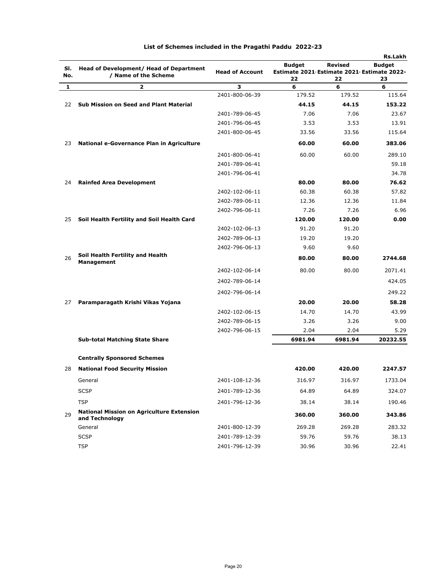|            |                                                                    |                        |                                                                   |                      | <b>Rs.Lakh</b>      |
|------------|--------------------------------------------------------------------|------------------------|-------------------------------------------------------------------|----------------------|---------------------|
| SI.<br>No. | Head of Development/ Head of Department<br>/ Name of the Scheme    | <b>Head of Account</b> | <b>Budget</b><br>Estimate 2021 Estimate 2021 Estimate 2022-<br>22 | <b>Revised</b><br>22 | <b>Budget</b><br>23 |
| 1          | $\overline{\mathbf{2}}$                                            | З                      | 6                                                                 | 6                    | 6                   |
|            |                                                                    | 2401-800-06-39         | 179.52                                                            | 179.52               | 115.64              |
| 22         | Sub Mission on Seed and Plant Material                             |                        | 44.15                                                             | 44.15                | 153.22              |
|            |                                                                    | 2401-789-06-45         | 7.06                                                              | 7.06                 | 23.67               |
|            |                                                                    | 2401-796-06-45         | 3.53                                                              | 3.53                 | 13.91               |
|            |                                                                    | 2401-800-06-45         | 33.56                                                             | 33.56                | 115.64              |
| 23         | National e-Governance Plan in Agriculture                          |                        | 60.00                                                             | 60.00                | 383.06              |
|            |                                                                    | 2401-800-06-41         | 60.00                                                             | 60.00                | 289.10              |
|            |                                                                    | 2401-789-06-41         |                                                                   |                      | 59.18               |
|            |                                                                    | 2401-796-06-41         |                                                                   |                      | 34.78               |
| 24         | <b>Rainfed Area Development</b>                                    |                        | 80.00                                                             | 80.00                | 76.62               |
|            |                                                                    | 2402-102-06-11         | 60.38                                                             | 60.38                | 57.82               |
|            |                                                                    | 2402-789-06-11         | 12.36                                                             | 12.36                | 11.84               |
|            |                                                                    | 2402-796-06-11         | 7.26                                                              | 7.26                 | 6.96                |
| 25         | Soil Health Fertility and Soil Health Card                         |                        | 120.00                                                            | 120.00               | 0.00                |
|            |                                                                    | 2402-102-06-13         | 91.20                                                             | 91.20                |                     |
|            |                                                                    | 2402-789-06-13         | 19.20                                                             | 19.20                |                     |
|            |                                                                    | 2402-796-06-13         | 9.60                                                              | 9.60                 |                     |
| 26         | Soil Health Fertility and Health<br><b>Management</b>              |                        | 80.00                                                             | 80.00                | 2744.68             |
|            |                                                                    | 2402-102-06-14         | 80.00                                                             | 80.00                | 2071.41             |
|            |                                                                    | 2402-789-06-14         |                                                                   |                      | 424.05              |
|            |                                                                    | 2402-796-06-14         |                                                                   |                      | 249.22              |
| 27         | Paramparagath Krishi Vikas Yojana                                  |                        | 20.00                                                             | 20.00                | 58.28               |
|            |                                                                    | 2402-102-06-15         | 14.70                                                             | 14.70                | 43.99               |
|            |                                                                    | 2402-789-06-15         | 3.26                                                              | 3.26                 | 9.00                |
|            |                                                                    | 2402-796-06-15         | 2.04                                                              | 2.04                 | 5.29                |
|            | <b>Sub-total Matching State Share</b>                              |                        | 6981.94                                                           | 6981.94              | 20232.55            |
|            | <b>Centrally Sponsored Schemes</b>                                 |                        |                                                                   |                      |                     |
| 28         | <b>National Food Security Mission</b>                              |                        | 420.00                                                            | 420.00               | 2247.57             |
|            | General                                                            | 2401-108-12-36         | 316.97                                                            | 316.97               | 1733.04             |
|            | <b>SCSP</b>                                                        | 2401-789-12-36         | 64.89                                                             | 64.89                | 324.07              |
|            | <b>TSP</b>                                                         | 2401-796-12-36         | 38.14                                                             | 38.14                | 190.46              |
| 29         | <b>National Mission on Agriculture Extension</b><br>and Technology |                        | 360.00                                                            | 360.00               | 343.86              |
|            | General                                                            | 2401-800-12-39         | 269.28                                                            | 269.28               | 283.32              |
|            | <b>SCSP</b>                                                        | 2401-789-12-39         | 59.76                                                             | 59.76                | 38.13               |
|            | <b>TSP</b>                                                         | 2401-796-12-39         | 30.96                                                             | 30.96                | 22.41               |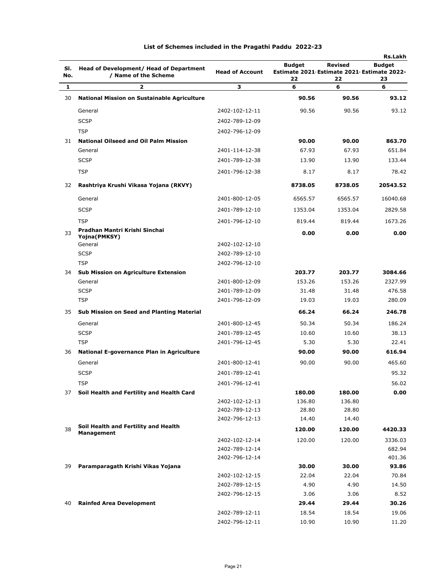|            |                                                                 |                        |                                                             |                | <b>Rs.Lakh</b> |
|------------|-----------------------------------------------------------------|------------------------|-------------------------------------------------------------|----------------|----------------|
| SI.<br>No. | Head of Development/ Head of Department<br>/ Name of the Scheme | <b>Head of Account</b> | <b>Budget</b><br>Estimate 2021 Estimate 2021 Estimate 2022- | <b>Revised</b> | <b>Budget</b>  |
| 1          | $\mathbf{z}$                                                    | з                      | 22<br>6                                                     | 22<br>6        | 23<br>6        |
| 30         | National Mission on Sustainable Agriculture                     |                        | 90.56                                                       | 90.56          | 93.12          |
|            | General                                                         | 2402-102-12-11         | 90.56                                                       | 90.56          | 93.12          |
|            |                                                                 |                        |                                                             |                |                |
|            | <b>SCSP</b>                                                     | 2402-789-12-09         |                                                             |                |                |
|            | <b>TSP</b>                                                      | 2402-796-12-09         |                                                             |                |                |
| 31         | <b>National Oilseed and Oil Palm Mission</b>                    |                        | 90.00                                                       | 90.00          | 863.70         |
|            | General                                                         | 2401-114-12-38         | 67.93                                                       | 67.93          | 651.84         |
|            | <b>SCSP</b>                                                     | 2401-789-12-38         | 13.90                                                       | 13.90          | 133.44         |
|            | <b>TSP</b>                                                      | 2401-796-12-38         | 8.17                                                        | 8.17           | 78.42          |
| 32         | Rashtriya Krushi Vikasa Yojana (RKVY)                           |                        | 8738.05                                                     | 8738.05        | 20543.52       |
|            | General                                                         | 2401-800-12-05         | 6565.57                                                     | 6565.57        | 16040.68       |
|            | <b>SCSP</b>                                                     | 2401-789-12-10         | 1353.04                                                     | 1353.04        | 2829.58        |
|            | <b>TSP</b>                                                      | 2401-796-12-10         | 819.44                                                      | 819.44         | 1673.26        |
| 33         | Pradhan Mantri Krishi Sinchai                                   |                        | 0.00                                                        | 0.00           | 0.00           |
|            | Yojna(PMKSY)<br>General                                         | 2402-102-12-10         |                                                             |                |                |
|            | <b>SCSP</b>                                                     | 2402-789-12-10         |                                                             |                |                |
|            | <b>TSP</b>                                                      | 2402-796-12-10         |                                                             |                |                |
| 34         | <b>Sub Mission on Agriculture Extension</b>                     |                        | 203.77                                                      | 203.77         | 3084.66        |
|            | General                                                         | 2401-800-12-09         | 153.26                                                      | 153.26         | 2327.99        |
|            | <b>SCSP</b>                                                     | 2401-789-12-09         | 31.48                                                       | 31.48          | 476.58         |
|            | <b>TSP</b>                                                      | 2401-796-12-09         | 19.03                                                       | 19.03          | 280.09         |
| 35         | Sub Mission on Seed and Planting Material                       |                        | 66.24                                                       | 66.24          | 246.78         |
|            | General                                                         | 2401-800-12-45         | 50.34                                                       | 50.34          | 186.24         |
|            | <b>SCSP</b>                                                     | 2401-789-12-45         | 10.60                                                       | 10.60          | 38.13          |
|            | <b>TSP</b>                                                      | 2401-796-12-45         | 5.30                                                        | 5.30           | 22.41          |
| 36         | National E-governance Plan in Agriculture                       |                        | 90.00                                                       | 90.00          | 616.94         |
|            | General                                                         | 2401-800-12-41         | 90.00                                                       | 90.00          | 465.60         |
|            | <b>SCSP</b>                                                     | 2401-789-12-41         |                                                             |                | 95.32          |
|            | TSP                                                             | 2401-796-12-41         |                                                             |                | 56.02          |
| 37         | Soil Health and Fertility and Health Card                       |                        | 180.00                                                      | 180.00         | 0.00           |
|            |                                                                 | 2402-102-12-13         | 136.80                                                      | 136.80         |                |
|            |                                                                 | 2402-789-12-13         | 28.80                                                       | 28.80          |                |
|            |                                                                 | 2402-796-12-13         | 14.40                                                       | 14.40          |                |
| 38         | Soil Health and Fertility and Health<br><b>Management</b>       |                        | 120.00                                                      | 120.00         | 4420.33        |
|            |                                                                 | 2402-102-12-14         | 120.00                                                      | 120.00         | 3336.03        |
|            |                                                                 | 2402-789-12-14         |                                                             |                | 682.94         |
|            |                                                                 | 2402-796-12-14         |                                                             |                | 401.36         |
| 39         | Paramparagath Krishi Vikas Yojana                               |                        | 30.00                                                       | 30.00          | 93.86          |
|            |                                                                 | 2402-102-12-15         | 22.04                                                       | 22.04          | 70.84          |
|            |                                                                 | 2402-789-12-15         | 4.90                                                        | 4.90           | 14.50          |
|            |                                                                 | 2402-796-12-15         | 3.06                                                        | 3.06           | 8.52           |
| 40         | <b>Rainfed Area Development</b>                                 |                        | 29.44                                                       | 29.44          | 30.26          |
|            |                                                                 | 2402-789-12-11         | 18.54                                                       | 18.54          | 19.06          |
|            |                                                                 | 2402-796-12-11         | 10.90                                                       | 10.90          | 11.20          |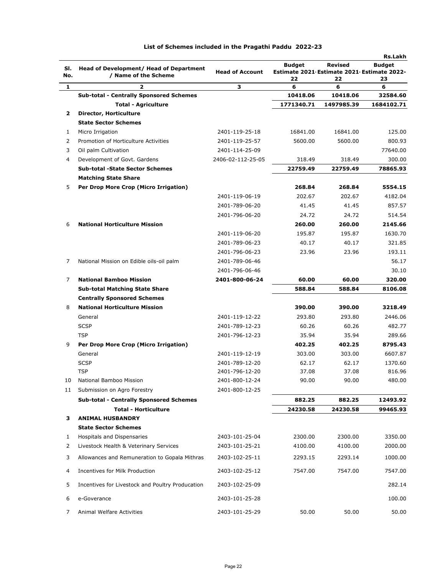| SI. | Head of Development/ Head of Department          |                        | <b>Budget</b>                                    | Revised    | <b>Rs.Lakh</b><br><b>Budget</b> |
|-----|--------------------------------------------------|------------------------|--------------------------------------------------|------------|---------------------------------|
| No. | / Name of the Scheme                             | <b>Head of Account</b> | Estimate 2021 Estimate 2021 Estimate 2022-<br>22 | 22         | 23                              |
| 1   | 2                                                | з                      | 6                                                | 6          | 6                               |
|     | <b>Sub-total - Centrally Sponsored Schemes</b>   |                        | 10418.06                                         | 10418.06   | 32584.60                        |
|     | <b>Total - Agriculture</b>                       |                        | 1771340.71                                       | 1497985.39 | 1684102.71                      |
| 2   | Director, Horticulture                           |                        |                                                  |            |                                 |
|     | <b>State Sector Schemes</b>                      |                        |                                                  |            |                                 |
| 1   | Micro Irrigation                                 | 2401-119-25-18         | 16841.00                                         | 16841.00   | 125.00                          |
| 2   | Promotion of Horticulture Activities             | 2401-119-25-57         | 5600.00                                          | 5600.00    | 800.93                          |
| 3   | Oil palm Cultivation                             | 2401-114-25-09         |                                                  |            | 77640.00                        |
| 4   | Development of Govt. Gardens                     | 2406-02-112-25-05      | 318.49                                           | 318.49     | 300.00                          |
|     | <b>Sub-total -State Sector Schemes</b>           |                        | 22759.49                                         | 22759.49   | 78865.93                        |
|     | <b>Matching State Share</b>                      |                        |                                                  |            |                                 |
| 5   | Per Drop More Crop (Micro Irrigation)            |                        | 268.84                                           | 268.84     | 5554.15                         |
|     |                                                  | 2401-119-06-19         | 202.67                                           | 202.67     | 4182.04                         |
|     |                                                  | 2401-789-06-20         | 41.45                                            | 41.45      | 857.57                          |
|     |                                                  | 2401-796-06-20         | 24.72                                            | 24.72      | 514.54                          |
| 6   | <b>National Horticulture Mission</b>             |                        | 260.00                                           | 260.00     | 2145.66                         |
|     |                                                  | 2401-119-06-20         | 195.87                                           | 195.87     | 1630.70                         |
|     |                                                  | 2401-789-06-23         | 40.17                                            | 40.17      | 321.85                          |
|     |                                                  | 2401-796-06-23         | 23.96                                            | 23.96      | 193.11                          |
| 7   | National Mission on Edible oils-oil palm         | 2401-789-06-46         |                                                  |            | 56.17                           |
|     |                                                  | 2401-796-06-46         |                                                  |            | 30.10                           |
| 7   | <b>National Bamboo Mission</b>                   | 2401-800-06-24         | 60.00                                            | 60.00      | 320.00                          |
|     | <b>Sub-total Matching State Share</b>            |                        | 588.84                                           | 588.84     | 8106.08                         |
|     | <b>Centrally Sponsored Schemes</b>               |                        |                                                  |            |                                 |
| 8   | <b>National Horticulture Mission</b>             |                        | 390.00                                           | 390.00     | 3218.49                         |
|     | General                                          | 2401-119-12-22         | 293.80                                           | 293.80     | 2446.06                         |
|     | <b>SCSP</b>                                      | 2401-789-12-23         | 60.26                                            | 60.26      | 482.77                          |
|     | <b>TSP</b>                                       | 2401-796-12-23         | 35.94                                            | 35.94      | 289.66                          |
| 9   | Per Drop More Crop (Micro Irrigation)            |                        | 402.25                                           | 402.25     | 8795.43                         |
|     | General                                          | 2401-119-12-19         | 303.00                                           | 303.00     | 6607.87                         |
|     | <b>SCSP</b>                                      | 2401-789-12-20         | 62.17                                            | 62.17      | 1370.60                         |
|     | <b>TSP</b>                                       | 2401-796-12-20         | 37.08                                            | 37.08      | 816.96                          |
| 10  | National Bamboo Mission                          | 2401-800-12-24         | 90.00                                            | 90.00      | 480.00                          |
| 11  | Submission on Agro Forestry                      | 2401-800-12-25         |                                                  |            |                                 |
|     | <b>Sub-total - Centrally Sponsored Schemes</b>   |                        | 882.25                                           | 882.25     | 12493.92                        |
|     | <b>Total - Horticulture</b>                      |                        | 24230.58                                         | 24230.58   | 99465.93                        |
| з   | <b>ANIMAL HUSBANDRY</b>                          |                        |                                                  |            |                                 |
|     | <b>State Sector Schemes</b>                      |                        |                                                  |            |                                 |
| 1   | Hospitals and Dispensaries                       | 2403-101-25-04         | 2300.00                                          | 2300.00    | 3350.00                         |
| 2   | Livestock Health & Veterinary Services           | 2403-101-25-21         | 4100.00                                          | 4100.00    | 2000.00                         |
| 3   | Allowances and Remuneration to Gopala Mithras    | 2403-102-25-11         | 2293.15                                          | 2293.14    | 1000.00                         |
| 4   | Incentives for Milk Production                   | 2403-102-25-12         | 7547.00                                          | 7547.00    | 7547.00                         |
| 5   | Incentives for Livestock and Poultry Producation | 2403-102-25-09         |                                                  |            | 282.14                          |
| 6   | e-Goverance                                      | 2403-101-25-28         |                                                  |            | 100.00                          |
| 7   | Animal Welfare Activities                        | 2403-101-25-29         | 50.00                                            | 50.00      | 50.00                           |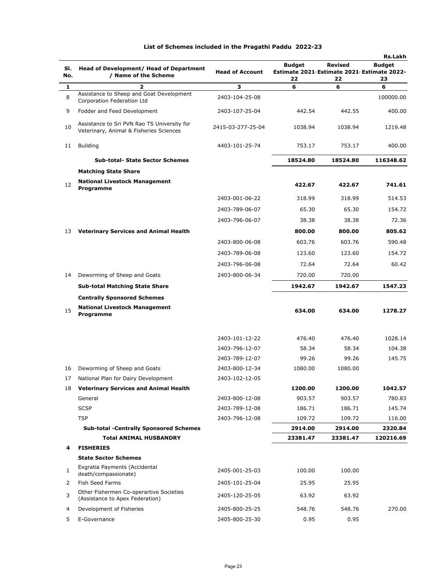|     |                                                                                        |                        |                                            |                | Rs.Lakh       |
|-----|----------------------------------------------------------------------------------------|------------------------|--------------------------------------------|----------------|---------------|
| SI. | Head of Development/ Head of Department                                                |                        | <b>Budget</b>                              | <b>Revised</b> | <b>Budget</b> |
| No. | / Name of the Scheme                                                                   | <b>Head of Account</b> | Estimate 2021 Estimate 2021 Estimate 2022- |                |               |
| 1   | 2                                                                                      | з                      | 22<br>6                                    | 22<br>6        | 23<br>6       |
| 8   | Assistance to Sheep and Goat Development<br>Corporation Federation Ltd                 | 2403-104-25-08         |                                            |                | 100000.00     |
| 9   | Fodder and Feed Development                                                            | 2403-107-25-04         | 442.54                                     | 442.55         | 400.00        |
| 10  | Assistance to Sri PVN Rao TS University for<br>Veterinary, Animal & Fisheries Sciences | 2415-03-277-25-04      | 1038.94                                    | 1038.94        | 1219.48       |
| 11  | <b>Building</b>                                                                        | 4403-101-25-74         | 753.17                                     | 753.17         | 400.00        |
|     | <b>Sub-total- State Sector Schemes</b>                                                 |                        | 18524.80                                   | 18524.80       | 116348.62     |
|     | <b>Matching State Share</b>                                                            |                        |                                            |                |               |
| 12  | <b>National Livestock Management</b><br>Programme                                      |                        | 422.67                                     | 422.67         | 741.61        |
|     |                                                                                        | 2403-001-06-22         | 318.99                                     | 318.99         | 514.53        |
|     |                                                                                        | 2403-789-06-07         | 65.30                                      | 65.30          | 154.72        |
|     |                                                                                        | 2403-796-06-07         | 38.38                                      | 38.38          | 72.36         |
| 13  | <b>Veterinary Services and Animal Health</b>                                           |                        | 800.00                                     | 800.00         | 805.62        |
|     |                                                                                        | 2403-800-06-08         | 603.76                                     | 603.76         | 590.48        |
|     |                                                                                        | 2403-789-06-08         | 123.60                                     | 123.60         | 154.72        |
|     |                                                                                        | 2403-796-06-08         | 72.64                                      | 72.64          | 60.42         |
| 14  | Deworming of Sheep and Goats                                                           | 2403-800-06-34         | 720.00                                     | 720.00         |               |
|     | <b>Sub-total Matching State Share</b>                                                  |                        | 1942.67                                    | 1942.67        | 1547.23       |
|     | <b>Centrally Sponsored Schemes</b>                                                     |                        |                                            |                |               |
| 15  | <b>National Livestock Management</b><br>Programme                                      |                        | 634.00                                     | 634.00         | 1278.27       |
|     |                                                                                        | 2403-101-12-22         | 476.40                                     | 476.40         | 1028.14       |
|     |                                                                                        | 2403-796-12-07         | 58.34                                      | 58.34          | 104.38        |
|     |                                                                                        | 2403-789-12-07         | 99.26                                      | 99.26          | 145.75        |
| 16  | Deworming of Sheep and Goats                                                           | 2403-800-12-34         | 1080.00                                    | 1080.00        |               |
| 17  | National Plan for Dairy Development                                                    | 2403-102-12-05         |                                            |                |               |
| 18  | <b>Veterinary Services and Animal Health</b>                                           |                        | 1200.00                                    | 1200.00        | 1042.57       |
|     | General                                                                                | 2403-800-12-08         | 903.57                                     | 903.57         | 780.83        |
|     | <b>SCSP</b>                                                                            | 2403-789-12-08         | 186.71                                     | 186.71         | 145.74        |
|     | <b>TSP</b>                                                                             | 2403-796-12-08         | 109.72                                     | 109.72         | 116.00        |
|     | <b>Sub-total -Centrally Sponsored Schemes</b>                                          |                        | 2914.00                                    | 2914.00        | 2320.84       |
|     | <b>Total ANIMAL HUSBANDRY</b>                                                          |                        | 23381.47                                   | 23381.47       | 120216.69     |
| 4   | <b>FISHERIES</b>                                                                       |                        |                                            |                |               |
|     | <b>State Sector Schemes</b>                                                            |                        |                                            |                |               |
| 1   | Exgratia Payments (Accidental<br>death/compassionate)                                  | 2405-001-25-03         | 100.00                                     | 100.00         |               |
| 2   | Fish Seed Farms                                                                        | 2405-101-25-04         | 25.95                                      | 25.95          |               |
| 3   | Other Fishermen Co-operartive Societies<br>(Assistance to Apex Federation)             | 2405-120-25-05         | 63.92                                      | 63.92          |               |
| 4   | Development of Fisheries                                                               | 2405-800-25-25         | 548.76                                     | 548.76         | 270.00        |
| 5   | E-Governance                                                                           | 2405-800-25-30         | 0.95                                       | 0.95           |               |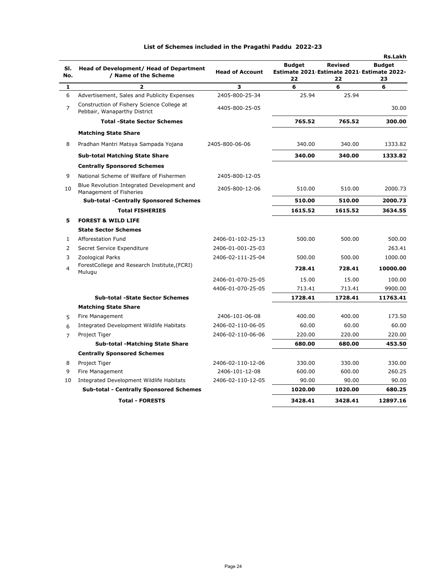|                |                                                                            |                        |                                                             |                | Rs.Lakh       |
|----------------|----------------------------------------------------------------------------|------------------------|-------------------------------------------------------------|----------------|---------------|
| SI.            | Head of Development/ Head of Department                                    | <b>Head of Account</b> | <b>Budget</b><br>Estimate 2021 Estimate 2021 Estimate 2022- | <b>Revised</b> | <b>Budget</b> |
| No.            | / Name of the Scheme                                                       |                        | 22                                                          | 22             | 23            |
| $\mathbf{1}$   | $\overline{2}$                                                             | 3                      | 6                                                           | 6              | 6             |
| 6              | Advertisement, Sales and Publicity Expenses                                | 2405-800-25-34         | 25.94                                                       | 25.94          |               |
| $\overline{7}$ | Construction of Fishery Science College at<br>Pebbair, Wanaparthy District | 4405-800-25-05         |                                                             |                | 30.00         |
|                | <b>Total -State Sector Schemes</b>                                         |                        | 765.52                                                      | 765.52         | 300.00        |
|                | <b>Matching State Share</b>                                                |                        |                                                             |                |               |
| 8              | Pradhan Mantri Matsya Sampada Yojana                                       | 2405-800-06-06         | 340.00                                                      | 340.00         | 1333.82       |
|                | <b>Sub-total Matching State Share</b>                                      |                        | 340.00                                                      | 340.00         | 1333.82       |
|                | <b>Centrally Sponsored Schemes</b>                                         |                        |                                                             |                |               |
| 9              | National Scheme of Welfare of Fishermen                                    | 2405-800-12-05         |                                                             |                |               |
| 10             | Blue Revolution Integrated Development and<br>Management of Fisheries      | 2405-800-12-06         | 510.00                                                      | 510.00         | 2000.73       |
|                | <b>Sub-total -Centrally Sponsored Schemes</b>                              |                        | 510.00                                                      | 510.00         | 2000.73       |
|                | <b>Total FISHERIES</b>                                                     |                        | 1615.52                                                     | 1615.52        | 3634.55       |
| 5              | <b>FOREST &amp; WILD LIFE</b>                                              |                        |                                                             |                |               |
|                | <b>State Sector Schemes</b>                                                |                        |                                                             |                |               |
| $\mathbf{1}$   | Afforestation Fund                                                         | 2406-01-102-25-13      | 500.00                                                      | 500.00         | 500.00        |
| $\overline{2}$ | Secret Service Expenditure                                                 | 2406-01-001-25-03      |                                                             |                | 263.41        |
| 3              | Zoological Parks                                                           | 2406-02-111-25-04      | 500.00                                                      | 500.00         | 1000.00       |
| 4              | ForestCollege and Research Institute, (FCRI)<br>Mulugu                     |                        | 728.41                                                      | 728.41         | 10000.00      |
|                |                                                                            | 2406-01-070-25-05      | 15.00                                                       | 15.00          | 100.00        |
|                |                                                                            | 4406-01-070-25-05      | 713.41                                                      | 713.41         | 9900.00       |
|                | <b>Sub-total -State Sector Schemes</b>                                     |                        | 1728.41                                                     | 1728.41        | 11763.41      |
|                | <b>Matching State Share</b>                                                |                        |                                                             |                |               |
| 5              | Fire Management                                                            | 2406-101-06-08         | 400.00                                                      | 400.00         | 173.50        |
| 6              | Integrated Development Wildlife Habitats                                   | 2406-02-110-06-05      | 60.00                                                       | 60.00          | 60.00         |
| 7              | Project Tiger                                                              | 2406-02-110-06-06      | 220.00                                                      | 220.00         | 220.00        |
|                | <b>Sub-total -Matching State Share</b>                                     |                        | 680.00                                                      | 680.00         | 453.50        |
|                | <b>Centrally Sponsored Schemes</b>                                         |                        |                                                             |                |               |
| 8              | Project Tiger                                                              | 2406-02-110-12-06      | 330.00                                                      | 330.00         | 330.00        |
| 9              | Fire Management                                                            | 2406-101-12-08         | 600.00                                                      | 600.00         | 260.25        |
| 10             | Integrated Development Wildlife Habitats                                   | 2406-02-110-12-05      | 90.00                                                       | 90.00          | 90.00         |
|                | <b>Sub-total - Centrally Sponsored Schemes</b>                             |                        | 1020.00                                                     | 1020.00        | 680.25        |
|                | <b>Total - FORESTS</b>                                                     |                        | 3428.41                                                     | 3428.41        | 12897.16      |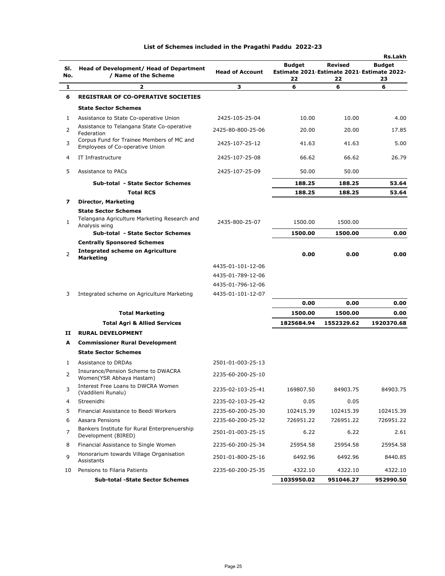|                |                                                                     |                        |                                                                   |                      | Rs.Lakh             |
|----------------|---------------------------------------------------------------------|------------------------|-------------------------------------------------------------------|----------------------|---------------------|
| SI.<br>No.     | Head of Development/ Head of Department<br>/ Name of the Scheme     | <b>Head of Account</b> | <b>Budget</b><br>Estimate 2021 Estimate 2021 Estimate 2022-<br>22 | <b>Revised</b><br>22 | <b>Budget</b><br>23 |
| 1              | $\overline{2}$                                                      | з                      | 6                                                                 | 6                    | 6                   |
| 6              | <b>REGISTRAR OF CO-OPERATIVE SOCIETIES</b>                          |                        |                                                                   |                      |                     |
|                | <b>State Sector Schemes</b>                                         |                        |                                                                   |                      |                     |
| 1              | Assistance to State Co-operative Union                              | 2425-105-25-04         | 10.00                                                             | 10.00                | 4.00                |
| 2              | Assistance to Telangana State Co-operative                          | 2425-80-800-25-06      | 20.00                                                             | 20.00                | 17.85               |
|                | Federation<br>Corpus Fund for Trainee Members of MC and             |                        |                                                                   |                      |                     |
| 3              | Employees of Co-operative Union                                     | 2425-107-25-12         | 41.63                                                             | 41.63                | 5.00                |
| 4              | IT Infrastructure                                                   | 2425-107-25-08         | 66.62                                                             | 66.62                | 26.79               |
| 5              | Assistance to PACs                                                  | 2425-107-25-09         | 50.00                                                             | 50.00                |                     |
|                | Sub-total - State Sector Schemes                                    |                        | 188.25                                                            | 188.25               | 53.64               |
|                | <b>Total RCS</b>                                                    |                        | 188.25                                                            | 188.25               | 53.64               |
| 7              | <b>Director, Marketing</b>                                          |                        |                                                                   |                      |                     |
|                | <b>State Sector Schemes</b>                                         |                        |                                                                   |                      |                     |
| 1              | Telangana Agriculture Marketing Research and<br>Analysis wing       | 2435-800-25-07         | 1500.00                                                           | 1500.00              |                     |
|                | Sub-total - State Sector Schemes                                    |                        | 1500.00                                                           | 1500.00              | 0.00                |
|                | <b>Centrally Sponsored Schemes</b>                                  |                        |                                                                   |                      |                     |
| 2              | <b>Integrated scheme on Agriculture</b><br><b>Marketing</b>         |                        | 0.00                                                              | 0.00                 | 0.00                |
|                |                                                                     | 4435-01-101-12-06      |                                                                   |                      |                     |
|                |                                                                     | 4435-01-789-12-06      |                                                                   |                      |                     |
|                |                                                                     | 4435-01-796-12-06      |                                                                   |                      |                     |
| 3              | Integrated scheme on Agriculture Marketing                          | 4435-01-101-12-07      |                                                                   |                      |                     |
|                |                                                                     |                        | 0.00                                                              | 0.00                 | 0.00                |
|                | <b>Total Marketing</b>                                              |                        | 1500.00                                                           | 1500.00              | 0.00                |
|                | <b>Total Agri &amp; Allied Services</b>                             |                        | 1825684.94                                                        | 1552329.62           | 1920370.68          |
| п              | <b>RURAL DEVELOPMENT</b>                                            |                        |                                                                   |                      |                     |
| A              | <b>Commissioner Rural Development</b>                               |                        |                                                                   |                      |                     |
|                | <b>State Sector Schemes</b>                                         |                        |                                                                   |                      |                     |
| 1              | Assistance to DRDAs                                                 | 2501-01-003-25-13      |                                                                   |                      |                     |
| 2              | Insurance/Pension Scheme to DWACRA<br>Women(YSR Abhaya Hastam)      | 2235-60-200-25-10      |                                                                   |                      |                     |
| 3              | Interest Free Loans to DWCRA Women<br>(Vaddileni Runalu)            | 2235-02-103-25-41      | 169807.50                                                         | 84903.75             | 84903.75            |
| 4              | Streenidhi                                                          | 2235-02-103-25-42      | 0.05                                                              | 0.05                 |                     |
| 5              | Financial Assistance to Beedi Workers                               | 2235-60-200-25-30      | 102415.39                                                         | 102415.39            | 102415.39           |
| 6              | Aasara Pensions                                                     | 2235-60-200-25-32      | 726951.22                                                         | 726951.22            | 726951.22           |
| $\overline{7}$ | Bankers Institute for Rural Enterprenuership<br>Development (BIRED) | 2501-01-003-25-15      | 6.22                                                              | 6.22                 | 2.61                |
| 8              | Financial Assistance to Single Women                                | 2235-60-200-25-34      | 25954.58                                                          | 25954.58             | 25954.58            |
| 9              | Honorarium towards Village Organisation<br>Assistants               | 2501-01-800-25-16      | 6492.96                                                           | 6492.96              | 8440.85             |
| 10             | Pensions to Filaria Patients                                        | 2235-60-200-25-35      | 4322.10                                                           | 4322.10              | 4322.10             |
|                | <b>Sub-total -State Sector Schemes</b>                              |                        | 1035950.02                                                        | 951046.27            | 952990.50           |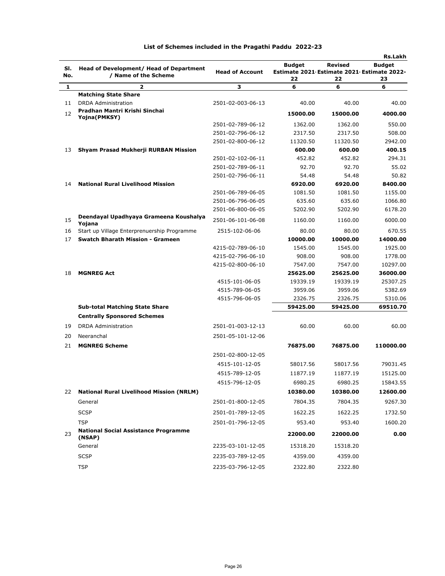|            |                                                                 |                        |                                                             |                | Rs.Lakh       |
|------------|-----------------------------------------------------------------|------------------------|-------------------------------------------------------------|----------------|---------------|
| SI.<br>No. | Head of Development/ Head of Department<br>/ Name of the Scheme | <b>Head of Account</b> | <b>Budget</b><br>Estimate 2021 Estimate 2021 Estimate 2022- | <b>Revised</b> | <b>Budget</b> |
| 1          | 2                                                               | 3                      | 22<br>6                                                     | 22<br>6        | 23<br>6       |
|            | <b>Matching State Share</b>                                     |                        |                                                             |                |               |
| 11         | <b>DRDA</b> Administration                                      | 2501-02-003-06-13      | 40.00                                                       | 40.00          | 40.00         |
| 12         | Pradhan Mantri Krishi Sinchai<br>Yojna(PMKSY)                   |                        | 15000.00                                                    | 15000.00       | 4000.00       |
|            |                                                                 | 2501-02-789-06-12      | 1362.00                                                     | 1362.00        | 550.00        |
|            |                                                                 | 2501-02-796-06-12      | 2317.50                                                     | 2317.50        | 508.00        |
|            |                                                                 | 2501-02-800-06-12      | 11320.50                                                    | 11320.50       | 2942.00       |
| 13         | Shyam Prasad Mukherji RURBAN Mission                            |                        | 600.00                                                      | 600.00         | 400.15        |
|            |                                                                 | 2501-02-102-06-11      | 452.82                                                      | 452.82         | 294.31        |
|            |                                                                 | 2501-02-789-06-11      | 92.70                                                       | 92.70          | 55.02         |
|            |                                                                 | 2501-02-796-06-11      | 54.48                                                       | 54.48          | 50.82         |
| 14         | <b>National Rural Livelihood Mission</b>                        |                        | 6920.00                                                     | 6920.00        | 8400.00       |
|            |                                                                 | 2501-06-789-06-05      | 1081.50                                                     | 1081.50        | 1155.00       |
|            |                                                                 | 2501-06-796-06-05      | 635.60                                                      | 635.60         | 1066.80       |
|            |                                                                 | 2501-06-800-06-05      | 5202.90                                                     | 5202.90        | 6178.20       |
| 15         | Deendayal Upadhyaya Grameena Koushalya<br>Yojana                | 2501-06-101-06-08      | 1160.00                                                     | 1160.00        | 6000.00       |
| 16         | Start up Village Enterprenuership Programme                     | 2515-102-06-06         | 80.00                                                       | 80.00          | 670.55        |
| 17         | <b>Swatch Bharath Mission - Grameen</b>                         |                        | 10000.00                                                    | 10000.00       | 14000.00      |
|            |                                                                 | 4215-02-789-06-10      | 1545.00                                                     | 1545.00        | 1925.00       |
|            |                                                                 | 4215-02-796-06-10      | 908.00                                                      | 908.00         | 1778.00       |
|            |                                                                 | 4215-02-800-06-10      | 7547.00                                                     | 7547.00        | 10297.00      |
| 18         | <b>MGNREG Act</b>                                               |                        | 25625.00                                                    | 25625.00       | 36000.00      |
|            |                                                                 | 4515-101-06-05         | 19339.19                                                    | 19339.19       | 25307.25      |
|            |                                                                 | 4515-789-06-05         | 3959.06                                                     | 3959.06        | 5382.69       |
|            |                                                                 | 4515-796-06-05         | 2326.75                                                     | 2326.75        | 5310.06       |
|            | <b>Sub-total Matching State Share</b>                           |                        | 59425.00                                                    | 59425.00       | 69510.70      |
|            | <b>Centrally Sponsored Schemes</b>                              |                        |                                                             |                |               |
| 19         | <b>DRDA Administration</b>                                      | 2501-01-003-12-13      | 60.00                                                       | 60.00          | 60.00         |
| 20         | Neeranchal                                                      | 2501-05-101-12-06      |                                                             |                |               |
| 21         | <b>MGNREG Scheme</b>                                            |                        | 76875.00                                                    | 76875.00       | 110000.00     |
|            |                                                                 | 2501-02-800-12-05      |                                                             |                |               |
|            |                                                                 | 4515-101-12-05         | 58017.56                                                    | 58017.56       | 79031.45      |
|            |                                                                 | 4515-789-12-05         | 11877.19                                                    | 11877.19       | 15125.00      |
|            |                                                                 | 4515-796-12-05         | 6980.25                                                     | 6980.25        | 15843.55      |
| 22         | <b>National Rural Livelihood Mission (NRLM)</b>                 |                        | 10380.00                                                    | 10380.00       | 12600.00      |
|            | General                                                         | 2501-01-800-12-05      | 7804.35                                                     | 7804.35        | 9267.30       |
|            | <b>SCSP</b>                                                     | 2501-01-789-12-05      | 1622.25                                                     | 1622.25        | 1732.50       |
|            | TSP                                                             | 2501-01-796-12-05      | 953.40                                                      | 953.40         | 1600.20       |
| 23         | <b>National Social Assistance Programme</b><br>(NSAP)           |                        | 22000.00                                                    | 22000.00       | 0.00          |
|            | General                                                         | 2235-03-101-12-05      | 15318.20                                                    | 15318.20       |               |
|            | <b>SCSP</b>                                                     | 2235-03-789-12-05      | 4359.00                                                     | 4359.00        |               |
|            | <b>TSP</b>                                                      | 2235-03-796-12-05      | 2322.80                                                     | 2322.80        |               |
|            |                                                                 |                        |                                                             |                |               |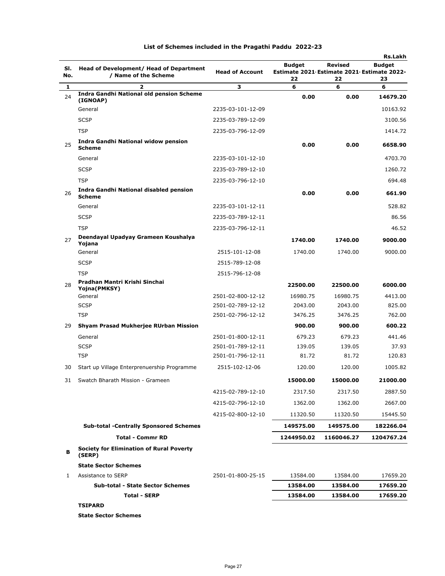| SI.<br>No.   | Head of Development/ Head of Department<br>/ Name of the Scheme | <b>Head of Account</b> | <b>Budget</b><br>Estimate 2021 Estimate 2021 Estimate 2022- | <b>Revised</b> | Rs.Lakh<br><b>Budget</b> |  |
|--------------|-----------------------------------------------------------------|------------------------|-------------------------------------------------------------|----------------|--------------------------|--|
| $\mathbf{1}$ | $\overline{a}$                                                  | 3                      | 22<br>6                                                     | 22<br>6        | 23<br>6                  |  |
| 24           | <b>Indra Gandhi National old pension Scheme</b>                 |                        | 0.00                                                        | 0.00           | 14679.20                 |  |
|              | (IGNOAP)<br>General                                             | 2235-03-101-12-09      |                                                             |                | 10163.92                 |  |
|              |                                                                 |                        |                                                             |                |                          |  |
|              | <b>SCSP</b>                                                     | 2235-03-789-12-09      |                                                             |                | 3100.56                  |  |
|              | <b>TSP</b>                                                      | 2235-03-796-12-09      |                                                             |                | 1414.72                  |  |
| 25           | Indra Gandhi National widow pension<br><b>Scheme</b>            |                        | 0.00                                                        | 0.00           | 6658.90                  |  |
|              | General                                                         | 2235-03-101-12-10      |                                                             |                | 4703.70                  |  |
|              | <b>SCSP</b>                                                     | 2235-03-789-12-10      |                                                             |                | 1260.72                  |  |
|              | <b>TSP</b>                                                      | 2235-03-796-12-10      |                                                             |                | 694.48                   |  |
| 26           | Indra Gandhi National disabled pension<br><b>Scheme</b>         |                        | 0.00                                                        | 0.00           | 661.90                   |  |
|              | General                                                         | 2235-03-101-12-11      |                                                             |                | 528.82                   |  |
|              | <b>SCSP</b>                                                     | 2235-03-789-12-11      |                                                             |                | 86.56                    |  |
|              | <b>TSP</b>                                                      | 2235-03-796-12-11      |                                                             |                | 46.52                    |  |
| 27           | Deendayal Upadyay Grameen Koushalya<br>Yojana                   |                        | 1740.00                                                     | 1740.00        | 9000.00                  |  |
|              | General                                                         | 2515-101-12-08         | 1740.00                                                     | 1740.00        | 9000.00                  |  |
|              | <b>SCSP</b>                                                     | 2515-789-12-08         |                                                             |                |                          |  |
|              | <b>TSP</b>                                                      | 2515-796-12-08         |                                                             |                |                          |  |
| 28           | Pradhan Mantri Krishi Sinchai<br>Yojna(PMKSY)                   |                        | 22500.00                                                    | 22500.00       | 6000.00                  |  |
|              | General                                                         | 2501-02-800-12-12      | 16980.75                                                    | 16980.75       | 4413.00                  |  |
|              | <b>SCSP</b>                                                     | 2501-02-789-12-12      | 2043.00                                                     | 2043.00        | 825.00                   |  |
|              | <b>TSP</b>                                                      | 2501-02-796-12-12      | 3476.25                                                     | 3476.25        | 762.00                   |  |
| 29           | Shyam Prasad Mukherjee RUrban Mission                           |                        | 900.00                                                      | 900.00         | 600.22                   |  |
|              | General                                                         | 2501-01-800-12-11      | 679.23                                                      | 679.23         | 441.46                   |  |
|              | <b>SCSP</b>                                                     | 2501-01-789-12-11      | 139.05                                                      | 139.05         | 37.93                    |  |
|              | <b>TSP</b>                                                      | 2501-01-796-12-11      | 81.72                                                       | 81.72          | 120.83                   |  |
| 30           | Start up Village Enterprenuership Programme                     | 2515-102-12-06         | 120.00                                                      | 120.00         | 1005.82                  |  |
| 31           | Swatch Bharath Mission - Grameen                                |                        | 15000.00                                                    | 15000.00       | 21000.00                 |  |
|              |                                                                 | 4215-02-789-12-10      | 2317.50                                                     | 2317.50        | 2887.50                  |  |
|              |                                                                 | 4215-02-796-12-10      | 1362.00                                                     | 1362.00        | 2667.00                  |  |
|              |                                                                 | 4215-02-800-12-10      | 11320.50                                                    | 11320.50       | 15445.50                 |  |
|              | <b>Sub-total -Centrally Sponsored Schemes</b>                   |                        | 149575.00                                                   | 149575.00      | 182266.04                |  |
|              | <b>Total - Commr RD</b>                                         |                        | 1244950.02                                                  | 1160046.27     | 1204767.24               |  |
| в            | <b>Society for Elimination of Rural Poverty</b><br>(SERP)       |                        |                                                             |                |                          |  |
|              | <b>State Sector Schemes</b>                                     |                        |                                                             |                |                          |  |
| 1            | Assistance to SERP                                              | 2501-01-800-25-15      | 13584.00                                                    | 13584.00       | 17659.20                 |  |
|              | <b>Sub-total - State Sector Schemes</b>                         |                        | 13584.00                                                    | 13584.00       | 17659.20                 |  |
|              |                                                                 |                        |                                                             |                |                          |  |

**State Sector Schemes**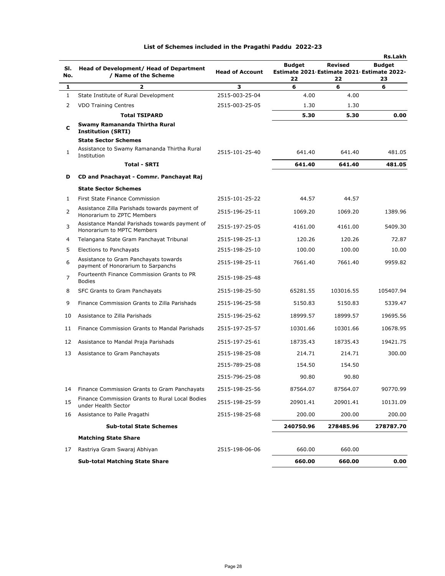|            |                                                                              |                        |                                                                   |                      | <b>Rs.Lakh</b>      |
|------------|------------------------------------------------------------------------------|------------------------|-------------------------------------------------------------------|----------------------|---------------------|
| SI.<br>No. | Head of Development/ Head of Department<br>/ Name of the Scheme              | <b>Head of Account</b> | <b>Budget</b><br>Estimate 2021 Estimate 2021 Estimate 2022-<br>22 | <b>Revised</b><br>22 | <b>Budget</b><br>23 |
| 1          | 2                                                                            | з                      | 6                                                                 | 6                    | 6                   |
| 1          | State Institute of Rural Development                                         | 2515-003-25-04         | 4.00                                                              | 4.00                 |                     |
| 2          | <b>VDO Training Centres</b>                                                  | 2515-003-25-05         | 1.30                                                              | 1.30                 |                     |
|            | <b>Total TSIPARD</b>                                                         |                        | 5.30                                                              | 5.30                 | 0.00                |
| c          | Swamy Ramananda Thirtha Rural<br><b>Institution (SRTI)</b>                   |                        |                                                                   |                      |                     |
|            | <b>State Sector Schemes</b>                                                  |                        |                                                                   |                      |                     |
| 1          | Assistance to Swamy Ramananda Thirtha Rural<br>Institution                   | 2515-101-25-40         | 641.40                                                            | 641.40               | 481.05              |
|            | <b>Total - SRTI</b>                                                          |                        | 641.40                                                            | 641.40               | 481.05              |
| D          | CD and Pnachayat - Commr. Panchayat Raj                                      |                        |                                                                   |                      |                     |
|            | <b>State Sector Schemes</b>                                                  |                        |                                                                   |                      |                     |
| 1          | First State Finance Commission                                               | 2515-101-25-22         | 44.57                                                             | 44.57                |                     |
| 2          | Assistance Zilla Parishads towards payment of<br>Honorarium to ZPTC Members  | 2515-196-25-11         | 1069.20                                                           | 1069.20              | 1389.96             |
| 3          | Assistance Mandal Parishads towards payment of<br>Honorarium to MPTC Members | 2515-197-25-05         | 4161.00                                                           | 4161.00              | 5409.30             |
| 4          | Telangana State Gram Panchayat Tribunal                                      | 2515-198-25-13         | 120.26                                                            | 120.26               | 72.87               |
| 5          | Elections to Panchayats                                                      | 2515-198-25-10         | 100.00                                                            | 100.00               | 10.00               |
| 6          | Assistance to Gram Panchayats towards<br>payment of Honorarium to Sarpanchs  | 2515-198-25-11         | 7661.40                                                           | 7661.40              | 9959.82             |
| 7          | Fourteenth Finance Commission Grants to PR<br><b>Bodies</b>                  | 2515-198-25-48         |                                                                   |                      |                     |
| 8          | SFC Grants to Gram Panchayats                                                | 2515-198-25-50         | 65281.55                                                          | 103016.55            | 105407.94           |
| 9          | Finance Commission Grants to Zilla Parishads                                 | 2515-196-25-58         | 5150.83                                                           | 5150.83              | 5339.47             |
| 10         | Assistance to Zilla Parishads                                                | 2515-196-25-62         | 18999.57                                                          | 18999.57             | 19695.56            |
| 11         | Finance Commission Grants to Mandal Parishads                                | 2515-197-25-57         | 10301.66                                                          | 10301.66             | 10678.95            |
| 12         | Assistance to Mandal Praja Parishads                                         | 2515-197-25-61         | 18735.43                                                          | 18735.43             | 19421.75            |
| 13         | Assistance to Gram Panchayats                                                | 2515-198-25-08         | 214.71                                                            | 214.71               | 300.00              |
|            |                                                                              | 2515-789-25-08         | 154.50                                                            | 154.50               |                     |
|            |                                                                              | 2515-796-25-08         | 90.80                                                             | 90.80                |                     |
| 14         | Finance Commission Grants to Gram Panchayats                                 | 2515-198-25-56         | 87564.07                                                          | 87564.07             | 90770.99            |
| 15         | Finance Commission Grants to Rural Local Bodies<br>under Health Sector       | 2515-198-25-59         | 20901.41                                                          | 20901.41             | 10131.09            |
| 16         | Assistance to Palle Pragathi                                                 | 2515-198-25-68         | 200.00                                                            | 200.00               | 200.00              |
|            | <b>Sub-total State Schemes</b>                                               |                        | 240750.96                                                         | 278485.96            | 278787.70           |
|            | <b>Matching State Share</b>                                                  |                        |                                                                   |                      |                     |
| 17         | Rastriya Gram Swaraj Abhiyan                                                 | 2515-198-06-06         | 660.00                                                            | 660.00               |                     |
|            | <b>Sub-total Matching State Share</b>                                        |                        | 660.00                                                            | 660.00               | 0.00                |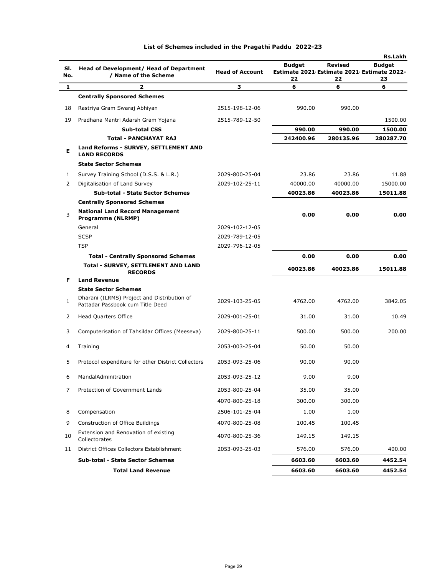|            |                                                                                 |                        |                                                                   |                      | <b>Rs.Lakh</b>      |
|------------|---------------------------------------------------------------------------------|------------------------|-------------------------------------------------------------------|----------------------|---------------------|
| SI.<br>No. | Head of Development/ Head of Department<br>/ Name of the Scheme                 | <b>Head of Account</b> | <b>Budget</b><br>Estimate 2021 Estimate 2021 Estimate 2022-<br>22 | <b>Revised</b><br>22 | <b>Budget</b><br>23 |
| 1          | 2                                                                               | 3                      | 6                                                                 | 6                    | 6                   |
|            | <b>Centrally Sponsored Schemes</b>                                              |                        |                                                                   |                      |                     |
| 18         | Rastriya Gram Swaraj Abhiyan                                                    | 2515-198-12-06         | 990.00                                                            | 990.00               |                     |
| 19         | Pradhana Mantri Adarsh Gram Yojana                                              | 2515-789-12-50         |                                                                   |                      | 1500.00             |
|            | Sub-total CSS                                                                   |                        | 990.00                                                            | 990.00               | 1500.00             |
|            | <b>Total - PANCHAYAT RAJ</b>                                                    |                        | 242400.96                                                         | 280135.96            | 280287.70           |
| Е          | Land Reforms - SURVEY, SETTLEMENT AND<br><b>LAND RECORDS</b>                    |                        |                                                                   |                      |                     |
|            | <b>State Sector Schemes</b>                                                     |                        |                                                                   |                      |                     |
| 1          | Survey Training School (D.S.S. & L.R.)                                          | 2029-800-25-04         | 23.86                                                             | 23.86                | 11.88               |
| 2          | Digitalisation of Land Survey                                                   | 2029-102-25-11         | 40000.00                                                          | 40000.00             | 15000.00            |
|            | <b>Sub-total - State Sector Schemes</b>                                         |                        | 40023.86                                                          | 40023.86             | 15011.88            |
|            | <b>Centrally Sponsored Schemes</b>                                              |                        |                                                                   |                      |                     |
| 3          | <b>National Land Record Management</b><br><b>Programme (NLRMP)</b>              |                        | 0.00                                                              | 0.00                 | 0.00                |
|            | General                                                                         | 2029-102-12-05         |                                                                   |                      |                     |
|            | <b>SCSP</b>                                                                     | 2029-789-12-05         |                                                                   |                      |                     |
|            | <b>TSP</b>                                                                      | 2029-796-12-05         |                                                                   |                      |                     |
|            | <b>Total - Centrally Sponsored Schemes</b>                                      |                        | 0.00                                                              | 0.00                 | 0.00                |
|            | Total - SURVEY, SETTLEMENT AND LAND<br><b>RECORDS</b>                           |                        | 40023.86                                                          | 40023.86             | 15011.88            |
| F.         | <b>Land Revenue</b>                                                             |                        |                                                                   |                      |                     |
|            | <b>State Sector Schemes</b>                                                     |                        |                                                                   |                      |                     |
| 1          | Dharani (ILRMS) Project and Distribution of<br>Pattadar Passbook cum Title Deed | 2029-103-25-05         | 4762.00                                                           | 4762.00              | 3842.05             |
| 2          | <b>Head Quarters Office</b>                                                     | 2029-001-25-01         | 31.00                                                             | 31.00                | 10.49               |
| 3          | Computerisation of Tahsildar Offices (Meeseva)                                  | 2029-800-25-11         | 500.00                                                            | 500.00               | 200.00              |
| 4          | Training                                                                        | 2053-003-25-04         | 50.00                                                             | 50.00                |                     |
| 5          | Protocol expenditure for other District Collectors                              | 2053-093-25-06         | 90.00                                                             | 90.00                |                     |
| 6          | MandalAdminitration                                                             | 2053-093-25-12         | 9.00                                                              | 9.00                 |                     |
| 7          | Protection of Government Lands                                                  | 2053-800-25-04         | 35.00                                                             | 35.00                |                     |
|            |                                                                                 | 4070-800-25-18         | 300.00                                                            | 300.00               |                     |
| 8          | Compensation                                                                    | 2506-101-25-04         | 1.00                                                              | 1.00                 |                     |
| 9          | Construction of Office Buildings                                                | 4070-800-25-08         | 100.45                                                            | 100.45               |                     |
| 10         | Extension and Renovation of existing<br>Collectorates                           | 4070-800-25-36         | 149.15                                                            | 149.15               |                     |
| 11         | District Offices Collectors Establishment                                       | 2053-093-25-03         | 576.00                                                            | 576.00               | 400.00              |
|            | <b>Sub-total - State Sector Schemes</b>                                         |                        | 6603.60                                                           | 6603.60              | 4452.54             |
|            | <b>Total Land Revenue</b>                                                       |                        | 6603.60                                                           | 6603.60              | 4452.54             |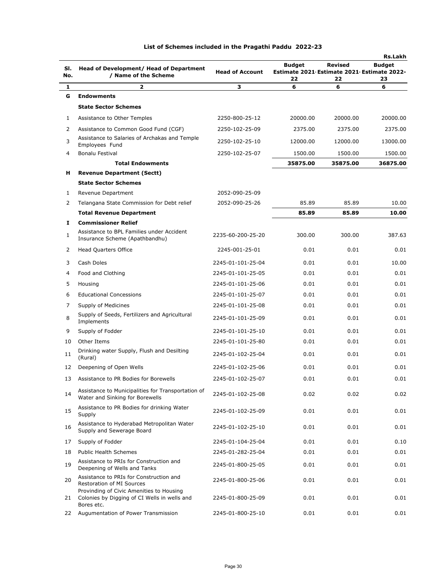|     |                                                                                                        |                        | Rs.Lakh                                                      |          |          |  |
|-----|--------------------------------------------------------------------------------------------------------|------------------------|--------------------------------------------------------------|----------|----------|--|
| SI. | Head of Development/ Head of Department                                                                |                        | <b>Revised</b><br><b>Budget</b><br><b>Budget</b>             |          |          |  |
| No. | / Name of the Scheme                                                                                   | <b>Head of Account</b> | Estimate 2021 Estimate 2021 Estimate 2022-<br>22<br>22<br>23 |          |          |  |
| 1   | $\overline{\mathbf{z}}$                                                                                | з                      | 6                                                            | 6        | 6        |  |
| G   | <b>Endowments</b>                                                                                      |                        |                                                              |          |          |  |
|     | <b>State Sector Schemes</b>                                                                            |                        |                                                              |          |          |  |
| 1   | Assistance to Other Temples                                                                            | 2250-800-25-12         | 20000.00                                                     | 20000.00 | 20000.00 |  |
| 2   | Assistance to Common Good Fund (CGF)                                                                   | 2250-102-25-09         | 2375.00                                                      | 2375.00  | 2375.00  |  |
| 3   | Assistance to Salaries of Archakas and Temple<br>Employees Fund                                        | 2250-102-25-10         | 12000.00                                                     | 12000.00 | 13000.00 |  |
| 4   | Bonalu Festival                                                                                        | 2250-102-25-07         | 1500.00                                                      | 1500.00  | 1500.00  |  |
|     | <b>Total Endowments</b>                                                                                |                        | 35875.00                                                     | 35875.00 | 36875.00 |  |
| н   | <b>Revenue Department (Sectt)</b>                                                                      |                        |                                                              |          |          |  |
|     | <b>State Sector Schemes</b>                                                                            |                        |                                                              |          |          |  |
| 1   | Revenue Department                                                                                     | 2052-090-25-09         |                                                              |          |          |  |
| 2   | Telangana State Commission for Debt relief                                                             | 2052-090-25-26         | 85.89                                                        | 85.89    | 10.00    |  |
|     | <b>Total Revenue Department</b>                                                                        |                        | 85.89                                                        | 85.89    | 10.00    |  |
| 1   | <b>Commissioner Relief</b>                                                                             |                        |                                                              |          |          |  |
| 1   | Assistance to BPL Families under Accident<br>Insurance Scheme (Apathbandhu)                            | 2235-60-200-25-20      | 300.00                                                       | 300.00   | 387.63   |  |
| 2   | <b>Head Quarters Office</b>                                                                            | 2245-001-25-01         | 0.01                                                         | 0.01     | 0.01     |  |
| 3   | Cash Doles                                                                                             | 2245-01-101-25-04      | 0.01                                                         | 0.01     | 10.00    |  |
| 4   | Food and Clothing                                                                                      | 2245-01-101-25-05      | 0.01                                                         | 0.01     | 0.01     |  |
| 5   | Housing                                                                                                | 2245-01-101-25-06      | 0.01                                                         | 0.01     | 0.01     |  |
| 6   | <b>Educational Concessions</b>                                                                         | 2245-01-101-25-07      | 0.01                                                         | 0.01     | 0.01     |  |
| 7   | Supply of Medicines                                                                                    | 2245-01-101-25-08      | 0.01                                                         | 0.01     | 0.01     |  |
| 8   | Supply of Seeds, Fertilizers and Agricultural<br>Implements                                            | 2245-01-101-25-09      | 0.01                                                         | 0.01     | 0.01     |  |
| 9   | Supply of Fodder                                                                                       | 2245-01-101-25-10      | 0.01                                                         | 0.01     | 0.01     |  |
| 10  | Other Items                                                                                            | 2245-01-101-25-80      | 0.01                                                         | 0.01     | 0.01     |  |
| 11  | Drinking water Supply, Flush and Desilting<br>(Rural)                                                  | 2245-01-102-25-04      | 0.01                                                         | 0.01     | 0.01     |  |
| 12  | Deepening of Open Wells                                                                                | 2245-01-102-25-06      | 0.01                                                         | 0.01     | 0.01     |  |
| 13  | Assistance to PR Bodies for Borewells                                                                  | 2245-01-102-25-07      | 0.01                                                         | 0.01     | 0.01     |  |
| 14  | Assistance to Municipalities for Transportation of<br>Water and Sinking for Borewells                  | 2245-01-102-25-08      | 0.02                                                         | 0.02     | 0.02     |  |
| 15  | Assistance to PR Bodies for drinking Water<br>Supply                                                   | 2245-01-102-25-09      | 0.01                                                         | 0.01     | 0.01     |  |
| 16  | Assistance to Hyderabad Metropolitan Water<br>Supply and Sewerage Board                                | 2245-01-102-25-10      | 0.01                                                         | 0.01     | 0.01     |  |
| 17  | Supply of Fodder                                                                                       | 2245-01-104-25-04      | 0.01                                                         | 0.01     | 0.10     |  |
| 18  | <b>Public Health Schemes</b>                                                                           | 2245-01-282-25-04      | 0.01                                                         | 0.01     | 0.01     |  |
| 19  | Assistance to PRIs for Construction and<br>Deepening of Wells and Tanks                                | 2245-01-800-25-05      | 0.01                                                         | 0.01     | 0.01     |  |
| 20  | Assistance to PRIs for Construction and<br>Restoration of MI Sources                                   | 2245-01-800-25-06      | 0.01                                                         | 0.01     | 0.01     |  |
| 21  | Provinding of Civic Amenities to Housing<br>Colonies by Digging of CI Wells in wells and<br>Bores etc. | 2245-01-800-25-09      | 0.01                                                         | 0.01     | 0.01     |  |
|     | 22 Augumentation of Power Transmission                                                                 | 2245-01-800-25-10      | 0.01                                                         | 0.01     | 0.01     |  |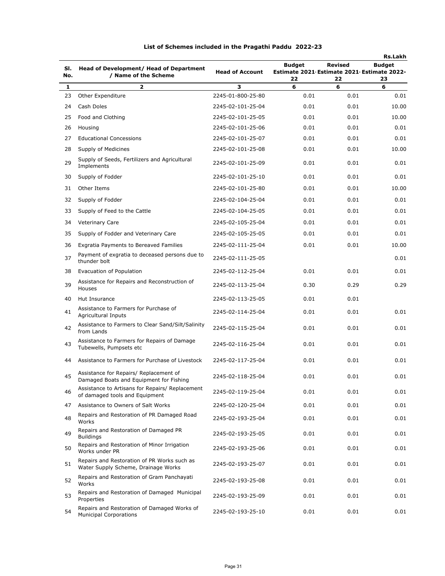| SI.<br>No. | Head of Development/ Head of Department<br>/ Name of the Scheme                    | <b>Head of Account</b> | <b>Budget</b><br>Estimate 2021 Estimate 2021 Estimate 2022-<br>22 | Revised<br>22 | <b>Rs.Lakh</b><br><b>Budget</b><br>23 |
|------------|------------------------------------------------------------------------------------|------------------------|-------------------------------------------------------------------|---------------|---------------------------------------|
| 1          | 2                                                                                  | з                      | 6                                                                 | 6             | 6                                     |
| 23         | Other Expenditure                                                                  | 2245-01-800-25-80      | 0.01                                                              | 0.01          | 0.01                                  |
| 24         | Cash Doles                                                                         | 2245-02-101-25-04      | 0.01                                                              | 0.01          | 10.00                                 |
| 25         | Food and Clothing                                                                  | 2245-02-101-25-05      | 0.01                                                              | 0.01          | 10.00                                 |
| 26         | Housing                                                                            | 2245-02-101-25-06      | 0.01                                                              | 0.01          | 0.01                                  |
| 27         | <b>Educational Concessions</b>                                                     | 2245-02-101-25-07      | 0.01                                                              | 0.01          | 0.01                                  |
| 28         | Supply of Medicines                                                                | 2245-02-101-25-08      | 0.01                                                              | 0.01          | 10.00                                 |
| 29         | Supply of Seeds, Fertilizers and Agricultural<br>Implements                        | 2245-02-101-25-09      | 0.01                                                              | 0.01          | 0.01                                  |
| 30         | Supply of Fodder                                                                   | 2245-02-101-25-10      | 0.01                                                              | 0.01          | 0.01                                  |
| 31         | Other Items                                                                        | 2245-02-101-25-80      | 0.01                                                              | 0.01          | 10.00                                 |
| 32         | Supply of Fodder                                                                   | 2245-02-104-25-04      | 0.01                                                              | 0.01          | 0.01                                  |
| 33         | Supply of Feed to the Cattle                                                       | 2245-02-104-25-05      | 0.01                                                              | 0.01          | 0.01                                  |
| 34         | <b>Veterinary Care</b>                                                             | 2245-02-105-25-04      | 0.01                                                              | 0.01          | 0.01                                  |
| 35         | Supply of Fodder and Veterinary Care                                               | 2245-02-105-25-05      | 0.01                                                              | 0.01          | 0.01                                  |
| 36         | Exgratia Payments to Bereaved Families                                             | 2245-02-111-25-04      | 0.01                                                              | 0.01          | 10.00                                 |
| 37         | Payment of exgratia to deceased persons due to<br>thunder bolt                     | 2245-02-111-25-05      |                                                                   |               | 0.01                                  |
| 38         | Evacuation of Population                                                           | 2245-02-112-25-04      | 0.01                                                              | 0.01          | 0.01                                  |
| 39         | Assistance for Repairs and Reconstruction of<br>Houses                             | 2245-02-113-25-04      | 0.30                                                              | 0.29          | 0.29                                  |
| 40         | Hut Insurance                                                                      | 2245-02-113-25-05      | 0.01                                                              | 0.01          |                                       |
| 41         | Assistance to Farmers for Purchase of<br>Agricultural Inputs                       | 2245-02-114-25-04      | 0.01                                                              | 0.01          | 0.01                                  |
| 42         | Assistance to Farmers to Clear Sand/Silt/Salinity<br>from Lands                    | 2245-02-115-25-04      | 0.01                                                              | 0.01          | 0.01                                  |
| 43         | Assistance to Farmers for Repairs of Damage<br>Tubewells, Pumpsets etc             | 2245-02-116-25-04      | 0.01                                                              | 0.01          | 0.01                                  |
| 44         | Assistance to Farmers for Purchase of Livestock                                    | 2245-02-117-25-04      | 0.01                                                              | 0.01          | 0.01                                  |
| 45         | Assistance for Repairs/ Replacement of<br>Damaged Boats and Equipment for Fishing  | 2245-02-118-25-04      | 0.01                                                              | 0.01          | 0.01                                  |
| 46         | Assistance to Artisans for Repairs/ Replacement<br>of damaged tools and Equipment  | 2245-02-119-25-04      | 0.01                                                              | 0.01          | 0.01                                  |
| 47         | Assistance to Owners of Salt Works                                                 | 2245-02-120-25-04      | 0.01                                                              | 0.01          | 0.01                                  |
| 48         | Repairs and Restoration of PR Damaged Road<br>Works                                | 2245-02-193-25-04      | 0.01                                                              | 0.01          | 0.01                                  |
| 49         | Repairs and Restoration of Damaged PR<br><b>Buildings</b>                          | 2245-02-193-25-05      | 0.01                                                              | 0.01          | 0.01                                  |
| 50         | Repairs and Restoration of Minor Irrigation<br>Works under PR                      | 2245-02-193-25-06      | 0.01                                                              | 0.01          | 0.01                                  |
| 51         | Repairs and Restoration of PR Works such as<br>Water Supply Scheme, Drainage Works | 2245-02-193-25-07      | 0.01                                                              | 0.01          | 0.01                                  |
| 52         | Repairs and Restoration of Gram Panchayati<br>Works                                | 2245-02-193-25-08      | 0.01                                                              | 0.01          | 0.01                                  |
| 53         | Repairs and Restoration of Damaged Municipal<br>Properties                         | 2245-02-193-25-09      | 0.01                                                              | 0.01          | 0.01                                  |
| 54         | Repairs and Restoration of Damaged Works of<br><b>Municipal Corporations</b>       | 2245-02-193-25-10      | 0.01                                                              | 0.01          | 0.01                                  |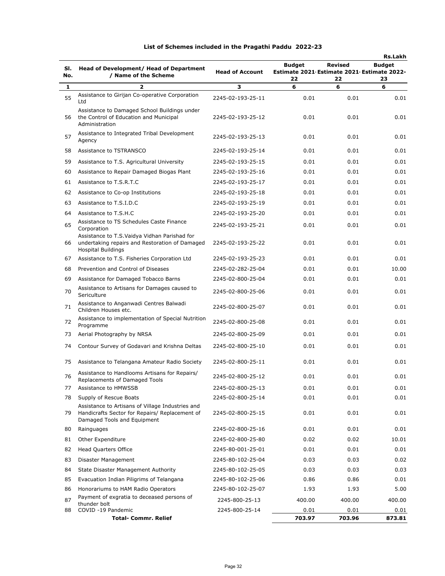|              |                                                                                                                                   |                                        |                                            |                | Rs.Lakh       |
|--------------|-----------------------------------------------------------------------------------------------------------------------------------|----------------------------------------|--------------------------------------------|----------------|---------------|
| SI.          | Head of Development/ Head of Department                                                                                           |                                        | <b>Budget</b>                              | <b>Revised</b> | <b>Budget</b> |
| No.          | / Name of the Scheme                                                                                                              | <b>Head of Account</b>                 | Estimate 2021 Estimate 2021 Estimate 2022- |                |               |
| $\mathbf{1}$ | $\overline{2}$                                                                                                                    | 3                                      | 22<br>6                                    | 22<br>6        | 23<br>6       |
| 55           | Assistance to Girijan Co-operative Corporation<br>Ltd                                                                             | 2245-02-193-25-11                      | 0.01                                       | 0.01           | 0.01          |
| 56           | Assistance to Damaged School Buildings under<br>the Control of Education and Municipal<br>Administration                          | 2245-02-193-25-12                      | 0.01                                       | 0.01           | 0.01          |
| 57           | Assistance to Integrated Tribal Development<br>Agency                                                                             | 2245-02-193-25-13                      | 0.01                                       | 0.01           | 0.01          |
| 58           | Assistance to TSTRANSCO                                                                                                           | 2245-02-193-25-14                      | 0.01                                       | 0.01           | 0.01          |
| 59           | Assistance to T.S. Agricultural University                                                                                        | 2245-02-193-25-15                      | 0.01                                       | 0.01           | 0.01          |
| 60           | Assistance to Repair Damaged Biogas Plant                                                                                         | 2245-02-193-25-16                      | 0.01                                       | 0.01           | 0.01          |
| 61           | Assistance to T.S.R.T.C                                                                                                           | 2245-02-193-25-17                      | 0.01                                       | 0.01           | 0.01          |
| 62           | Assistance to Co-op Institutions                                                                                                  | 2245-02-193-25-18                      | 0.01                                       | 0.01           | 0.01          |
| 63           | Assistance to T.S.I.D.C                                                                                                           | 2245-02-193-25-19                      | 0.01                                       | 0.01           | 0.01          |
| 64           | Assistance to T.S.H.C                                                                                                             | 2245-02-193-25-20                      | 0.01                                       | 0.01           | 0.01          |
|              | Assistance to TS Schedules Caste Finance                                                                                          |                                        |                                            |                |               |
| 65<br>66     | Corporation<br>Assistance to T.S.Vaidya Vidhan Parishad for<br>undertaking repairs and Restoration of Damaged                     | 2245-02-193-25-21<br>2245-02-193-25-22 | 0.01<br>0.01                               | 0.01<br>0.01   | 0.01<br>0.01  |
|              | <b>Hospital Buildings</b>                                                                                                         |                                        |                                            |                |               |
| 67           | Assistance to T.S. Fisheries Corporation Ltd                                                                                      | 2245-02-193-25-23                      | 0.01                                       | 0.01           | 0.01          |
| 68           | Prevention and Control of Diseases                                                                                                | 2245-02-282-25-04                      | 0.01                                       | 0.01           | 10.00         |
| 69           | Assistance for Damaged Tobacco Barns                                                                                              | 2245-02-800-25-04                      | 0.01                                       | 0.01           | 0.01          |
| 70           | Assistance to Artisans for Damages caused to<br>Sericulture                                                                       | 2245-02-800-25-06                      | 0.01                                       | 0.01           | 0.01          |
| 71           | Assistance to Anganwadi Centres Balwadi<br>Children Houses etc.                                                                   | 2245-02-800-25-07                      | 0.01                                       | 0.01           | 0.01          |
| 72           | Assistance to implementation of Special Nutrition<br>Programme                                                                    | 2245-02-800-25-08                      | 0.01                                       | 0.01           | 0.01          |
| 73           | Aerial Photography by NRSA                                                                                                        | 2245-02-800-25-09                      | 0.01                                       | 0.01           | 0.01          |
| 74           | Contour Survey of Godavari and Krishna Deltas                                                                                     | 2245-02-800-25-10                      | 0.01                                       | 0.01           | 0.01          |
| 75           | Assistance to Telangana Amateur Radio Society                                                                                     | 2245-02-800-25-11                      | 0.01                                       | 0.01           | 0.01          |
| 76           | Assistance to Handlooms Artisans for Repairs/<br>Replacements of Damaged Tools                                                    | 2245-02-800-25-12                      | 0.01                                       | 0.01           | 0.01          |
| 77           | Assistance to HMWSSB                                                                                                              | 2245-02-800-25-13                      | 0.01                                       | 0.01           | 0.01          |
| 78           | Supply of Rescue Boats                                                                                                            | 2245-02-800-25-14                      | 0.01                                       | 0.01           | 0.01          |
| 79           | Assistance to Artisans of Village Industries and<br>Handicrafts Sector for Repairs/ Replacement of<br>Damaged Tools and Equipment | 2245-02-800-25-15                      | 0.01                                       | 0.01           | 0.01          |
| 80           | Rainguages                                                                                                                        | 2245-02-800-25-16                      | 0.01                                       | 0.01           | 0.01          |
| 81           | Other Expenditure                                                                                                                 | 2245-02-800-25-80                      | 0.02                                       | 0.02           | 10.01         |
| 82           | <b>Head Quarters Office</b>                                                                                                       | 2245-80-001-25-01                      | 0.01                                       | 0.01           | 0.01          |
| 83           | Disaster Management                                                                                                               | 2245-80-102-25-04                      | 0.03                                       | 0.03           | 0.02          |
| 84           | State Disaster Management Authority                                                                                               | 2245-80-102-25-05                      | 0.03                                       | 0.03           | 0.03          |
| 85           | Evacuation Indian Piligrims of Telangana                                                                                          | 2245-80-102-25-06                      | 0.86                                       | 0.86           | 0.01          |
| 86           | Honorariums to HAM Radio Operators                                                                                                | 2245-80-102-25-07                      | 1.93                                       | 1.93           | 5.00          |
| 87           | Payment of exgratia to deceased persons of<br>thunder bolt                                                                        | 2245-800-25-13                         | 400.00                                     | 400.00         | 400.00        |
| 88           | COVID -19 Pandemic                                                                                                                | 2245-800-25-14                         | 0.01                                       | 0.01           | 0.01          |
|              | <b>Total- Commr. Relief</b>                                                                                                       |                                        | 703.97                                     | 703.96         | 873.81        |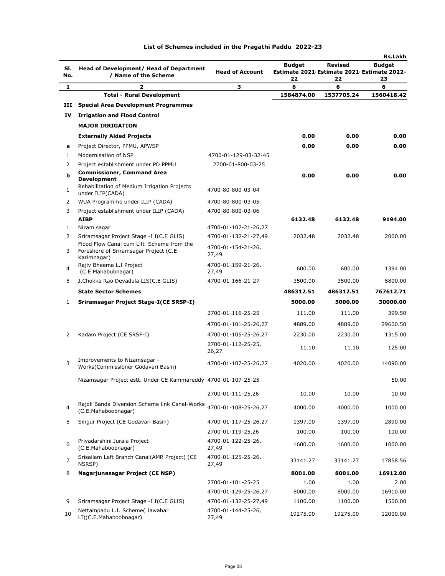|              |                                                                                                |                             |               |                                                              | Rs.Lakh       |
|--------------|------------------------------------------------------------------------------------------------|-----------------------------|---------------|--------------------------------------------------------------|---------------|
| SI.          | Head of Development/ Head of Department                                                        | <b>Head of Account</b>      | <b>Budget</b> | <b>Revised</b><br>Estimate 2021 Estimate 2021 Estimate 2022- | <b>Budget</b> |
| No.          | / Name of the Scheme                                                                           |                             | 22            | 22                                                           | 23            |
| 1            | $\overline{\mathbf{z}}$                                                                        | З                           | 6             | 6                                                            | 6             |
|              | <b>Total - Rural Development</b>                                                               |                             | 1584874.00    | 1537705.24                                                   | 1560418.42    |
| ш            | <b>Special Area Development Programmes</b>                                                     |                             |               |                                                              |               |
| IV           | <b>Irrigation and Flood Control</b>                                                            |                             |               |                                                              |               |
|              | <b>MAJOR IRRIGATION</b>                                                                        |                             |               |                                                              |               |
|              | <b>Externally Aided Projects</b>                                                               |                             | 0.00          | 0.00                                                         | 0.00          |
| a            | Project Director, PPMU, APWSP                                                                  |                             | 0.00          | 0.00                                                         | 0.00          |
| 1            | Modernisation of NSP                                                                           | 4700-01-129-03-32-45        |               |                                                              |               |
| 2<br>b       | Project establishment under PD PPMU<br><b>Commissioner, Command Area</b><br><b>Development</b> | 2700-01-800-03-25           | 0.00          | 0.00                                                         | 0.00          |
| $\mathbf{1}$ | Rehabilitation of Medium Irrigation Projects<br>under ILIP(CADA)                               | 4700-80-800-03-04           |               |                                                              |               |
| 2            | WUA Programme under ILIP (CADA)                                                                | 4700-80-800-03-05           |               |                                                              |               |
| 3            | Project establishment under ILIP (CADA)                                                        | 4700-80-800-03-06           |               |                                                              |               |
|              | <b>AIBP</b>                                                                                    |                             | 6132.48       | 6132.48                                                      | 9194.00       |
| 1            | Nizam sagar                                                                                    | 4700-01-107-21-26,27        |               |                                                              |               |
| 2            | Sriramsagar Project Stage -I I(C.E GLIS)<br>Flood Flow Canal cum Lift Scheme from the          | 4700-01-132-21-27,49        | 2032.48       | 2032.48                                                      | 2000.00       |
| 3            | Foreshore of Sriramsagar Project (C.E.<br>Karimnagar)                                          | 4700-01-154-21-26,<br>27,49 |               |                                                              |               |
| 4            | Rajiv Bheema L.I Project<br>(C.E Mahabubnagar)                                                 | 4700-01-159-21-26,<br>27,49 | 600.00        | 600.00                                                       | 1394.00       |
| 5            | J.Chokka Rao Devadula LIS(C.E GLIS)                                                            | 4700-01-166-21-27           | 3500.00       | 3500.00                                                      | 5800.00       |
|              | <b>State Sector Schemes</b>                                                                    |                             | 486312.51     | 486312.51                                                    | 767612.71     |
| 1            | Sriramsagar Project Stage-I(CE SRSP-I)                                                         |                             | 5000.00       | 5000.00                                                      | 30000.00      |
|              |                                                                                                | 2700-01-116-25-25           | 111.00        | 111.00                                                       | 399.50        |
|              |                                                                                                | 4700-01-101-25-26,27        | 4889.00       | 4889.00                                                      | 29600.50      |
| 2            | Kadam Project (CE SRSP-I)                                                                      | 4700-01-105-25-26,27        | 2230.00       | 2230.00                                                      | 1315.00       |
|              |                                                                                                | 2700-01-112-25-25,<br>26,27 | 11.10         | 11.10                                                        | 125.00        |
| 3            | Improvements to Nizamsagar -<br>Works(Commissioner Godavari Basin)                             | 4700-01-107-25-26,27        | 4020.00       | 4020.00                                                      | 14090.00      |
|              | Nizamsagar Project estt. Under CE Kammareddy 4700-01-107-25-25                                 |                             |               |                                                              | 50.00         |
|              |                                                                                                | 2700-01-111-25,26           | 10.00         | 10.00                                                        | 10.00         |
| 4            | Rajoli Banda Diversion Scheme link Canal-Works<br>(C.E.Mahaboobnagar)                          | 4700-01-108-25-26,27        | 4000.00       | 4000.00                                                      | 1000.00       |
| 5            | Singur Project (CE Godavari Basin)                                                             | 4700-01-117-25-26,27        | 1397.00       | 1397.00                                                      | 2890.00       |
|              |                                                                                                | 2700-01-119-25,26           | 100.00        | 100.00                                                       | 100.00        |
| 6            | Priyadarshini Jurala Project<br>(C.E.Mahaboobnagar)                                            | 4700-01-122-25-26,<br>27,49 | 1600.00       | 1600.00                                                      | 1000.00       |
| 7            | Srisailam Left Branch Canal(AMR Project) (CE<br>NSRSP)                                         | 4700-01-125-25-26,<br>27,49 | 33141.27      | 33141.27                                                     | 17858.56      |
| 8            | Nagarjunasagar Project (CE NSP)                                                                |                             | 8001.00       | 8001.00                                                      | 16912.00      |
|              |                                                                                                | 2700-01-101-25-25           | 1.00          | 1.00                                                         | 2.00          |
|              |                                                                                                | 4700-01-129-25-26,27        | 8000.00       | 8000.00                                                      | 16910.00      |
| 9            | Sriramsagar Project Stage -I I(C.E GLIS)                                                       | 4700-01-132-25-27,49        | 1100.00       | 1100.00                                                      | 1500.00       |
| 10           | Nettampadu L.I. Scheme( Jawahar<br>LI)(C.E.Mahaboobnagar)                                      | 4700-01-144-25-26,<br>27,49 | 19275.00      | 19275.00                                                     | 12000.00      |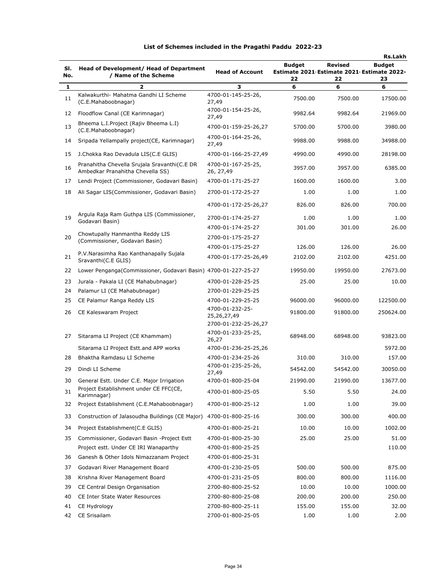|     |                                                                                  |                                            |                                            |                | Rs.Lakh       |
|-----|----------------------------------------------------------------------------------|--------------------------------------------|--------------------------------------------|----------------|---------------|
| SI. | Head of Development/ Head of Department                                          |                                            | Budget                                     | <b>Revised</b> | <b>Budget</b> |
| No. | / Name of the Scheme                                                             | <b>Head of Account</b>                     | Estimate 2021 Estimate 2021 Estimate 2022- |                |               |
| 1   | 2                                                                                | з                                          | 22<br>6                                    | 22<br>6        | 23<br>6       |
| 11  | Kalwakurthi- Mahatma Gandhi LI Scheme<br>(C.E.Mahaboobnagar)                     | 4700-01-145-25-26,<br>27,49                | 7500.00                                    | 7500.00        | 17500.00      |
| 12  | Floodflow Canal (CE Karimnagar)                                                  | 4700-01-154-25-26,                         | 9982.64                                    | 9982.64        | 21969.00      |
| 13  | Bheema L.I.Project (Rajiv Bheema L.I)<br>(C.E.Mahaboobnagar)                     | 27,49<br>4700-01-159-25-26,27              | 5700.00                                    | 5700.00        | 3980.00       |
| 14  | Sripada Yellampally project (CE, Karimnagar)                                     | 4700-01-164-25-26,<br>27,49                | 9988.00                                    | 9988.00        | 34988.00      |
| 15  | J.Chokka Rao Devadula LIS(C.E GLIS)                                              | 4700-01-166-25-27,49                       | 4990.00                                    | 4990.00        | 28198.00      |
| 16  | Pranahitha Chevella Srujala Sravanthi(C.E DR<br>Ambedkar Pranahitha Chevella SS) | 4700-01-167-25-25,<br>26, 27,49            | 3957.00                                    | 3957.00        | 6385.00       |
| 17  | Lendi Project (Commissioner, Godavari Basin)                                     | 4700-01-171-25-27                          | 1600.00                                    | 1600.00        | 3.00          |
| 18  | Ali Sagar LIS(Commissioner, Godavari Basin)                                      | 2700-01-172-25-27                          | 1.00                                       | 1.00           | 1.00          |
|     |                                                                                  | 4700-01-172-25-26,27                       | 826.00                                     | 826.00         | 700.00        |
| 19  | Argula Raja Ram Guthpa LIS (Commissioner,<br>Godavari Basin)                     | 2700-01-174-25-27                          | 1.00                                       | 1.00           | 1.00          |
|     |                                                                                  | 4700-01-174-25-27                          | 301.00                                     | 301.00         | 26.00         |
| 20  | Chowtupally Hanmantha Reddy LIS<br>(Commissioner, Godavari Basin)                | 2700-01-175-25-27                          |                                            |                |               |
|     |                                                                                  | 4700-01-175-25-27                          | 126.00                                     | 126.00         | 26.00         |
| 21  | P.V.Narasimha Rao Kanthanapally Sujala<br>Sravanthi(C.E GLIS)                    | 4700-01-177-25-26,49                       | 2102.00                                    | 2102.00        | 4251.00       |
| 22  | Lower Penganga(Commissioner, Godavari Basin) 4700-01-227-25-27                   |                                            | 19950.00                                   | 19950.00       | 27673.00      |
| 23  | Jurala - Pakala LI (CE Mahabubnagar)                                             | 4700-01-228-25-25                          | 25.00                                      | 25.00          | 10.00         |
| 24  | Palamur LI (CE Mahabubnagar)                                                     | 2700-01-229-25-25                          |                                            |                |               |
| 25  | CE Palamur Ranga Reddy LIS                                                       | 4700-01-229-25-25                          | 96000.00                                   | 96000.00       | 122500.00     |
| 26  | CE Kaleswaram Project                                                            | 4700-01-232-25-<br>25,26,27,49             | 91800.00                                   | 91800.00       | 250624.00     |
| 27  | Sitarama LI Project (CE Khammam)                                                 | 2700-01-232-25-26,27<br>4700-01-233-25-25, | 68948.00                                   | 68948.00       | 93823.00      |
|     |                                                                                  | 26,27                                      |                                            |                |               |
|     | Sitarama LI Project Estt. and APP works                                          | 4700-01-236-25-25,26                       |                                            |                | 5972.00       |
| 28  | Bhaktha Ramdasu LI Scheme                                                        | 4700-01-234-25-26                          | 310.00                                     | 310.00         | 157.00        |
| 29  | Dindi LI Scheme                                                                  | 4700-01-235-25-26,<br>27,49                | 54542.00                                   | 54542.00       | 30050.00      |
|     | 30 General Estt. Under C.E. Major Irrigation                                     | 4700-01-800-25-04                          | 21990.00                                   | 21990.00       | 13677.00      |
| 31  | Project Establishment under CE FFC(CE,<br>Karimnagar)                            | 4700-01-800-25-05                          | 5.50                                       | 5.50           | 24.00         |
| 32  | Project Establishment (C.E.Mahaboobnagar)                                        | 4700-01-800-25-12                          | 1.00                                       | 1.00           | 39.00         |
| 33  | Construction of Jalasoudha Buildings (CE Major)                                  | 4700-01-800-25-16                          | 300.00                                     | 300.00         | 400.00        |
| 34  | Project Establishment(C.E GLIS)                                                  | 4700-01-800-25-21                          | 10.00                                      | 10.00          | 1002.00       |
| 35  | Commissioner, Godavari Basin - Project Estt                                      | 4700-01-800-25-30                          | 25.00                                      | 25.00          | 51.00         |
|     | Project estt. Under CE IRI Wanaparthy                                            | 4700-01-800-25-25                          |                                            |                | 110.00        |
| 36  | Ganesh & Other Idols Nimazzanam Project                                          | 4700-01-800-25-31                          |                                            |                |               |
| 37  | Godavari River Management Board                                                  | 4700-01-230-25-05                          | 500.00                                     | 500.00         | 875.00        |
| 38  | Krishna River Management Board                                                   | 4700-01-231-25-05                          | 800.00                                     | 800.00         | 1116.00       |
| 39  | CE Central Design Organisation                                                   | 2700-80-800-25-52                          | 10.00                                      | 10.00          | 1000.00       |
| 40  | CE Inter State Water Resources                                                   | 2700-80-800-25-08                          | 200.00                                     | 200.00         | 250.00        |
| 41  | CE Hydrology                                                                     | 2700-80-800-25-11                          | 155.00                                     | 155.00         | 32.00         |
| 42  | CE Srisailam                                                                     | 2700-01-800-25-05                          | 1.00                                       | 1.00           | 2.00          |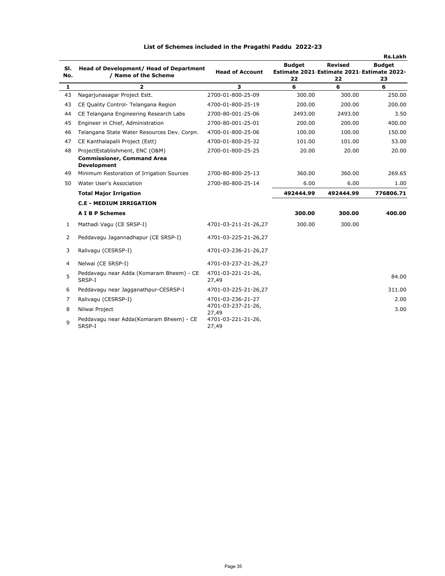|            |                                                                                            |                                      |                                                                   |                      | Rs.Lakh             |
|------------|--------------------------------------------------------------------------------------------|--------------------------------------|-------------------------------------------------------------------|----------------------|---------------------|
| SI.<br>No. | Head of Development/ Head of Department<br>/ Name of the Scheme                            | <b>Head of Account</b>               | <b>Budget</b><br>Estimate 2021 Estimate 2021 Estimate 2022-<br>22 | <b>Revised</b><br>22 | <b>Budget</b><br>23 |
| 1          | $\overline{a}$                                                                             | 3                                    | 6                                                                 | 6                    | 6                   |
| 43         | Nagarjunasagar Project Estt.                                                               | 2700-01-800-25-09                    | 300.00                                                            | 300.00               | 250.00              |
| 43         | CE Quality Control- Telangana Region                                                       | 4700-01-800-25-19                    | 200.00                                                            | 200.00               | 200.00              |
| 44         | CE Telangana Engineering Research Labs                                                     | 2700-80-001-25-06                    | 2493.00                                                           | 2493.00              | 3.50                |
| 45         | Engineer in Chief, Administration                                                          | 2700-80-001-25-01                    | 200.00                                                            | 200.00               | 400.00              |
| 46         | Telangana State Water Resources Dev. Corpn.                                                | 4700-01-800-25-06                    | 100.00                                                            | 100.00               | 150.00              |
| 47         | CE Kanthalapalli Project (Estt)                                                            | 4700-01-800-25-32                    | 101.00                                                            | 101.00               | 53.00               |
| 48         | ProjectEstablishment, ENC (O&M)<br><b>Commissioner, Command Area</b><br><b>Development</b> | 2700-01-800-25-25                    | 20.00                                                             | 20.00                | 20.00               |
| 49         | Minimum Restoration of Irrigation Sources                                                  | 2700-80-800-25-13                    | 360.00                                                            | 360.00               | 269.65              |
| 50         | Water User's Association                                                                   | 2700-80-800-25-14                    | 6.00                                                              | 6.00                 | 1.00                |
|            | <b>Total Major Irrigation</b>                                                              |                                      | 492444.99                                                         | 492444.99            | 776806.71           |
|            | <b>C.E - MEDIUM IRRIGATION</b>                                                             |                                      |                                                                   |                      |                     |
|            | <b>A I B P Schemes</b>                                                                     |                                      | 300.00                                                            | 300.00               | 400.00              |
| 1          | Mathadi Vagu (CE SRSP-I)                                                                   | 4701-03-211-21-26,27                 | 300.00                                                            | 300.00               |                     |
| 2          | Peddavagu Jagannadhapur (CE SRSP-I)                                                        | 4701-03-225-21-26,27                 |                                                                   |                      |                     |
| 3          | Ralivagu (CESRSP-I)                                                                        | 4701-03-236-21-26,27                 |                                                                   |                      |                     |
| 4          | Nelwai (CE SRSP-I)                                                                         | 4701-03-237-21-26,27                 |                                                                   |                      |                     |
| 5          | Peddavagu near Adda (Komaram Bheem) - CE<br>SRSP-I                                         | 4701-03-221-21-26,<br>27,49          |                                                                   |                      | 84.00               |
| 6          | Peddavagu near Jagganathpur-CESRSP-I                                                       | 4701-03-225-21-26,27                 |                                                                   |                      | 311.00              |
| 7          | Ralivagu (CESRSP-I)                                                                        | 4701-03-236-21-27                    |                                                                   |                      | 2.00                |
| 8          | Nilwai Project                                                                             | 4701-03-237-21-26,                   |                                                                   |                      | 3.00                |
| 9          | Peddavagu near Adda(Komaram Bheem) - CE<br>SRSP-I                                          | 27,49<br>4701-03-221-21-26,<br>27,49 |                                                                   |                      |                     |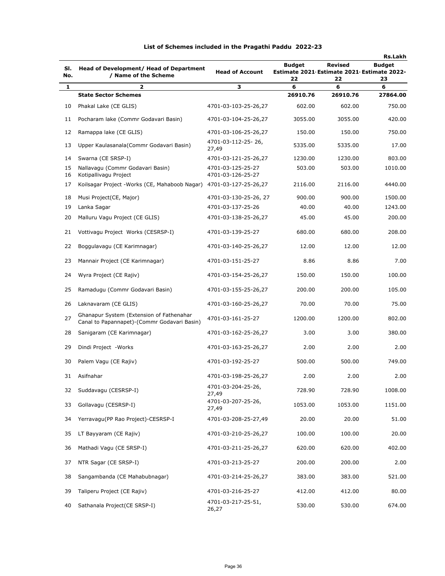|            |                                                                                         |                                        |                     |                                                             | Rs.Lakh             |
|------------|-----------------------------------------------------------------------------------------|----------------------------------------|---------------------|-------------------------------------------------------------|---------------------|
| SI.<br>No. | Head of Development/ Head of Department<br>/ Name of the Scheme                         | <b>Head of Account</b>                 | <b>Budget</b><br>22 | Revised<br>Estimate 2021 Estimate 2021 Estimate 2022-<br>22 | <b>Budget</b><br>23 |
| 1          | $\overline{a}$                                                                          | з                                      | 6                   | 6                                                           | 6                   |
|            | <b>State Sector Schemes</b>                                                             |                                        | 26910.76            | 26910.76                                                    | 27864.00            |
| 10         | Phakal Lake (CE GLIS)                                                                   | 4701-03-103-25-26,27                   | 602.00              | 602.00                                                      | 750.00              |
| 11         | Pocharam lake (Commr Godavari Basin)                                                    | 4701-03-104-25-26,27                   | 3055.00             | 3055.00                                                     | 420.00              |
| 12         | Ramappa lake (CE GLIS)                                                                  | 4701-03-106-25-26,27                   | 150.00              | 150.00                                                      | 750.00              |
| 13         | Upper Kaulasanala (Commr Godavari Basin)                                                | 4701-03-112-25-26,<br>27,49            | 5335.00             | 5335.00                                                     | 17.00               |
| 14         | Swarna (CE SRSP-I)                                                                      | 4701-03-121-25-26,27                   | 1230.00             | 1230.00                                                     | 803.00              |
| 15<br>16   | Nallavagu (Commr Godavari Basin)<br>Kotipallivagu Project                               | 4701-03-125-25-27<br>4701-03-126-25-27 | 503.00              | 503.00                                                      | 1010.00             |
| 17         | Koilsagar Project - Works (CE, Mahaboob Nagar)                                          | 4701-03-127-25-26,27                   | 2116.00             | 2116.00                                                     | 4440.00             |
| 18         | Musi Project (CE, Major)                                                                | 4701-03-130-25-26, 27                  | 900.00              | 900.00                                                      | 1500.00             |
| 19         | Lanka Sagar                                                                             | 4701-03-137-25-26                      | 40.00               | 40.00                                                       | 1243.00             |
| 20         | Malluru Vagu Project (CE GLIS)                                                          | 4701-03-138-25-26,27                   | 45.00               | 45.00                                                       | 200.00              |
| 21         | Vottivagu Project Works (CESRSP-I)                                                      | 4701-03-139-25-27                      | 680.00              | 680.00                                                      | 208.00              |
| 22         | Boggulavagu (CE Karimnagar)                                                             | 4701-03-140-25-26,27                   | 12.00               | 12.00                                                       | 12.00               |
| 23         | Mannair Project (CE Karimnagar)                                                         | 4701-03-151-25-27                      | 8.86                | 8.86                                                        | 7.00                |
| 24         | Wyra Project (CE Rajiv)                                                                 | 4701-03-154-25-26,27                   | 150.00              | 150.00                                                      | 100.00              |
| 25         | Ramadugu (Commr Godavari Basin)                                                         | 4701-03-155-25-26,27                   | 200.00              | 200.00                                                      | 105.00              |
| 26         | Laknavaram (CE GLIS)                                                                    | 4701-03-160-25-26,27                   | 70.00               | 70.00                                                       | 75.00               |
| 27         | Ghanapur System (Extension of Fathenahar<br>Canal to Papannapet)-(Commr Godavari Basin) | 4701-03-161-25-27                      | 1200.00             | 1200.00                                                     | 802.00              |
| 28         | Sanigaram (CE Karimnagar)                                                               | 4701-03-162-25-26,27                   | 3.00                | 3.00                                                        | 380.00              |
| 29         | Dindi Project - Works                                                                   | 4701-03-163-25-26,27                   | 2.00                | 2.00                                                        | 2.00                |
| 30         | Palem Vagu (CE Rajiv)                                                                   | 4701-03-192-25-27                      | 500.00              | 500.00                                                      | 749.00              |
|            | 31 Asifnahar                                                                            | 4701-03-198-25-26,27                   | 2.00                | 2.00                                                        | 2.00                |
| 32         | Suddavagu (CESRSP-I)                                                                    | 4701-03-204-25-26,<br>27,49            | 728.90              | 728.90                                                      | 1008.00             |
| 33         | Gollavagu (CESRSP-I)                                                                    | 4701-03-207-25-26,<br>27,49            | 1053.00             | 1053.00                                                     | 1151.00             |
| 34         | Yerravagu(PP Rao Project)-CESRSP-I                                                      | 4701-03-208-25-27,49                   | 20.00               | 20.00                                                       | 51.00               |
| 35         | LT Bayyaram (CE Rajiv)                                                                  | 4701-03-210-25-26,27                   | 100.00              | 100.00                                                      | 20.00               |
| 36         | Mathadi Vagu (CE SRSP-I)                                                                | 4701-03-211-25-26,27                   | 620.00              | 620.00                                                      | 402.00              |
| 37         | NTR Sagar (CE SRSP-I)                                                                   | 4701-03-213-25-27                      | 200.00              | 200.00                                                      | 2.00                |
| 38         | Sangambanda (CE Mahabubnagar)                                                           | 4701-03-214-25-26,27                   | 383.00              | 383.00                                                      | 521.00              |
| 39         | Taliperu Project (CE Rajiv)                                                             | 4701-03-216-25-27                      | 412.00              | 412.00                                                      | 80.00               |
| 40         | Sathanala Project (CE SRSP-I)                                                           | 4701-03-217-25-51,<br>26,27            | 530.00              | 530.00                                                      | 674.00              |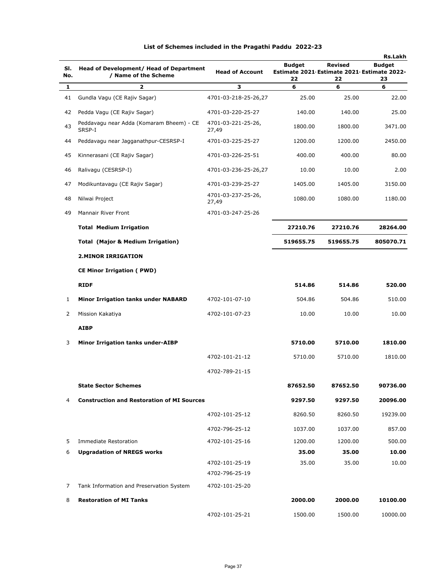|            |                                                                 |                             |                     |               | <b>Rs.Lakh</b>                                                    |
|------------|-----------------------------------------------------------------|-----------------------------|---------------------|---------------|-------------------------------------------------------------------|
| SI.<br>No. | Head of Development/ Head of Department<br>/ Name of the Scheme | <b>Head of Account</b>      | <b>Budget</b><br>22 | Revised<br>22 | <b>Budget</b><br>Estimate 2021 Estimate 2021 Estimate 2022-<br>23 |
| 1          | $\overline{2}$                                                  | 3                           | 6                   | 6             | 6                                                                 |
| 41         | Gundla Vagu (CE Rajiv Sagar)                                    | 4701-03-218-25-26,27        | 25.00               | 25.00         | 22.00                                                             |
| 42         | Pedda Vagu (CE Rajiv Sagar)                                     | 4701-03-220-25-27           | 140.00              | 140.00        | 25.00                                                             |
| 43         | Peddavagu near Adda (Komaram Bheem) - CE<br>SRSP-I              | 4701-03-221-25-26,<br>27,49 | 1800.00             | 1800.00       | 3471.00                                                           |
| 44         | Peddavagu near Jagganathpur-CESRSP-I                            | 4701-03-225-25-27           | 1200.00             | 1200.00       | 2450.00                                                           |
| 45         | Kinnerasani (CE Rajiv Sagar)                                    | 4701-03-226-25-51           | 400.00              | 400.00        | 80.00                                                             |
| 46         | Ralivagu (CESRSP-I)                                             | 4701-03-236-25-26,27        | 10.00               | 10.00         | 2.00                                                              |
| 47         | Modikuntavagu (CE Rajiv Sagar)                                  | 4701-03-239-25-27           | 1405.00             | 1405.00       | 3150.00                                                           |
| 48         | Nilwai Project                                                  | 4701-03-237-25-26,<br>27,49 | 1080.00             | 1080.00       | 1180.00                                                           |
| 49         | <b>Mannair River Front</b>                                      | 4701-03-247-25-26           |                     |               |                                                                   |
|            | <b>Total Medium Irrigation</b>                                  |                             | 27210.76            | 27210.76      | 28264.00                                                          |
|            | <b>Total (Major &amp; Medium Irrigation)</b>                    |                             | 519655.75           | 519655.75     | 805070.71                                                         |
|            | <b>2.MINOR IRRIGATION</b>                                       |                             |                     |               |                                                                   |
|            | <b>CE Minor Irrigation (PWD)</b>                                |                             |                     |               |                                                                   |
|            | <b>RIDF</b>                                                     |                             | 514.86              | 514.86        | 520.00                                                            |
| 1          | <b>Minor Irrigation tanks under NABARD</b>                      | 4702-101-07-10              | 504.86              | 504.86        | 510.00                                                            |
| 2          | Mission Kakatiya                                                | 4702-101-07-23              | 10.00               | 10.00         | 10.00                                                             |
|            | <b>AIBP</b>                                                     |                             |                     |               |                                                                   |
| 3          | <b>Minor Irrigation tanks under-AIBP</b>                        |                             | 5710.00             | 5710.00       | 1810.00                                                           |
|            |                                                                 | 4702-101-21-12              | 5710.00             | 5710.00       | 1810.00                                                           |
|            |                                                                 | 4702-789-21-15              |                     |               |                                                                   |
|            | <b>State Sector Schemes</b>                                     |                             | 87652.50            | 87652.50      | 90736.00                                                          |
| 4          | <b>Construction and Restoration of MI Sources</b>               |                             | 9297.50             | 9297.50       | 20096.00                                                          |
|            |                                                                 | 4702-101-25-12              | 8260.50             | 8260.50       | 19239.00                                                          |
|            |                                                                 | 4702-796-25-12              | 1037.00             | 1037.00       | 857.00                                                            |
| 5          | <b>Immediate Restoration</b>                                    | 4702-101-25-16              | 1200.00             | 1200.00       | 500.00                                                            |
| 6          | <b>Upgradation of NREGS works</b>                               |                             | 35.00               | 35.00         | 10.00                                                             |
|            |                                                                 | 4702-101-25-19              | 35.00               | 35.00         | 10.00                                                             |
|            |                                                                 | 4702-796-25-19              |                     |               |                                                                   |
| 7          | Tank Information and Preservation System                        | 4702-101-25-20              |                     |               |                                                                   |
| 8          | <b>Restoration of MI Tanks</b>                                  |                             | 2000.00             | 2000.00       | 10100.00                                                          |
|            |                                                                 | 4702-101-25-21              | 1500.00             | 1500.00       | 10000.00                                                          |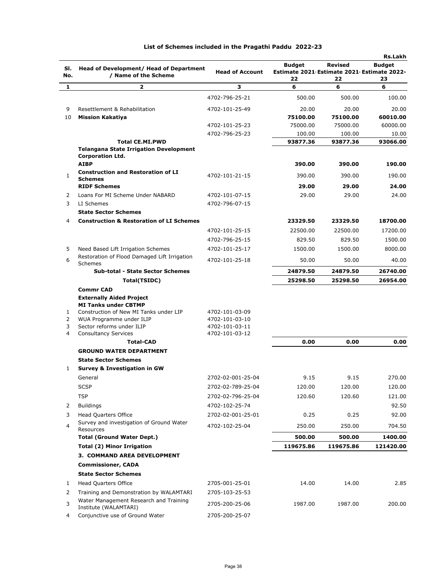| SI.<br>No.        | Head of Development/ Head of Department<br>/ Name of the Scheme    | <b>Head of Account</b>           | Budget<br>Estimate 2021 Estimate 2021 Estimate 2022- | <b>Revised</b>     | <b>Rs.Lakh</b><br><b>Budget</b> |
|-------------------|--------------------------------------------------------------------|----------------------------------|------------------------------------------------------|--------------------|---------------------------------|
| 1                 | 2                                                                  | з                                | 22<br>6                                              | 22<br>6            | 23<br>6                         |
|                   |                                                                    |                                  |                                                      |                    |                                 |
|                   |                                                                    | 4702-796-25-21                   | 500.00                                               | 500.00             | 100.00                          |
| 9                 | Resettlement & Rehabilitation                                      | 4702-101-25-49                   | 20.00                                                | 20.00              | 20.00                           |
| 10                | <b>Mission Kakatiya</b>                                            |                                  | 75100.00                                             | 75100.00           | 60010.00                        |
|                   |                                                                    | 4702-101-25-23<br>4702-796-25-23 | 75000.00                                             | 75000.00           | 60000.00                        |
|                   | <b>Total CE.MI.PWD</b>                                             |                                  | 100.00<br>93877.36                                   | 100.00<br>93877.36 | 10.00<br>93066.00               |
|                   | <b>Telangana State Irrigation Development</b>                      |                                  |                                                      |                    |                                 |
|                   | <b>Corporation Ltd.</b>                                            |                                  |                                                      |                    |                                 |
|                   | <b>AIBP</b>                                                        |                                  | 390.00                                               | 390.00             | 190.00                          |
| 1                 | <b>Construction and Restoration of LI</b><br><b>Schemes</b>        | 4702-101-21-15                   | 390.00                                               | 390.00             | 190.00                          |
|                   | <b>RIDF Schemes</b>                                                |                                  | 29.00                                                | 29.00              | 24.00                           |
| 2                 | Loans For MI Scheme Under NABARD                                   | 4702-101-07-15                   | 29.00                                                | 29.00              | 24.00                           |
| 3                 | LI Schemes                                                         | 4702-796-07-15                   |                                                      |                    |                                 |
|                   | <b>State Sector Schemes</b>                                        |                                  |                                                      |                    |                                 |
| 4                 | <b>Construction &amp; Restoration of LI Schemes</b>                |                                  | 23329.50                                             | 23329.50           | 18700.00                        |
|                   |                                                                    | 4702-101-25-15                   | 22500.00                                             | 22500.00           | 17200.00                        |
|                   |                                                                    | 4702-796-25-15                   | 829.50                                               | 829.50             | 1500.00                         |
| 5                 | Need Based Lift Irrigation Schemes                                 | 4702-101-25-17                   | 1500.00                                              | 1500.00            | 8000.00                         |
| 6                 | Restoration of Flood Damaged Lift Irrigation<br><b>Schemes</b>     | 4702-101-25-18                   | 50.00                                                | 50.00              | 40.00                           |
|                   | <b>Sub-total - State Sector Schemes</b>                            |                                  | 24879.50                                             | 24879.50           | 26740.00                        |
|                   | Total(TSIDC)                                                       |                                  | 25298.50                                             | 25298.50           | 26954.00                        |
|                   | <b>Commr CAD</b>                                                   |                                  |                                                      |                    |                                 |
|                   | <b>Externally Aided Project</b>                                    |                                  |                                                      |                    |                                 |
|                   | <b>MI Tanks under CBTMP</b>                                        |                                  |                                                      |                    |                                 |
| $\mathbf{1}$<br>2 | Construction of New MI Tanks under LIP<br>WUA Programme under ILIP | 4702-101-03-09<br>4702-101-03-10 |                                                      |                    |                                 |
| 3                 | Sector reforms under ILIP                                          | 4702-101-03-11                   |                                                      |                    |                                 |
| 4                 | <b>Consultancy Services</b>                                        | 4702-101-03-12                   |                                                      |                    |                                 |
|                   | <b>Total-CAD</b>                                                   |                                  | 0.00                                                 | 0.00               | 0.00                            |
|                   | <b>GROUND WATER DEPARTMENT</b>                                     |                                  |                                                      |                    |                                 |
|                   | <b>State Sector Schemes</b>                                        |                                  |                                                      |                    |                                 |
| 1                 | <b>Survey &amp; Investigation in GW</b>                            |                                  |                                                      |                    |                                 |
|                   | General                                                            | 2702-02-001-25-04                | 9.15                                                 | 9.15               | 270.00                          |
|                   | <b>SCSP</b>                                                        | 2702-02-789-25-04                | 120.00                                               | 120.00             | 120.00                          |
|                   | <b>TSP</b>                                                         | 2702-02-796-25-04                | 120.60                                               | 120.60             | 121.00                          |
| 2                 | <b>Buildings</b>                                                   | 4702-102-25-74                   |                                                      |                    | 92.50                           |
| 3                 | <b>Head Quarters Office</b>                                        | 2702-02-001-25-01                | 0.25                                                 | 0.25               | 92.00                           |
| 4                 | Survey and investigation of Ground Water<br>Resources              | 4702-102-25-04                   | 250.00                                               | 250.00             | 704.50                          |
|                   | <b>Total (Ground Water Dept.)</b>                                  |                                  | 500.00                                               | 500.00             | 1400.00                         |
|                   | <b>Total (2) Minor Irrigation</b>                                  |                                  | 119675.86                                            | 119675.86          | 121420.00                       |
|                   | 3. COMMAND AREA DEVELOPMENT                                        |                                  |                                                      |                    |                                 |
|                   | <b>Commissioner, CADA</b>                                          |                                  |                                                      |                    |                                 |
|                   | <b>State Sector Schemes</b>                                        |                                  |                                                      |                    |                                 |
| 1                 | Head Quarters Office                                               | 2705-001-25-01                   | 14.00                                                | 14.00              | 2.85                            |
| 2                 | Training and Demonstration by WALAMTARI                            | 2705-103-25-53                   |                                                      |                    |                                 |
| 3                 | Water Management Research and Training                             | 2705-200-25-06                   | 1987.00                                              | 1987.00            | 200.00                          |
| 4                 | Institute (WALAMTARI)<br>Conjunctive use of Ground Water           | 2705-200-25-07                   |                                                      |                    |                                 |
|                   |                                                                    |                                  |                                                      |                    |                                 |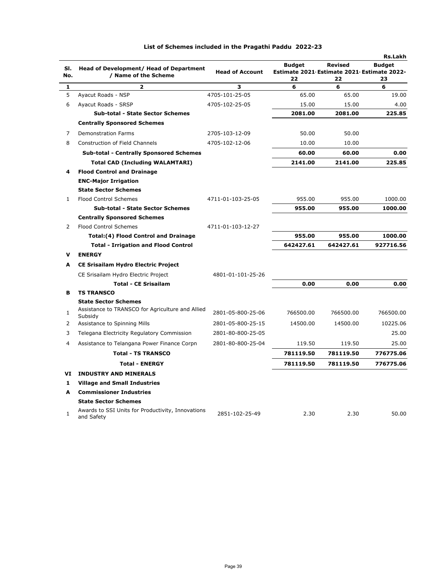|                |                                                                 |                        |                                                                   |                      | Rs.Lakh             |
|----------------|-----------------------------------------------------------------|------------------------|-------------------------------------------------------------------|----------------------|---------------------|
| SI.<br>No.     | Head of Development/ Head of Department<br>/ Name of the Scheme | <b>Head of Account</b> | <b>Budget</b><br>Estimate 2021 Estimate 2021 Estimate 2022-<br>22 | <b>Revised</b><br>22 | <b>Budget</b><br>23 |
| $\mathbf{1}$   | $\overline{\mathbf{z}}$                                         | 3                      | 6                                                                 | 6                    | 6                   |
| 5              | Ayacut Roads - NSP                                              | 4705-101-25-05         | 65.00                                                             | 65.00                | 19.00               |
| 6              | Ayacut Roads - SRSP                                             | 4705-102-25-05         | 15.00                                                             | 15.00                | 4.00                |
|                | <b>Sub-total - State Sector Schemes</b>                         |                        | 2081.00                                                           | 2081.00              | 225.85              |
|                | <b>Centrally Sponsored Schemes</b>                              |                        |                                                                   |                      |                     |
| 7              | <b>Demonstration Farms</b>                                      | 2705-103-12-09         | 50.00                                                             | 50.00                |                     |
| 8              | <b>Construction of Field Channels</b>                           | 4705-102-12-06         | 10.00                                                             | 10.00                |                     |
|                | <b>Sub-total - Centrally Sponsored Schemes</b>                  |                        | 60.00                                                             | 60.00                | 0.00                |
|                | <b>Total CAD (Including WALAMTARI)</b>                          |                        | 2141.00                                                           | 2141.00              | 225.85              |
| 4              | <b>Flood Control and Drainage</b>                               |                        |                                                                   |                      |                     |
|                | <b>ENC-Major Irrigation</b>                                     |                        |                                                                   |                      |                     |
|                | <b>State Sector Schemes</b>                                     |                        |                                                                   |                      |                     |
| $\mathbf{1}$   | <b>Flood Control Schemes</b>                                    | 4711-01-103-25-05      | 955.00                                                            | 955.00               | 1000.00             |
|                | <b>Sub-total - State Sector Schemes</b>                         |                        | 955.00                                                            | 955.00               | 1000.00             |
|                | <b>Centrally Sponsored Schemes</b>                              |                        |                                                                   |                      |                     |
| $\overline{2}$ | <b>Flood Control Schemes</b>                                    | 4711-01-103-12-27      |                                                                   |                      |                     |
|                | <b>Total:(4) Flood Control and Drainage</b>                     |                        | 955.00                                                            | 955.00               | 1000.00             |
|                | <b>Total - Irrigation and Flood Control</b>                     |                        | 642427.61                                                         | 642427.61            | 927716.56           |
| v              | <b>ENERGY</b>                                                   |                        |                                                                   |                      |                     |
| A              | <b>CE Srisailam Hydro Electric Project</b>                      |                        |                                                                   |                      |                     |
|                | CE Srisailam Hydro Electric Project                             | 4801-01-101-25-26      |                                                                   |                      |                     |
|                | <b>Total - CE Srisailam</b>                                     |                        | 0.00                                                              | 0.00                 | 0.00                |
| в              | <b>TS TRANSCO</b>                                               |                        |                                                                   |                      |                     |
|                | <b>State Sector Schemes</b>                                     |                        |                                                                   |                      |                     |
| $\mathbf{1}$   | Assistance to TRANSCO for Agriculture and Allied<br>Subsidy     | 2801-05-800-25-06      | 766500.00                                                         | 766500.00            | 766500.00           |
| 2              | Assistance to Spinning Mills                                    | 2801-05-800-25-15      | 14500.00                                                          | 14500.00             | 10225.06            |
| 3              | Telegana Electricity Regulatory Commission                      | 2801-80-800-25-05      |                                                                   |                      | 25.00               |
| 4              | Assistance to Telangana Power Finance Corpn                     | 2801-80-800-25-04      | 119.50                                                            | 119.50               | 25.00               |
|                | <b>Total - TS TRANSCO</b>                                       |                        | 781119.50                                                         | 781119.50            | 776775.06           |
|                | <b>Total - ENERGY</b>                                           |                        | 781119.50                                                         | 781119.50            | 776775.06           |
|                | <b>VI INDUSTRY AND MINERALS</b>                                 |                        |                                                                   |                      |                     |
| 1              | <b>Village and Small Industries</b>                             |                        |                                                                   |                      |                     |
| A              | <b>Commissioner Industries</b>                                  |                        |                                                                   |                      |                     |
|                | <b>State Sector Schemes</b>                                     |                        |                                                                   |                      |                     |
| $\mathbf{1}$   | Awards to SSI Units for Productivity, Innovations<br>and Safety | 2851-102-25-49         | 2.30                                                              | 2.30                 | 50.00               |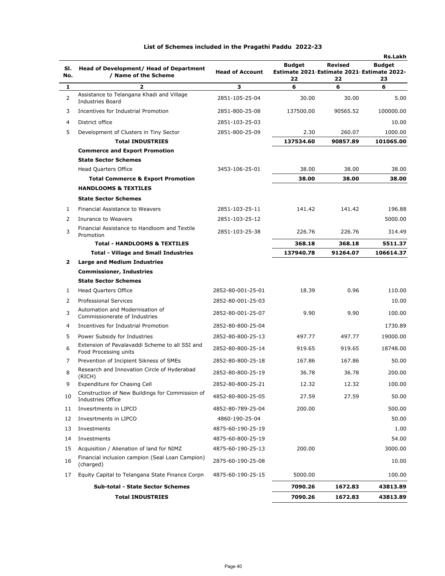|     |                                                                         |                        |                                            |                | <b>Rs.Lakh</b> |
|-----|-------------------------------------------------------------------------|------------------------|--------------------------------------------|----------------|----------------|
| SI. | Head of Development/ Head of Department                                 |                        | <b>Budget</b>                              | <b>Revised</b> | <b>Budget</b>  |
| No. | / Name of the Scheme                                                    | <b>Head of Account</b> | Estimate 2021 Estimate 2021 Estimate 2022- |                |                |
| 1   | 2                                                                       | 3                      | 22<br>6                                    | 22<br>6        | 23<br>6        |
| 2   | Assistance to Telangana Khadi and Village<br><b>Industries Board</b>    | 2851-105-25-04         | 30.00                                      | 30.00          | 5.00           |
| 3   | Incentives for Industrial Promotion                                     | 2851-800-25-08         | 137500.00                                  | 90565.52       | 100000.00      |
| 4   | District office                                                         | 2851-103-25-03         |                                            |                | 10.00          |
| 5   | Development of Clusters in Tiny Sector                                  | 2851-800-25-09         | 2.30                                       | 260.07         | 1000.00        |
|     | <b>Total INDUSTRIES</b>                                                 |                        | 137534.60                                  | 90857.89       | 101065.00      |
|     | <b>Commerce and Export Promotion</b>                                    |                        |                                            |                |                |
|     | <b>State Sector Schemes</b>                                             |                        |                                            |                |                |
|     | <b>Head Quarters Office</b>                                             | 3453-106-25-01         | 38.00                                      | 38.00          | 38.00          |
|     | <b>Total Commerce &amp; Export Promotion</b>                            |                        | 38.00                                      | 38.00          | 38.00          |
|     | <b>HANDLOOMS &amp; TEXTILES</b>                                         |                        |                                            |                |                |
|     | <b>State Sector Schemes</b>                                             |                        |                                            |                |                |
| 1   | Financial Assistance to Weavers                                         | 2851-103-25-11         | 141.42                                     | 141.42         | 196.88         |
| 2   | Inurance to Weavers                                                     | 2851-103-25-12         |                                            |                | 5000.00        |
| 3   | Financial Assistance to Handloom and Textile<br>Promotion               | 2851-103-25-38         | 226.76                                     | 226.76         | 314.49         |
|     | <b>Total - HANDLOOMS &amp; TEXTILES</b>                                 |                        | 368.18                                     | 368.18         | 5511.37        |
|     | <b>Total - Village and Small Industries</b>                             |                        | 137940.78                                  | 91264.07       | 106614.37      |
| 2   | <b>Large and Medium Industries</b>                                      |                        |                                            |                |                |
|     | <b>Commissioner, Industries</b>                                         |                        |                                            |                |                |
|     | <b>State Sector Schemes</b>                                             |                        |                                            |                |                |
| 1   | <b>Head Quarters Office</b>                                             | 2852-80-001-25-01      | 18.39                                      | 0.96           | 110.00         |
| 2   | <b>Professional Services</b>                                            | 2852-80-001-25-03      |                                            |                | 10.00          |
| 3   | Automation and Modernisation of<br>Commissionerate of Industries        | 2852-80-001-25-07      | 9.90                                       | 9.90           | 100.00         |
| 4   | Incentives for Industrial Promotion                                     | 2852-80-800-25-04      |                                            |                | 1730.89        |
| 5   | Power Subsidy for Industries                                            | 2852-80-800-25-13      | 497.77                                     | 497.77         | 19000.00       |
| 6   | Extension of Pavalavaddi Scheme to all SSI and<br>Food Processing units | 2852-80-800-25-14      | 919.65                                     | 919.65         | 18748.00       |
| 7   | Prevention of Incipient Sikness of SMEs                                 | 2852-80-800-25-18      | 167.86                                     | 167.86         | 50.00          |
| 8   | Research and Innovation Circle of Hyderabad<br>(RICH)                   | 2852-80-800-25-19      | 36.78                                      | 36.78          | 200.00         |
| 9   | Expenditure for Chasing Cell                                            | 2852-80-800-25-21      | 12.32                                      | 12.32          | 100.00         |
| 10  | Construction of New Buildings for Commission of<br>Industries Office    | 4852-80-800-25-05      | 27.59                                      | 27.59          | 50.00          |
| 11  | Invesrtments in LIPCO                                                   | 4852-80-789-25-04      | 200.00                                     |                | 500.00         |
| 12  | Invesrtments in LIPCO                                                   | 4860-190-25-04         |                                            |                | 50.00          |
| 13  | Investments                                                             | 4875-60-190-25-19      |                                            |                | 1.00           |
| 14  | Investments                                                             | 4875-60-800-25-19      |                                            |                | 54.00          |
| 15  | Acquisition / Alienation of land for NIMZ                               | 4875-60-190-25-13      | 200.00                                     |                | 3000.00        |
| 16  | Financial inclusion campion (Seal Loan Campion)<br>(charged)            | 2875-60-190-25-08      |                                            |                | 10.00          |
| 17  | Equity Capital to Telangana State Finance Corpn                         | 4875-60-190-25-15      | 5000.00                                    |                | 100.00         |
|     | Sub-total - State Sector Schemes                                        |                        | 7090.26                                    | 1672.83        | 43813.89       |
|     | <b>Total INDUSTRIES</b>                                                 |                        | 7090.26                                    | 1672.83        | 43813.89       |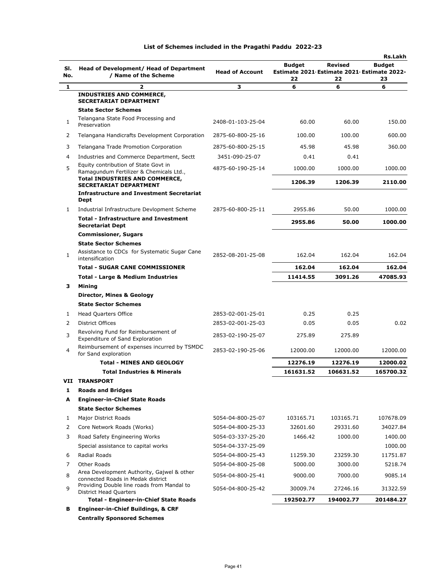| SI.<br>No.   | Head of Development/ Head of Department<br>/ Name of the Scheme                                                         | <b>Head of Account</b> | <b>Budget</b><br>22 | Revised<br>22 | <b>Rs.Lakh</b><br><b>Budget</b><br>Estimate 2021 Estimate 2021 Estimate 2022-<br>23 |
|--------------|-------------------------------------------------------------------------------------------------------------------------|------------------------|---------------------|---------------|-------------------------------------------------------------------------------------|
| 1            | 2                                                                                                                       | з                      | 6                   | 6             | 6                                                                                   |
|              | <b>INDUSTRIES AND COMMERCE,</b><br><b>SECRETARIAT DEPARTMENT</b><br><b>State Sector Schemes</b>                         |                        |                     |               |                                                                                     |
| 1            | Telangana State Food Processing and<br>Preservation                                                                     | 2408-01-103-25-04      | 60.00               | 60.00         | 150.00                                                                              |
| 2            | Telangana Handicrafts Development Corporation                                                                           | 2875-60-800-25-16      | 100.00              | 100.00        | 600.00                                                                              |
| 3            | Telangana Trade Promotion Corporation                                                                                   | 2875-60-800-25-15      | 45.98               | 45.98         | 360.00                                                                              |
| 4            | Industries and Commerce Department, Sectt                                                                               | 3451-090-25-07         | 0.41                | 0.41          |                                                                                     |
| 5            | Equity contribution of State Govt in<br>Ramagundum Fertilizer & Chemicals Ltd.<br><b>Total INDUSTRIES AND COMMERCE,</b> | 4875-60-190-25-14      | 1000.00             | 1000.00       | 1000.00                                                                             |
|              | <b>SECRETARIAT DEPARTMENT</b>                                                                                           |                        | 1206.39             | 1206.39       | 2110.00                                                                             |
|              | <b>Infrastructure and Investment Secretariat</b><br>Dept                                                                |                        |                     |               |                                                                                     |
| 1            | Industrial Infrastructure Devlopment Scheme                                                                             | 2875-60-800-25-11      | 2955.86             | 50.00         | 1000.00                                                                             |
|              | <b>Total - Infrastructure and Investment</b><br><b>Secretariat Dept</b>                                                 |                        | 2955.86             | 50.00         | 1000.00                                                                             |
|              | <b>Commissioner, Sugars</b>                                                                                             |                        |                     |               |                                                                                     |
|              | <b>State Sector Schemes</b>                                                                                             |                        |                     |               |                                                                                     |
| $\mathbf{1}$ | Assistance to CDCs for Systematic Sugar Cane<br>intensification                                                         | 2852-08-201-25-08      | 162.04              | 162.04        | 162.04                                                                              |
|              | <b>Total - SUGAR CANE COMMISSIONER</b>                                                                                  |                        | 162.04              | 162.04        | 162.04                                                                              |
|              | <b>Total - Large &amp; Medium Industries</b>                                                                            |                        | 11414.55            | 3091.26       | 47085.93                                                                            |
| 3            | Mining                                                                                                                  |                        |                     |               |                                                                                     |
|              | Director, Mines & Geology                                                                                               |                        |                     |               |                                                                                     |
|              | <b>State Sector Schemes</b>                                                                                             |                        |                     |               |                                                                                     |
| 1            | <b>Head Quarters Office</b>                                                                                             | 2853-02-001-25-01      | 0.25                | 0.25          |                                                                                     |
| 2            | <b>District Offices</b><br>Revolving Fund for Reimbursement of                                                          | 2853-02-001-25-03      | 0.05                | 0.05          | 0.02                                                                                |
| 3            | Expenditure of Sand Exploration<br>Reimbursement of expenses incurred by TSMDC                                          | 2853-02-190-25-07      | 275.89              | 275.89        |                                                                                     |
| 4            | for Sand exploration                                                                                                    | 2853-02-190-25-06      | 12000.00            | 12000.00      | 12000.00                                                                            |
|              | <b>Total - MINES AND GEOLOGY</b>                                                                                        |                        | 12276.19            | 12276.19      | 12000.02                                                                            |
|              | <b>Total Industries &amp; Minerals</b>                                                                                  |                        | 161631.52           | 106631.52     | 165700.32                                                                           |
| VII          | <b>TRANSPORT</b>                                                                                                        |                        |                     |               |                                                                                     |
| 1            | <b>Roads and Bridges</b>                                                                                                |                        |                     |               |                                                                                     |
| A            | <b>Engineer-in-Chief State Roads</b>                                                                                    |                        |                     |               |                                                                                     |
|              | <b>State Sector Schemes</b>                                                                                             |                        |                     |               |                                                                                     |
| 1            | Major District Roads                                                                                                    | 5054-04-800-25-07      | 103165.71           | 103165.71     | 107678.09                                                                           |
| 2            | Core Network Roads (Works)                                                                                              | 5054-04-800-25-33      | 32601.60            | 29331.60      | 34027.84                                                                            |
| 3            | Road Safety Engineering Works                                                                                           | 5054-03-337-25-20      | 1466.42             | 1000.00       | 1400.00                                                                             |
|              | Special assistance to capital works                                                                                     | 5054-04-337-25-09      |                     |               | 1000.00<br>11751.87                                                                 |
| 6<br>7       | Radial Roads                                                                                                            | 5054-04-800-25-43      | 11259.30            | 23259.30      |                                                                                     |
|              | Other Roads<br>Area Development Authority, Gajwel & other                                                               | 5054-04-800-25-08      | 5000.00             | 3000.00       | 5218.74                                                                             |
| 8<br>9       | connected Roads in Medak district<br>Providing Double line roads from Mandal to                                         | 5054-04-800-25-41      | 9000.00             | 7000.00       | 9085.14                                                                             |
|              | <b>District Head Quarters</b>                                                                                           | 5054-04-800-25-42      | 30009.74            | 27246.16      | 31322.59                                                                            |
|              | Total - Engineer-in-Chief State Roads                                                                                   |                        | 192502.77           | 194002.77     | 201484.27                                                                           |
| в            | <b>Engineer-in-Chief Buildings, &amp; CRF</b>                                                                           |                        |                     |               |                                                                                     |

**Centrally Sponsored Schemes**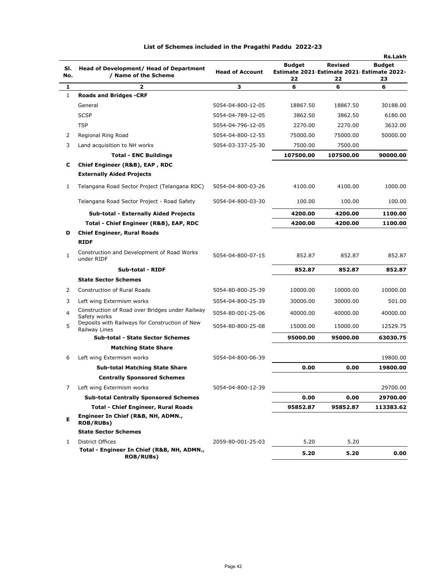|              |                                                                 |                        |                                                                   |               | <b>Rs.Lakh</b>      |
|--------------|-----------------------------------------------------------------|------------------------|-------------------------------------------------------------------|---------------|---------------------|
| SI.<br>No.   | Head of Development/ Head of Department<br>/ Name of the Scheme | <b>Head of Account</b> | <b>Budget</b><br>Estimate 2021 Estimate 2021 Estimate 2022-<br>22 | Revised<br>22 | <b>Budget</b><br>23 |
| 1            | $\overline{2}$                                                  | з                      | 6                                                                 | 6             | 6                   |
| $\mathbf{1}$ | <b>Roads and Bridges -CRF</b>                                   |                        |                                                                   |               |                     |
|              | General                                                         | 5054-04-800-12-05      | 18867.50                                                          | 18867.50      | 30188.00            |
|              | <b>SCSP</b>                                                     | 5054-04-789-12-05      | 3862.50                                                           | 3862.50       | 6180.00             |
|              | <b>TSP</b>                                                      | 5054-04-796-12-05      | 2270.00                                                           | 2270.00       | 3632.00             |
| 2            | Regional Ring Road                                              | 5054-04-800-12-55      | 75000.00                                                          | 75000.00      | 50000.00            |
| 3            | Land acquisition to NH works                                    | 5054-03-337-25-30      | 7500.00                                                           | 7500.00       |                     |
|              | <b>Total - ENC Buildings</b>                                    |                        | 107500.00                                                         | 107500.00     | 90000.00            |
| С            | Chief Engineer (R&B), EAP, RDC                                  |                        |                                                                   |               |                     |
|              | <b>Externally Aided Projects</b>                                |                        |                                                                   |               |                     |
| 1            | Telangana Road Sector Project (Telangana RDC)                   | 5054-04-800-03-26      | 4100.00                                                           | 4100.00       | 1000.00             |
|              | Telangana Road Sector Project - Road Safety                     | 5054-04-800-03-30      | 100.00                                                            | 100.00        | 100.00              |
|              | <b>Sub-total - Externally Aided Projects</b>                    |                        | 4200.00                                                           | 4200.00       | 1100.00             |
|              | Total - Chief Engineer (R&B), EAP, RDC                          |                        | 4200.00                                                           | 4200.00       | 1100.00             |
| D            | <b>Chief Engineer, Rural Roads</b>                              |                        |                                                                   |               |                     |
|              | <b>RIDF</b>                                                     |                        |                                                                   |               |                     |
| 1            | Construction and Development of Road Works<br>under RIDF        | 5054-04-800-07-15      | 852.87                                                            | 852.87        | 852.87              |
|              | <b>Sub-total - RIDF</b>                                         |                        | 852.87                                                            | 852.87        | 852.87              |
|              | <b>State Sector Schemes</b>                                     |                        |                                                                   |               |                     |
| 2            | <b>Construction of Rural Roads</b>                              | 5054-80-800-25-39      | 10000.00                                                          | 10000.00      | 10000.00            |
| 3            | Left wing Extermism works                                       | 5054-04-800-25-39      | 30000.00                                                          | 30000.00      | 501.00              |
| 4            | Construction of Road over Bridges under Railway<br>Safety works | 5054-80-001-25-06      | 40000.00                                                          | 40000.00      | 40000.00            |
| 5            | Deposits with Railways for Construction of New<br>Railway Lines | 5054-80-800-25-08      | 15000.00                                                          | 15000.00      | 12529.75            |
|              | <b>Sub-total - State Sector Schemes</b>                         |                        | 95000.00                                                          | 95000.00      | 63030.75            |
|              | <b>Matching State Share</b>                                     |                        |                                                                   |               |                     |
| 6            | Left wing Extermism works                                       | 5054-04-800-06-39      |                                                                   |               | 19800.00            |
|              | <b>Sub-total Matching State Share</b>                           |                        | 0.00                                                              | 0.00          | 19800.00            |
|              | <b>Centrally Sponsored Schemes</b>                              |                        |                                                                   |               |                     |
| 7            | Left wing Extermism works                                       | 5054-04-800-12-39      |                                                                   |               | 29700.00            |
|              | <b>Sub-total Centrally Sponsored Schemes</b>                    |                        | 0.00                                                              | 0.00          | 29700.00            |
|              | <b>Total - Chief Engineer, Rural Roads</b>                      |                        | 95852.87                                                          | 95852.87      | 113383.62           |
| Е            | Engineer In Chief (R&B, NH, ADMN.,<br><b>ROB/RUBs)</b>          |                        |                                                                   |               |                     |
|              | <b>State Sector Schemes</b>                                     |                        |                                                                   |               |                     |
| 1            | District Offices                                                | 2059-80-001-25-03      | 5.20                                                              | 5.20          |                     |
|              | Total - Engineer In Chief (R&B, NH, ADMN.,<br><b>ROB/RUBs)</b>  |                        | 5.20                                                              | 5.20          | 0.00                |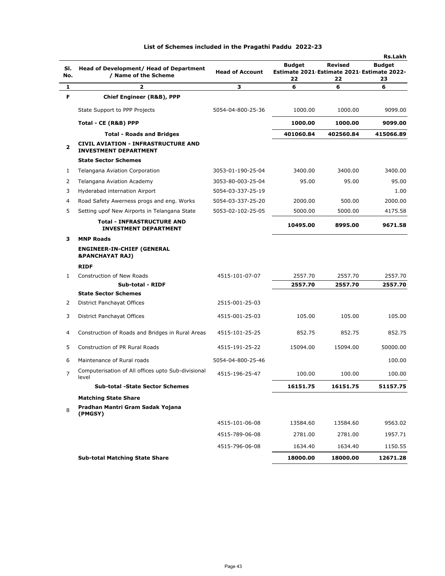|                |                                                                            |                        |                                                             |                | Rs.Lakh       |
|----------------|----------------------------------------------------------------------------|------------------------|-------------------------------------------------------------|----------------|---------------|
| SI.            | Head of Development/ Head of Department                                    | <b>Head of Account</b> | <b>Budget</b><br>Estimate 2021 Estimate 2021 Estimate 2022- | <b>Revised</b> | <b>Budget</b> |
| No.            | / Name of the Scheme                                                       |                        | 22                                                          | 22             | 23            |
| 1              | 2                                                                          | з                      | 6                                                           | 6              | 6             |
| F              | <b>Chief Engineer (R&amp;B), PPP</b>                                       |                        |                                                             |                |               |
|                | State Support to PPP Projects                                              | 5054-04-800-25-36      | 1000.00                                                     | 1000.00        | 9099.00       |
|                | Total - CE (R&B) PPP                                                       |                        | 1000.00                                                     | 1000.00        | 9099.00       |
|                | <b>Total - Roads and Bridges</b>                                           |                        | 401060.84                                                   | 402560.84      | 415066.89     |
| 2              | <b>CIVIL AVIATION - INFRASTRUCTURE AND</b><br><b>INVESTMENT DEPARTMENT</b> |                        |                                                             |                |               |
|                | <b>State Sector Schemes</b>                                                |                        |                                                             |                |               |
| 1              | Telangana Aviation Corporation                                             | 3053-01-190-25-04      | 3400.00                                                     | 3400.00        | 3400.00       |
| 2              | Telangana Aviation Academy                                                 | 3053-80-003-25-04      | 95.00                                                       | 95.00          | 95.00         |
| 3              | Hyderabad internation Airport                                              | 5054-03-337-25-19      |                                                             |                | 1.00          |
| 4              | Road Safety Awerness progs and eng. Works                                  | 5054-03-337-25-20      | 2000.00                                                     | 500.00         | 2000.00       |
| 5              | Setting upof New Airports in Telangana State                               | 5053-02-102-25-05      | 5000.00                                                     | 5000.00        | 4175.58       |
|                | <b>Total - INFRASTRUCTURE AND</b><br><b>INVESTMENT DEPARTMENT</b>          |                        | 10495.00                                                    | 8995.00        | 9671.58       |
| з              | <b>MNP Roads</b>                                                           |                        |                                                             |                |               |
|                | <b>ENGINEER-IN-CHIEF (GENERAL</b><br><b>&amp;PANCHAYAT RAJ)</b>            |                        |                                                             |                |               |
|                | <b>RIDF</b>                                                                |                        |                                                             |                |               |
| 1              | <b>Construction of New Roads</b>                                           | 4515-101-07-07         | 2557.70                                                     | 2557.70        | 2557.70       |
|                | Sub-total - RIDF                                                           |                        | 2557.70                                                     | 2557.70        | 2557.70       |
|                | <b>State Sector Schemes</b>                                                |                        |                                                             |                |               |
| 2              | District Panchayat Offices                                                 | 2515-001-25-03         |                                                             |                |               |
| 3              | District Panchayat Offices                                                 | 4515-001-25-03         | 105.00                                                      | 105.00         | 105.00        |
| 4              | Construction of Roads and Bridges in Rural Areas                           | 4515-101-25-25         | 852.75                                                      | 852.75         | 852.75        |
| 5              | Construction of PR Rural Roads                                             | 4515-191-25-22         | 15094.00                                                    | 15094.00       | 50000.00      |
| 6              | Maintenance of Rural roads                                                 | 5054-04-800-25-46      |                                                             |                | 100.00        |
| $\overline{7}$ | Computerisation of All offices upto Sub-divisional<br>level                | 4515-196-25-47         | 100.00                                                      | 100.00         | 100.00        |
|                | <b>Sub-total -State Sector Schemes</b>                                     |                        | 16151.75                                                    | 16151.75       | 51157.75      |
|                | <b>Matching State Share</b>                                                |                        |                                                             |                |               |
| 8              | Pradhan Mantri Gram Sadak Yojana<br>(PMGSY)                                |                        |                                                             |                |               |
|                |                                                                            | 4515-101-06-08         | 13584.60                                                    | 13584.60       | 9563.02       |
|                |                                                                            | 4515-789-06-08         | 2781.00                                                     | 2781.00        | 1957.71       |
|                |                                                                            | 4515-796-06-08         | 1634.40                                                     | 1634.40        | 1150.55       |
|                | <b>Sub-total Matching State Share</b>                                      |                        | 18000.00                                                    | 18000.00       | 12671.28      |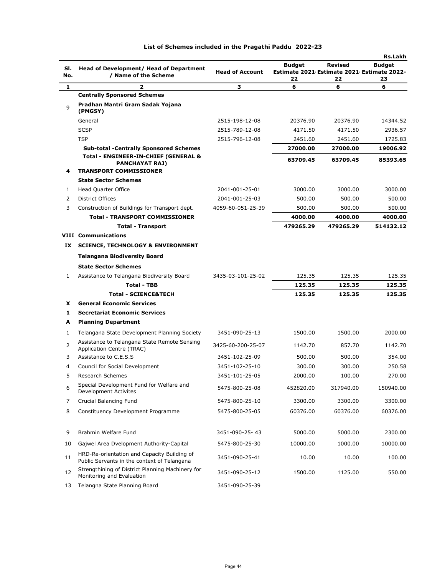|            |                                                                                                |                        |                                                                   |               | <b>Rs.Lakh</b>      |
|------------|------------------------------------------------------------------------------------------------|------------------------|-------------------------------------------------------------------|---------------|---------------------|
| SI.<br>No. | Head of Development/ Head of Department<br>/ Name of the Scheme                                | <b>Head of Account</b> | <b>Budget</b><br>Estimate 2021 Estimate 2021 Estimate 2022-<br>22 | Revised<br>22 | <b>Budget</b><br>23 |
| 1          | 2                                                                                              | з                      | 6                                                                 | 6             | 6                   |
|            | <b>Centrally Sponsored Schemes</b>                                                             |                        |                                                                   |               |                     |
| 9          | Pradhan Mantri Gram Sadak Yojana<br>(PMGSY)                                                    |                        |                                                                   |               |                     |
|            | General                                                                                        | 2515-198-12-08         | 20376.90                                                          | 20376.90      | 14344.52            |
|            | <b>SCSP</b>                                                                                    | 2515-789-12-08         | 4171.50                                                           | 4171.50       | 2936.57             |
|            | <b>TSP</b>                                                                                     | 2515-796-12-08         | 2451.60                                                           | 2451.60       | 1725.83             |
|            | <b>Sub-total -Centrally Sponsored Schemes</b>                                                  |                        | 27000.00                                                          | 27000.00      | 19006.92            |
| 4          | Total - ENGINEER-IN-CHIEF (GENERAL &<br><b>PANCHAYAT RAJ)</b><br><b>TRANSPORT COMMISSIONER</b> |                        | 63709.45                                                          | 63709.45      | 85393.65            |
|            | <b>State Sector Schemes</b>                                                                    |                        |                                                                   |               |                     |
| 1          | Head Quarter Office                                                                            | 2041-001-25-01         | 3000.00                                                           | 3000.00       | 3000.00             |
| 2          | <b>District Offices</b>                                                                        | 2041-001-25-03         | 500.00                                                            | 500.00        | 500.00              |
| 3          | Construction of Buildings for Transport dept.                                                  | 4059-60-051-25-39      | 500.00                                                            | 500.00        | 500.00              |
|            | <b>Total - TRANSPORT COMMISSIONER</b>                                                          |                        | 4000.00                                                           | 4000.00       | 4000.00             |
|            | <b>Total - Transport</b>                                                                       |                        | 479265.29                                                         | 479265.29     | 514132.12           |
|            | <b>VIII Communications</b>                                                                     |                        |                                                                   |               |                     |
| IX         | <b>SCIENCE, TECHNOLOGY &amp; ENVIRONMENT</b>                                                   |                        |                                                                   |               |                     |
|            | <b>Telangana Biodiversity Board</b>                                                            |                        |                                                                   |               |                     |
|            | <b>State Sector Schemes</b>                                                                    |                        |                                                                   |               |                     |
| 1          | Assistance to Telangana Biodiversity Board                                                     | 3435-03-101-25-02      | 125.35                                                            | 125.35        | 125.35              |
|            | <b>Total - TBB</b>                                                                             |                        | 125.35                                                            | 125.35        | 125.35              |
|            | <b>Total - SCIENCE&amp;TECH</b>                                                                |                        | 125.35                                                            | 125.35        | 125.35              |
| x          | <b>General Economic Services</b>                                                               |                        |                                                                   |               |                     |
| 1          | <b>Secretariat Economic Services</b>                                                           |                        |                                                                   |               |                     |
| A          | <b>Planning Department</b>                                                                     |                        |                                                                   |               |                     |
| 1          | Telangana State Development Planning Society                                                   | 3451-090-25-13         | 1500.00                                                           | 1500.00       | 2000.00             |
| 2          | Assistance to Telangana State Remote Sensing<br>Application Centre (TRAC)                      | 3425-60-200-25-07      | 1142.70                                                           | 857.70        | 1142.70             |
| 3          | Assistance to C.E.S.S                                                                          | 3451-102-25-09         | 500.00                                                            | 500.00        | 354.00              |
| 4          | Council for Social Development                                                                 | 3451-102-25-10         | 300.00                                                            | 300.00        | 250.58              |
| 5          | Research Schemes                                                                               | 3451-101-25-05         | 2000.00                                                           | 100.00        | 270.00              |
| 6          | Special Development Fund for Welfare and<br>Development Activites                              | 5475-800-25-08         | 452820.00                                                         | 317940.00     | 150940.00           |
| 7          | Crucial Balancing Fund                                                                         | 5475-800-25-10         | 3300.00                                                           | 3300.00       | 3300.00             |
| 8          | Constituency Development Programme                                                             | 5475-800-25-05         | 60376.00                                                          | 60376.00      | 60376.00            |
| 9          | Brahmin Welfare Fund                                                                           | 3451-090-25-43         | 5000.00                                                           | 5000.00       | 2300.00             |
| 10         | Gajwel Area Dvelopment Authority-Capital                                                       | 5475-800-25-30         | 10000.00                                                          | 1000.00       | 10000.00            |
| 11         | HRD-Re-orientation and Capacity Building of<br>Public Servants in the context of Telangana     | 3451-090-25-41         | 10.00                                                             | 10.00         | 100.00              |
| 12         | Strengthining of District Planning Machinery for<br>Monitoring and Evaluation                  | 3451-090-25-12         | 1500.00                                                           | 1125.00       | 550.00              |
| 13         | Telangna State Planning Board                                                                  | 3451-090-25-39         |                                                                   |               |                     |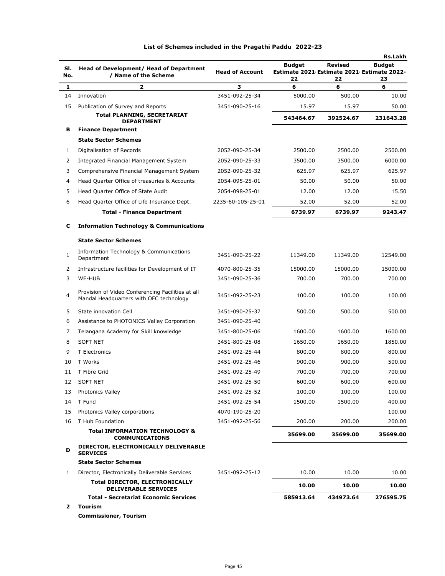| SI.<br>No. | Head of Development/ Head of Department<br>/ Name of the Scheme                              | <b>Head of Account</b> | <b>Budget</b><br>Estimate 2021 Estimate 2021 Estimate 2022-<br>22 | Revised<br>22 | <b>Rs.Lakh</b><br><b>Budget</b><br>23 |
|------------|----------------------------------------------------------------------------------------------|------------------------|-------------------------------------------------------------------|---------------|---------------------------------------|
| 1          | $\overline{\mathbf{z}}$                                                                      | 3                      | 6                                                                 | 6             | 6                                     |
| 14         | Innovation                                                                                   | 3451-092-25-34         | 5000.00                                                           | 500.00        | 10.00                                 |
| 15         | Publication of Survey and Reports                                                            | 3451-090-25-16         | 15.97                                                             | 15.97         | 50.00                                 |
|            | <b>Total PLANNING, SECRETARIAT</b><br><b>DEPARTMENT</b>                                      |                        | 543464.67                                                         | 392524.67     | 231643.28                             |
| в          | <b>Finance Department</b>                                                                    |                        |                                                                   |               |                                       |
|            | <b>State Sector Schemes</b>                                                                  |                        |                                                                   |               |                                       |
| 1          | Digitalisation of Records                                                                    | 2052-090-25-34         | 2500.00                                                           | 2500.00       | 2500.00                               |
| 2          | Integrated Financial Management System                                                       | 2052-090-25-33         | 3500.00                                                           | 3500.00       | 6000.00                               |
| 3          | Comprehensive Financial Management System                                                    | 2052-090-25-32         | 625.97                                                            | 625.97        | 625.97                                |
| 4          | Head Quarter Office of treasuries & Accounts                                                 | 2054-095-25-01         | 50.00                                                             | 50.00         | 50.00                                 |
| 5          | Head Quarter Office of State Audit                                                           | 2054-098-25-01         | 12.00                                                             | 12.00         | 15.50                                 |
| 6          | Head Quarter Office of Life Insurance Dept.                                                  | 2235-60-105-25-01      | 52.00                                                             | 52.00         | 52.00                                 |
|            | <b>Total - Finance Department</b>                                                            |                        | 6739.97                                                           | 6739.97       | 9243.47                               |
| с          | <b>Information Technology &amp; Communications</b>                                           |                        |                                                                   |               |                                       |
|            | <b>State Sector Schemes</b>                                                                  |                        |                                                                   |               |                                       |
| 1          | Information Technology & Communications<br>Department                                        | 3451-090-25-22         | 11349.00                                                          | 11349.00      | 12549.00                              |
| 2          | Infrastructure facilities for Development of IT                                              | 4070-800-25-35         | 15000.00                                                          | 15000.00      | 15000.00                              |
| 3          | WE-HUB                                                                                       | 3451-090-25-36         | 700.00                                                            | 700.00        | 700.00                                |
| 4          | Provision of Video Conferencing Facilities at all<br>Mandal Headquarters with OFC technology | 3451-092-25-23         | 100.00                                                            | 100.00        | 100.00                                |
| 5          | State innovation Cell                                                                        | 3451-090-25-37         | 500.00                                                            | 500.00        | 500.00                                |
| 6          | Assistance to PHOTONICS Valley Corporation                                                   | 3451-090-25-40         |                                                                   |               |                                       |
| 7          | Telangana Academy for Skill knowledge                                                        | 3451-800-25-06         | 1600.00                                                           | 1600.00       | 1600.00                               |
| 8          | <b>SOFT NET</b>                                                                              | 3451-800-25-08         | 1650.00                                                           | 1650.00       | 1850.00                               |
| 9          | T Electronics                                                                                | 3451-092-25-44         | 800.00                                                            | 800.00        | 800.00                                |
| 10         | T Works                                                                                      | 3451-092-25-46         | 900.00                                                            | 900.00        | 500.00                                |
| 11         | T Fibre Grid                                                                                 | 3451-092-25-49         | 700.00                                                            | 700.00        | 700.00                                |
| 12         | <b>SOFT NET</b>                                                                              | 3451-092-25-50         | 600.00                                                            | 600.00        | 600.00                                |
| 13         | Photonics Valley                                                                             | 3451-092-25-52         | 100.00                                                            | 100.00        | 100.00                                |
| 14         | T Fund                                                                                       | 3451-092-25-54         | 1500.00                                                           | 1500.00       | 400.00                                |
| 15         | Photonics Valley corporations                                                                | 4070-190-25-20         |                                                                   |               | 100.00                                |
| 16         | T Hub Foundation                                                                             | 3451-092-25-56         | 200.00                                                            | 200.00        | 200.00                                |
|            | <b>Total INFORMATION TECHNOLOGY &amp;</b><br><b>COMMUNICATIONS</b>                           |                        | 35699.00                                                          | 35699.00      | 35699.00                              |
| D          | DIRECTOR, ELECTRONICALLY DELIVERABLE<br><b>SERVICES</b>                                      |                        |                                                                   |               |                                       |
|            | <b>State Sector Schemes</b>                                                                  |                        |                                                                   |               |                                       |
| 1          | Director, Electronically Deliverable Services                                                | 3451-092-25-12         | 10.00                                                             | 10.00         | 10.00                                 |
|            | <b>Total DIRECTOR, ELECTRONICALLY</b><br><b>DELIVERABLE SERVICES</b>                         |                        | 10.00                                                             | 10.00         | 10.00                                 |
|            | <b>Total - Secretariat Economic Services</b>                                                 |                        | 585913.64                                                         | 434973.64     | 276595.75                             |
| 2          | Tourism                                                                                      |                        |                                                                   |               |                                       |

**Commissioner, Tourism**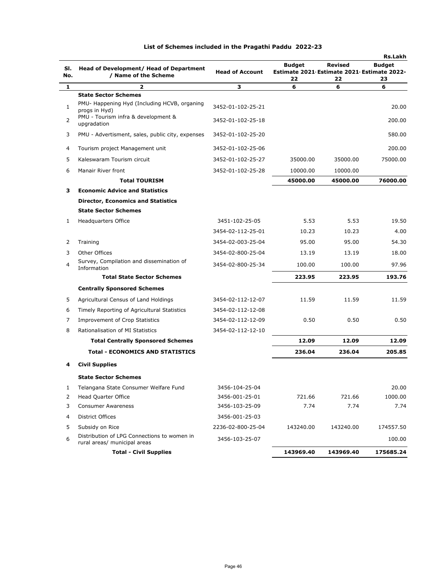|            |                                                                             |                        |                                                                   |                      | <b>Rs.Lakh</b>      |
|------------|-----------------------------------------------------------------------------|------------------------|-------------------------------------------------------------------|----------------------|---------------------|
| SI.<br>No. | Head of Development/ Head of Department<br>/ Name of the Scheme             | <b>Head of Account</b> | <b>Budget</b><br>Estimate 2021 Estimate 2021 Estimate 2022-<br>22 | <b>Revised</b><br>22 | <b>Budget</b><br>23 |
| 1          | 2                                                                           | з                      | 6                                                                 | 6                    | 6                   |
|            | <b>State Sector Schemes</b>                                                 |                        |                                                                   |                      |                     |
| 1          | PMU- Happening Hyd (Including HCVB, organing<br>progs in Hyd)               | 3452-01-102-25-21      |                                                                   |                      | 20.00               |
| 2          | PMU - Tourism infra & development &<br>upgradation                          | 3452-01-102-25-18      |                                                                   |                      | 200.00              |
| 3          | PMU - Advertisment, sales, public city, expenses                            | 3452-01-102-25-20      |                                                                   |                      | 580.00              |
| 4          | Tourism project Management unit                                             | 3452-01-102-25-06      |                                                                   |                      | 200.00              |
| 5          | Kaleswaram Tourism circuit                                                  | 3452-01-102-25-27      | 35000.00                                                          | 35000.00             | 75000.00            |
| 6          | Manair River front                                                          | 3452-01-102-25-28      | 10000.00                                                          | 10000.00             |                     |
|            | <b>Total TOURISM</b>                                                        |                        | 45000.00                                                          | 45000.00             | 76000.00            |
| з          | <b>Economic Advice and Statistics</b>                                       |                        |                                                                   |                      |                     |
|            | <b>Director, Economics and Statistics</b>                                   |                        |                                                                   |                      |                     |
|            | <b>State Sector Schemes</b>                                                 |                        |                                                                   |                      |                     |
| 1          | <b>Headquarters Office</b>                                                  | 3451-102-25-05         | 5.53                                                              | 5.53                 | 19.50               |
|            |                                                                             | 3454-02-112-25-01      | 10.23                                                             | 10.23                | 4.00                |
| 2          | Training                                                                    | 3454-02-003-25-04      | 95.00                                                             | 95.00                | 54.30               |
| 3          | Other Offices                                                               | 3454-02-800-25-04      | 13.19                                                             | 13.19                | 18.00               |
| 4          | Survey, Compilation and dissemination of<br>Information                     | 3454-02-800-25-34      | 100.00                                                            | 100.00               | 97.96               |
|            | <b>Total State Sector Schemes</b>                                           |                        | 223.95                                                            | 223.95               | 193.76              |
|            | <b>Centrally Sponsored Schemes</b>                                          |                        |                                                                   |                      |                     |
| 5          | Agricultural Census of Land Holdings                                        | 3454-02-112-12-07      | 11.59                                                             | 11.59                | 11.59               |
| 6          | Timely Reporting of Agricultural Statistics                                 | 3454-02-112-12-08      |                                                                   |                      |                     |
| 7          | <b>Improvement of Crop Statistics</b>                                       | 3454-02-112-12-09      | 0.50                                                              | 0.50                 | 0.50                |
| 8          | Rationalisation of MI Statistics                                            | 3454-02-112-12-10      |                                                                   |                      |                     |
|            | <b>Total Centrally Sponsored Schemes</b>                                    |                        | 12.09                                                             | 12.09                | 12.09               |
|            | <b>Total - ECONOMICS AND STATISTICS</b>                                     |                        | 236.04                                                            | 236.04               | 205.85              |
| 4          | <b>Civil Supplies</b>                                                       |                        |                                                                   |                      |                     |
|            | <b>State Sector Schemes</b>                                                 |                        |                                                                   |                      |                     |
| 1          | Telangana State Consumer Welfare Fund                                       | 3456-104-25-04         |                                                                   |                      | 20.00               |
| 2          | <b>Head Quarter Office</b>                                                  | 3456-001-25-01         | 721.66                                                            | 721.66               | 1000.00             |
| 3          | <b>Consumer Awareness</b>                                                   | 3456-103-25-09         | 7.74                                                              | 7.74                 | 7.74                |
| 4          | District Offices                                                            | 3456-001-25-03         |                                                                   |                      |                     |
| 5          | Subsidy on Rice                                                             | 2236-02-800-25-04      | 143240.00                                                         | 143240.00            | 174557.50           |
| 6          | Distribution of LPG Connections to women in<br>rural areas/ municipal areas | 3456-103-25-07         |                                                                   |                      | 100.00              |
|            | <b>Total - Civil Supplies</b>                                               |                        | 143969.40                                                         | 143969.40            | 175685.24           |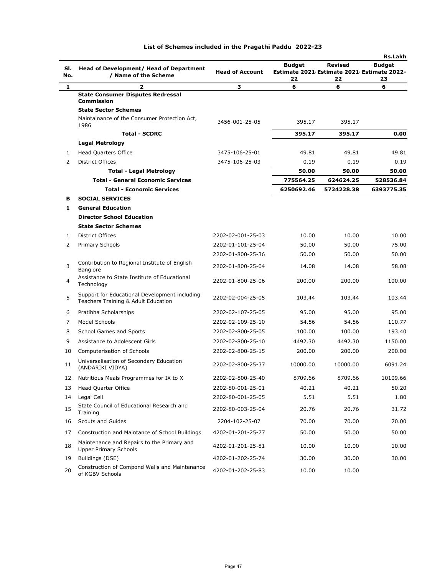| SI.<br>No.              | Head of Development/ Head of Department<br>/ Name of the Scheme                      | <b>Head of Account</b> | <b>Budget</b><br>22 | Revised<br>Estimate 2021 Estimate 2021 Estimate 2022-<br>22 | <b>Budget</b><br>23 |
|-------------------------|--------------------------------------------------------------------------------------|------------------------|---------------------|-------------------------------------------------------------|---------------------|
| 1                       | $\overline{\mathbf{z}}$                                                              | 3                      | 6                   | 6                                                           | 6                   |
|                         | <b>State Consumer Disputes Redressal</b><br><b>Commission</b>                        |                        |                     |                                                             |                     |
|                         | <b>State Sector Schemes</b>                                                          |                        |                     |                                                             |                     |
|                         | Maintainance of the Consumer Protection Act,<br>1986                                 | 3456-001-25-05         | 395.17              | 395.17                                                      |                     |
|                         | <b>Total - SCDRC</b>                                                                 |                        | 395.17              | 395.17                                                      | 0.00                |
|                         | <b>Legal Metrology</b>                                                               |                        |                     |                                                             |                     |
| 1                       | <b>Head Quarters Office</b>                                                          | 3475-106-25-01         | 49.81               | 49.81                                                       | 49.81               |
| $\overline{2}$          | <b>District Offices</b>                                                              | 3475-106-25-03         | 0.19                | 0.19                                                        | 0.19                |
|                         | <b>Total - Legal Metrology</b>                                                       |                        | 50.00               | 50.00                                                       | 50.00               |
|                         | <b>Total - General Economic Services</b>                                             |                        | 775564.25           | 624624.25                                                   | 528536.84           |
|                         | <b>Total - Economic Services</b>                                                     |                        | 6250692.46          | 5724228.38                                                  | 6393775.35          |
| в                       | <b>SOCIAL SERVICES</b>                                                               |                        |                     |                                                             |                     |
| 1                       | <b>General Education</b>                                                             |                        |                     |                                                             |                     |
|                         | <b>Director School Education</b>                                                     |                        |                     |                                                             |                     |
|                         | <b>State Sector Schemes</b>                                                          |                        |                     |                                                             |                     |
| 1                       | <b>District Offices</b>                                                              | 2202-02-001-25-03      | 10.00               | 10.00                                                       | 10.00               |
| $\overline{2}$          | Primary Schools                                                                      | 2202-01-101-25-04      | 50.00               | 50.00                                                       | 75.00               |
|                         |                                                                                      | 2202-01-800-25-36      | 50.00               | 50.00                                                       | 50.00               |
| 3                       | Contribution to Regional Institute of English<br>Banglore                            | 2202-01-800-25-04      | 14.08               | 14.08                                                       | 58.08               |
| $\overline{\mathbf{4}}$ | Assistance to State Institute of Educational<br>Technology                           | 2202-01-800-25-06      | 200.00              | 200.00                                                      | 100.00              |
| 5                       | Support for Educational Development including<br>Teachers Training & Adult Education | 2202-02-004-25-05      | 103.44              | 103.44                                                      | 103.44              |
| 6                       | Pratibha Scholarships                                                                | 2202-02-107-25-05      | 95.00               | 95.00                                                       | 95.00               |
| 7                       | Model Schools                                                                        | 2202-02-109-25-10      | 54.56               | 54.56                                                       | 110.77              |
| 8                       | School Games and Sports                                                              | 2202-02-800-25-05      | 100.00              | 100.00                                                      | 193.40              |
| 9                       | Assistance to Adolescent Girls                                                       | 2202-02-800-25-10      | 4492.30             | 4492.30                                                     | 1150.00             |
| 10                      | Computerisation of Schools                                                           | 2202-02-800-25-15      | 200.00              | 200.00                                                      | 200.00              |
| 11                      | Universalisation of Secondary Education<br>(ANDARIKI VIDYA)                          | 2202-02-800-25-37      | 10000.00            | 10000.00                                                    | 6091.24             |
| 12                      | Nutritious Meals Programmes for IX to X                                              | 2202-02-800-25-40      | 8709.66             | 8709.66                                                     | 10109.66            |
| 13                      | Head Quarter Office                                                                  | 2202-80-001-25-01      | 40.21               | 40.21                                                       | 50.20               |
| 14                      | Legal Cell                                                                           | 2202-80-001-25-05      | 5.51                | 5.51                                                        | 1.80                |
| 15                      | State Council of Educational Research and<br>Training                                | 2202-80-003-25-04      | 20.76               | 20.76                                                       | 31.72               |
| 16                      | Scouts and Guides                                                                    | 2204-102-25-07         | 70.00               | 70.00                                                       | 70.00               |
| 17                      | Construction and Maintance of School Buildings                                       | 4202-01-201-25-77      | 50.00               | 50.00                                                       | 50.00               |

**Rs.Lakh**

18 Maintenance and Repairs to the Primary and

Maintenance and Repairs to the Primary and  $4202-01-201-25-81$  10.00 10.00 10.00 10.00 19 Buildings (DSE) 4202-01-202-25-74 30.00 30.00 30.00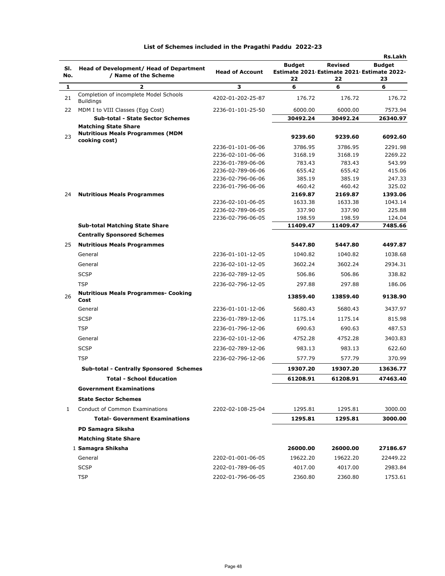| SI.          | Head of Development/ Head of Department                    |                                        | <b>Budget</b>                              | Revised           | <b>Rs.Lakh</b><br><b>Budget</b> |
|--------------|------------------------------------------------------------|----------------------------------------|--------------------------------------------|-------------------|---------------------------------|
| No.          | / Name of the Scheme                                       | <b>Head of Account</b>                 | Estimate 2021 Estimate 2021 Estimate 2022- |                   |                                 |
| 1            | 2                                                          | 3                                      | 22<br>6                                    | 22<br>6           | 23<br>6                         |
| 21           | Completion of incomplete Model Schools<br><b>Buildings</b> | 4202-01-202-25-87                      | 176.72                                     | 176.72            | 176.72                          |
| 22           | MDM I to VIII Classes (Egg Cost)                           | 2236-01-101-25-50                      | 6000.00                                    | 6000.00           | 7573.94                         |
|              | <b>Sub-total - State Sector Schemes</b>                    |                                        | 30492.24                                   | 30492.24          | 26340.97                        |
|              | <b>Matching State Share</b>                                |                                        |                                            |                   |                                 |
| 23           | <b>Nutritious Meals Programmes (MDM</b><br>cooking cost)   |                                        | 9239.60                                    | 9239.60           | 6092.60                         |
|              |                                                            | 2236-01-101-06-06                      | 3786.95                                    | 3786.95           | 2291.98                         |
|              |                                                            | 2236-02-101-06-06                      | 3168.19                                    | 3168.19           | 2269.22                         |
|              |                                                            | 2236-01-789-06-06                      | 783.43                                     | 783.43            | 543.99                          |
|              |                                                            | 2236-02-789-06-06                      | 655.42                                     | 655.42            | 415.06                          |
|              |                                                            | 2236-02-796-06-06                      | 385.19                                     | 385.19            | 247.33                          |
|              |                                                            | 2236-01-796-06-06                      | 460.42                                     | 460.42            | 325.02                          |
| 24           | <b>Nutritious Meals Programmes</b>                         |                                        | 2169.87                                    | 2169.87           | 1393.06                         |
|              |                                                            | 2236-02-101-06-05<br>2236-02-789-06-05 | 1633.38<br>337.90                          | 1633.38<br>337.90 | 1043.14<br>225.88               |
|              |                                                            | 2236-02-796-06-05                      | 198.59                                     | 198.59            | 124.04                          |
|              | <b>Sub-total Matching State Share</b>                      |                                        | 11409.47                                   | 11409.47          | 7485.66                         |
|              | <b>Centrally Sponsored Schemes</b>                         |                                        |                                            |                   |                                 |
| 25           | <b>Nutritious Meals Programmes</b>                         |                                        | 5447.80                                    | 5447.80           | 4497.87                         |
|              | General                                                    | 2236-01-101-12-05                      | 1040.82                                    | 1040.82           | 1038.68                         |
|              | General                                                    | 2236-02-101-12-05                      | 3602.24                                    | 3602.24           | 2934.31                         |
|              | <b>SCSP</b>                                                | 2236-02-789-12-05                      | 506.86                                     | 506.86            | 338.82                          |
|              | <b>TSP</b>                                                 | 2236-02-796-12-05                      | 297.88                                     | 297.88            | 186.06                          |
| 26           | <b>Nutritious Meals Programmes- Cooking</b>                |                                        | 13859.40                                   | 13859.40          | 9138.90                         |
|              | Cost<br>General                                            | 2236-01-101-12-06                      | 5680.43                                    | 5680.43           | 3437.97                         |
|              | <b>SCSP</b>                                                | 2236-01-789-12-06                      | 1175.14                                    | 1175.14           | 815.98                          |
|              | <b>TSP</b>                                                 | 2236-01-796-12-06                      | 690.63                                     | 690.63            | 487.53                          |
|              | General                                                    | 2236-02-101-12-06                      | 4752.28                                    | 4752.28           | 3403.83                         |
|              | <b>SCSP</b>                                                | 2236-02-789-12-06                      | 983.13                                     | 983.13            | 622.60                          |
|              | <b>TSP</b>                                                 | 2236-02-796-12-06                      | 577.79                                     | 577.79            | 370.99                          |
|              | <b>Sub-total - Centrally Sponsored Schemes</b>             |                                        | 19307.20                                   | 19307.20          | 13636.77                        |
|              | <b>Total - School Education</b>                            |                                        | 61208.91                                   | 61208.91          | 47463.40                        |
|              | <b>Government Examinations</b>                             |                                        |                                            |                   |                                 |
|              | <b>State Sector Schemes</b>                                |                                        |                                            |                   |                                 |
| $\mathbf{1}$ | Conduct of Common Examinations                             | 2202-02-108-25-04                      | 1295.81                                    | 1295.81           | 3000.00                         |
|              | <b>Total- Government Examinations</b>                      |                                        | 1295.81                                    | 1295.81           | 3000.00                         |
|              | PD Samagra Siksha                                          |                                        |                                            |                   |                                 |
|              | <b>Matching State Share</b>                                |                                        |                                            |                   |                                 |
|              | 1 Samagra Shiksha                                          |                                        | 26000.00                                   | 26000.00          | 27186.67                        |
|              | General                                                    | 2202-01-001-06-05                      | 19622.20                                   | 19622.20          | 22449.22                        |
|              | <b>SCSP</b>                                                | 2202-01-789-06-05                      | 4017.00                                    | 4017.00           | 2983.84                         |
|              |                                                            |                                        |                                            |                   |                                 |
|              | <b>TSP</b>                                                 | 2202-01-796-06-05                      | 2360.80                                    | 2360.80           | 1753.61                         |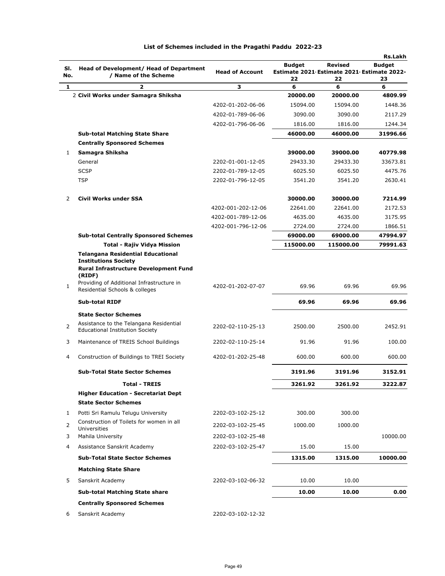| SI. | Head of Development/ Head of Department                                                                                 | <b>Head of Account</b>                 | <b>Budget</b><br>Estimate 2021 Estimate 2021 Estimate 2022- | Revised              | <b>Rs.Lakh</b><br><b>Budget</b> |
|-----|-------------------------------------------------------------------------------------------------------------------------|----------------------------------------|-------------------------------------------------------------|----------------------|---------------------------------|
| No. | / Name of the Scheme                                                                                                    |                                        | 22                                                          | 22                   | 23                              |
| 1   | 2                                                                                                                       | З                                      | 6                                                           | 6                    | 6<br>4809.99                    |
|     | 2 Civil Works under Samagra Shiksha                                                                                     |                                        | 20000.00                                                    | 20000.00<br>15094.00 |                                 |
|     |                                                                                                                         | 4202-01-202-06-06                      | 15094.00<br>3090.00                                         |                      | 1448.36                         |
|     |                                                                                                                         | 4202-01-789-06-06<br>4202-01-796-06-06 |                                                             | 3090.00              | 2117.29<br>1244.34              |
|     |                                                                                                                         |                                        | 1816.00                                                     | 1816.00              |                                 |
|     | <b>Sub-total Matching State Share</b>                                                                                   |                                        | 46000.00                                                    | 46000.00             | 31996.66                        |
| 1   | <b>Centrally Sponsored Schemes</b><br>Samagra Shiksha                                                                   |                                        | 39000.00                                                    | 39000.00             | 40779.98                        |
|     | General                                                                                                                 | 2202-01-001-12-05                      | 29433.30                                                    | 29433.30             | 33673.81                        |
|     | <b>SCSP</b>                                                                                                             | 2202-01-789-12-05                      | 6025.50                                                     | 6025.50              | 4475.76                         |
|     | <b>TSP</b>                                                                                                              | 2202-01-796-12-05                      | 3541.20                                                     | 3541.20              | 2630.41                         |
| 2   | Civil Works under SSA                                                                                                   |                                        | 30000.00                                                    | 30000.00             | 7214.99                         |
|     |                                                                                                                         | 4202-001-202-12-06                     | 22641.00                                                    | 22641.00             | 2172.53                         |
|     |                                                                                                                         | 4202-001-789-12-06                     | 4635.00                                                     | 4635.00              | 3175.95                         |
|     |                                                                                                                         | 4202-001-796-12-06                     | 2724.00                                                     | 2724.00              | 1866.51                         |
|     | <b>Sub-total Centrally Sponsored Schemes</b>                                                                            |                                        | 69000.00                                                    | 69000.00             | 47994.97                        |
|     | <b>Total - Rajiv Vidya Mission</b>                                                                                      |                                        | 115000.00                                                   | 115000.00            | 79991.63                        |
|     | <b>Telangana Residential Educational</b><br><b>Institutions Society</b><br><b>Rural Infrastructure Development Fund</b> |                                        |                                                             |                      |                                 |
|     | (RIDF)<br>Providing of Additional Infrastructure in                                                                     |                                        |                                                             |                      |                                 |
| 1   | Residential Schools & colleges                                                                                          | 4202-01-202-07-07                      | 69.96                                                       | 69.96                | 69.96                           |
|     | <b>Sub-total RIDF</b>                                                                                                   |                                        | 69.96                                                       | 69.96                | 69.96                           |
|     | <b>State Sector Schemes</b>                                                                                             |                                        |                                                             |                      |                                 |
| 2   | Assistance to the Telangana Residential<br><b>Educational Institution Society</b>                                       | 2202-02-110-25-13                      | 2500.00                                                     | 2500.00              | 2452.91                         |
| 3   | Maintenance of TREIS School Buildings                                                                                   | 2202-02-110-25-14                      | 91.96                                                       | 91.96                | 100.00                          |
| 4   | Construction of Buildings to TREI Society                                                                               | 4202-01-202-25-48                      | 600.00                                                      | 600.00               | 600.00                          |
|     | <b>Sub-Total State Sector Schemes</b>                                                                                   |                                        | 3191.96                                                     | 3191.96              | 3152.91                         |
|     | <b>Total - TREIS</b>                                                                                                    |                                        | 3261.92                                                     | 3261.92              | 3222.87                         |
|     | <b>Higher Education - Secretariat Dept</b>                                                                              |                                        |                                                             |                      |                                 |
|     | <b>State Sector Schemes</b>                                                                                             |                                        |                                                             |                      |                                 |
| 1   | Potti Sri Ramulu Telugu University                                                                                      | 2202-03-102-25-12                      | 300.00                                                      | 300.00               |                                 |
| 2   | Construction of Toilets for women in all<br>Universities                                                                | 2202-03-102-25-45                      | 1000.00                                                     | 1000.00              |                                 |
| 3   | Mahila University                                                                                                       | 2202-03-102-25-48                      |                                                             |                      | 10000.00                        |
| 4   | Assistance Sanskrit Academy                                                                                             | 2202-03-102-25-47                      | 15.00                                                       | 15.00                |                                 |
|     | <b>Sub-Total State Sector Schemes</b>                                                                                   |                                        | 1315.00                                                     | 1315.00              | 10000.00                        |
|     | <b>Matching State Share</b>                                                                                             |                                        |                                                             |                      |                                 |
| 5   | Sanskrit Academy                                                                                                        | 2202-03-102-06-32                      | 10.00                                                       | 10.00                |                                 |
|     | <b>Sub-total Matching State share</b>                                                                                   |                                        | 10.00                                                       | 10.00                | 0.00                            |
|     | <b>Centrally Sponsored Schemes</b>                                                                                      |                                        |                                                             |                      |                                 |
| 6   | Sanskrit Academy                                                                                                        | 2202-03-102-12-32                      |                                                             |                      |                                 |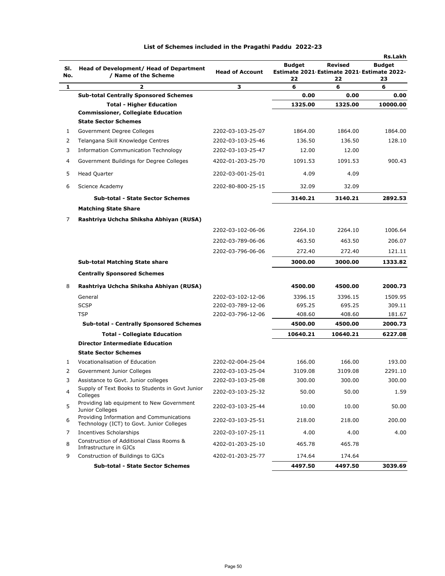|            |                                                                                       |                        |                                                             |                | <b>Rs.Lakh</b> |
|------------|---------------------------------------------------------------------------------------|------------------------|-------------------------------------------------------------|----------------|----------------|
| SI.<br>No. | <b>Head of Development/ Head of Department</b><br>/ Name of the Scheme                | <b>Head of Account</b> | <b>Budget</b><br>Estimate 2021 Estimate 2021 Estimate 2022- | <b>Revised</b> | <b>Budget</b>  |
| 1          | $\overline{\mathbf{z}}$                                                               | З                      | 22<br>6                                                     | 22<br>6        | 23<br>6        |
|            | <b>Sub-total Centrally Sponsored Schemes</b>                                          |                        | 0.00                                                        | 0.00           | 0.00           |
|            | <b>Total - Higher Education</b>                                                       |                        | 1325.00                                                     | 1325.00        | 10000.00       |
|            | <b>Commissioner, Collegiate Education</b>                                             |                        |                                                             |                |                |
|            | <b>State Sector Schemes</b>                                                           |                        |                                                             |                |                |
| 1          | Government Degree Colleges                                                            | 2202-03-103-25-07      | 1864.00                                                     | 1864.00        | 1864.00        |
| 2          | Telangana Skill Knowledge Centres                                                     | 2202-03-103-25-46      | 136.50                                                      | 136.50         | 128.10         |
| 3          | <b>Information Communication Technology</b>                                           | 2202-03-103-25-47      | 12.00                                                       | 12.00          |                |
| 4          | Government Buildings for Degree Colleges                                              | 4202-01-203-25-70      | 1091.53                                                     | 1091.53        | 900.43         |
| 5          | Head Quarter                                                                          | 2202-03-001-25-01      | 4.09                                                        | 4.09           |                |
| 6          | Science Academy                                                                       | 2202-80-800-25-15      | 32.09                                                       | 32.09          |                |
|            | <b>Sub-total - State Sector Schemes</b>                                               |                        | 3140.21                                                     | 3140.21        | 2892.53        |
|            | <b>Matching State Share</b>                                                           |                        |                                                             |                |                |
| 7          | Rashtriya Uchcha Shiksha Abhiyan (RUSA)                                               |                        |                                                             |                |                |
|            |                                                                                       | 2202-03-102-06-06      | 2264.10                                                     | 2264.10        | 1006.64        |
|            |                                                                                       | 2202-03-789-06-06      | 463.50                                                      | 463.50         | 206.07         |
|            |                                                                                       | 2202-03-796-06-06      | 272.40                                                      | 272.40         | 121.11         |
|            | <b>Sub-total Matching State share</b>                                                 |                        | 3000.00                                                     | 3000.00        | 1333.82        |
|            | <b>Centrally Sponsored Schemes</b>                                                    |                        |                                                             |                |                |
| 8          | Rashtriya Uchcha Shiksha Abhiyan (RUSA)                                               |                        | 4500.00                                                     | 4500.00        | 2000.73        |
|            | General                                                                               | 2202-03-102-12-06      | 3396.15                                                     | 3396.15        | 1509.95        |
|            | <b>SCSP</b>                                                                           | 2202-03-789-12-06      | 695.25                                                      | 695.25         | 309.11         |
|            | <b>TSP</b>                                                                            | 2202-03-796-12-06      | 408.60                                                      | 408.60         | 181.67         |
|            | <b>Sub-total - Centrally Sponsored Schemes</b>                                        |                        | 4500.00                                                     | 4500.00        | 2000.73        |
|            | <b>Total - Collegiate Education</b>                                                   |                        | 10640.21                                                    | 10640.21       | 6227.08        |
|            | <b>Director Intermediate Education</b>                                                |                        |                                                             |                |                |
|            | <b>State Sector Schemes</b>                                                           |                        |                                                             |                |                |
| 1          | Vocationalisation of Education                                                        | 2202-02-004-25-04      | 166.00                                                      | 166.00         | 193.00         |
| 2          | Government Junior Colleges                                                            | 2202-03-103-25-04      | 3109.08                                                     | 3109.08        | 2291.10        |
| 3          | Assistance to Govt. Junior colleges                                                   | 2202-03-103-25-08      | 300.00                                                      | 300.00         | 300.00         |
| 4          | Supply of Text Books to Students in Govt Junior<br>Colleges                           | 2202-03-103-25-32      | 50.00                                                       | 50.00          | 1.59           |
| 5          | Providing lab equipment to New Government<br>Junior Colleges                          | 2202-03-103-25-44      | 10.00                                                       | 10.00          | 50.00          |
| 6          | Providing Information and Communications<br>Technology (ICT) to Govt. Junior Colleges | 2202-03-103-25-51      | 218.00                                                      | 218.00         | 200.00         |
| 7          | Incentives Scholarships                                                               | 2202-03-107-25-11      | 4.00                                                        | 4.00           | 4.00           |
| 8          | Construction of Additional Class Rooms &<br>Infrastructure in GJCs                    | 4202-01-203-25-10      | 465.78                                                      | 465.78         |                |
| 9          | Construction of Buildings to GJCs                                                     | 4202-01-203-25-77      | 174.64                                                      | 174.64         |                |
|            | <b>Sub-total - State Sector Schemes</b>                                               |                        | 4497.50                                                     | 4497.50        | 3039.69        |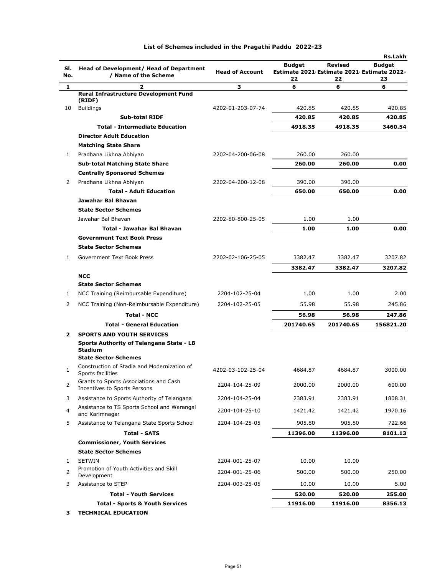| SI.<br>No.     | Head of Development/ Head of Department<br>/ Name of the Scheme        | <b>Head of Account</b> | <b>Budget</b><br>Estimate 2021 Estimate 2021 Estimate 2022-<br>22 | Revised<br>22 | <b>Rs.Lakh</b><br><b>Budget</b><br>23 |
|----------------|------------------------------------------------------------------------|------------------------|-------------------------------------------------------------------|---------------|---------------------------------------|
| 1              | 2                                                                      | 3                      | 6                                                                 | 6             | 6                                     |
|                | <b>Rural Infrastructure Development Fund</b>                           |                        |                                                                   |               |                                       |
|                | (RIDF)                                                                 |                        |                                                                   |               |                                       |
| 10             | <b>Buildings</b>                                                       | 4202-01-203-07-74      | 420.85                                                            | 420.85        | 420.85                                |
|                | <b>Sub-total RIDF</b>                                                  |                        | 420.85                                                            | 420.85        | 420.85                                |
|                | <b>Total - Intermediate Education</b>                                  |                        | 4918.35                                                           | 4918.35       | 3460.54                               |
|                | <b>Director Adult Education</b>                                        |                        |                                                                   |               |                                       |
|                | <b>Matching State Share</b>                                            |                        |                                                                   | 260.00        |                                       |
| 1              | Pradhana Likhna Abhiyan                                                | 2202-04-200-06-08      | 260.00                                                            |               |                                       |
|                | <b>Sub-total Matching State Share</b>                                  |                        | 260.00                                                            | 260.00        | 0.00                                  |
|                | <b>Centrally Sponsored Schemes</b>                                     |                        |                                                                   |               |                                       |
| 2              | Pradhana Likhna Abhiyan                                                | 2202-04-200-12-08      | 390.00                                                            | 390.00        |                                       |
|                | <b>Total - Adult Education</b>                                         |                        | 650.00                                                            | 650.00        | 0.00                                  |
|                | Jawahar Bal Bhavan                                                     |                        |                                                                   |               |                                       |
|                | <b>State Sector Schemes</b>                                            |                        |                                                                   |               |                                       |
|                | Jawahar Bal Bhavan                                                     | 2202-80-800-25-05      | 1.00                                                              | 1.00          |                                       |
|                | <b>Total - Jawahar Bal Bhavan</b>                                      |                        | 1.00                                                              | 1.00          | 0.00                                  |
|                | <b>Government Text Book Press</b>                                      |                        |                                                                   |               |                                       |
|                | <b>State Sector Schemes</b>                                            |                        |                                                                   |               |                                       |
| 1              | Government Text Book Press                                             | 2202-02-106-25-05      | 3382.47                                                           | 3382.47       | 3207.82                               |
|                |                                                                        |                        | 3382.47                                                           | 3382.47       | 3207.82                               |
|                | <b>NCC</b>                                                             |                        |                                                                   |               |                                       |
|                | <b>State Sector Schemes</b>                                            |                        |                                                                   |               |                                       |
| 1              | NCC Training (Reimbursable Expenditure)                                | 2204-102-25-04         | 1.00                                                              | 1.00          | 2.00                                  |
| 2              | NCC Training (Non-Reimbursable Expenditure)                            | 2204-102-25-05         | 55.98                                                             | 55.98         | 245.86                                |
|                | <b>Total - NCC</b>                                                     |                        | 56.98                                                             | 56.98         | 247.86                                |
|                | <b>Total - General Education</b>                                       |                        | 201740.65                                                         | 201740.65     | 156821.20                             |
| $\mathbf{z}$   | <b>SPORTS AND YOUTH SERVICES</b>                                       |                        |                                                                   |               |                                       |
|                | Sports Authority of Telangana State - LB<br><b>Stadium</b>             |                        |                                                                   |               |                                       |
|                | <b>State Sector Schemes</b>                                            |                        |                                                                   |               |                                       |
| $\mathbf{1}$   | Construction of Stadia and Modernization of<br>Sports facilities       | 4202-03-102-25-04      | 4684.87                                                           | 4684.87       | 3000.00                               |
| $\overline{2}$ | Grants to Sports Associations and Cash<br>Incentives to Sports Persons | 2204-104-25-09         | 2000.00                                                           | 2000.00       | 600.00                                |
| 3              | Assistance to Sports Authority of Telangana                            | 2204-104-25-04         | 2383.91                                                           | 2383.91       | 1808.31                               |
| 4              | Assistance to TS Sports School and Warangal<br>and Karimnagar          | 2204-104-25-10         | 1421.42                                                           | 1421.42       | 1970.16                               |
| 5              | Assistance to Telangana State Sports School                            | 2204-104-25-05         | 905.80                                                            | 905.80        | 722.66                                |
|                | <b>Total - SATS</b>                                                    |                        | 11396.00                                                          | 11396.00      | 8101.13                               |
|                | <b>Commissioner, Youth Services</b>                                    |                        |                                                                   |               |                                       |
|                | <b>State Sector Schemes</b>                                            |                        |                                                                   |               |                                       |
| 1              | <b>SETWIN</b>                                                          | 2204-001-25-07         | 10.00                                                             | 10.00         |                                       |
| 2              | Promotion of Youth Activities and Skill<br>Development                 | 2204-001-25-06         | 500.00                                                            | 500.00        | 250.00                                |
| 3              | Assistance to STEP                                                     | 2204-003-25-05         | 10.00                                                             | 10.00         | 5.00                                  |
|                | <b>Total - Youth Services</b>                                          |                        | 520.00                                                            | 520.00        | 255.00                                |
|                | <b>Total - Sports &amp; Youth Services</b>                             |                        | 11916.00                                                          | 11916.00      | 8356.13                               |
|                |                                                                        |                        |                                                                   |               |                                       |

**3 TECHNICAL EDUCATION**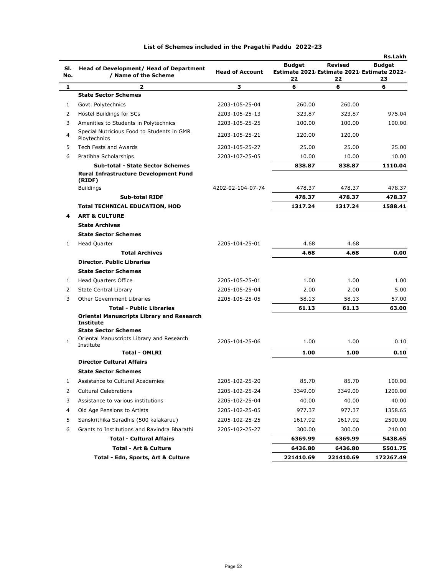|     |                                                        |                        |                                                  |           | Rs.Lakh       |
|-----|--------------------------------------------------------|------------------------|--------------------------------------------------|-----------|---------------|
| SI. | <b>Head of Development/ Head of Department</b>         |                        | <b>Budget</b>                                    | Revised   | <b>Budget</b> |
| No. | / Name of the Scheme                                   | <b>Head of Account</b> | Estimate 2021 Estimate 2021 Estimate 2022-<br>22 | 22        |               |
| 1   | 2                                                      | 3                      | 6                                                | 6         | 23<br>6       |
|     | <b>State Sector Schemes</b>                            |                        |                                                  |           |               |
| 1   | Govt. Polytechnics                                     | 2203-105-25-04         | 260.00                                           | 260.00    |               |
| 2   | Hostel Buildings for SCs                               | 2203-105-25-13         | 323.87                                           | 323.87    | 975.04        |
| 3   | Amenities to Students in Polytechnics                  | 2203-105-25-25         | 100.00                                           | 100.00    | 100.00        |
|     | Special Nutricious Food to Students in GMR             |                        |                                                  |           |               |
| 4   | Ploytechnics                                           | 2203-105-25-21         | 120.00                                           | 120.00    |               |
| 5   | Tech Fests and Awards                                  | 2203-105-25-27         | 25.00                                            | 25.00     | 25.00         |
| 6   | Pratibha Scholarships                                  | 2203-107-25-05         | 10.00                                            | 10.00     | 10.00         |
|     | <b>Sub-total - State Sector Schemes</b>                |                        | 838.87                                           | 838.87    | 1110.04       |
|     | <b>Rural Infrastructure Development Fund</b>           |                        |                                                  |           |               |
|     | (RIDF)<br><b>Buildings</b>                             | 4202-02-104-07-74      | 478.37                                           | 478.37    | 478.37        |
|     | <b>Sub-total RIDF</b>                                  |                        | 478.37                                           | 478.37    | 478.37        |
|     | <b>Total TECHNICAL EDUCATION, HOD</b>                  |                        | 1317.24                                          | 1317.24   | 1588.41       |
| 4   | <b>ART &amp; CULTURE</b>                               |                        |                                                  |           |               |
|     | <b>State Archives</b>                                  |                        |                                                  |           |               |
|     | <b>State Sector Schemes</b>                            |                        |                                                  |           |               |
| 1   | <b>Head Quarter</b>                                    | 2205-104-25-01         | 4.68                                             | 4.68      |               |
|     | <b>Total Archives</b>                                  |                        | 4.68                                             | 4.68      | 0.00          |
|     | <b>Director. Public Libraries</b>                      |                        |                                                  |           |               |
|     | <b>State Sector Schemes</b>                            |                        |                                                  |           |               |
| 1   | <b>Head Quarters Office</b>                            | 2205-105-25-01         | 1.00                                             | 1.00      | 1.00          |
| 2   | State Central Library                                  | 2205-105-25-04         | 2.00                                             | 2.00      | 5.00          |
| 3   | <b>Other Government Libraries</b>                      | 2205-105-25-05         | 58.13                                            | 58.13     | 57.00         |
|     | <b>Total - Public Libraries</b>                        |                        | 61.13                                            | 61.13     | 63.00         |
|     | <b>Oriental Manuscripts Library and Research</b>       |                        |                                                  |           |               |
|     | <b>Institute</b>                                       |                        |                                                  |           |               |
|     | <b>State Sector Schemes</b>                            |                        |                                                  |           |               |
| 1   | Oriental Manuscripts Library and Research<br>Institute | 2205-104-25-06         | 1.00                                             | 1.00      | 0.10          |
|     | <b>Total - OMLRI</b>                                   |                        | 1.00                                             | 1.00      | 0.10          |
|     | <b>Director Cultural Affairs</b>                       |                        |                                                  |           |               |
|     | <b>State Sector Schemes</b>                            |                        |                                                  |           |               |
|     | Assistance to Cultural Academies                       | 2205-102-25-20         | 85.70                                            | 85.70     | 100.00        |
| 2   | <b>Cultural Celebrations</b>                           | 2205-102-25-24         | 3349.00                                          | 3349.00   | 1200.00       |
| 3   | Assistance to various institutions                     | 2205-102-25-04         | 40.00                                            | 40.00     | 40.00         |
| 4   | Old Age Pensions to Artists                            | 2205-102-25-05         | 977.37                                           | 977.37    | 1358.65       |
| 5   | Sanskrithika Saradhis (500 kalakaruu)                  | 2205-102-25-25         | 1617.92                                          | 1617.92   | 2500.00       |
| 6   | Grants to Institutions and Ravindra Bharathi           | 2205-102-25-27         | 300.00                                           | 300.00    | 240.00        |
|     | <b>Total - Cultural Affairs</b>                        |                        | 6369.99                                          | 6369.99   | 5438.65       |
|     | <b>Total - Art &amp; Culture</b>                       |                        | 6436.80                                          | 6436.80   | 5501.75       |
|     | Total - Edn, Sports, Art & Culture                     |                        | 221410.69                                        | 221410.69 | 172267.49     |
|     |                                                        |                        |                                                  |           |               |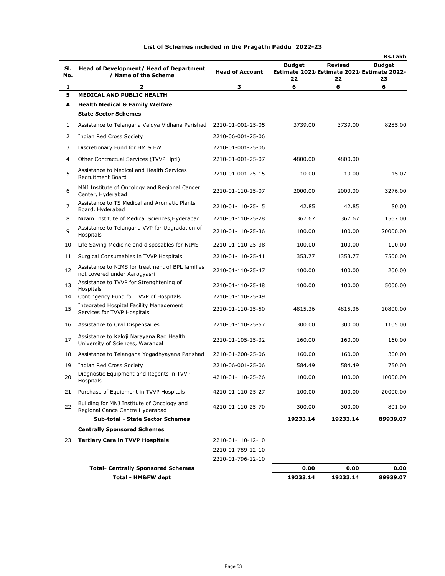| SI.<br>No. | Head of Development/ Head of Department<br>/ Name of the Scheme                  | <b>Head of Account</b> | <b>Budget</b><br>Estimate 2021 Estimate 2021 Estimate 2022-<br>22 | Revised<br>22 | <b>Rs.Lakh</b><br><b>Budget</b><br>23 |
|------------|----------------------------------------------------------------------------------|------------------------|-------------------------------------------------------------------|---------------|---------------------------------------|
| 1          | 2                                                                                | 3                      | 6                                                                 | 6             | 6                                     |
| 5          | <b>MEDICAL AND PUBLIC HEALTH</b>                                                 |                        |                                                                   |               |                                       |
| A          | <b>Health Medical &amp; Family Welfare</b>                                       |                        |                                                                   |               |                                       |
|            | <b>State Sector Schemes</b>                                                      |                        |                                                                   |               |                                       |
| 1          | Assistance to Telangana Vaidya Vidhana Parishad                                  | 2210-01-001-25-05      | 3739.00                                                           | 3739.00       | 8285.00                               |
| 2          | Indian Red Cross Society                                                         | 2210-06-001-25-06      |                                                                   |               |                                       |
| 3          | Discretionary Fund for HM & FW                                                   | 2210-01-001-25-06      |                                                                   |               |                                       |
| 4          | Other Contractual Services (TVVP Hptl)                                           | 2210-01-001-25-07      | 4800.00                                                           | 4800.00       |                                       |
| 5          | Assistance to Medical and Health Services<br><b>Recruitment Board</b>            | 2210-01-001-25-15      | 10.00                                                             | 10.00         | 15.07                                 |
| 6          | MNJ Institute of Oncology and Regional Cancer<br>Center, Hyderabad               | 2210-01-110-25-07      | 2000.00                                                           | 2000.00       | 3276.00                               |
| 7          | Assistance to TS Medical and Aromatic Plants<br>Board, Hyderabad                 | 2210-01-110-25-15      | 42.85                                                             | 42.85         | 80.00                                 |
| 8          | Nizam Institute of Medical Sciences, Hyderabad                                   | 2210-01-110-25-28      | 367.67                                                            | 367.67        | 1567.00                               |
| 9          | Assistance to Telangana VVP for Upgradation of<br>Hospitals                      | 2210-01-110-25-36      | 100.00                                                            | 100.00        | 20000.00                              |
| 10         | Life Saving Medicine and disposables for NIMS                                    | 2210-01-110-25-38      | 100.00                                                            | 100.00        | 100.00                                |
| 11         | Surgical Consumables in TVVP Hospitals                                           | 2210-01-110-25-41      | 1353.77                                                           | 1353.77       | 7500.00                               |
| 12         | Assistance to NIMS for treatment of BPL families<br>not covered under Aarogyasri | 2210-01-110-25-47      | 100.00                                                            | 100.00        | 200.00                                |
| 13         | Assistance to TVVP for Strenghtening of<br>Hospitals                             | 2210-01-110-25-48      | 100.00                                                            | 100.00        | 5000.00                               |
| 14         | Contingency Fund for TVVP of Hospitals                                           | 2210-01-110-25-49      |                                                                   |               |                                       |
| 15         | Integrated Hospital Facility Management<br>Services for TVVP Hospitals           | 2210-01-110-25-50      | 4815.36                                                           | 4815.36       | 10800.00                              |
| 16         | Assistance to Civil Dispensaries                                                 | 2210-01-110-25-57      | 300.00                                                            | 300.00        | 1105.00                               |
| 17         | Assistance to Kaloji Narayana Rao Health<br>University of Sciences, Warangal     | 2210-01-105-25-32      | 160.00                                                            | 160.00        | 160.00                                |
| 18         | Assistance to Telangana Yogadhyayana Parishad                                    | 2210-01-200-25-06      | 160.00                                                            | 160.00        | 300.00                                |
| 19         | Indian Red Cross Society                                                         | 2210-06-001-25-06      | 584.49                                                            | 584.49        | 750.00                                |
| 20         | Diagnostic Equipment and Regents in TVVP<br>Hospitals                            | 4210-01-110-25-26      | 100.00                                                            | 100.00        | 10000.00                              |
| 21         | Purchase of Equipment in TVVP Hospitals                                          | 4210-01-110-25-27      | 100.00                                                            | 100.00        | 20000.00                              |
| 22         | Building for MNJ Institute of Oncology and<br>Regional Cance Centre Hyderabad    | 4210-01-110-25-70      | 300.00                                                            | 300.00        | 801.00                                |
|            | <b>Sub-total - State Sector Schemes</b>                                          |                        | 19233.14                                                          | 19233.14      | 89939.07                              |
|            | <b>Centrally Sponsored Schemes</b>                                               |                        |                                                                   |               |                                       |
| 23         | <b>Tertiary Care in TVVP Hospitals</b>                                           | 2210-01-110-12-10      |                                                                   |               |                                       |
|            |                                                                                  | 2210-01-789-12-10      |                                                                   |               |                                       |
|            |                                                                                  | 2210-01-796-12-10      |                                                                   |               |                                       |
|            | <b>Total- Centrally Sponsored Schemes</b>                                        |                        | 0.00                                                              | 0.00          | 0.00                                  |
|            | Total - HM&FW dept                                                               |                        | 19233.14                                                          | 19233.14      | 89939.07                              |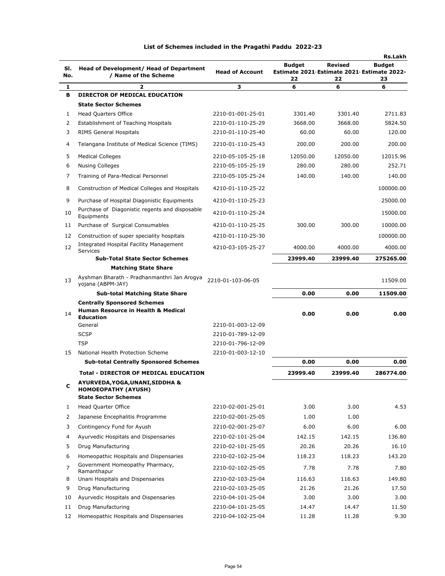|            |                                                                                               |                        |                                                      |          | <b>Rs.Lakh</b> |
|------------|-----------------------------------------------------------------------------------------------|------------------------|------------------------------------------------------|----------|----------------|
| SI.<br>No. | Head of Development/ Head of Department<br>/ Name of the Scheme                               | <b>Head of Account</b> | Budget<br>Estimate 2021 Estimate 2021 Estimate 2022- | Revised  | <b>Budget</b>  |
|            |                                                                                               |                        | 22                                                   | 22       | 23             |
| 1<br>в     | 2                                                                                             | з                      | 6                                                    | 6        | 6              |
|            | DIRECTOR OF MEDICAL EDUCATION<br><b>State Sector Schemes</b>                                  |                        |                                                      |          |                |
| 1          | <b>Head Quarters Office</b>                                                                   | 2210-01-001-25-01      | 3301.40                                              | 3301.40  | 2711.83        |
| 2          | Establishment of Teaching Hospitals                                                           | 2210-01-110-25-29      | 3668.00                                              | 3668.00  | 5824.50        |
| 3          | <b>RIMS General Hospitals</b>                                                                 | 2210-01-110-25-40      | 60.00                                                | 60.00    | 120.00         |
| 4          | Telangana Institute of Medical Science (TIMS)                                                 | 2210-01-110-25-43      | 200.00                                               | 200.00   | 200.00         |
| 5          | <b>Medical Colleges</b>                                                                       | 2210-05-105-25-18      | 12050.00                                             | 12050.00 | 12015.96       |
| 6          | <b>Nusing Colleges</b>                                                                        | 2210-05-105-25-19      | 280.00                                               | 280.00   | 252.71         |
| 7          | Training of Para-Medical Personnel                                                            | 2210-05-105-25-24      | 140.00                                               | 140.00   | 140.00         |
| 8          | Construction of Medical Colleges and Hospitals                                                | 4210-01-110-25-22      |                                                      |          | 100000.00      |
|            |                                                                                               |                        |                                                      |          |                |
| 9          | Purchase of Hospital Diagonistic Equipments<br>Purchase of Diagonistic regents and disposable | 4210-01-110-25-23      |                                                      |          | 25000.00       |
| 10         | Equipments                                                                                    | 4210-01-110-25-24      |                                                      |          | 15000.00       |
| 11         | Purchase of Surgical Consumables                                                              | 4210-01-110-25-25      | 300.00                                               | 300.00   | 10000.00       |
| 12         | Construction of super speciality hospitals                                                    | 4210-01-110-25-30      |                                                      |          | 100000.00      |
| 12         | Integrated Hospital Facility Management<br>Services                                           | 4210-03-105-25-27      | 4000.00                                              | 4000.00  | 4000.00        |
|            | <b>Sub-Total State Sector Schemes</b>                                                         |                        | 23999.40                                             | 23999.40 | 275265.00      |
|            | <b>Matching State Share</b>                                                                   |                        |                                                      |          |                |
| 13         | Ayshman Bharath - Pradhanmanthri Jan Arogya<br>yojana (ABPM-JAY)                              | 2210-01-103-06-05      |                                                      |          | 11509.00       |
|            | <b>Sub-total Matching State Share</b>                                                         |                        | 0.00                                                 | 0.00     | 11509.00       |
|            | <b>Centrally Sponsored Schemes</b>                                                            |                        |                                                      |          |                |
| 14         | <b>Human Resource in Health &amp; Medical</b>                                                 |                        | 0.00                                                 | 0.00     | 0.00           |
|            | <b>Education</b><br>General                                                                   | 2210-01-003-12-09      |                                                      |          |                |
|            | <b>SCSP</b>                                                                                   | 2210-01-789-12-09      |                                                      |          |                |
|            | <b>TSP</b>                                                                                    | 2210-01-796-12-09      |                                                      |          |                |
| 15         | National Health Protection Scheme                                                             | 2210-01-003-12-10      |                                                      |          |                |
|            | <b>Sub-total Centrally Sponsored Schemes</b>                                                  |                        | 0.00                                                 | 0.00     | 0.00           |
|            | <b>Total - DIRECTOR OF MEDICAL EDUCATION</b>                                                  |                        | 23999.40                                             | 23999.40 | 286774.00      |
| с          | AYURVEDA, YOGA, UNANI, SIDDHA &<br><b>HOMOEOPATHY (AYUSH)</b>                                 |                        |                                                      |          |                |
|            | <b>State Sector Schemes</b>                                                                   |                        |                                                      |          |                |
| 1          | Head Quarter Office                                                                           | 2210-02-001-25-01      | 3.00                                                 | 3.00     | 4.53           |
| 2          | Japanese Encephalitis Programme                                                               | 2210-02-001-25-05      | 1.00                                                 | 1.00     |                |
| 3          | Contingency Fund for Ayush                                                                    | 2210-02-001-25-07      | 6.00                                                 | 6.00     | 6.00           |
| 4          | Ayurvedic Hospitals and Dispensaries                                                          | 2210-02-101-25-04      | 142.15                                               | 142.15   | 136.80         |
| 5          | Drug Manufacturing                                                                            | 2210-02-101-25-05      | 20.26                                                | 20.26    | 16.10          |
| 6          | Homeopathic Hospitals and Dispensaries                                                        | 2210-02-102-25-04      | 118.23                                               | 118.23   | 143.20         |
| 7          | Government Homeopathy Pharmacy,                                                               | 2210-02-102-25-05      | 7.78                                                 | 7.78     | 7.80           |
| 8          | Ramanthapur<br>Unani Hospitals and Dispensaries                                               | 2210-02-103-25-04      | 116.63                                               | 116.63   | 149.80         |
| 9          | Drug Manufacturing                                                                            | 2210-02-103-25-05      | 21.26                                                | 21.26    | 17.50          |
| 10         | Ayurvedic Hospitals and Dispensaries                                                          | 2210-04-101-25-04      | 3.00                                                 | 3.00     | 3.00           |
| 11         | Drug Manufacturing                                                                            | 2210-04-101-25-05      | 14.47                                                | 14.47    | 11.50          |
| 12         | Homeopathic Hospitals and Dispensaries                                                        | 2210-04-102-25-04      | 11.28                                                | 11.28    | 9.30           |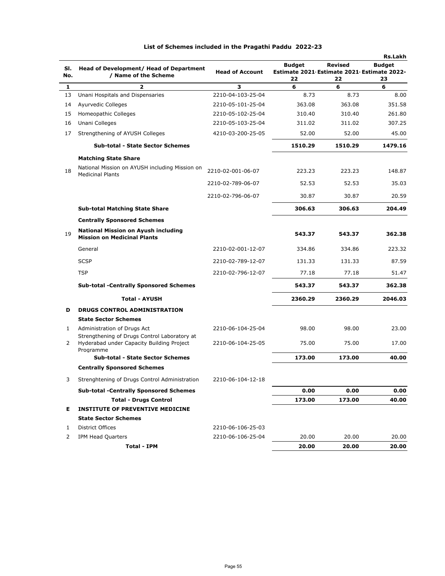|            |                                                                                                        |                        |                                                                   |                      | <b>Rs.Lakh</b>      |
|------------|--------------------------------------------------------------------------------------------------------|------------------------|-------------------------------------------------------------------|----------------------|---------------------|
| SI.<br>No. | <b>Head of Development/ Head of Department</b><br>/ Name of the Scheme                                 | <b>Head of Account</b> | <b>Budget</b><br>Estimate 2021 Estimate 2021 Estimate 2022-<br>22 | <b>Revised</b><br>22 | <b>Budget</b><br>23 |
| 1          | $\overline{2}$                                                                                         | 3                      | 6                                                                 | 6                    | 6                   |
| 13         | Unani Hospitals and Dispensaries                                                                       | 2210-04-103-25-04      | 8.73                                                              | 8.73                 | 8.00                |
| 14         | Ayurvedic Colleges                                                                                     | 2210-05-101-25-04      | 363.08                                                            | 363.08               | 351.58              |
| 15         | Homeopathic Colleges                                                                                   | 2210-05-102-25-04      | 310.40                                                            | 310.40               | 261.80              |
| 16         | Unani Colleges                                                                                         | 2210-05-103-25-04      | 311.02                                                            | 311.02               | 307.25              |
| 17         | Strengthening of AYUSH Colleges                                                                        | 4210-03-200-25-05      | 52.00                                                             | 52.00                | 45.00               |
|            | <b>Sub-total - State Sector Schemes</b>                                                                |                        | 1510.29                                                           | 1510.29              | 1479.16             |
|            | <b>Matching State Share</b>                                                                            |                        |                                                                   |                      |                     |
| 18         | National Mission on AYUSH including Mission on<br><b>Medicinal Plants</b>                              | 2210-02-001-06-07      | 223.23                                                            | 223.23               | 148.87              |
|            |                                                                                                        | 2210-02-789-06-07      | 52.53                                                             | 52.53                | 35.03               |
|            |                                                                                                        | 2210-02-796-06-07      | 30.87                                                             | 30.87                | 20.59               |
|            | <b>Sub-total Matching State Share</b>                                                                  |                        | 306.63                                                            | 306.63               | 204.49              |
|            | <b>Centrally Sponsored Schemes</b>                                                                     |                        |                                                                   |                      |                     |
| 19         | <b>National Mission on Ayush including</b><br><b>Mission on Medicinal Plants</b>                       |                        | 543.37                                                            | 543.37               | 362.38              |
|            | General                                                                                                | 2210-02-001-12-07      | 334.86                                                            | 334.86               | 223.32              |
|            | <b>SCSP</b>                                                                                            | 2210-02-789-12-07      | 131.33                                                            | 131.33               | 87.59               |
|            | <b>TSP</b>                                                                                             | 2210-02-796-12-07      | 77.18                                                             | 77.18                | 51.47               |
|            | <b>Sub-total -Centrally Sponsored Schemes</b>                                                          |                        | 543.37                                                            | 543.37               | 362.38              |
|            | <b>Total - AYUSH</b>                                                                                   |                        | 2360.29                                                           | 2360.29              | 2046.03             |
| D          | <b>DRUGS CONTROL ADMINISTRATION</b>                                                                    |                        |                                                                   |                      |                     |
|            | <b>State Sector Schemes</b>                                                                            |                        |                                                                   |                      |                     |
| 1          | Administration of Drugs Act                                                                            | 2210-06-104-25-04      | 98.00                                                             | 98.00                | 23.00               |
| 2          | Strengthening of Drugs Control Laboratory at<br>Hyderabad under Capacity Building Project<br>Programme | 2210-06-104-25-05      | 75.00                                                             | 75.00                | 17.00               |
|            | <b>Sub-total - State Sector Schemes</b>                                                                |                        | 173.00                                                            | 173.00               | 40.00               |
|            | <b>Centrally Sponsored Schemes</b>                                                                     |                        |                                                                   |                      |                     |
|            | Strenghtening of Drugs Control Administration                                                          | 2210-06-104-12-18      |                                                                   |                      |                     |
|            | <b>Sub-total -Centrally Sponsored Schemes</b>                                                          |                        | 0.00                                                              | 0.00                 | 0.00                |
|            | <b>Total - Drugs Control</b>                                                                           |                        | 173.00                                                            | 173.00               | 40.00               |
| Е.         | <b>INSTITUTE OF PREVENTIVE MEDICINE</b>                                                                |                        |                                                                   |                      |                     |
|            | <b>State Sector Schemes</b>                                                                            |                        |                                                                   |                      |                     |
| 1          | District Offices                                                                                       | 2210-06-106-25-03      |                                                                   |                      |                     |
| 2          | IPM Head Quarters                                                                                      | 2210-06-106-25-04      | 20.00                                                             | 20.00                | 20.00               |
|            | Total - IPM                                                                                            |                        | 20.00                                                             | 20.00                | 20.00               |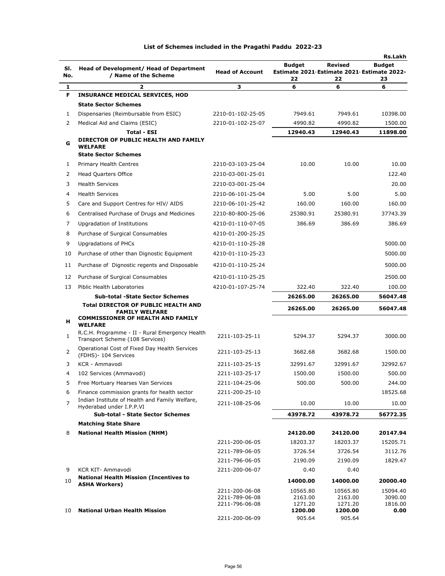| SI.<br>No.     | Head of Development/ Head of Department<br>/ Name of the Scheme                   | <b>Head of Account</b>                             | <b>Budget</b><br>Estimate 2021 Estimate 2021 Estimate 2022-<br>22 | Revised<br>22                  | <b>Rs.Lakh</b><br><b>Budget</b><br>23 |
|----------------|-----------------------------------------------------------------------------------|----------------------------------------------------|-------------------------------------------------------------------|--------------------------------|---------------------------------------|
| 1              | $\overline{\mathbf{z}}$                                                           | з                                                  | 6                                                                 | 6                              | 6                                     |
| F.             | <b>INSURANCE MEDICAL SERVICES, HOD</b>                                            |                                                    |                                                                   |                                |                                       |
|                | <b>State Sector Schemes</b>                                                       |                                                    |                                                                   |                                |                                       |
| 1              | Dispensaries (Reimbursable from ESIC)                                             | 2210-01-102-25-05                                  | 7949.61                                                           | 7949.61                        | 10398.00                              |
| 2              | Medical Aid and Claims (ESIC)                                                     | 2210-01-102-25-07                                  | 4990.82                                                           | 4990.82                        | 1500.00                               |
|                | <b>Total - ESI</b>                                                                |                                                    | 12940.43                                                          | 12940.43                       | 11898.00                              |
| G              | DIRECTOR OF PUBLIC HEALTH AND FAMILY<br><b>WELFARE</b>                            |                                                    |                                                                   |                                |                                       |
|                | <b>State Sector Schemes</b>                                                       |                                                    |                                                                   |                                |                                       |
| 1              | Primary Health Centres                                                            | 2210-03-103-25-04                                  | 10.00                                                             | 10.00                          | 10.00                                 |
| 2              | <b>Head Quarters Office</b>                                                       | 2210-03-001-25-01                                  |                                                                   |                                | 122.40                                |
| 3              | <b>Health Services</b>                                                            | 2210-03-001-25-04                                  |                                                                   |                                | 20.00                                 |
| 4              | <b>Health Services</b>                                                            | 2210-06-101-25-04                                  | 5.00                                                              | 5.00                           | 5.00                                  |
| 5              | Care and Support Centres for HIV/ AIDS                                            | 2210-06-101-25-42                                  | 160.00                                                            | 160.00                         | 160.00                                |
| 6              | Centralised Purchase of Drugs and Medicines                                       | 2210-80-800-25-06                                  | 25380.91                                                          | 25380.91                       | 37743.39                              |
| 7              | Upgradation of Institutions                                                       | 4210-01-110-07-05                                  | 386.69                                                            | 386.69                         | 386.69                                |
| 8              | Purchase of Surgical Consumables                                                  | 4210-01-200-25-25                                  |                                                                   |                                |                                       |
| 9              | Upgradations of PHCs                                                              | 4210-01-110-25-28                                  |                                                                   |                                | 5000.00                               |
| 10             | Purchase of other than Dignostic Equipment                                        | 4210-01-110-25-23                                  |                                                                   |                                | 5000.00                               |
| 11             | Purchase of Dignostic regents and Disposable                                      | 4210-01-110-25-24                                  |                                                                   |                                | 5000.00                               |
| 12             | Purchase of Surgical Consumables                                                  | 4210-01-110-25-25                                  |                                                                   |                                | 2500.00                               |
| 13             | Piblic Health Laboratories                                                        | 4210-01-107-25-74                                  | 322.40                                                            | 322.40                         | 100.00                                |
|                | <b>Sub-total -State Sector Schemes</b>                                            |                                                    | 26265.00                                                          | 26265.00                       | 56047.48                              |
|                | <b>Total DIRECTOR OF PUBLIC HEALTH AND</b><br><b>FAMILY WELFARE</b>               |                                                    | 26265.00                                                          | 26265.00                       | 56047.48                              |
| н              | <b>COMMISSIONER OF HEALTH AND FAMILY</b><br><b>WELFARE</b>                        |                                                    |                                                                   |                                |                                       |
| 1              | R.C.H. Programme - II - Rural Emergency Health<br>Transport Scheme (108 Services) | 2211-103-25-11                                     | 5294.37                                                           | 5294.37                        | 3000.00                               |
| 2              | Operational Cost of Fixed Day Health Services<br>(FDHS)- 104 Services             | 2211-103-25-13                                     | 3682.68                                                           | 3682.68                        | 1500.00                               |
| 3              | KCR - Ammavodi                                                                    | 2211-103-25-15                                     | 32991.67                                                          | 32991.67                       | 32992.67                              |
| 4              | 102 Services (Ammavodi)                                                           | 2211-103-25-17                                     | 1500.00                                                           | 1500.00                        | 500.00                                |
| 5              | Free Mortuary Hearses Van Services                                                | 2211-104-25-06                                     | 500.00                                                            | 500.00                         | 244.00                                |
| 6              | Finance commission grants for health sector                                       | 2211-200-25-10                                     |                                                                   |                                | 18525.68                              |
| $\overline{7}$ | Indian Institute of Health and Family Welfare,<br>Hyderabad under I.P.P.VI        | 2211-108-25-06                                     | 10.00                                                             | 10.00                          | 10.00                                 |
|                | <b>Sub-total - State Sector Schemes</b>                                           |                                                    | 43978.72                                                          | 43978.72                       | 56772.35                              |
|                | <b>Matching State Share</b>                                                       |                                                    |                                                                   |                                |                                       |
| 8              | <b>National Health Mission (NHM)</b>                                              |                                                    | 24120.00                                                          | 24120.00                       | 20147.94                              |
|                |                                                                                   | 2211-200-06-05                                     | 18203.37                                                          | 18203.37                       | 15205.71                              |
|                |                                                                                   | 2211-789-06-05                                     | 3726.54                                                           | 3726.54                        | 3112.76                               |
| 9              | KCR KIT- Ammavodi                                                                 | 2211-796-06-05                                     | 2190.09                                                           | 2190.09                        | 1829.47                               |
|                | <b>National Health Mission (Incentives to</b>                                     | 2211-200-06-07                                     | 0.40                                                              | 0.40                           |                                       |
| 10             | <b>ASHA Workers)</b>                                                              |                                                    | 14000.00                                                          | 14000.00                       | 20000.40                              |
|                |                                                                                   | 2211-200-06-08<br>2211-789-06-08<br>2211-796-06-08 | 10565.80<br>2163.00<br>1271.20                                    | 10565.80<br>2163.00<br>1271.20 | 15094.40<br>3090.00<br>1816.00        |
| 10             | <b>National Urban Health Mission</b>                                              | 2211-200-06-09                                     | 1200.00<br>905.64                                                 | 1200.00<br>905.64              | 0.00                                  |
|                |                                                                                   |                                                    |                                                                   |                                |                                       |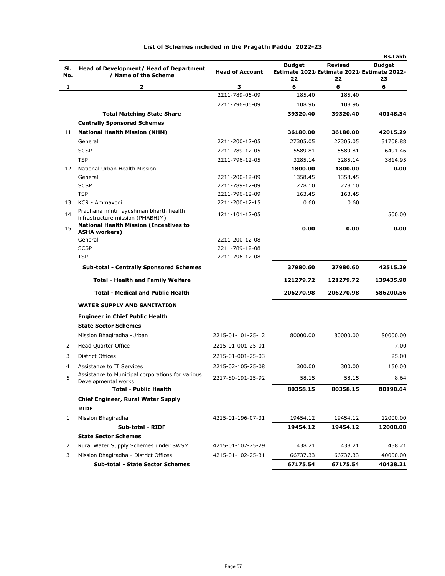|            |                                                                            |                        |                                                                   |               | <b>Rs.Lakh</b>      |
|------------|----------------------------------------------------------------------------|------------------------|-------------------------------------------------------------------|---------------|---------------------|
| SI.<br>No. | Head of Development/ Head of Department<br>/ Name of the Scheme            | <b>Head of Account</b> | <b>Budget</b><br>Estimate 2021 Estimate 2021 Estimate 2022-<br>22 | Revised<br>22 | <b>Budget</b><br>23 |
| 1          | $\mathbf{z}$                                                               | 3                      | 6                                                                 | 6             | 6                   |
|            |                                                                            | 2211-789-06-09         | 185.40                                                            | 185.40        |                     |
|            |                                                                            | 2211-796-06-09         | 108.96                                                            | 108.96        |                     |
|            | <b>Total Matching State Share</b>                                          |                        | 39320.40                                                          | 39320.40      | 40148.34            |
|            | <b>Centrally Sponsored Schemes</b>                                         |                        |                                                                   |               |                     |
| 11         | <b>National Health Mission (NHM)</b>                                       |                        | 36180.00                                                          | 36180.00      | 42015.29            |
|            | General                                                                    | 2211-200-12-05         | 27305.05                                                          | 27305.05      | 31708.88            |
|            | <b>SCSP</b>                                                                | 2211-789-12-05         | 5589.81                                                           | 5589.81       | 6491.46             |
|            | <b>TSP</b>                                                                 | 2211-796-12-05         | 3285.14                                                           | 3285.14       | 3814.95             |
| 12         | National Urban Health Mission                                              |                        | 1800.00                                                           | 1800.00       | 0.00                |
|            | General                                                                    | 2211-200-12-09         | 1358.45                                                           | 1358.45       |                     |
|            | <b>SCSP</b>                                                                | 2211-789-12-09         | 278.10                                                            | 278.10        |                     |
|            | <b>TSP</b>                                                                 | 2211-796-12-09         | 163.45                                                            | 163.45        |                     |
| 13         | KCR - Ammavodi                                                             | 2211-200-12-15         | 0.60                                                              | 0.60          |                     |
| 14         | Pradhana mintri ayushman bharth health<br>infrastructure mission (PMABHIM) | 4211-101-12-05         |                                                                   |               | 500.00              |
| 15         | <b>National Health Mission (Incentives to</b><br><b>ASHA workers)</b>      |                        | 0.00                                                              | 0.00          | 0.00                |
|            | General                                                                    | 2211-200-12-08         |                                                                   |               |                     |
|            | <b>SCSP</b>                                                                | 2211-789-12-08         |                                                                   |               |                     |
|            | <b>TSP</b>                                                                 | 2211-796-12-08         |                                                                   |               |                     |
|            | <b>Sub-total - Centrally Sponsored Schemes</b>                             |                        | 37980.60                                                          | 37980.60      | 42515.29            |
|            | <b>Total - Health and Family Welfare</b>                                   |                        | 121279.72                                                         | 121279.72     | 139435.98           |
|            | <b>Total - Medical and Public Health</b>                                   |                        | 206270.98                                                         | 206270.98     | 586200.56           |
|            | <b>WATER SUPPLY AND SANITATION</b>                                         |                        |                                                                   |               |                     |
|            | <b>Engineer in Chief Public Health</b><br><b>State Sector Schemes</b>      |                        |                                                                   |               |                     |
| 1          | Mission Bhagiradha - Urban                                                 | 2215-01-101-25-12      | 80000.00                                                          | 80000.00      | 80000.00            |
| 2          | Head Quarter Office                                                        | 2215-01-001-25-01      |                                                                   |               | 7.00                |
| 3          | <b>District Offices</b>                                                    | 2215-01-001-25-03      |                                                                   |               | 25.00               |
| 4          | Assistance to IT Services                                                  | 2215-02-105-25-08      | 300.00                                                            | 300.00        | 150.00              |
| 5          | Assistance to Municipal corporations for various<br>Developmental works    | 2217-80-191-25-92      | 58.15                                                             | 58.15         | 8.64                |
|            | <b>Total - Public Health</b>                                               |                        | 80358.15                                                          | 80358.15      | 80190.64            |
|            | Chief Engineer, Rural Water Supply                                         |                        |                                                                   |               |                     |
|            | <b>RIDF</b>                                                                |                        |                                                                   |               |                     |
| 1          | Mission Bhagiradha                                                         | 4215-01-196-07-31      | 19454.12                                                          | 19454.12      | 12000.00            |
|            | Sub-total - RIDF                                                           |                        | 19454.12                                                          | 19454.12      | 12000.00            |
|            | <b>State Sector Schemes</b>                                                |                        |                                                                   |               |                     |
| 2          | Rural Water Supply Schemes under SWSM                                      | 4215-01-102-25-29      | 438.21                                                            | 438.21        | 438.21              |
| 3          | Mission Bhagiradha - District Offices                                      | 4215-01-102-25-31      | 66737.33                                                          | 66737.33      | 40000.00            |
|            | <b>Sub-total - State Sector Schemes</b>                                    |                        | 67175.54                                                          | 67175.54      | 40438.21            |
|            |                                                                            |                        |                                                                   |               |                     |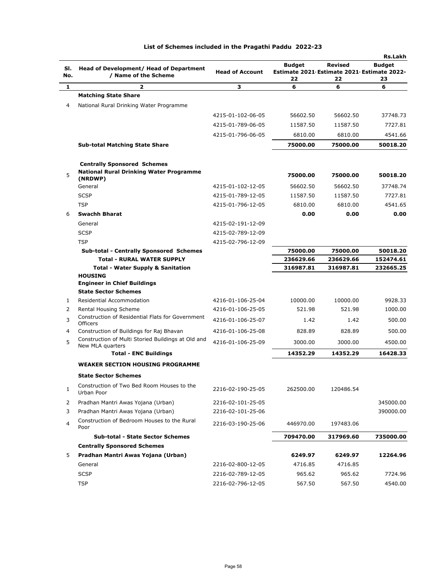|            |                                                                        |                        |                                                                   |               | <b>Rs.Lakh</b>      |
|------------|------------------------------------------------------------------------|------------------------|-------------------------------------------------------------------|---------------|---------------------|
| SI.<br>No. | Head of Development/ Head of Department<br>/ Name of the Scheme        | <b>Head of Account</b> | <b>Budget</b><br>Estimate 2021 Estimate 2021 Estimate 2022-<br>22 | Revised<br>22 | <b>Budget</b><br>23 |
| 1          | $\overline{\mathbf{z}}$                                                | з                      | 6                                                                 | 6             | 6                   |
|            | <b>Matching State Share</b>                                            |                        |                                                                   |               |                     |
| 4          | National Rural Drinking Water Programme                                |                        |                                                                   |               |                     |
|            |                                                                        | 4215-01-102-06-05      | 56602.50                                                          | 56602.50      | 37748.73            |
|            |                                                                        | 4215-01-789-06-05      | 11587.50                                                          | 11587.50      | 7727.81             |
|            |                                                                        | 4215-01-796-06-05      | 6810.00                                                           | 6810.00       | 4541.66             |
|            | <b>Sub-total Matching State Share</b>                                  |                        | 75000.00                                                          | 75000.00      | 50018.20            |
|            |                                                                        |                        |                                                                   |               |                     |
|            | <b>Centrally Sponsored Schemes</b>                                     |                        |                                                                   |               |                     |
| 5          | <b>National Rural Drinking Water Programme</b><br>(NRDWP)              |                        | 75000.00                                                          | 75000.00      | 50018.20            |
|            | General                                                                | 4215-01-102-12-05      | 56602.50                                                          | 56602.50      | 37748.74            |
|            | <b>SCSP</b>                                                            | 4215-01-789-12-05      | 11587.50                                                          | 11587.50      | 7727.81             |
|            | <b>TSP</b>                                                             | 4215-01-796-12-05      | 6810.00                                                           | 6810.00       | 4541.65             |
| 6          | <b>Swachh Bharat</b>                                                   |                        | 0.00                                                              | 0.00          | 0.00                |
|            | General                                                                | 4215-02-191-12-09      |                                                                   |               |                     |
|            | <b>SCSP</b>                                                            | 4215-02-789-12-09      |                                                                   |               |                     |
|            | <b>TSP</b>                                                             | 4215-02-796-12-09      |                                                                   |               |                     |
|            | <b>Sub-total - Centrally Sponsored Schemes</b>                         |                        | 75000.00                                                          | 75000.00      | 50018.20            |
|            | <b>Total - RURAL WATER SUPPLY</b>                                      |                        | 236629.66                                                         | 236629.66     | 152474.61           |
|            | <b>Total - Water Supply &amp; Sanitation</b>                           |                        | 316987.81                                                         | 316987.81     | 232665.25           |
|            | <b>HOUSING</b><br><b>Engineer in Chief Buildings</b>                   |                        |                                                                   |               |                     |
|            | <b>State Sector Schemes</b>                                            |                        |                                                                   |               |                     |
| 1          | Residential Accommodation                                              | 4216-01-106-25-04      | 10000.00                                                          | 10000.00      | 9928.33             |
| 2          | Rental Housing Scheme                                                  | 4216-01-106-25-05      | 521.98                                                            | 521.98        | 1000.00             |
| 3          | Construction of Residential Flats for Government<br><b>Officers</b>    | 4216-01-106-25-07      | 1.42                                                              | 1.42          | 500.00              |
| 4          | Construction of Buildings for Raj Bhavan                               | 4216-01-106-25-08      | 828.89                                                            | 828.89        | 500.00              |
| 5          | Construction of Multi Storied Buildings at Old and<br>New MLA quarters | 4216-01-106-25-09      | 3000.00                                                           | 3000.00       | 4500.00             |
|            | <b>Total - ENC Buildings</b>                                           |                        | 14352.29                                                          | 14352.29      | 16428.33            |
|            | <b>WEAKER SECTION HOUSING PROGRAMME</b>                                |                        |                                                                   |               |                     |
|            | <b>State Sector Schemes</b>                                            |                        |                                                                   |               |                     |
| 1          | Construction of Two Bed Room Houses to the<br>Urban Poor               | 2216-02-190-25-05      | 262500.00                                                         | 120486.54     |                     |
| 2          | Pradhan Mantri Awas Yojana (Urban)                                     | 2216-02-101-25-05      |                                                                   |               | 345000.00           |
| 3          | Pradhan Mantri Awas Yojana (Urban)                                     | 2216-02-101-25-06      |                                                                   |               | 390000.00           |
| 4          | Construction of Bedroom Houses to the Rural<br>Poor                    | 2216-03-190-25-06      | 446970.00                                                         | 197483.06     |                     |
|            | <b>Sub-total - State Sector Schemes</b>                                |                        | 709470.00                                                         | 317969.60     | 735000.00           |
|            | <b>Centrally Sponsored Schemes</b>                                     |                        |                                                                   |               |                     |
| 5          | Pradhan Mantri Awas Yojana (Urban)                                     |                        | 6249.97                                                           | 6249.97       | 12264.96            |
|            | General                                                                | 2216-02-800-12-05      | 4716.85                                                           | 4716.85       |                     |
|            | <b>SCSP</b>                                                            | 2216-02-789-12-05      | 965.62                                                            | 965.62        | 7724.96             |
|            | <b>TSP</b>                                                             | 2216-02-796-12-05      | 567.50                                                            | 567.50        | 4540.00             |
|            |                                                                        |                        |                                                                   |               |                     |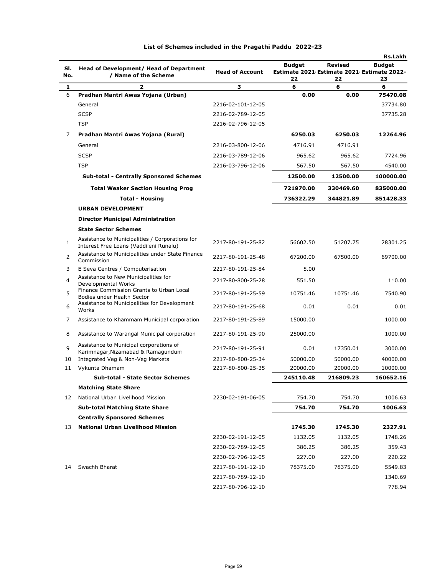|              |                                                                                           |                        |           |           | <b>Rs.Lakh</b>                                              |
|--------------|-------------------------------------------------------------------------------------------|------------------------|-----------|-----------|-------------------------------------------------------------|
| SI.<br>No.   | Head of Development/ Head of Department<br>/ Name of the Scheme                           | <b>Head of Account</b> | Budget    | Revised   | <b>Budget</b><br>Estimate 2021 Estimate 2021 Estimate 2022- |
| 1            | 2                                                                                         | з                      | 22<br>6   | 22<br>6   | 23<br>6                                                     |
| 6            | Pradhan Mantri Awas Yojana (Urban)                                                        |                        | 0.00      | 0.00      | 75470.08                                                    |
|              | General                                                                                   | 2216-02-101-12-05      |           |           | 37734.80                                                    |
|              | <b>SCSP</b>                                                                               | 2216-02-789-12-05      |           |           | 37735.28                                                    |
|              | <b>TSP</b>                                                                                | 2216-02-796-12-05      |           |           |                                                             |
| 7            | Pradhan Mantri Awas Yojana (Rural)                                                        |                        | 6250.03   | 6250.03   | 12264.96                                                    |
|              | General                                                                                   | 2216-03-800-12-06      | 4716.91   | 4716.91   |                                                             |
|              | <b>SCSP</b>                                                                               | 2216-03-789-12-06      | 965.62    | 965.62    | 7724.96                                                     |
|              | <b>TSP</b>                                                                                | 2216-03-796-12-06      | 567.50    | 567.50    | 4540.00                                                     |
|              | <b>Sub-total - Centrally Sponsored Schemes</b>                                            |                        | 12500.00  | 12500.00  | 100000.00                                                   |
|              | <b>Total Weaker Section Housing Prog</b>                                                  |                        | 721970.00 | 330469.60 | 835000.00                                                   |
|              | <b>Total - Housing</b>                                                                    |                        | 736322.29 | 344821.89 | 851428.33                                                   |
|              | <b>URBAN DEVELOPMENT</b>                                                                  |                        |           |           |                                                             |
|              | <b>Director Municipal Administration</b>                                                  |                        |           |           |                                                             |
|              | <b>State Sector Schemes</b>                                                               |                        |           |           |                                                             |
| $\mathbf{1}$ | Assistance to Municipalities / Corporations for<br>Interest Free Loans (Vaddileni Runalu) | 2217-80-191-25-82      | 56602.50  | 51207.75  | 28301.25                                                    |
| 2            | Assistance to Municipalities under State Finance<br>Commission                            | 2217-80-191-25-48      | 67200.00  | 67500.00  | 69700.00                                                    |
| 3            | E Seva Centres / Computerisation                                                          | 2217-80-191-25-84      | 5.00      |           |                                                             |
| 4            | Assistance to New Municipalities for<br>Developmental Works                               | 2217-80-800-25-28      | 551.50    |           | 110.00                                                      |
| 5            | Finance Commission Grants to Urban Local<br>Bodies under Health Sector                    | 2217-80-191-25-59      | 10751.46  | 10751.46  | 7540.90                                                     |
| 6            | Assistance to Municipalities for Development<br>Works                                     | 2217-80-191-25-68      | 0.01      | 0.01      | 0.01                                                        |
| 7            | Assistance to Khammam Municipal corporation                                               | 2217-80-191-25-89      | 15000.00  |           | 1000.00                                                     |
| 8            | Assistance to Warangal Municipal corporation                                              | 2217-80-191-25-90      | 25000.00  |           | 1000.00                                                     |
| $\mathbf{Q}$ | Assistance to Municipal corporations of<br>Karimnagar, Nizamabad & Ramagundum             | 2217-80-191-25-91      | 0.01      | 17350.01  | 3000.00                                                     |
| 10           | Integrated Veg & Non-Veg Markets                                                          | 2217-80-800-25-34      | 50000.00  | 50000.00  | 40000.00                                                    |
| 11           | Vykunta Dhamam                                                                            | 2217-80-800-25-35      | 20000.00  | 20000.00  | 10000.00                                                    |
|              | <b>Sub-total - State Sector Schemes</b>                                                   |                        | 245110.48 | 216809.23 | 160652.16                                                   |
|              | <b>Matching State Share</b>                                                               |                        |           |           |                                                             |
| 12           | National Urban Livelihood Mission                                                         | 2230-02-191-06-05      | 754.70    | 754.70    | 1006.63                                                     |
|              | <b>Sub-total Matching State Share</b>                                                     |                        | 754.70    | 754.70    | 1006.63                                                     |
|              | <b>Centrally Sponsored Schemes</b>                                                        |                        |           |           |                                                             |
| 13           | <b>National Urban Livelihood Mission</b>                                                  |                        | 1745.30   | 1745.30   | 2327.91                                                     |
|              |                                                                                           | 2230-02-191-12-05      | 1132.05   | 1132.05   | 1748.26                                                     |
|              |                                                                                           | 2230-02-789-12-05      | 386.25    | 386.25    | 359.43                                                      |
|              |                                                                                           | 2230-02-796-12-05      | 227.00    | 227.00    | 220.22                                                      |
| 14           | Swachh Bharat                                                                             | 2217-80-191-12-10      | 78375.00  | 78375.00  | 5549.83                                                     |
|              |                                                                                           | 2217-80-789-12-10      |           |           | 1340.69                                                     |
|              |                                                                                           | 2217-80-796-12-10      |           |           | 778.94                                                      |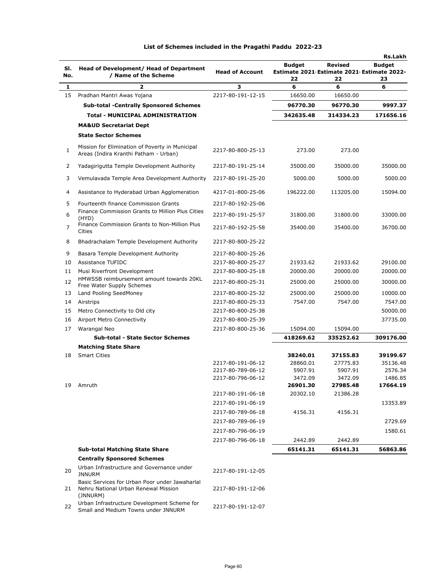| SI.<br>No. | Head of Development/ Head of Department<br>/ Name of the Scheme                                              | <b>Head of Account</b>                 | <b>Budget</b><br>Estimate 2021 Estimate 2021 Estimate 2022-<br>22 | <b>Revised</b><br>22 | <b>Rs.Lakh</b><br><b>Budget</b><br>23 |
|------------|--------------------------------------------------------------------------------------------------------------|----------------------------------------|-------------------------------------------------------------------|----------------------|---------------------------------------|
| 1          | 2                                                                                                            | 3                                      | 6                                                                 | 6                    | 6                                     |
| 15         | Pradhan Mantri Awas Yojana                                                                                   | 2217-80-191-12-15                      | 16650.00                                                          | 16650.00             |                                       |
|            | <b>Sub-total -Centrally Sponsored Schemes</b>                                                                |                                        | 96770.30                                                          | 96770.30             | 9997.37                               |
|            | <b>Total - MUNICIPAL ADMINISTRATION</b>                                                                      |                                        | 342635.48                                                         | 314334.23            | 171656.16                             |
|            | <b>MA&amp;UD Secretariat Dept</b>                                                                            |                                        |                                                                   |                      |                                       |
|            | <b>State Sector Schemes</b>                                                                                  |                                        |                                                                   |                      |                                       |
| 1          | Mission for Elimination of Poverty in Municipal<br>Areas (Indira Kranthi Patham - Urban)                     | 2217-80-800-25-13                      | 273.00                                                            | 273.00               |                                       |
| 2          | Yadagirigutta Temple Development Authority                                                                   | 2217-80-191-25-14                      | 35000.00                                                          | 35000.00             | 35000.00                              |
| 3          | Vemulavada Temple Area Development Authority                                                                 | 2217-80-191-25-20                      | 5000.00                                                           | 5000.00              | 5000.00                               |
| 4          | Assistance to Hyderabad Urban Agglomeration                                                                  | 4217-01-800-25-06                      | 196222.00                                                         | 113205.00            | 15094.00                              |
| 5          | Fourteenth finance Commission Grants                                                                         | 2217-80-192-25-06                      |                                                                   |                      |                                       |
| 6          | Finance Commission Grants to Million Plus Cities                                                             | 2217-80-191-25-57                      | 31800.00                                                          | 31800.00             | 33000.00                              |
| 7          | (HYD)<br>Finance Commission Grants to Non-Million Plus<br>Cities                                             | 2217-80-192-25-58                      | 35400.00                                                          | 35400.00             | 36700.00                              |
| 8          | Bhadrachalam Temple Development Authority                                                                    | 2217-80-800-25-22                      |                                                                   |                      |                                       |
| 9          | Basara Temple Development Authority                                                                          | 2217-80-800-25-26                      |                                                                   |                      |                                       |
| 10         | Assistance TUFIDC                                                                                            | 2217-80-800-25-27                      | 21933.62                                                          | 21933.62             | 29100.00                              |
| 11         | Musi Riverfront Development                                                                                  | 2217-80-800-25-18                      | 20000.00                                                          | 20000.00             | 20000.00                              |
| 12         | HMWSSB reimbursement amount towards 20KL<br>Free Water Supply Schemes                                        | 2217-80-800-25-31                      | 25000.00                                                          | 25000.00             | 30000.00                              |
| 13         | Land Pooling SeedMoney                                                                                       | 2217-80-800-25-32                      | 25000.00                                                          | 25000.00             | 10000.00                              |
| 14         | Airstrips                                                                                                    | 2217-80-800-25-33                      | 7547.00                                                           | 7547.00              | 7547.00                               |
| 15         | Metro Connectivity to Old city                                                                               | 2217-80-800-25-38                      |                                                                   |                      | 50000.00                              |
| 16         | Airport Metro Connectivity                                                                                   | 2217-80-800-25-39                      |                                                                   |                      | 37735.00                              |
| 17         | Warangal Neo                                                                                                 | 2217-80-800-25-36                      | 15094.00                                                          | 15094.00             |                                       |
|            | <b>Sub-total - State Sector Schemes</b>                                                                      |                                        | 418269.62                                                         | 335252.62            | 309176.00                             |
|            | <b>Matching State Share</b>                                                                                  |                                        |                                                                   |                      |                                       |
| 18         | <b>Smart Cities</b>                                                                                          |                                        | 38240.01                                                          | 37155.83             | 39199.67                              |
|            |                                                                                                              | 2217-80-191-06-12<br>2217-80-789-06-12 | 28860.01<br>5907.91                                               | 27775.83<br>5907.91  | 35136.48<br>2576.34                   |
|            |                                                                                                              | 2217-80-796-06-12                      | 3472.09                                                           | 3472.09              | 1486.85                               |
| 19         | Amruth                                                                                                       |                                        | 26901.30                                                          | 27985.48             | 17664.19                              |
|            |                                                                                                              | 2217-80-191-06-18                      | 20302.10                                                          | 21386.28             |                                       |
|            |                                                                                                              | 2217-80-191-06-19                      |                                                                   |                      | 13353.89                              |
|            |                                                                                                              | 2217-80-789-06-18                      | 4156.31                                                           | 4156.31              |                                       |
|            |                                                                                                              | 2217-80-789-06-19                      |                                                                   |                      | 2729.69                               |
|            |                                                                                                              | 2217-80-796-06-19                      |                                                                   |                      | 1580.61                               |
|            |                                                                                                              | 2217-80-796-06-18                      | 2442.89                                                           | 2442.89              |                                       |
|            | <b>Sub-total Matching State Share</b>                                                                        |                                        | 65141.31                                                          | 65141.31             | 56863.86                              |
|            | <b>Centrally Sponsored Schemes</b>                                                                           |                                        |                                                                   |                      |                                       |
| 20         | Urban Infrastructure and Governance under<br><b>JNNURM</b><br>Basic Services for Urban Poor under Jawaharlal | 2217-80-191-12-05                      |                                                                   |                      |                                       |
| 21         | Nehru National Urban Renewal Mission<br>(JNNURM)                                                             | 2217-80-191-12-06                      |                                                                   |                      |                                       |
| 22         | Urban Infrastructure Development Scheme for<br>Small and Medium Towns under JNNURM                           | 2217-80-191-12-07                      |                                                                   |                      |                                       |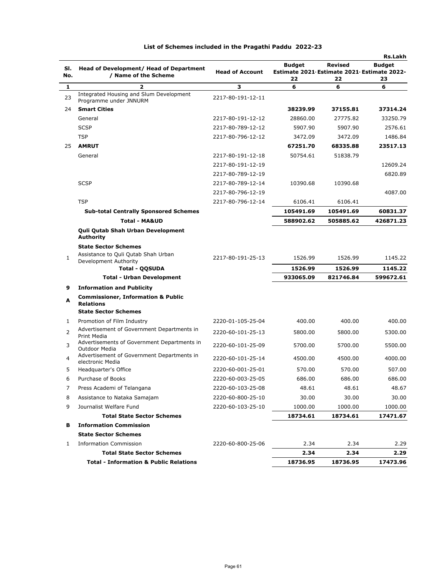|            |                                                                                                  |                        |                                                                   |                      | <b>Rs.Lakh</b>      |
|------------|--------------------------------------------------------------------------------------------------|------------------------|-------------------------------------------------------------------|----------------------|---------------------|
| SI.<br>No. | Head of Development/ Head of Department<br>/ Name of the Scheme                                  | <b>Head of Account</b> | <b>Budget</b><br>Estimate 2021 Estimate 2021 Estimate 2022-<br>22 | <b>Revised</b><br>22 | <b>Budget</b><br>23 |
| 1          | $\overline{\mathbf{z}}$                                                                          | з                      | 6                                                                 | 6                    | 6                   |
| 23         | Integrated Housing and Slum Development<br>Programme under JNNURM                                | 2217-80-191-12-11      |                                                                   |                      |                     |
| 24         | <b>Smart Cities</b>                                                                              |                        | 38239.99                                                          | 37155.81             | 37314.24            |
|            | General                                                                                          | 2217-80-191-12-12      | 28860.00                                                          | 27775.82             | 33250.79            |
|            | <b>SCSP</b>                                                                                      | 2217-80-789-12-12      | 5907.90                                                           | 5907.90              | 2576.61             |
|            | <b>TSP</b>                                                                                       | 2217-80-796-12-12      | 3472.09                                                           | 3472.09              | 1486.84             |
| 25         | <b>AMRUT</b>                                                                                     |                        | 67251.70                                                          | 68335.88             | 23517.13            |
|            | General                                                                                          | 2217-80-191-12-18      | 50754.61                                                          | 51838.79             |                     |
|            |                                                                                                  | 2217-80-191-12-19      |                                                                   |                      | 12609.24            |
|            |                                                                                                  | 2217-80-789-12-19      |                                                                   |                      | 6820.89             |
|            | <b>SCSP</b>                                                                                      | 2217-80-789-12-14      | 10390.68                                                          | 10390.68             |                     |
|            |                                                                                                  | 2217-80-796-12-19      |                                                                   |                      | 4087.00             |
|            | <b>TSP</b>                                                                                       | 2217-80-796-12-14      | 6106.41                                                           | 6106.41              |                     |
|            | <b>Sub-total Centrally Sponsored Schemes</b>                                                     |                        | 105491.69                                                         | 105491.69            | 60831.37            |
|            | <b>Total - MA&amp;UD</b>                                                                         |                        | 588902.62                                                         | 505885.62            | 426871.23           |
|            | Quli Qutab Shah Urban Development<br>Authority                                                   |                        |                                                                   |                      |                     |
|            | <b>State Sector Schemes</b>                                                                      |                        |                                                                   |                      |                     |
| 1          | Assistance to Quli Qutab Shah Urban<br>Development Authority                                     | 2217-80-191-25-13      | 1526.99                                                           | 1526.99              | 1145.22             |
|            | <b>Total - QQSUDA</b>                                                                            |                        | 1526.99                                                           | 1526.99              | 1145.22             |
|            | <b>Total - Urban Development</b>                                                                 |                        | 933065.09                                                         | 821746.84            | 599672.61           |
| 9          | <b>Information and Publicity</b>                                                                 |                        |                                                                   |                      |                     |
| A          | <b>Commissioner, Information &amp; Public</b><br><b>Relations</b><br><b>State Sector Schemes</b> |                        |                                                                   |                      |                     |
| 1          | Promotion of Film Industry                                                                       | 2220-01-105-25-04      | 400.00                                                            | 400.00               | 400.00              |
|            | Advertisement of Government Departments in                                                       |                        |                                                                   |                      |                     |
| 2          | Print Media                                                                                      | 2220-60-101-25-13      | 5800.00                                                           | 5800.00              | 5300.00             |
| 3          | Advertisements of Government Departments in<br>Outdoor Media                                     | 2220-60-101-25-09      | 5700.00                                                           | 5700.00              | 5500.00             |
| 4          | Advertisement of Government Departments in<br>electronic Media                                   | 2220-60-101-25-14      | 4500.00                                                           | 4500.00              | 4000.00             |
| 5          | Headquarter's Office                                                                             | 2220-60-001-25-01      | 570.00                                                            | 570.00               | 507.00              |
| 6          | Purchase of Books                                                                                | 2220-60-003-25-05      | 686.00                                                            | 686.00               | 686.00              |
| 7          | Press Academi of Telangana                                                                       | 2220-60-103-25-08      | 48.61                                                             | 48.61                | 48.67               |
| 8          | Assistance to Nataka Samajam                                                                     | 2220-60-800-25-10      | 30.00                                                             | 30.00                | 30.00               |
| 9          | Journalist Welfare Fund                                                                          | 2220-60-103-25-10      | 1000.00                                                           | 1000.00              | 1000.00             |
|            | <b>Total State Sector Schemes</b>                                                                |                        | 18734.61                                                          | 18734.61             | 17471.67            |
| в          | <b>Information Commission</b>                                                                    |                        |                                                                   |                      |                     |
|            | <b>State Sector Schemes</b>                                                                      |                        |                                                                   |                      |                     |
| 1          | <b>Information Commission</b>                                                                    | 2220-60-800-25-06      | 2.34                                                              | 2.34                 | 2.29                |
|            | <b>Total State Sector Schemes</b>                                                                |                        | 2.34                                                              | 2.34                 | 2.29                |
|            | <b>Total - Information &amp; Public Relations</b>                                                |                        | 18736.95                                                          | 18736.95             | 17473.96            |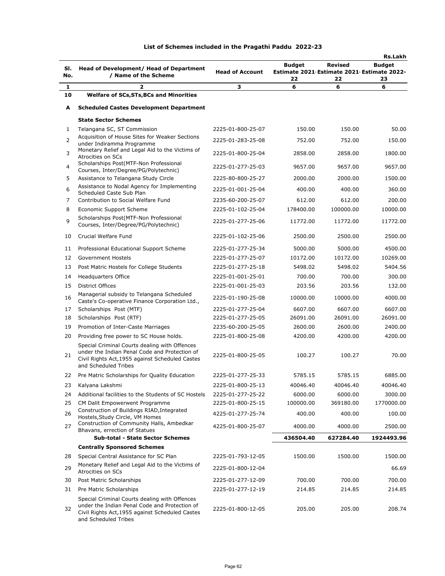| SI.<br>No. | Head of Development/ Head of Department<br>/ Name of the Scheme                                                                                                           | <b>Head of Account</b> | <b>Budget</b><br>22 | Revised<br>22 | Rs.Lakh<br><b>Budget</b><br>Estimate 2021 Estimate 2021 Estimate 2022-<br>23 |
|------------|---------------------------------------------------------------------------------------------------------------------------------------------------------------------------|------------------------|---------------------|---------------|------------------------------------------------------------------------------|
| 1          | 2                                                                                                                                                                         | з                      | 6                   | 6             | 6                                                                            |
| 10         | <b>Welfare of SCs, STs, BCs and Minorities</b>                                                                                                                            |                        |                     |               |                                                                              |
| A          | <b>Scheduled Castes Development Department</b>                                                                                                                            |                        |                     |               |                                                                              |
|            | <b>State Sector Schemes</b>                                                                                                                                               |                        |                     |               |                                                                              |
| 1          | Telangana SC, ST Commission                                                                                                                                               | 2225-01-800-25-07      | 150.00              | 150.00        | 50.00                                                                        |
| 2          | Acquisition of House Sites for Weaker Sections<br>under Indiramma Programme                                                                                               | 2225-01-283-25-08      | 752.00              | 752.00        | 150.00                                                                       |
| 3          | Monetary Relief and Legal Aid to the Victims of<br>Atrocities on SCs                                                                                                      | 2225-01-800-25-04      | 2858.00             | 2858.00       | 1800.00                                                                      |
| 4          | Scholarships Post(MTF-Non Professional<br>Courses, Inter/Degree/PG/Polytechnic)                                                                                           | 2225-01-277-25-03      | 9657.00             | 9657.00       | 9657.00                                                                      |
| 5          | Assistance to Telangana Study Circle                                                                                                                                      | 2225-80-800-25-27      | 2000.00             | 2000.00       | 1500.00                                                                      |
| 6          | Assistance to Nodal Agency for Implementing<br>Scheduled Caste Sub Plan                                                                                                   | 2225-01-001-25-04      | 400.00              | 400.00        | 360.00                                                                       |
| 7          | Contribution to Social Welfare Fund                                                                                                                                       | 2235-60-200-25-07      | 612.00              | 612.00        | 200.00                                                                       |
| 8          | <b>Economic Support Scheme</b>                                                                                                                                            | 2225-01-102-25-04      | 178400.00           | 100000.00     | 10000.00                                                                     |
| 9          | Scholarships Post(MTF-Non Professional<br>Courses, Inter/Degree/PG/Polytechnic)                                                                                           | 2225-01-277-25-06      | 11772.00            | 11772.00      | 11772.00                                                                     |
| 10         | Crucial Welfare Fund                                                                                                                                                      | 2225-01-102-25-06      | 2500.00             | 2500.00       | 2500.00                                                                      |
| 11         | Professional Educational Support Scheme                                                                                                                                   | 2225-01-277-25-34      | 5000.00             | 5000.00       | 4500.00                                                                      |
| 12         | Government Hostels                                                                                                                                                        | 2225-01-277-25-07      | 10172.00            | 10172.00      | 10269.00                                                                     |
| 13         | Post Matric Hostels for College Students                                                                                                                                  | 2225-01-277-25-18      | 5498.02             | 5498.02       | 5404.56                                                                      |
| 14         | <b>Headquarters Office</b>                                                                                                                                                | 2225-01-001-25-01      | 700.00              | 700.00        | 300.00                                                                       |
| 15         | <b>District Offices</b>                                                                                                                                                   | 2225-01-001-25-03      | 203.56              | 203.56        | 132.00                                                                       |
| 16         | Managerial subsidy to Telangana Scheduled<br>Caste's Co-operative Finance Corporation Ltd.,                                                                               | 2225-01-190-25-08      | 10000.00            | 10000.00      | 4000.00                                                                      |
| 17         | Scholarships Post (MTF)                                                                                                                                                   | 2225-01-277-25-04      | 6607.00             | 6607.00       | 6607.00                                                                      |
| 18         | Scholarships Post (RTF)                                                                                                                                                   | 2225-01-277-25-05      | 26091.00            | 26091.00      | 26091.00                                                                     |
| 19         | Promotion of Inter-Caste Marriages                                                                                                                                        | 2235-60-200-25-05      | 2600.00             | 2600.00       | 2400.00                                                                      |
| 20         | Providing free power to SC House holds.                                                                                                                                   | 2225-01-800-25-08      | 4200.00             | 4200.00       | 4200.00                                                                      |
| 21         | Special Criminal Courts dealing with Offences<br>under the Indian Penal Code and Protection of<br>Civil Rights Act, 1955 against Scheduled Castes<br>and Scheduled Tribes | 2225-01-800-25-05      | 100.27              | 100.27        | 70.00                                                                        |
| 22         | Pre Matric Scholarships for Quality Education                                                                                                                             | 2225-01-277-25-33      | 5785.15             | 5785.15       | 6885.00                                                                      |
| 23         | Kalyana Lakshmi                                                                                                                                                           | 2225-01-800-25-13      | 40046.40            | 40046.40      | 40046.40                                                                     |
| 24         | Additional facilities to the Students of SC Hostels                                                                                                                       | 2225-01-277-25-22      | 6000.00             | 6000.00       | 3000.00                                                                      |
| 25         | CM Dalit Empowerwent Programme                                                                                                                                            | 2225-01-800-25-15      | 100000.00           | 369180.00     | 1770000.00                                                                   |
| 26         | Construction of Buildings RIAD, Integrated<br>Hostels, Study Circle, VM Homes                                                                                             | 4225-01-277-25-74      | 400.00              | 400.00        | 100.00                                                                       |
| 27         | Construction of Community Halls, Ambedkar<br>Bhavans, errection of Statues                                                                                                | 4225-01-800-25-07      | 4000.00             | 4000.00       | 2500.00                                                                      |
|            | <b>Sub-total - State Sector Schemes</b>                                                                                                                                   |                        | 436504.40           | 627284.40     | 1924493.96                                                                   |
|            | <b>Centrally Sponsored Schemes</b>                                                                                                                                        |                        |                     |               |                                                                              |
| 28         | Special Central Assistance for SC Plan                                                                                                                                    | 2225-01-793-12-05      | 1500.00             | 1500.00       | 1500.00                                                                      |
| 29         | Monetary Relief and Legal Aid to the Victims of<br>Atrocities on SCs                                                                                                      | 2225-01-800-12-04      |                     |               | 66.69                                                                        |
| 30         | Post Matric Scholarships                                                                                                                                                  | 2225-01-277-12-09      | 700.00              | 700.00        | 700.00                                                                       |
| 31         | Pre Matric Scholarships                                                                                                                                                   | 2225-01-277-12-19      | 214.85              | 214.85        | 214.85                                                                       |
| 32         | Special Criminal Courts dealing with Offences<br>under the Indian Penal Code and Protection of<br>Civil Rights Act, 1955 against Scheduled Castes<br>and Scheduled Tribes | 2225-01-800-12-05      | 205.00              | 205.00        | 208.74                                                                       |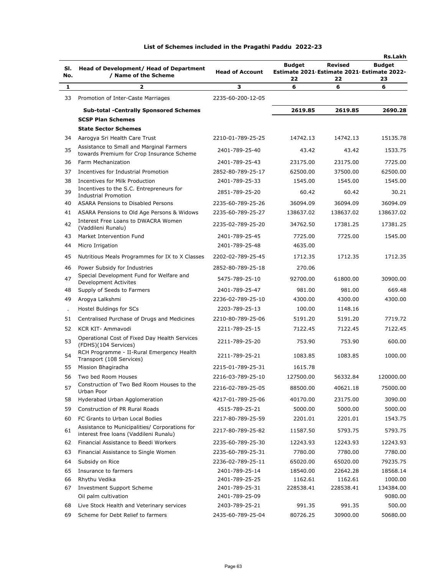| SI. | Head of Development/ Head of Department                                                  | <b>Head of Account</b> | <b>Budget</b><br>Estimate 2021 Estimate 2021 Estimate 2022- | <b>Revised</b> | <b>Rs.Lakh</b><br><b>Budget</b> |
|-----|------------------------------------------------------------------------------------------|------------------------|-------------------------------------------------------------|----------------|---------------------------------|
| No. | / Name of the Scheme                                                                     |                        | 22                                                          | 22             | 23                              |
| 1   | 2                                                                                        | з                      | 6                                                           | 6              | 6                               |
| 33  | Promotion of Inter-Caste Marriages                                                       | 2235-60-200-12-05      |                                                             |                |                                 |
|     | <b>Sub-total -Centrally Sponsored Schemes</b>                                            |                        | 2619.85                                                     | 2619.85        | 2690.28                         |
|     | <b>SCSP Plan Schemes</b>                                                                 |                        |                                                             |                |                                 |
|     | <b>State Sector Schemes</b>                                                              |                        |                                                             |                |                                 |
| 34  | Aarogya Sri Health Care Trust                                                            | 2210-01-789-25-25      | 14742.13                                                    | 14742.13       | 15135.78                        |
| 35  | Assistance to Small and Marginal Farmers<br>towards Premium for Crop Insurance Scheme    | 2401-789-25-40         | 43.42                                                       | 43.42          | 1533.75                         |
| 36  | Farm Mechanization                                                                       | 2401-789-25-43         | 23175.00                                                    | 23175.00       | 7725.00                         |
| 37  | Incentives for Industrial Promotion                                                      | 2852-80-789-25-17      | 62500.00                                                    | 37500.00       | 62500.00                        |
| 38  | Incentives for Milk Production                                                           | 2401-789-25-33         | 1545.00                                                     | 1545.00        | 1545.00                         |
| 39  | Incentives to the S.C. Entrepreneurs for<br><b>Industrial Promotion</b>                  | 2851-789-25-20         | 60.42                                                       | 60.42          | 30.21                           |
| 40  | <b>ASARA Pensions to Disabled Persons</b>                                                | 2235-60-789-25-26      | 36094.09                                                    | 36094.09       | 36094.09                        |
| 41  | ASARA Pensions to Old Age Persons & Widows                                               | 2235-60-789-25-27      | 138637.02                                                   | 138637.02      | 138637.02                       |
| 42  | Interest Free Loans to DWACRA Women<br>(Vaddileni Runalu)                                | 2235-02-789-25-20      | 34762.50                                                    | 17381.25       | 17381.25                        |
| 43  | Market Intervention Fund                                                                 | 2401-789-25-45         | 7725.00                                                     | 7725.00        | 1545.00                         |
| 44  | Micro Irrigation                                                                         | 2401-789-25-48         | 4635.00                                                     |                |                                 |
| 45  | Nutritious Meals Programmes for IX to X Classes                                          | 2202-02-789-25-45      | 1712.35                                                     | 1712.35        | 1712.35                         |
| 46  | Power Subsidy for Industries                                                             | 2852-80-789-25-18      | 270.06                                                      |                |                                 |
| 47  | Special Development Fund for Welfare and<br><b>Development Activites</b>                 | 5475-789-25-10         | 92700.00                                                    | 61800.00       | 30900.00                        |
| 48  | Supply of Seeds to Farmers                                                               | 2401-789-25-47         | 981.00                                                      | 981.00         | 669.48                          |
| 49  | Arogya Lalkshmi                                                                          | 2236-02-789-25-10      | 4300.00                                                     | 4300.00        | 4300.00                         |
|     | Hostel Buldings for SCs                                                                  | 2203-789-25-13         | 100.00                                                      | 1148.16        |                                 |
| 51  | Centralised Purchase of Drugs and Medicines                                              | 2210-80-789-25-06      | 5191.20                                                     | 5191.20        | 7719.72                         |
| 52  | <b>KCR KIT- Ammavodi</b>                                                                 | 2211-789-25-15         | 7122.45                                                     | 7122.45        | 7122.45                         |
| 53  | Operational Cost of Fixed Day Health Services<br>(FDHS)(104 Services)                    | 2211-789-25-20         | 753.90                                                      | 753.90         | 600.00                          |
| 54  | RCH Programme - II-Rural Emergency Health<br>Transport (108 Services)                    | 2211-789-25-21         | 1083.85                                                     | 1083.85        | 1000.00                         |
| 55  | Mission Bhagiradha                                                                       | 2215-01-789-25-31      | 1615.78                                                     |                |                                 |
| 56  | Two bed Room Houses                                                                      | 2216-03-789-25-10      | 127500.00                                                   | 56332.84       | 120000.00                       |
| 57  | Construction of Two Bed Room Houses to the<br>Urban Poor                                 | 2216-02-789-25-05      | 88500.00                                                    | 40621.18       | 75000.00                        |
| 58  | Hyderabad Urban Agglomeration                                                            | 4217-01-789-25-06      | 40170.00                                                    | 23175.00       | 3090.00                         |
| 59  | Construction of PR Rural Roads                                                           | 4515-789-25-21         | 5000.00                                                     | 5000.00        | 5000.00                         |
| 60  | FC Grants to Urban Local Bodies                                                          | 2217-80-789-25-59      | 2201.01                                                     | 2201.01        | 1543.75                         |
| 61  | Assistance to Municipalities/ Corporations for<br>interest free loans (Vaddileni Runalu) | 2217-80-789-25-82      | 11587.50                                                    | 5793.75        | 5793.75                         |
| 62  | Financial Assistance to Beedi Workers                                                    | 2235-60-789-25-30      | 12243.93                                                    | 12243.93       | 12243.93                        |
| 63  | Financial Assistance to Single Women                                                     | 2235-60-789-25-31      | 7780.00                                                     | 7780.00        | 7780.00                         |
| 64  | Subsidy on Rice                                                                          | 2236-02-789-25-11      | 65020.00                                                    | 65020.00       | 79235.75                        |
| 65  | Insurance to farmers                                                                     | 2401-789-25-14         | 18540.00                                                    | 22642.28       | 18568.14                        |
| 66  | Rhythu Vedika                                                                            | 2401-789-25-25         | 1162.61                                                     | 1162.61        | 1000.00                         |
| 67  | <b>Investment Support Scheme</b>                                                         | 2401-789-25-31         | 228538.41                                                   | 228538.41      | 134384.00                       |
|     | Oil palm cultivation                                                                     | 2401-789-25-09         |                                                             |                | 9080.00                         |
| 68  | Live Stock Health and Veterinary services                                                | 2403-789-25-21         | 991.35                                                      | 991.35         | 500.00                          |
| 69  | Scheme for Debt Relief to farmers                                                        | 2435-60-789-25-04      | 80726.25                                                    | 30900.00       | 50680.00                        |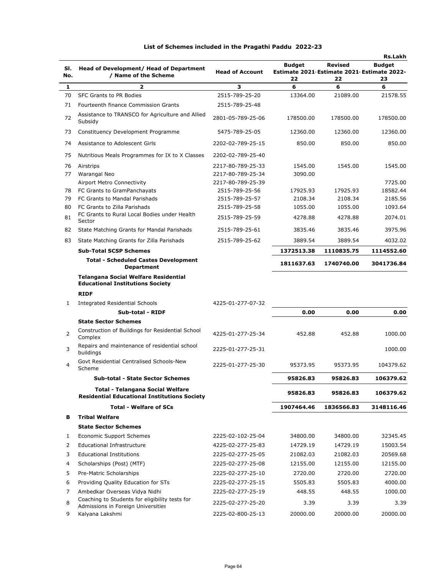|     |                                                                                         |                        |                                            |                | Rs.Lakh       |
|-----|-----------------------------------------------------------------------------------------|------------------------|--------------------------------------------|----------------|---------------|
| SI. | Head of Development/ Head of Department                                                 |                        | <b>Budget</b>                              | <b>Revised</b> | <b>Budget</b> |
| No. | / Name of the Scheme                                                                    | <b>Head of Account</b> | Estimate 2021 Estimate 2021 Estimate 2022- |                |               |
| 1   | 2                                                                                       | 3                      | 22<br>6                                    | 22<br>6        | 23<br>6       |
| 70  | SFC Grants to PR Bodies                                                                 | 2515-789-25-20         | 13364.00                                   | 21089.00       | 21578.55      |
| 71  | Fourteenth finance Commission Grants                                                    | 2515-789-25-48         |                                            |                |               |
|     |                                                                                         |                        |                                            |                |               |
| 72  | Assistance to TRANSCO for Agriculture and Allied<br>Subsidy                             | 2801-05-789-25-06      | 178500.00                                  | 178500.00      | 178500.00     |
| 73  | Constituency Development Programme                                                      | 5475-789-25-05         | 12360.00                                   | 12360.00       | 12360.00      |
| 74  | Assistance to Adolescent Girls                                                          | 2202-02-789-25-15      | 850.00                                     | 850.00         | 850.00        |
| 75  | Nutritious Meals Programmes for IX to X Classes                                         | 2202-02-789-25-40      |                                            |                |               |
| 76  | Airstrips                                                                               | 2217-80-789-25-33      | 1545.00                                    | 1545.00        | 1545.00       |
| 77  | Warangal Neo                                                                            | 2217-80-789-25-34      | 3090.00                                    |                |               |
|     | Airport Metro Connectivity                                                              | 2217-80-789-25-39      |                                            |                | 7725.00       |
| 78  | FC Grants to GramPanchayats                                                             | 2515-789-25-56         | 17925.93                                   | 17925.93       | 18582.44      |
| 79  | FC Grants to Mandal Parishads                                                           | 2515-789-25-57         | 2108.34                                    | 2108.34        | 2185.56       |
| 80  | FC Grants to Zilla Parishads                                                            | 2515-789-25-58         | 1055.00                                    | 1055.00        | 1093.64       |
| 81  | FC Grants to Rural Local Bodies under Health<br>Sector                                  | 2515-789-25-59         | 4278.88                                    | 4278.88        | 2074.01       |
| 82  | State Matching Grants for Mandal Parishads                                              | 2515-789-25-61         | 3835.46                                    | 3835.46        | 3975.96       |
| 83  | State Matching Grants for Zilla Parishads                                               | 2515-789-25-62         | 3889.54                                    | 3889.54        | 4032.02       |
|     | <b>Sub-Total SCSP Schemes</b>                                                           |                        | 1372513.38                                 | 1110835.75     | 1114552.60    |
|     | <b>Total - Scheduled Castes Development</b><br><b>Department</b>                        |                        | 1811637.63                                 | 1740740.00     | 3041736.84    |
|     | <b>Telangana Social Welfare Residential</b><br><b>Educational Institutions Society</b>  |                        |                                            |                |               |
|     | <b>RIDF</b>                                                                             |                        |                                            |                |               |
| 1   | <b>Integrated Residential Schools</b>                                                   | 4225-01-277-07-32      |                                            |                |               |
|     | Sub-total - RIDF                                                                        |                        | 0.00                                       | 0.00           | 0.00          |
|     | <b>State Sector Schemes</b>                                                             |                        |                                            |                |               |
| 2   | Construction of Buildings for Residential School<br>Complex                             | 4225-01-277-25-34      | 452.88                                     | 452.88         | 1000.00       |
| 3   | Repairs and maintenance of residential school<br>buildings                              | 2225-01-277-25-31      |                                            |                | 1000.00       |
| 4   | Govt Residential Centralised Schools-New<br>Scheme                                      | 2225-01-277-25-30      | 95373.95                                   | 95373.95       | 104379.62     |
|     | <b>Sub-total - State Sector Schemes</b>                                                 |                        | 95826.83                                   | 95826.83       | 106379.62     |
|     |                                                                                         |                        |                                            |                |               |
|     | Total - Telangana Social Welfare<br><b>Residential Educational Institutions Society</b> |                        | 95826.83                                   | 95826.83       | 106379.62     |
|     | <b>Total - Welfare of SCs</b>                                                           |                        | 1907464.46                                 | 1836566.83     | 3148116.46    |
| в   | <b>Tribal Welfare</b>                                                                   |                        |                                            |                |               |
|     | <b>State Sector Schemes</b>                                                             |                        |                                            |                |               |
| 1   | Economic Support Schemes                                                                | 2225-02-102-25-04      | 34800.00                                   | 34800.00       | 32345.45      |
| 2   | Educational Infrastructure                                                              | 4225-02-277-25-83      | 14729.19                                   | 14729.19       | 15003.54      |
|     | <b>Educational Institutions</b>                                                         |                        |                                            |                | 20569.68      |
| 3   |                                                                                         | 2225-02-277-25-05      | 21082.03                                   | 21082.03       |               |
| 4   | Scholarships (Post) (MTF)                                                               | 2225-02-277-25-08      | 12155.00                                   | 12155.00       | 12155.00      |
| 5   | Pre-Matric Scholarships                                                                 | 2225-02-277-25-10      | 2720.00                                    | 2720.00        | 2720.00       |
| 6   | Providing Quality Education for STs                                                     | 2225-02-277-25-15      | 5505.83                                    | 5505.83        | 4000.00       |
| 7   | Ambedkar Overseas Vidya Nidhi                                                           | 2225-02-277-25-19      | 448.55                                     | 448.55         | 1000.00       |
| 8   | Coaching to Students for eligibility tests for<br>Admissions in Foreign Universities    | 2225-02-277-25-20      | 3.39                                       | 3.39           | 3.39          |
| 9   | Kalyana Lakshmi                                                                         | 2225-02-800-25-13      | 20000.00                                   | 20000.00       | 20000.00      |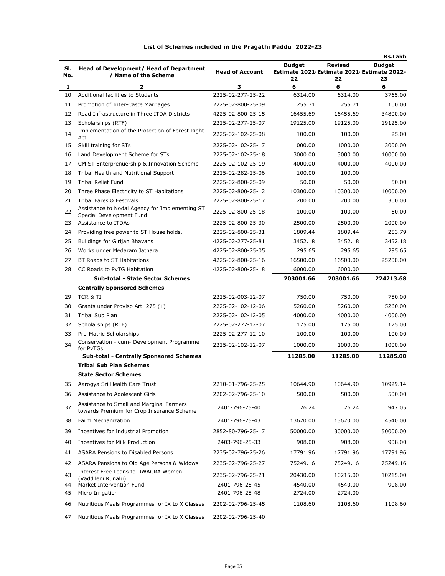|     |                                                                                       |                        |                                            |                | Rs.Lakh       |
|-----|---------------------------------------------------------------------------------------|------------------------|--------------------------------------------|----------------|---------------|
| SI. | Head of Development/ Head of Department                                               |                        | <b>Budget</b>                              | <b>Revised</b> | <b>Budget</b> |
| No. | / Name of the Scheme                                                                  | <b>Head of Account</b> | Estimate 2021 Estimate 2021 Estimate 2022- |                |               |
| 1   | 2                                                                                     | з                      | 22<br>6                                    | 22<br>6        | 23<br>6       |
| 10  | Additional facilities to Students                                                     | 2225-02-277-25-22      | 6314.00                                    | 6314.00        | 3765.00       |
| 11  | Promotion of Inter-Caste Marriages                                                    | 2225-02-800-25-09      | 255.71                                     | 255.71         | 100.00        |
| 12  | Road Infrastructure in Three ITDA Districts                                           | 4225-02-800-25-15      | 16455.69                                   | 16455.69       | 34800.00      |
| 13  |                                                                                       | 2225-02-277-25-07      | 19125.00                                   | 19125.00       | 19125.00      |
|     | Scholarships (RTF)<br>Implementation of the Protection of Forest Right                |                        |                                            |                |               |
| 14  | Act                                                                                   | 2225-02-102-25-08      | 100.00                                     | 100.00         | 25.00         |
| 15  | Skill training for STs                                                                | 2225-02-102-25-17      | 1000.00                                    | 1000.00        | 3000.00       |
| 16  | Land Development Scheme for STs                                                       | 2225-02-102-25-18      | 3000.00                                    | 3000.00        | 10000.00      |
| 17  | CM ST Enterprenuership & Innovation Scheme                                            | 2225-02-102-25-19      | 4000.00                                    | 4000.00        | 4000.00       |
| 18  | Tribal Health and Nutritional Support                                                 | 2225-02-282-25-06      | 100.00                                     | 100.00         |               |
| 19  | <b>Tribal Relief Fund</b>                                                             | 2225-02-800-25-09      | 50.00                                      | 50.00          | 50.00         |
| 20  | Three Phase Electricity to ST Habitations                                             | 2225-02-800-25-12      | 10300.00                                   | 10300.00       | 10000.00      |
| 21  | <b>Tribal Fares &amp; Festivals</b>                                                   | 2225-02-800-25-17      | 200.00                                     | 200.00         | 300.00        |
| 22  | Assistance to Nodal Agency for Implementing ST<br>Special Development Fund            | 2225-02-800-25-18      | 100.00                                     | 100.00         | 50.00         |
| 23  | Assistance to ITDAs                                                                   | 2225-02-800-25-30      | 2500.00                                    | 2500.00        | 2000.00       |
| 24  | Providing free power to ST House holds.                                               | 2225-02-800-25-31      | 1809.44                                    | 1809.44        | 253.79        |
| 25  | <b>Buildings for Girijan Bhavans</b>                                                  | 4225-02-277-25-81      | 3452.18                                    | 3452.18        | 3452.18       |
| 26  | Works under Medaram Jathara                                                           | 4225-02-800-25-05      | 295.65                                     | 295.65         | 295.65        |
| 27  | BT Roads to ST Habitations                                                            | 4225-02-800-25-16      | 16500.00                                   | 16500.00       | 25200.00      |
| 28  | CC Roads to PyTG Habitation                                                           | 4225-02-800-25-18      | 6000.00                                    | 6000.00        |               |
|     | <b>Sub-total - State Sector Schemes</b>                                               |                        | 203001.66                                  | 203001.66      | 224213.68     |
|     | <b>Centrally Sponsored Schemes</b>                                                    |                        |                                            |                |               |
| 29  | TCR & TI                                                                              | 2225-02-003-12-07      | 750.00                                     | 750.00         | 750.00        |
| 30  | Grants under Proviso Art. 275 (1)                                                     | 2225-02-102-12-06      | 5260.00                                    | 5260.00        | 5260.00       |
| 31  | Tribal Sub Plan                                                                       | 2225-02-102-12-05      | 4000.00                                    | 4000.00        | 4000.00       |
| 32  | Scholarships (RTF)                                                                    | 2225-02-277-12-07      | 175.00                                     | 175.00         | 175.00        |
| 33  | Pre-Matric Scholarships                                                               | 2225-02-277-12-10      | 100.00                                     | 100.00         | 100.00        |
| 34  | Conservation - cum- Development Programme<br>for PvTGs                                | 2225-02-102-12-07      | 1000.00                                    | 1000.00        | 1000.00       |
|     | <b>Sub-total - Centrally Sponsored Schemes</b>                                        |                        | 11285.00                                   | 11285.00       | 11285.00      |
|     | <b>Tribal Sub Plan Schemes</b>                                                        |                        |                                            |                |               |
|     | <b>State Sector Schemes</b>                                                           |                        |                                            |                |               |
| 35  | Aarogya Sri Health Care Trust                                                         | 2210-01-796-25-25      | 10644.90                                   | 10644.90       | 10929.14      |
| 36  | Assistance to Adolescent Girls                                                        | 2202-02-796-25-10      | 500.00                                     | 500.00         | 500.00        |
| 37  | Assistance to Small and Marginal Farmers<br>towards Premium for Crop Insurance Scheme | 2401-796-25-40         | 26.24                                      | 26.24          | 947.05        |
| 38  | Farm Mechanization                                                                    | 2401-796-25-43         | 13620.00                                   | 13620.00       | 4540.00       |
| 39  | Incentives for Industrial Promotion                                                   | 2852-80-796-25-17      | 50000.00                                   | 30000.00       | 50000.00      |
| 40  | Incentives for Milk Production                                                        | 2403-796-25-33         | 908.00                                     | 908.00         | 908.00        |
| 41  | <b>ASARA Pensions to Disabled Persons</b>                                             | 2235-02-796-25-26      | 17791.96                                   | 17791.96       | 17791.96      |
| 42  | ASARA Pensions to Old Age Persons & Widows                                            | 2235-02-796-25-27      | 75249.16                                   | 75249.16       | 75249.16      |
|     | Interest Free Loans to DWACRA Women                                                   |                        |                                            |                |               |
| 43  | (Vaddileni Runalu)                                                                    | 2235-02-796-25-21      | 20430.00                                   | 10215.00       | 10215.00      |
| 44  | Market Intervention Fund                                                              | 2401-796-25-45         | 4540.00                                    | 4540.00        | 908.00        |
| 45  | Micro Irrigation                                                                      | 2401-796-25-48         | 2724.00                                    | 2724.00        |               |
| 46  | Nutritious Meals Programmes for IX to X Classes                                       | 2202-02-796-25-45      | 1108.60                                    | 1108.60        | 1108.60       |
| 47  | Nutritious Meals Programmes for IX to X Classes                                       | 2202-02-796-25-40      |                                            |                |               |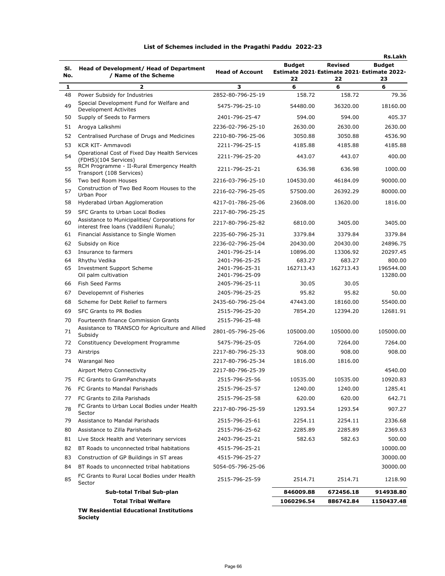|              |                                                                                          |                                     |                                            |                   | <b>Rs.Lakh</b>        |
|--------------|------------------------------------------------------------------------------------------|-------------------------------------|--------------------------------------------|-------------------|-----------------------|
| SI.          | <b>Head of Development/ Head of Department</b>                                           |                                     | <b>Budget</b>                              | <b>Revised</b>    | <b>Budget</b>         |
| No.          | / Name of the Scheme                                                                     | <b>Head of Account</b>              | Estimate 2021 Estimate 2021 Estimate 2022- |                   |                       |
|              |                                                                                          |                                     | 22                                         | 22                | 23                    |
| $\mathbf{1}$ | $\overline{2}$                                                                           | 3<br>2852-80-796-25-19              | 6                                          | 6                 | 6                     |
| 48           | Power Subsidy for Industries<br>Special Development Fund for Welfare and                 |                                     | 158.72                                     | 158.72            | 79.36                 |
| 49           | <b>Development Activites</b>                                                             | 5475-796-25-10                      | 54480.00                                   | 36320.00          | 18160.00              |
| 50           | Supply of Seeds to Farmers                                                               | 2401-796-25-47                      | 594.00                                     | 594.00            | 405.37                |
| 51           | Arogya Lalkshmi                                                                          | 2236-02-796-25-10                   | 2630.00                                    | 2630.00           | 2630.00               |
| 52           | Centralised Purchase of Drugs and Medicines                                              | 2210-80-796-25-06                   | 3050.88                                    | 3050.88           | 4536.90               |
| 53           | KCR KIT- Ammavodi                                                                        | 2211-796-25-15                      | 4185.88                                    | 4185.88           | 4185.88               |
| 54           | Operational Cost of Fixed Day Health Services<br>(FDHS)(104 Services)                    | 2211-796-25-20                      | 443.07                                     | 443.07            | 400.00                |
| 55           | RCH Programme - II-Rural Emergency Health<br>Transport (108 Services)                    | 2211-796-25-21                      | 636.98                                     | 636.98            | 1000.00               |
| 56           | Two bed Room Houses                                                                      | 2216-03-796-25-10                   | 104530.00                                  | 46184.09          | 90000.00              |
| 57           | Construction of Two Bed Room Houses to the<br>Urban Poor                                 | 2216-02-796-25-05                   | 57500.00                                   | 26392.29          | 80000.00              |
| 58           | Hyderabad Urban Agglomeration                                                            | 4217-01-786-25-06                   | 23608.00                                   | 13620.00          | 1816.00               |
| 59           | SFC Grants to Urban Local Bodies                                                         | 2217-80-796-25-25                   |                                            |                   |                       |
| 60           | Assistance to Municipalities/ Corporations for<br>interest free loans (Vaddileni Runalu) | 2217-80-796-25-82                   | 6810.00                                    | 3405.00           | 3405.00               |
| 61           | Financial Assistance to Single Women                                                     | 2235-60-796-25-31                   | 3379.84                                    | 3379.84           | 3379.84               |
| 62           | Subsidy on Rice                                                                          | 2236-02-796-25-04                   | 20430.00                                   | 20430.00          | 24896.75              |
| 63           | Insurance to farmers                                                                     | 2401-796-25-14                      | 10896.00                                   | 13306.92          | 20297.45              |
| 64           | Rhythu Vedika                                                                            | 2401-796-25-25                      | 683.27                                     | 683.27            | 800.00                |
| 65           | <b>Investment Support Scheme</b><br>Oil palm cultivation                                 | 2401-796-25-31<br>2401-796-25-09    | 162713.43                                  | 162713.43         | 196544.00<br>13280.00 |
| 66           | Fish Seed Farms                                                                          | 2405-796-25-11                      | 30.05                                      | 30.05             |                       |
| 67           | Developemnt of Fisheries                                                                 | 2405-796-25-25                      | 95.82                                      | 95.82             | 50.00                 |
| 68           | Scheme for Debt Relief to farmers                                                        | 2435-60-796-25-04                   | 47443.00                                   | 18160.00          | 55400.00              |
| 69           | <b>SFC Grants to PR Bodies</b>                                                           | 2515-796-25-20                      | 7854.20                                    | 12394.20          | 12681.91              |
| 70           | Fourteenth finance Commission Grants                                                     | 2515-796-25-48                      |                                            |                   |                       |
| 71           | Assistance to TRANSCO for Agriculture and Allied<br>Subsidy                              | 2801-05-796-25-06                   | 105000.00                                  | 105000.00         | 105000.00             |
| 72           | Constituency Development Programme                                                       | 5475-796-25-05                      | 7264.00                                    | 7264.00           | 7264.00               |
| 73           | Airstrips                                                                                | 2217-80-796-25-33                   | 908.00                                     | 908.00            | 908.00                |
| 74           | Warangal Neo                                                                             | 2217-80-796-25-34                   | 1816.00                                    | 1816.00           |                       |
|              | Airport Metro Connectivity                                                               | 2217-80-796-25-39                   |                                            |                   | 4540.00               |
|              |                                                                                          |                                     |                                            |                   |                       |
|              | 75 FC Grants to GramPanchayats                                                           | 2515-796-25-56                      | 10535.00                                   | 10535.00          | 10920.83              |
| 76           | FC Grants to Mandal Parishads                                                            | 2515-796-25-57                      | 1240.00                                    | 1240.00           | 1285.41               |
| 77<br>78     | FC Grants to Zilla Parishads<br>FC Grants to Urban Local Bodies under Health             | 2515-796-25-58<br>2217-80-796-25-59 | 620.00<br>1293.54                          | 620.00<br>1293.54 | 642.71<br>907.27      |
|              | Sector                                                                                   |                                     |                                            |                   |                       |
| 79           | Assistance to Mandal Parishads                                                           | 2515-796-25-61                      | 2254.11                                    | 2254.11           | 2336.68               |
| 80           | Assistance to Zilla Parishads                                                            | 2515-796-25-62                      | 2285.89                                    | 2285.89           | 2369.63               |
| 81           | Live Stock Health and Veterinary services                                                | 2403-796-25-21                      | 582.63                                     | 582.63            | 500.00                |
| 82           | BT Roads to unconnected tribal habitations                                               | 4515-796-25-21                      |                                            |                   | 10000.00              |
| 83           | Construction of GP Buildings in ST areas                                                 | 4515-796-25-27                      |                                            |                   | 30000.00              |
| 84           | BT Roads to unconnected tribal habitations                                               | 5054-05-796-25-06                   |                                            |                   | 30000.00              |
| 85           | FC Grants to Rural Local Bodies under Health<br>Sector                                   | 2515-796-25-59                      | 2514.71                                    | 2514.71           | 1218.90               |
|              | Sub-total Tribal Sub-plan                                                                |                                     | 846009.88                                  | 672456.18         | 914938.80             |
|              | <b>Total Tribal Welfare</b>                                                              |                                     | 1060296.54                                 | 886742.84         | 1150437.48            |
|              | TW Recidential Educational Institutions                                                  |                                     |                                            |                   |                       |

**TW Residential Educational Institutions Society**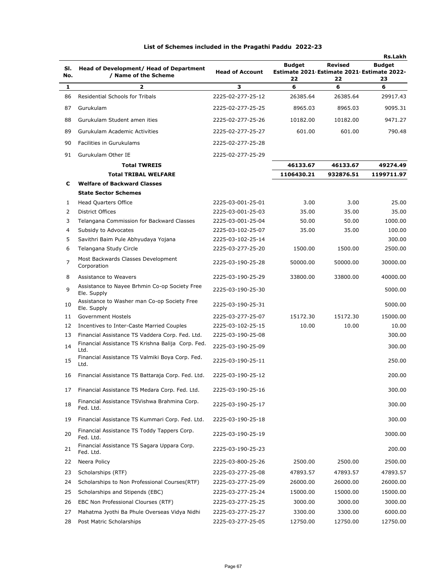|              |                                                                 |                        |                                                                   |                      | <b>Rs.Lakh</b>      |
|--------------|-----------------------------------------------------------------|------------------------|-------------------------------------------------------------------|----------------------|---------------------|
| SI.<br>No.   | Head of Development/ Head of Department<br>/ Name of the Scheme | <b>Head of Account</b> | <b>Budget</b><br>Estimate 2021 Estimate 2021 Estimate 2022-<br>22 | <b>Revised</b><br>22 | <b>Budget</b><br>23 |
| 1            | $\overline{\mathbf{z}}$                                         | 3                      | 6                                                                 | 6                    | 6                   |
| 86           | <b>Residential Schools for Tribals</b>                          | 2225-02-277-25-12      | 26385.64                                                          | 26385.64             | 29917.43            |
| 87           | Gurukulam                                                       | 2225-02-277-25-25      | 8965.03                                                           | 8965.03              | 9095.31             |
| 88           | Gurukulam Student amen ities                                    | 2225-02-277-25-26      | 10182.00                                                          | 10182.00             | 9471.27             |
| 89           | Gurukulam Academic Activities                                   | 2225-02-277-25-27      | 601.00                                                            | 601.00               | 790.48              |
|              |                                                                 |                        |                                                                   |                      |                     |
| 90           | Facilities in Gurukulams                                        | 2225-02-277-25-28      |                                                                   |                      |                     |
| 91           | Gurukulam Other IE                                              | 2225-02-277-25-29      |                                                                   |                      |                     |
|              | <b>Total TWREIS</b><br><b>Total TRIBAL WELFARE</b>              |                        | 46133.67                                                          | 46133.67             | 49274.49            |
|              | <b>Welfare of Backward Classes</b>                              |                        | 1106430.21                                                        | 932876.51            | 1199711.97          |
| c            | <b>State Sector Schemes</b>                                     |                        |                                                                   |                      |                     |
| $\mathbf{1}$ | <b>Head Quarters Office</b>                                     | 2225-03-001-25-01      | 3.00                                                              | 3.00                 | 25.00               |
| 2            | District Offices                                                | 2225-03-001-25-03      | 35.00                                                             | 35.00                | 35.00               |
| 3            | Telangana Commission for Backward Classes                       | 2225-03-001-25-04      | 50.00                                                             | 50.00                | 1000.00             |
| 4            | Subsidy to Advocates                                            | 2225-03-102-25-07      | 35.00                                                             | 35.00                | 100.00              |
| 5            | Savithri Baim Pule Abhyudaya Yojana                             | 2225-03-102-25-14      |                                                                   |                      | 300.00              |
| 6            | Telangana Study Circle                                          | 2225-03-277-25-20      | 1500.00                                                           | 1500.00              | 2500.00             |
| 7            | Most Backwards Classes Development<br>Corporation               | 2225-03-190-25-28      | 50000.00                                                          | 50000.00             | 30000.00            |
| 8            | Assistance to Weavers                                           | 2225-03-190-25-29      | 33800.00                                                          | 33800.00             | 40000.00            |
| 9            | Assistance to Nayee Brhmin Co-op Society Free<br>Ele. Supply    | 2225-03-190-25-30      |                                                                   |                      | 5000.00             |
| 10           | Assistance to Washer man Co-op Society Free<br>Ele. Supply      | 2225-03-190-25-31      |                                                                   |                      | 5000.00             |
| 11           | Government Hostels                                              | 2225-03-277-25-07      | 15172.30                                                          | 15172.30             | 15000.00            |
| 12           | Incentives to Inter-Caste Married Couples                       | 2225-03-102-25-15      | 10.00                                                             | 10.00                | 10.00               |
| 13           | Financial Assistance TS Vaddera Corp. Fed. Ltd.                 | 2225-03-190-25-08      |                                                                   |                      | 300.00              |
| 14           | Financial Assistance TS Krishna Balija Corp. Fed.<br>Ltd.       | 2225-03-190-25-09      |                                                                   |                      | 300.00              |
| 15           | Financial Assistance TS Valmiki Boya Corp. Fed.<br>Ltd.         | 2225-03-190-25-11      |                                                                   |                      | 250.00              |
| 16           | Financial Assistance TS Battaraja Corp. Fed. Ltd.               | 2225-03-190-25-12      |                                                                   |                      | 200.00              |
| 17           | Financial Assistance TS Medara Corp. Fed. Ltd.                  | 2225-03-190-25-16      |                                                                   |                      | 300.00              |
| 18           | Financial Assistance TSVishwa Brahmina Corp.<br>Fed. Ltd.       | 2225-03-190-25-17      |                                                                   |                      | 300.00              |
| 19           | Financial Assistance TS Kummari Corp. Fed. Ltd.                 | 2225-03-190-25-18      |                                                                   |                      | 300.00              |
| 20           | Financial Assistance TS Toddy Tappers Corp.<br>Fed. Ltd.        | 2225-03-190-25-19      |                                                                   |                      | 3000.00             |
| 21           | Financial Assistance TS Sagara Uppara Corp.<br>Fed. Ltd.        | 2225-03-190-25-23      |                                                                   |                      | 200.00              |
| 22           | Neera Policy                                                    | 2225-03-800-25-26      | 2500.00                                                           | 2500.00              | 2500.00             |
| 23           | Scholarships (RTF)                                              | 2225-03-277-25-08      | 47893.57                                                          | 47893.57             | 47893.57            |
| 24           | Scholarships to Non Professional Courses(RTF)                   | 2225-03-277-25-09      | 26000.00                                                          | 26000.00             | 26000.00            |
| 25           | Scholarships and Stipends (EBC)                                 | 2225-03-277-25-24      | 15000.00                                                          | 15000.00             | 15000.00            |
| 26           | EBC Non Professional Clourses (RTF)                             | 2225-03-277-25-25      | 3000.00                                                           | 3000.00              | 3000.00             |
| 27           | Mahatma Jyothi Ba Phule Overseas Vidya Nidhi                    | 2225-03-277-25-27      | 3300.00                                                           | 3300.00              | 6000.00             |
| 28           | Post Matric Scholarships                                        | 2225-03-277-25-05      | 12750.00                                                          | 12750.00             | 12750.00            |
|              |                                                                 |                        |                                                                   |                      |                     |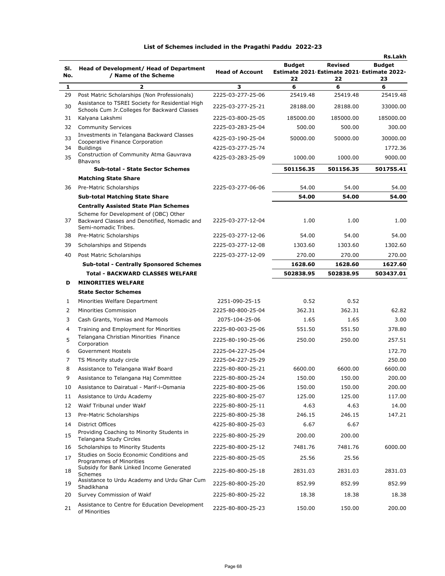| List of Schemes included in the Pragathi Paddu 2022-23 |  |  |  |  |
|--------------------------------------------------------|--|--|--|--|
|--------------------------------------------------------|--|--|--|--|

| SI. | Head of Development/ Head of Department                                                                          |                        | <b>Budget</b>                                    | <b>Revised</b> | <b>Rs.Lakh</b><br><b>Budget</b> |
|-----|------------------------------------------------------------------------------------------------------------------|------------------------|--------------------------------------------------|----------------|---------------------------------|
| No. | / Name of the Scheme                                                                                             | <b>Head of Account</b> | Estimate 2021 Estimate 2021 Estimate 2022-<br>22 | 22             | 23                              |
| 1   | 2                                                                                                                | 3                      | 6                                                | 6              | 6                               |
| 29  | Post Matric Scholarships (Non Professionals)                                                                     | 2225-03-277-25-06      | 25419.48                                         | 25419.48       | 25419.48                        |
| 30  | Assistance to TSREI Society for Residential High<br>Schools Cum Jr. Colleges for Backward Classes                | 2225-03-277-25-21      | 28188.00                                         | 28188.00       | 33000.00                        |
| 31  | Kalyana Lakshmi                                                                                                  | 2225-03-800-25-05      | 185000.00                                        | 185000.00      | 185000.00                       |
| 32  | <b>Community Services</b>                                                                                        | 2225-03-283-25-04      | 500.00                                           | 500.00         | 300.00                          |
| 33  | Investments in Telangana Backward Classes                                                                        | 4225-03-190-25-04      | 50000.00                                         | 50000.00       | 30000.00                        |
| 34  | Cooperative Finance Corporation<br><b>Buildings</b>                                                              | 4225-03-277-25-74      |                                                  |                | 1772.36                         |
| 35  | Construction of Community Atma Gauvrava<br><b>Bhavans</b>                                                        | 4225-03-283-25-09      | 1000.00                                          | 1000.00        | 9000.00                         |
|     | <b>Sub-total - State Sector Schemes</b>                                                                          |                        | 501156.35                                        | 501156.35      | 501755.41                       |
|     | <b>Matching State Share</b>                                                                                      |                        |                                                  |                |                                 |
| 36  | Pre-Matric Scholarships                                                                                          | 2225-03-277-06-06      | 54.00                                            | 54.00          | 54.00                           |
|     | <b>Sub-total Matching State Share</b>                                                                            |                        | 54.00                                            | 54.00          | 54.00                           |
|     | <b>Centrally Assisted State Plan Schemes</b>                                                                     |                        |                                                  |                |                                 |
|     | Scheme for Development of (OBC) Other                                                                            |                        |                                                  |                |                                 |
| 37  | Backward Classes and Denotified, Nomadic and<br>Semi-nomadic Tribes.                                             | 2225-03-277-12-04      | 1.00                                             | 1.00           | 1.00                            |
| 38  | Pre-Matric Scholarships                                                                                          | 2225-03-277-12-06      | 54.00                                            | 54.00          | 54.00                           |
| 39  | Scholarships and Stipends                                                                                        | 2225-03-277-12-08      | 1303.60                                          | 1303.60        | 1302.60                         |
| 40  | Post Matric Scholarships                                                                                         | 2225-03-277-12-09      | 270.00                                           | 270.00         | 270.00                          |
|     | <b>Sub-total - Centrally Sponsored Schemes</b>                                                                   |                        | 1628.60                                          | 1628.60        | 1627.60                         |
|     | <b>Total - BACKWARD CLASSES WELFARE</b>                                                                          |                        | 502838.95                                        | 502838.95      | 503437.01                       |
| D   | <b>MINORITIES WELFARE</b>                                                                                        |                        |                                                  |                |                                 |
|     | <b>State Sector Schemes</b>                                                                                      |                        |                                                  |                |                                 |
| 1   | Minorities Welfare Department                                                                                    | 2251-090-25-15         | 0.52                                             | 0.52           |                                 |
| 2   | Minorities Commission                                                                                            | 2225-80-800-25-04      | 362.31                                           | 362.31         | 62.82                           |
| 3   | Cash Grants, Yomias and Mamools                                                                                  | 2075-104-25-06         | 1.65                                             | 1.65           | 3.00                            |
| 4   | Training and Employment for Minorities                                                                           | 2225-80-003-25-06      | 551.50                                           | 551.50         | 378.80                          |
| 5   | Telangana Christian Minorities Finance<br>Corporation                                                            | 2225-80-190-25-06      | 250.00                                           | 250.00         | 257.51                          |
| 6   | Government Hostels                                                                                               | 2225-04-227-25-04      |                                                  |                | 172.70                          |
| 7   | TS Minority study circle                                                                                         | 2225-04-227-25-29      |                                                  |                | 250.00                          |
| 8   | Assistance to Telangana Wakf Board                                                                               | 2225-80-800-25-21      | 6600.00                                          | 6600.00        | 6600.00                         |
|     | Assistance to Telangana Haj Committee                                                                            | 2225-80-800-25-24      | 150.00                                           | 150.00         | 200.00                          |
| 10  | Assistance to Dairatual - Marif-i-Osmania                                                                        | 2225-80-800-25-06      | 150.00                                           | 150.00         | 200.00                          |
| 11  | Assistance to Urdu Academy                                                                                       | 2225-80-800-25-07      | 125.00                                           | 125.00         | 117.00                          |
| 12  | Wakf Tribunal under Wakf                                                                                         | 2225-80-800-25-11      | 4.63                                             | 4.63           | 14.00                           |
| 13  | Pre-Matric Scholarships                                                                                          | 2225-80-800-25-38      | 246.15                                           | 246.15         | 147.21                          |
| 14  | <b>District Offices</b>                                                                                          | 4225-80-800-25-03      | 6.67                                             | 6.67           |                                 |
| 15  | Providing Coaching to Minority Students in<br>Telangana Study Circles                                            | 2225-80-800-25-29      | 200.00                                           | 200.00         |                                 |
| 16  | Scholarships to Minority Students                                                                                | 2225-80-800-25-12      | 7481.76                                          | 7481.76        | 6000.00                         |
| 17  | Studies on Socio Economic Conditions and<br>Programmes of Minorities<br>Subsidy for Bank Linked Income Generated | 2225-80-800-25-05      | 25.56                                            | 25.56          |                                 |
| 18  | Schemes                                                                                                          | 2225-80-800-25-18      | 2831.03                                          | 2831.03        | 2831.03                         |
| 19  | Assistance to Urdu Academy and Urdu Ghar Cum<br>Shadikhana                                                       | 2225-80-800-25-20      | 852.99                                           | 852.99         | 852.99                          |
| 20  | Survey Commission of Wakf                                                                                        | 2225-80-800-25-22      | 18.38                                            | 18.38          | 18.38                           |
| 21  | Assistance to Centre for Education Development<br>of Minorities                                                  | 2225-80-800-25-23      | 150.00                                           | 150.00         | 200.00                          |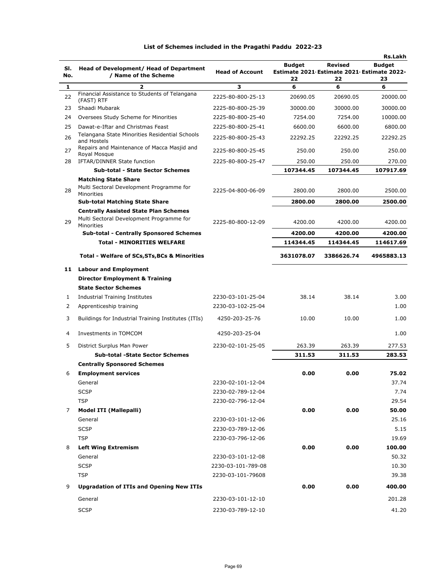|     |                                                               |                        |                                            |                | <b>Rs.Lakh</b> |
|-----|---------------------------------------------------------------|------------------------|--------------------------------------------|----------------|----------------|
| SI. | Head of Development/ Head of Department                       |                        | <b>Budget</b>                              | <b>Revised</b> | <b>Budget</b>  |
| No. | / Name of the Scheme                                          | <b>Head of Account</b> | Estimate 2021 Estimate 2021 Estimate 2022- |                |                |
| 1   | $\overline{\mathbf{z}}$                                       | 3                      | 22<br>6                                    | 22<br>6        | 23<br>6        |
| 22  | Financial Assistance to Students of Telangana<br>(FAST) RTF   | 2225-80-800-25-13      | 20690.05                                   | 20690.05       | 20000.00       |
| 23  | Shaadi Mubarak                                                | 2225-80-800-25-39      | 30000.00                                   | 30000.00       | 30000.00       |
| 24  | Oversees Study Scheme for Minorities                          | 2225-80-800-25-40      | 7254.00                                    | 7254.00        | 10000.00       |
| 25  | Dawat-e-Iftar and Christmas Feast                             | 2225-80-800-25-41      | 6600.00                                    | 6600.00        | 6800.00        |
| 26  | Telangana State Minorities Residential Schools<br>and Hostels | 2225-80-800-25-43      | 22292.25                                   | 22292.25       | 22292.25       |
| 27  | Repairs and Maintenance of Macca Masjid and<br>Roval Mosque   | 2225-80-800-25-45      | 250.00                                     | 250.00         | 250.00         |
| 28  | IFTAR/DINNER State function                                   | 2225-80-800-25-47      | 250.00                                     | 250.00         | 270.00         |
|     | <b>Sub-total - State Sector Schemes</b>                       |                        | 107344.45                                  | 107344.45      | 107917.69      |
|     | <b>Matching State Share</b>                                   |                        |                                            |                |                |
| 28  | Multi Sectoral Development Programme for<br>Minorities        | 2225-04-800-06-09      | 2800.00                                    | 2800.00        | 2500.00        |
|     | <b>Sub-total Matching State Share</b>                         |                        | 2800.00                                    | 2800.00        | 2500.00        |
|     | <b>Centrally Assisted State Plan Schemes</b>                  |                        |                                            |                |                |
| 29  | Multi Sectoral Development Programme for<br>Minorities        | 2225-80-800-12-09      | 4200.00                                    | 4200.00        | 4200.00        |
|     | <b>Sub-total - Centrally Sponsored Schemes</b>                |                        | 4200.00                                    | 4200.00        | 4200.00        |
|     | <b>Total - MINORITIES WELFARE</b>                             |                        | 114344.45                                  | 114344.45      | 114617.69      |
|     | <b>Total - Welfare of SCs, STs, BCs &amp; Minorities</b>      |                        | 3631078.07                                 | 3386626.74     | 4965883.13     |
| 11  | <b>Labour and Employment</b>                                  |                        |                                            |                |                |
|     | <b>Director Employment &amp; Training</b>                     |                        |                                            |                |                |
|     | <b>State Sector Schemes</b>                                   |                        |                                            |                |                |
| 1   | Industrial Training Institutes                                | 2230-03-101-25-04      | 38.14                                      | 38.14          | 3.00           |
| 2   | Apprenticeship training                                       | 2230-03-102-25-04      |                                            |                | 1.00           |
| 3   | Buildings for Industrial Training Institutes (ITIs)           | 4250-203-25-76         | 10.00                                      | 10.00          | 1.00           |
|     |                                                               |                        |                                            |                |                |
| 4   | Investments in TOMCOM                                         | 4250-203-25-04         |                                            |                | 1.00           |
| 5   | District Surplus Man Power                                    | 2230-02-101-25-05      | 263.39                                     | 263.39         | 277.53         |
|     | <b>Sub-total -State Sector Schemes</b>                        |                        | 311.53                                     | 311.53         | 283.53         |
|     | <b>Centrally Sponsored Schemes</b>                            |                        |                                            |                |                |
| 6   | <b>Employment services</b>                                    |                        | 0.00                                       | 0.00           | 75.02          |
|     | General                                                       | 2230-02-101-12-04      |                                            |                | 37.74          |
|     | <b>SCSP</b>                                                   | 2230-02-789-12-04      |                                            |                | 7.74           |
|     | <b>TSP</b>                                                    | 2230-02-796-12-04      |                                            |                | 29.54          |
| 7   | <b>Model ITI (Mallepalli)</b>                                 |                        | 0.00                                       | 0.00           | 50.00          |
|     | General                                                       | 2230-03-101-12-06      |                                            |                | 25.16          |
|     | <b>SCSP</b>                                                   | 2230-03-789-12-06      |                                            |                | 5.15           |
|     | <b>TSP</b>                                                    | 2230-03-796-12-06      |                                            |                | 19.69          |
| 8   | <b>Left Wing Extremism</b>                                    |                        | 0.00                                       | 0.00           | 100.00         |
|     | General                                                       | 2230-03-101-12-08      |                                            |                | 50.32          |
|     | <b>SCSP</b>                                                   | 2230-03-101-789-08     |                                            |                | 10.30          |
|     | <b>TSP</b>                                                    | 2230-03-101-79608      |                                            |                | 39.38          |
| 9   | <b>Upgradation of ITIs and Opening New ITIs</b>               |                        | 0.00                                       | 0.00           | 400.00         |
|     | General                                                       | 2230-03-101-12-10      |                                            |                | 201.28         |
|     | <b>SCSP</b>                                                   | 2230-03-789-12-10      |                                            |                | 41.20          |
|     |                                                               |                        |                                            |                |                |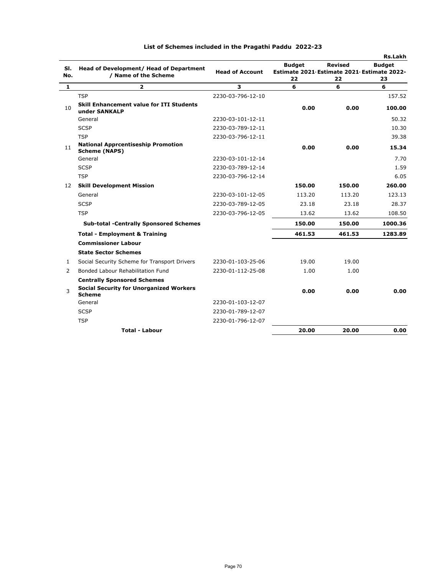|              |                                                                   |                        |                                                             |                | <b>Rs.Lakh</b> |
|--------------|-------------------------------------------------------------------|------------------------|-------------------------------------------------------------|----------------|----------------|
| SI.          | Head of Development/ Head of Department                           | <b>Head of Account</b> | <b>Budget</b><br>Estimate 2021 Estimate 2021 Estimate 2022- | <b>Revised</b> | <b>Budget</b>  |
| No.          | / Name of the Scheme                                              |                        | 22                                                          | 22             | 23             |
| $\mathbf{1}$ | $\overline{2}$                                                    | 3                      | 6                                                           | 6              | 6              |
|              | <b>TSP</b>                                                        | 2230-03-796-12-10      |                                                             |                | 157.52         |
| 10           | <b>Skill Enhancement value for ITI Students</b><br>under SANKALP  |                        | 0.00                                                        | 0.00           | 100.00         |
|              | General                                                           | 2230-03-101-12-11      |                                                             |                | 50.32          |
|              | <b>SCSP</b>                                                       | 2230-03-789-12-11      |                                                             |                | 10.30          |
|              | <b>TSP</b>                                                        | 2230-03-796-12-11      |                                                             |                | 39.38          |
| 11           | <b>National Apprcentiseship Promotion</b><br><b>Scheme (NAPS)</b> |                        | 0.00                                                        | 0.00           | 15.34          |
|              | General                                                           | 2230-03-101-12-14      |                                                             |                | 7.70           |
|              | <b>SCSP</b>                                                       | 2230-03-789-12-14      |                                                             |                | 1.59           |
|              | <b>TSP</b>                                                        | 2230-03-796-12-14      |                                                             |                | 6.05           |
| 12           | <b>Skill Development Mission</b>                                  |                        | 150.00                                                      | 150.00         | 260.00         |
|              | General                                                           | 2230-03-101-12-05      | 113.20                                                      | 113.20         | 123.13         |
|              | <b>SCSP</b>                                                       | 2230-03-789-12-05      | 23.18                                                       | 23.18          | 28.37          |
|              | <b>TSP</b>                                                        | 2230-03-796-12-05      | 13.62                                                       | 13.62          | 108.50         |
|              | <b>Sub-total -Centrally Sponsored Schemes</b>                     |                        | 150.00                                                      | 150.00         | 1000.36        |
|              | <b>Total - Employment &amp; Training</b>                          |                        | 461.53                                                      | 461.53         | 1283.89        |
|              | <b>Commissioner Labour</b>                                        |                        |                                                             |                |                |
|              | <b>State Sector Schemes</b>                                       |                        |                                                             |                |                |
| 1            | Social Security Scheme for Transport Drivers                      | 2230-01-103-25-06      | 19.00                                                       | 19.00          |                |
| 2            | Bonded Labour Rehabilitation Fund                                 | 2230-01-112-25-08      | 1.00                                                        | 1.00           |                |
|              | <b>Centrally Sponsored Schemes</b>                                |                        |                                                             |                |                |
| 3            | <b>Social Security for Unorganized Workers</b><br><b>Scheme</b>   |                        | 0.00                                                        | 0.00           | 0.00           |
|              | General                                                           | 2230-01-103-12-07      |                                                             |                |                |
|              | <b>SCSP</b>                                                       | 2230-01-789-12-07      |                                                             |                |                |
|              | <b>TSP</b>                                                        | 2230-01-796-12-07      |                                                             |                |                |
|              | <b>Total - Labour</b>                                             |                        | 20.00                                                       | 20.00          | 0.00           |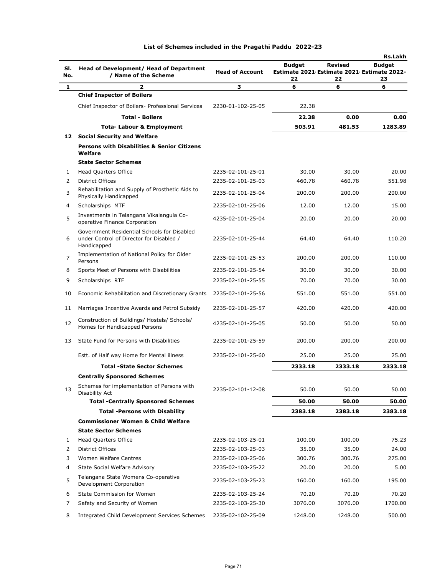| SI.<br>No.     | Head of Development/ Head of Department<br>/ Name of the Scheme                                        | <b>Head of Account</b> | <b>Budget</b><br>Estimate 2021 Estimate 2021 Estimate 2022-<br>22 | <b>Revised</b><br>22 | <b>Rs.Lakh</b><br><b>Budget</b><br>23 |
|----------------|--------------------------------------------------------------------------------------------------------|------------------------|-------------------------------------------------------------------|----------------------|---------------------------------------|
| 1              | 2                                                                                                      | 3                      | 6                                                                 | 6                    | 6                                     |
|                | <b>Chief Inspector of Boilers</b>                                                                      |                        |                                                                   |                      |                                       |
|                | Chief Inspector of Boilers- Professional Services                                                      | 2230-01-102-25-05      | 22.38                                                             |                      |                                       |
|                | <b>Total - Boilers</b>                                                                                 |                        | 22.38                                                             | 0.00                 | 0.00                                  |
|                | <b>Tota-Labour &amp; Employment</b>                                                                    |                        | 503.91                                                            | 481.53               | 1283.89                               |
|                | 12 Social Security and Welfare                                                                         |                        |                                                                   |                      |                                       |
|                | <b>Persons with Disabilities &amp; Senior Citizens</b><br>Welfare                                      |                        |                                                                   |                      |                                       |
|                | <b>State Sector Schemes</b>                                                                            |                        |                                                                   |                      |                                       |
| 1              | <b>Head Quarters Office</b>                                                                            | 2235-02-101-25-01      | 30.00                                                             | 30.00                | 20.00                                 |
| 2              | <b>District Offices</b>                                                                                | 2235-02-101-25-03      | 460.78                                                            | 460.78               | 551.98                                |
| 3              | Rehabilitation and Supply of Prosthetic Aids to<br>Physically Handicapped                              | 2235-02-101-25-04      | 200.00                                                            | 200.00               | 200.00                                |
| 4              | Scholarships MTF                                                                                       | 2235-02-101-25-06      | 12.00                                                             | 12.00                | 15.00                                 |
| 5              | Investments in Telangana Vikalangula Co-<br>operative Finance Corporation                              | 4235-02-101-25-04      | 20.00                                                             | 20.00                | 20.00                                 |
| 6              | Government Residential Schools for Disabled<br>under Control of Director for Disabled /<br>Handicapped | 2235-02-101-25-44      | 64.40                                                             | 64.40                | 110.20                                |
| $\overline{7}$ | Implementation of National Policy for Older<br>Persons                                                 | 2235-02-101-25-53      | 200.00                                                            | 200.00               | 110.00                                |
| 8              | Sports Meet of Persons with Disabilities                                                               | 2235-02-101-25-54      | 30.00                                                             | 30.00                | 30.00                                 |
| 9              | Scholarships RTF                                                                                       | 2235-02-101-25-55      | 70.00                                                             | 70.00                | 30.00                                 |
| 10             | Economic Rehabilitation and Discretionary Grants                                                       | 2235-02-101-25-56      | 551.00                                                            | 551.00               | 551.00                                |
| 11             | Marriages Incentive Awards and Petrol Subsidy                                                          | 2235-02-101-25-57      | 420.00                                                            | 420.00               | 420.00                                |
| 12             | Construction of Buildings/ Hostels/ Schools/<br>Homes for Handicapped Persons                          | 4235-02-101-25-05      | 50.00                                                             | 50.00                | 50.00                                 |
| 13             | State Fund for Persons with Disabilities                                                               | 2235-02-101-25-59      | 200.00                                                            | 200.00               | 200.00                                |
|                | Estt. of Half way Home for Mental illness                                                              | 2235-02-101-25-60      | 25.00                                                             | 25.00                | 25.00                                 |
|                | <b>Total -State Sector Schemes</b>                                                                     |                        | 2333.18                                                           | 2333.18              | 2333.18                               |
|                | <b>Centrally Sponsored Schemes</b>                                                                     |                        |                                                                   |                      |                                       |
| 13             | Schemes for implementation of Persons with<br>Disability Act                                           | 2235-02-101-12-08      | 50.00                                                             | 50.00                | 50.00                                 |
|                | <b>Total -Centrally Sponsored Schemes</b>                                                              |                        | 50.00                                                             | 50.00                | 50.00                                 |
|                | <b>Total -Persons with Disability</b>                                                                  |                        | 2383.18                                                           | 2383.18              | 2383.18                               |
|                | <b>Commissioner Women &amp; Child Welfare</b>                                                          |                        |                                                                   |                      |                                       |
|                | <b>State Sector Schemes</b>                                                                            |                        |                                                                   |                      |                                       |
| 1              | <b>Head Quarters Office</b>                                                                            | 2235-02-103-25-01      | 100.00                                                            | 100.00               | 75.23                                 |
| 2              | <b>District Offices</b>                                                                                | 2235-02-103-25-03      | 35.00                                                             | 35.00                | 24.00                                 |
| 3              | Women Welfare Centres                                                                                  | 2235-02-103-25-06      | 300.76                                                            | 300.76               | 275.00                                |
| 4              | State Social Welfare Advisory                                                                          | 2235-02-103-25-22      | 20.00                                                             | 20.00                | 5.00                                  |
| 5              | Telangana State Womens Co-operative<br>Development Corporation                                         | 2235-02-103-25-23      | 160.00                                                            | 160.00               | 195.00                                |
| 6              | State Commission for Women                                                                             | 2235-02-103-25-24      | 70.20                                                             | 70.20                | 70.20                                 |
| 7              | Safety and Security of Women                                                                           | 2235-02-103-25-30      | 3076.00                                                           | 3076.00              | 1700.00                               |
| 8              | <b>Integrated Child Development Services Schemes</b>                                                   | 2235-02-102-25-09      | 1248.00                                                           | 1248.00              | 500.00                                |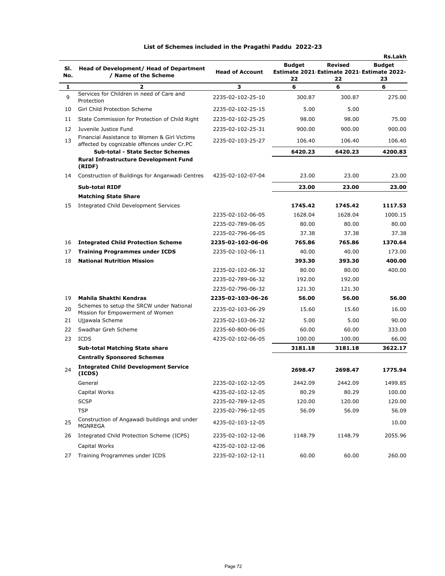|            |                                                                                             |                        |                                                                   |                      | <b>Rs.Lakh</b>      |
|------------|---------------------------------------------------------------------------------------------|------------------------|-------------------------------------------------------------------|----------------------|---------------------|
| SI.<br>No. | <b>Head of Development/ Head of Department</b><br>/ Name of the Scheme                      | <b>Head of Account</b> | <b>Budget</b><br>Estimate 2021 Estimate 2021 Estimate 2022-<br>22 | <b>Revised</b><br>22 | <b>Budget</b><br>23 |
| 1          | $\overline{2}$                                                                              | з                      | 6                                                                 | 6                    | 6                   |
| 9          | Services for Children in need of Care and<br>Protection                                     | 2235-02-102-25-10      | 300.87                                                            | 300.87               | 275.00              |
| 10         | Girl Child Protection Scheme                                                                | 2235-02-102-25-15      | 5.00                                                              | 5.00                 |                     |
| 11         | State Commission for Protection of Child Right                                              | 2235-02-102-25-25      | 98.00                                                             | 98.00                | 75.00               |
| 12         | Juvenile Justice Fund                                                                       | 2235-02-102-25-31      | 900.00                                                            | 900.00               | 900.00              |
| 13         | Financial Assistance to Women & Girl Victims<br>affected by cognizable offences under Cr.PC | 2235-02-103-25-27      | 106.40                                                            | 106.40               | 106.40              |
|            | <b>Sub-total - State Sector Schemes</b>                                                     |                        | 6420.23                                                           | 6420.23              | 4200.83             |
|            | <b>Rural Infrastructure Development Fund</b><br>(RIDF)                                      |                        |                                                                   |                      |                     |
| 14         | Construction of Buildings for Anganwadi Centres                                             | 4235-02-102-07-04      | 23.00                                                             | 23.00                | 23.00               |
|            | <b>Sub-total RIDF</b>                                                                       |                        | 23.00                                                             | 23.00                | 23.00               |
|            | <b>Matching State Share</b>                                                                 |                        |                                                                   |                      |                     |
| 15         | Integrated Child Development Services                                                       |                        | 1745.42                                                           | 1745.42              | 1117.53             |
|            |                                                                                             | 2235-02-102-06-05      | 1628.04                                                           | 1628.04              | 1000.15             |
|            |                                                                                             | 2235-02-789-06-05      | 80.00                                                             | 80.00                | 80.00               |
|            |                                                                                             | 2235-02-796-06-05      | 37.38                                                             | 37.38                | 37.38               |
| 16         | <b>Integrated Child Protection Scheme</b>                                                   | 2235-02-102-06-06      | 765.86                                                            | 765.86               | 1370.64             |
| 17         | <b>Training Programmes under ICDS</b>                                                       | 2235-02-102-06-11      | 40.00                                                             | 40.00                | 173.00              |
| 18         | <b>National Nutrition Mission</b>                                                           |                        | 393.30                                                            | 393.30               | 400.00              |
|            |                                                                                             | 2235-02-102-06-32      | 80.00                                                             | 80.00                | 400.00              |
|            |                                                                                             | 2235-02-789-06-32      | 192.00                                                            | 192.00               |                     |
|            |                                                                                             | 2235-02-796-06-32      | 121.30                                                            | 121.30               |                     |
| 19         | Mahila Shakthi Kendras                                                                      | 2235-02-103-06-26      | 56.00                                                             | 56.00                | 56.00               |
| 20         | Schemes to setup the SRCW under National<br>Mission for Empowerment of Women                | 2235-02-103-06-29      | 15.60                                                             | 15.60                | 16.00               |
| 21         | Ujjawala Scheme                                                                             | 2235-02-103-06-32      | 5.00                                                              | 5.00                 | 90.00               |
| 22         | Swadhar Greh Scheme                                                                         | 2235-60-800-06-05      | 60.00                                                             | 60.00                | 333.00              |
| 23         | ICDS                                                                                        | 4235-02-102-06-05      | 100.00                                                            | 100.00               | 66.00               |
|            | <b>Sub-total Matching State share</b>                                                       |                        | 3181.18                                                           | 3181.18              | 3622.17             |
|            | <b>Centrally Sponsored Schemes</b>                                                          |                        |                                                                   |                      |                     |
| 24         | <b>Integrated Child Development Service</b><br>(ICDS)                                       |                        | 2698.47                                                           | 2698.47              | 1775.94             |
|            | General                                                                                     | 2235-02-102-12-05      | 2442.09                                                           | 2442.09              | 1499.85             |
|            | Capital Works                                                                               | 4235-02-102-12-05      | 80.29                                                             | 80.29                | 100.00              |
|            | <b>SCSP</b>                                                                                 | 2235-02-789-12-05      | 120.00                                                            | 120.00               | 120.00              |
|            | <b>TSP</b>                                                                                  | 2235-02-796-12-05      | 56.09                                                             | 56.09                | 56.09               |
| 25         | Construction of Angawadi buildings and under<br><b>MGNREGA</b>                              | 4235-02-103-12-05      |                                                                   |                      | 10.00               |
| 26         | Integrated Child Protection Scheme (ICPS)                                                   | 2235-02-102-12-06      | 1148.79                                                           | 1148.79              | 2055.96             |
|            | Capital Works                                                                               | 4235-02-102-12-06      |                                                                   |                      |                     |
| 27         | Training Programmes under ICDS                                                              | 2235-02-102-12-11      | 60.00                                                             | 60.00                | 260.00              |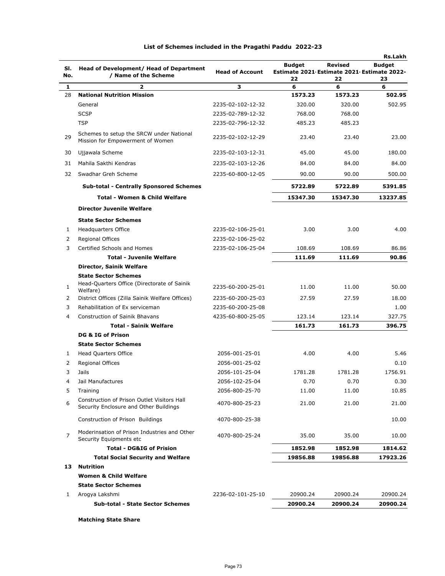|                |                                                                              |                        |                                                  |                | Rs.Lakh       |
|----------------|------------------------------------------------------------------------------|------------------------|--------------------------------------------------|----------------|---------------|
| SI.            | Head of Development/ Head of Department                                      |                        | <b>Budget</b>                                    | <b>Revised</b> | <b>Budget</b> |
| No.            | / Name of the Scheme                                                         | <b>Head of Account</b> | Estimate 2021 Estimate 2021 Estimate 2022-<br>22 | 22             |               |
| 1              | $\overline{\mathbf{2}}$                                                      | з                      | 6                                                | 6              | 23<br>6       |
| 28             | <b>National Nutrition Mission</b>                                            |                        | 1573.23                                          | 1573.23        | 502.95        |
|                | General                                                                      | 2235-02-102-12-32      | 320.00                                           | 320.00         | 502.95        |
|                | <b>SCSP</b>                                                                  | 2235-02-789-12-32      | 768.00                                           | 768.00         |               |
|                |                                                                              |                        |                                                  |                |               |
|                | <b>TSP</b>                                                                   | 2235-02-796-12-32      | 485.23                                           | 485.23         |               |
| 29             | Schemes to setup the SRCW under National<br>Mission for Empowerment of Women | 2235-02-102-12-29      | 23.40                                            | 23.40          | 23.00         |
| 30             | Ujjawala Scheme                                                              | 2235-02-103-12-31      | 45.00                                            | 45.00          | 180.00        |
| 31             | Mahila Sakthi Kendras                                                        | 2235-02-103-12-26      | 84.00                                            | 84.00          | 84.00         |
| 32             | Swadhar Greh Scheme                                                          | 2235-60-800-12-05      | 90.00                                            | 90.00          | 500.00        |
|                |                                                                              |                        |                                                  |                |               |
|                | <b>Sub-total - Centrally Sponsored Schemes</b>                               |                        | 5722.89                                          | 5722.89        | 5391.85       |
|                | <b>Total - Women &amp; Child Welfare</b>                                     |                        | 15347.30                                         | 15347.30       | 13237.85      |
|                | <b>Director Juvenile Welfare</b>                                             |                        |                                                  |                |               |
|                | <b>State Sector Schemes</b>                                                  |                        |                                                  |                |               |
| 1              | Headquarters Office                                                          | 2235-02-106-25-01      | 3.00                                             | 3.00           | 4.00          |
| 2              | <b>Regional Offices</b>                                                      | 2235-02-106-25-02      |                                                  |                |               |
| 3              | Certified Schools and Homes                                                  | 2235-02-106-25-04      | 108.69                                           | 108.69         | 86.86         |
|                | <b>Total - Juvenile Welfare</b>                                              |                        | 111.69                                           | 111.69         | 90.86         |
|                | Director, Sainik Welfare                                                     |                        |                                                  |                |               |
|                | <b>State Sector Schemes</b>                                                  |                        |                                                  |                |               |
| 1              | Head-Quarters Office (Directorate of Sainik<br>Welfare)                      | 2235-60-200-25-01      | 11.00                                            | 11.00          | 50.00         |
| 2              | District Offices (Zilla Sainik Welfare Offices)                              | 2235-60-200-25-03      | 27.59                                            | 27.59          | 18.00         |
| 3              | Rehabilitation of Ex serviceman                                              | 2235-60-200-25-08      |                                                  |                | 1.00          |
| 4              | <b>Construction of Sainik Bhavans</b>                                        | 4235-60-800-25-05      | 123.14                                           | 123.14         | 327.75        |
|                | <b>Total - Sainik Welfare</b>                                                |                        | 161.73                                           | 161.73         | 396.75        |
|                | DG & IG of Prison                                                            |                        |                                                  |                |               |
|                | <b>State Sector Schemes</b>                                                  |                        |                                                  |                |               |
| 1              | <b>Head Quarters Office</b>                                                  | 2056-001-25-01         | 4.00                                             | 4.00           | 5.46          |
| 2              | Regional Offices                                                             | 2056-001-25-02         |                                                  |                | 0.10          |
| 3              | Jails                                                                        | 2056-101-25-04         | 1781.28                                          | 1781.28        | 1756.91       |
| 4              | Jail Manufactures                                                            | 2056-102-25-04         | 0.70                                             | 0.70           | 0.30          |
| 5              | Training                                                                     | 2056-800-25-70         | 11.00                                            | 11.00          | 10.85         |
|                | Construction of Prison Outlet Visitors Hall                                  |                        |                                                  |                |               |
| 6              | Security Enclosure and Other Buildings                                       | 4070-800-25-23         | 21.00                                            | 21.00          | 21.00         |
|                | Construction of Prison Buildings                                             | 4070-800-25-38         |                                                  |                | 10.00         |
| $\overline{7}$ | Moderinsation of Prison Industries and Other<br>Security Equipments etc      | 4070-800-25-24         | 35.00                                            | 35.00          | 10.00         |
|                | <b>Total - DG&amp;IG of Prision</b>                                          |                        | 1852.98                                          | 1852.98        | 1814.62       |
|                | <b>Total Social Security and Welfare</b>                                     |                        | 19856.88                                         | 19856.88       | 17923.26      |
| 13             | <b>Nutrition</b>                                                             |                        |                                                  |                |               |
|                | <b>Women &amp; Child Welfare</b>                                             |                        |                                                  |                |               |
|                | <b>State Sector Schemes</b>                                                  |                        |                                                  |                |               |
| 1              | Arogya Lakshmi                                                               | 2236-02-101-25-10      | 20900.24                                         | 20900.24       | 20900.24      |
|                | <b>Sub-total - State Sector Schemes</b>                                      |                        | 20900.24                                         | 20900.24       | 20900.24      |
|                |                                                                              |                        |                                                  |                |               |

**Matching State Share**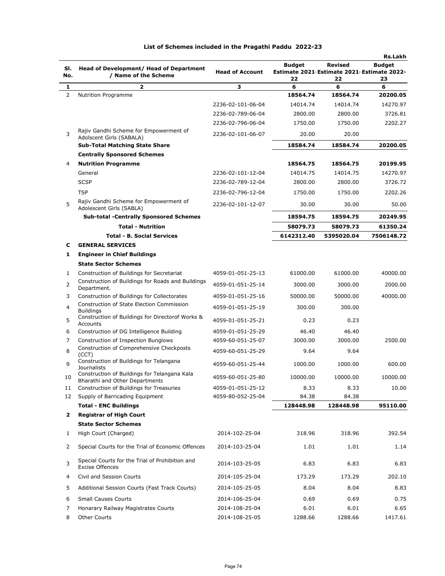|                |                                                                                              |                        |               |                                                              | Rs.Lakh       |
|----------------|----------------------------------------------------------------------------------------------|------------------------|---------------|--------------------------------------------------------------|---------------|
| SI.            | Head of Development/ Head of Department                                                      | <b>Head of Account</b> | <b>Budget</b> | <b>Revised</b><br>Estimate 2021 Estimate 2021 Estimate 2022- | <b>Budget</b> |
| No.            | / Name of the Scheme                                                                         |                        | 22            | 22                                                           | 23            |
| 1              | $\overline{\mathbf{z}}$                                                                      | з                      | 6             | 6                                                            | 6             |
| 2              | Nutrition Programme                                                                          |                        | 18564.74      | 18564.74                                                     | 20200.05      |
|                |                                                                                              | 2236-02-101-06-04      | 14014.74      | 14014.74                                                     | 14270.97      |
|                |                                                                                              | 2236-02-789-06-04      | 2800.00       | 2800.00                                                      | 3726.81       |
|                |                                                                                              | 2236-02-796-06-04      | 1750.00       | 1750.00                                                      | 2202.27       |
| 3              | Rajiv Gandhi Scheme for Empowerment of<br>Adolscent Girls (SABALA)                           | 2236-02-101-06-07      | 20.00         | 20.00                                                        |               |
|                | <b>Sub-Total Matching State Share</b>                                                        |                        | 18584.74      | 18584.74                                                     | 20200.05      |
|                | <b>Centrally Sponsored Schemes</b>                                                           |                        |               |                                                              |               |
| 4              | <b>Nutrition Programme</b>                                                                   |                        | 18564.75      | 18564.75                                                     | 20199.95      |
|                | General                                                                                      | 2236-02-101-12-04      | 14014.75      | 14014.75                                                     | 14270.97      |
|                | <b>SCSP</b>                                                                                  | 2236-02-789-12-04      | 2800.00       | 2800.00                                                      | 3726.72       |
|                | <b>TSP</b>                                                                                   | 2236-02-796-12-04      | 1750.00       | 1750.00                                                      | 2202.26       |
| 5              | Rajiv Gandhi Scheme for Empowerment of<br>Adolescent Girls (SABLA)                           | 2236-02-101-12-07      | 30.00         | 30.00                                                        | 50.00         |
|                | <b>Sub-total -Centrally Sponsored Schemes</b>                                                |                        | 18594.75      | 18594.75                                                     | 20249.95      |
|                | <b>Total - Nutrition</b>                                                                     |                        | 58079.73      | 58079.73                                                     | 61350.24      |
|                | <b>Total - B. Social Services</b>                                                            |                        | 6142312.40    | 5395020.04                                                   | 7506148.72    |
| c              | <b>GENERAL SERVICES</b>                                                                      |                        |               |                                                              |               |
| 1              | <b>Engineer in Chief Buildings</b>                                                           |                        |               |                                                              |               |
|                | <b>State Sector Schemes</b>                                                                  |                        |               |                                                              |               |
| 1              | Construction of Buildings for Secretariat                                                    | 4059-01-051-25-13      | 61000.00      | 61000.00                                                     | 40000.00      |
| 2              | Construction of Buildings for Roads and Buildings<br>Department.                             | 4059-01-051-25-14      | 3000.00       | 3000.00                                                      | 2000.00       |
| 3              | Construction of Buildings for Collectorates                                                  | 4059-01-051-25-16      | 50000.00      | 50000.00                                                     | 40000.00      |
| $\overline{4}$ | <b>Construction of State Election Commission</b><br><b>Buildings</b>                         | 4059-01-051-25-19      | 300.00        | 300.00                                                       |               |
| 5              | Construction of Buildings for Directorof Works &<br>Accounts                                 | 4059-01-051-25-21      | 0.23          | 0.23                                                         |               |
| 6              | Construction of DG Intelligence Building                                                     | 4059-01-051-25-29      | 46.40         | 46.40                                                        |               |
| 7              | Construction of Inspection Bunglows                                                          | 4059-60-051-25-07      | 3000.00       | 3000.00                                                      | 2500.00       |
| 8              | Construction of Comprehensive Checkposts<br>(CCT)<br>Construction of Buildings for Telangana | 4059-60-051-25-29      | 9.64          | 9.64                                                         |               |
| 9              | <b>Journalists</b><br>Construction of Buildings for Telangana Kala                           | 4059-60-051-25-44      | 1000.00       | 1000.00                                                      | 600.00        |
| 10             | Bharathi and Other Departments                                                               | 4059-60-051-25-80      | 10000.00      | 10000.00                                                     | 10000.00      |
| 11             | Construction of Buildings for Treasuries                                                     | 4059-01-051-25-12      | 8.33          | 8.33                                                         | 10.00         |
| 12             | Supply of Barricading Equipment                                                              | 4059-80-052-25-04      | 84.38         | 84.38                                                        |               |
|                | <b>Total - ENC Buildings</b>                                                                 |                        | 128448.98     | 128448.98                                                    | 95110.00      |
| 2              | <b>Registrar of High Court</b>                                                               |                        |               |                                                              |               |
|                | <b>State Sector Schemes</b>                                                                  |                        |               |                                                              |               |
| 1              | High Court (Charged)                                                                         | 2014-102-25-04         | 318.96        | 318.96                                                       | 392.54        |
| 2              | Special Courts for the Trial of Economic Offences                                            | 2014-103-25-04         | 1.01          | 1.01                                                         | 1.14          |
| 3              | Special Courts for the Trial of Prohibition and<br><b>Excise Offences</b>                    | 2014-103-25-05         | 6.83          | 6.83                                                         | 6.83          |
| 4              | Civil and Session Courts                                                                     | 2014-105-25-04         | 173.29        | 173.29                                                       | 202.10        |
| 5              | Additional Session Courts (Fast Track Courts)                                                | 2014-105-25-05         | 8.04          | 8.04                                                         | 8.83          |
| 6              | <b>Small Causes Courts</b>                                                                   | 2014-106-25-04         | 0.69          | 0.69                                                         | 0.75          |
| 7              | Honarary Railway Magistrates Courts                                                          | 2014-108-25-04         | 6.01          | 6.01                                                         | 6.65          |
| 8              | Other Courts                                                                                 | 2014-108-25-05         | 1288.66       | 1288.66                                                      | 1417.61       |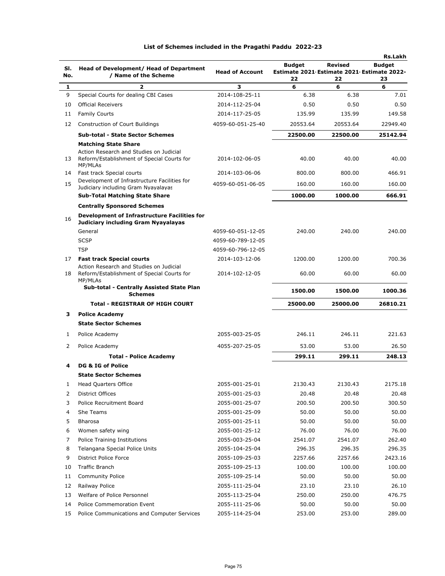|     |                                                                                            |                        |                                            |                | <b>Rs.Lakh</b> |
|-----|--------------------------------------------------------------------------------------------|------------------------|--------------------------------------------|----------------|----------------|
| SI. | Head of Development/ Head of Department                                                    |                        | <b>Budget</b>                              | <b>Revised</b> | <b>Budget</b>  |
| No. | / Name of the Scheme                                                                       | <b>Head of Account</b> | Estimate 2021 Estimate 2021 Estimate 2022- |                |                |
| 1   | 2                                                                                          | 3                      | 22<br>6                                    | 22<br>6        | 23<br>6        |
| 9   | Special Courts for dealing CBI Cases                                                       | 2014-108-25-11         | 6.38                                       | 6.38           | 7.01           |
| 10  | <b>Official Receivers</b>                                                                  | 2014-112-25-04         | 0.50                                       | 0.50           | 0.50           |
| 11  | <b>Family Courts</b>                                                                       | 2014-117-25-05         | 135.99                                     | 135.99         | 149.58         |
| 12  | Construction of Court Buildings                                                            | 4059-60-051-25-40      | 20553.64                                   | 20553.64       | 22949.40       |
|     |                                                                                            |                        |                                            |                |                |
|     | <b>Sub-total - State Sector Schemes</b>                                                    |                        | 22500.00                                   | 22500.00       | 25142.94       |
|     | <b>Matching State Share</b><br>Action Research and Studies on Judicial                     |                        |                                            |                |                |
| 13  | Reform/Establishment of Special Courts for<br>MP/MLAs                                      | 2014-102-06-05         | 40.00                                      | 40.00          | 40.00          |
| 14  | Fast track Special courts                                                                  | 2014-103-06-06         | 800.00                                     | 800.00         | 466.91         |
| 15  | Development of Infrastructure Facilities for                                               | 4059-60-051-06-05      | 160.00                                     | 160.00         | 160.00         |
|     | Judiciary including Gram Nyayalayas<br><b>Sub-Total Matching State Share</b>               |                        | 1000.00                                    | 1000.00        | 666.91         |
|     |                                                                                            |                        |                                            |                |                |
|     | <b>Centrally Sponsored Schemes</b>                                                         |                        |                                            |                |                |
| 16  | <b>Development of Infrastructure Facilities for</b><br>Judiciary including Gram Nyayalayas |                        |                                            |                |                |
|     | General                                                                                    | 4059-60-051-12-05      | 240.00                                     | 240.00         | 240.00         |
|     | <b>SCSP</b>                                                                                | 4059-60-789-12-05      |                                            |                |                |
|     | <b>TSP</b>                                                                                 | 4059-60-796-12-05      |                                            |                |                |
| 17  | <b>Fast track Special courts</b>                                                           | 2014-103-12-06         | 1200.00                                    | 1200.00        | 700.36         |
| 18  | Action Research and Studies on Judicial<br>Reform/Establishment of Special Courts for      | 2014-102-12-05         | 60.00                                      | 60.00          | 60.00          |
|     | MP/MLAs<br>Sub-total - Centrally Assisted State Plan<br><b>Schemes</b>                     |                        | 1500.00                                    | 1500.00        | 1000.36        |
|     | <b>Total - REGISTRAR OF HIGH COURT</b>                                                     |                        | 25000.00                                   | 25000.00       | 26810.21       |
| з   | <b>Police Academy</b>                                                                      |                        |                                            |                |                |
|     | <b>State Sector Schemes</b>                                                                |                        |                                            |                |                |
| 1   | Police Academy                                                                             | 2055-003-25-05         | 246.11                                     | 246.11         | 221.63         |
|     |                                                                                            |                        |                                            |                |                |
| 2   | Police Academy                                                                             | 4055-207-25-05         | 53.00                                      | 53.00          | 26.50          |
|     | <b>Total - Police Academy</b>                                                              |                        | 299.11                                     | 299.11         | 248.13         |
| 4   | DG & IG of Police                                                                          |                        |                                            |                |                |
|     | <b>State Sector Schemes</b>                                                                |                        |                                            |                |                |
| 1   | Head Quarters Office                                                                       | 2055-001-25-01         | 2130.43                                    | 2130.43        | 2175.18        |
| 2   | <b>District Offices</b>                                                                    | 2055-001-25-03         | 20.48                                      | 20.48          | 20.48          |
| 3   | Police Recruitment Board                                                                   | 2055-001-25-07         | 200.50                                     | 200.50         | 300.50         |
| 4   | She Teams                                                                                  | 2055-001-25-09         | 50.00                                      | 50.00          | 50.00          |
| 5   | <b>Bharosa</b>                                                                             | 2055-001-25-11         | 50.00                                      | 50.00          | 50.00          |
| 6   | Women safety wing                                                                          | 2055-001-25-12         | 76.00                                      | 76.00          | 76.00          |
| 7   | Police Training Institutions                                                               | 2055-003-25-04         | 2541.07                                    | 2541.07        | 262.40         |
| 8   | Telangana Special Police Units                                                             | 2055-104-25-04         | 296.35                                     | 296.35         | 296.35         |
| 9   | <b>District Police Force</b>                                                               | 2055-109-25-03         | 2257.66                                    | 2257.66        | 2423.16        |
| 10  | <b>Traffic Branch</b>                                                                      | 2055-109-25-13         | 100.00                                     | 100.00         | 100.00         |
| 11  | <b>Community Police</b>                                                                    | 2055-109-25-14         | 50.00                                      | 50.00          | 50.00          |
| 12  | Railway Police                                                                             | 2055-111-25-04         | 23.10                                      | 23.10          | 26.10          |
| 13  | Welfare of Police Personnel                                                                | 2055-113-25-04         | 250.00                                     | 250.00         | 476.75         |
| 14  | <b>Police Commemoration Event</b>                                                          | 2055-111-25-06         | 50.00                                      | 50.00          | 50.00          |
| 15  | Police Communications and Computer Services                                                | 2055-114-25-04         | 253.00                                     | 253.00         | 289.00         |
|     |                                                                                            |                        |                                            |                |                |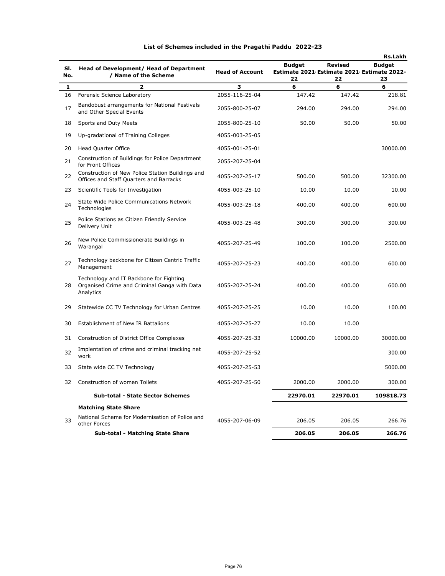|            |                                                                                                      |                        |                                                             |                | <b>Rs.Lakh</b> |
|------------|------------------------------------------------------------------------------------------------------|------------------------|-------------------------------------------------------------|----------------|----------------|
| SI.<br>No. | Head of Development/ Head of Department<br>/ Name of the Scheme                                      | <b>Head of Account</b> | <b>Budget</b><br>Estimate 2021 Estimate 2021 Estimate 2022- | <b>Revised</b> | <b>Budget</b>  |
| 1          | $\overline{\mathbf{z}}$                                                                              | 3                      | 22<br>6                                                     | 22<br>6        | 23<br>6        |
| 16         | Forensic Science Laboratory                                                                          | 2055-116-25-04         | 147.42                                                      | 147.42         | 218.81         |
| 17         | Bandobust arrangements for National Festivals<br>and Other Special Events                            | 2055-800-25-07         | 294.00                                                      | 294.00         | 294.00         |
| 18         | Sports and Duty Meets                                                                                | 2055-800-25-10         | 50.00                                                       | 50.00          | 50.00          |
| 19         | Up-gradational of Training Colleges                                                                  | 4055-003-25-05         |                                                             |                |                |
| 20         | <b>Head Quarter Office</b>                                                                           | 4055-001-25-01         |                                                             |                | 30000.00       |
| 21         | Construction of Buildings for Police Department<br>for Front Offices                                 | 2055-207-25-04         |                                                             |                |                |
| 22         | Construction of New Police Station Buildings and<br>Offices and Staff Quarters and Barracks          | 4055-207-25-17         | 500.00                                                      | 500.00         | 32300.00       |
| 23         | Scientific Tools for Investigation                                                                   | 4055-003-25-10         | 10.00                                                       | 10.00          | 10.00          |
| 24         | State Wide Police Communications Network<br>Technologies                                             | 4055-003-25-18         | 400.00                                                      | 400.00         | 600.00         |
| 25         | Police Stations as Citizen Friendly Service<br>Delivery Unit                                         | 4055-003-25-48         | 300.00                                                      | 300.00         | 300.00         |
| 26         | New Police Commissionerate Buildings in<br>Warangal                                                  | 4055-207-25-49         | 100.00                                                      | 100.00         | 2500.00        |
| 27         | Technology backbone for Citizen Centric Traffic<br>Management                                        | 4055-207-25-23         | 400.00                                                      | 400.00         | 600.00         |
| 28         | Technology and IT Backbone for Fighting<br>Organised Crime and Criminal Ganga with Data<br>Analytics | 4055-207-25-24         | 400.00                                                      | 400.00         | 600.00         |
| 29         | Statewide CC TV Technology for Urban Centres                                                         | 4055-207-25-25         | 10.00                                                       | 10.00          | 100.00         |
| 30         | Establishment of New IR Battalions                                                                   | 4055-207-25-27         | 10.00                                                       | 10.00          |                |
| 31         | Construction of District Office Complexes                                                            | 4055-207-25-33         | 10000.00                                                    | 10000.00       | 30000.00       |
| 32         | Implentation of crime and criminal tracking net<br>work                                              | 4055-207-25-52         |                                                             |                | 300.00         |
| 33         | State wide CC TV Technology                                                                          | 4055-207-25-53         |                                                             |                | 5000.00        |
| 32         | Construction of women Toilets                                                                        | 4055-207-25-50         | 2000.00                                                     | 2000.00        | 300.00         |
|            | <b>Sub-total - State Sector Schemes</b>                                                              |                        | 22970.01                                                    | 22970.01       | 109818.73      |
|            | <b>Matching State Share</b>                                                                          |                        |                                                             |                |                |
| 33         | National Scheme for Modernisation of Police and<br>other Forces                                      | 4055-207-06-09         | 206.05                                                      | 206.05         | 266.76         |
|            | <b>Sub-total - Matching State Share</b>                                                              |                        | 206.05                                                      | 206.05         | 266.76         |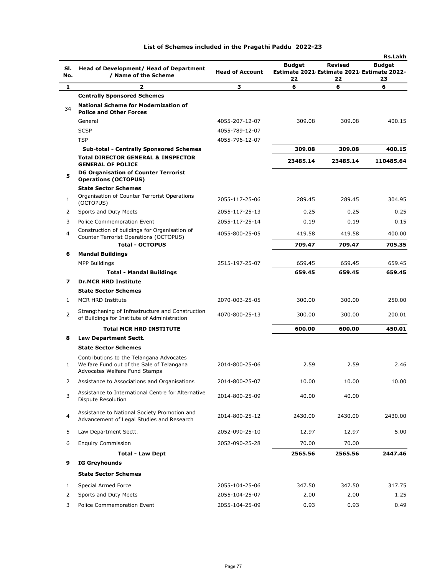|     |                                                                                                                        |                        |                                                  |                | <b>Rs.Lakh</b> |
|-----|------------------------------------------------------------------------------------------------------------------------|------------------------|--------------------------------------------------|----------------|----------------|
| SI. | Head of Development/ Head of Department                                                                                |                        | <b>Budget</b>                                    | <b>Revised</b> | <b>Budget</b>  |
| No. | / Name of the Scheme                                                                                                   | <b>Head of Account</b> | Estimate 2021 Estimate 2021 Estimate 2022-<br>22 | 22             | 23             |
| 1   | 2                                                                                                                      | з                      | 6                                                | 6              | 6              |
|     | <b>Centrally Sponsored Schemes</b>                                                                                     |                        |                                                  |                |                |
| 34  | <b>National Scheme for Modernization of</b><br><b>Police and Other Forces</b>                                          |                        |                                                  |                |                |
|     | General                                                                                                                | 4055-207-12-07         | 309.08                                           | 309.08         | 400.15         |
|     | <b>SCSP</b>                                                                                                            | 4055-789-12-07         |                                                  |                |                |
|     | <b>TSP</b>                                                                                                             | 4055-796-12-07         |                                                  |                |                |
|     | <b>Sub-total - Centrally Sponsored Schemes</b>                                                                         |                        | 309.08                                           | 309.08         | 400.15         |
|     | <b>Total DIRECTOR GENERAL &amp; INSPECTOR</b><br><b>GENERAL OF POLICE</b>                                              |                        | 23485.14                                         | 23485.14       | 110485.64      |
| 5   | <b>DG Organisation of Counter Terrorist</b><br><b>Operations (OCTOPUS)</b>                                             |                        |                                                  |                |                |
|     | <b>State Sector Schemes</b>                                                                                            |                        |                                                  |                |                |
| 1   | Organisation of Counter Terrorist Operations<br>(OCTOPUS)                                                              | 2055-117-25-06         | 289.45                                           | 289.45         | 304.95         |
| 2   | Sports and Duty Meets                                                                                                  | 2055-117-25-13         | 0.25                                             | 0.25           | 0.25           |
| 3   | <b>Police Commemoration Event</b>                                                                                      | 2055-117-25-14         | 0.19                                             | 0.19           | 0.15           |
| 4   | Construction of buildings for Organisation of                                                                          | 4055-800-25-05         | 419.58                                           | 419.58         | 400.00         |
|     | Counter Terrorist Operations (OCTOPUS)<br><b>Total - OCTOPUS</b>                                                       |                        | 709.47                                           | 709.47         | 705.35         |
| 6   | <b>Mandal Buildings</b>                                                                                                |                        |                                                  |                |                |
|     | <b>MPP Buildings</b>                                                                                                   | 2515-197-25-07         | 659.45                                           | 659.45         | 659.45         |
|     | <b>Total - Mandal Buildings</b>                                                                                        |                        | 659.45                                           | 659.45         | 659.45         |
| 7   | <b>Dr.MCR HRD Institute</b>                                                                                            |                        |                                                  |                |                |
|     | <b>State Sector Schemes</b>                                                                                            |                        |                                                  |                |                |
| 1   | MCR HRD Institute                                                                                                      | 2070-003-25-05         | 300.00                                           | 300.00         | 250.00         |
| 2   | Strengthening of Infrastructure and Construction<br>of Buildings for Institute of Administration                       | 4070-800-25-13         | 300.00                                           | 300.00         | 200.01         |
|     | <b>Total MCR HRD INSTITUTE</b>                                                                                         |                        | 600.00                                           | 600.00         | 450.01         |
| 8   | Law Department Sectt.                                                                                                  |                        |                                                  |                |                |
|     | <b>State Sector Schemes</b>                                                                                            |                        |                                                  |                |                |
| 1   | Contributions to the Telangana Advocates<br>Welfare Fund out of the Sale of Telangana<br>Advocates Welfare Fund Stamps | 2014-800-25-06         | 2.59                                             | 2.59           | 2.46           |
|     | Assistance to Associations and Organisations                                                                           | 2014-800-25-07         | 10.00                                            | 10.00          | 10.00          |
| 3   | Assistance to International Centre for Alternative<br>Dispute Resolution                                               | 2014-800-25-09         | 40.00                                            | 40.00          |                |
| 4   | Assistance to National Society Promotion and<br>Advancement of Legal Studies and Research                              | 2014-800-25-12         | 2430.00                                          | 2430.00        | 2430.00        |
| 5   | Law Department Sectt.                                                                                                  | 2052-090-25-10         | 12.97                                            | 12.97          | 5.00           |
| 6   | <b>Enquiry Commission</b>                                                                                              | 2052-090-25-28         | 70.00                                            | 70.00          |                |
|     | <b>Total - Law Dept</b>                                                                                                |                        | 2565.56                                          | 2565.56        | 2447.46        |
| 9   | <b>IG Greyhounds</b>                                                                                                   |                        |                                                  |                |                |
|     | <b>State Sector Schemes</b>                                                                                            |                        |                                                  |                |                |
| 1   | Special Armed Force                                                                                                    | 2055-104-25-06         | 347.50                                           | 347.50         | 317.75         |
| 2   | Sports and Duty Meets                                                                                                  | 2055-104-25-07         | 2.00                                             | 2.00           | 1.25           |
| 3   | Police Commemoration Event                                                                                             | 2055-104-25-09         | 0.93                                             | 0.93           | 0.49           |
|     |                                                                                                                        |                        |                                                  |                |                |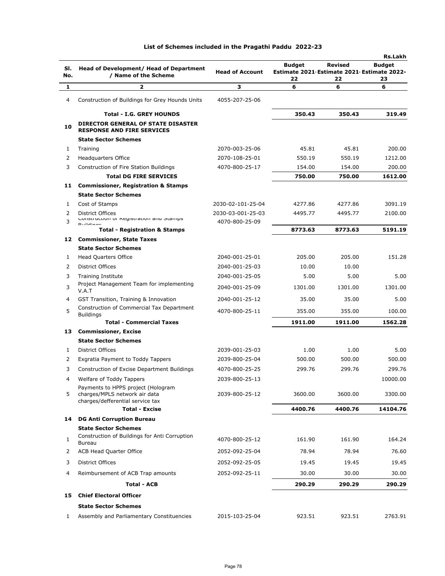|        |                                                                                |                                     |                                                             |         | <b>Rs.Lakh</b> |
|--------|--------------------------------------------------------------------------------|-------------------------------------|-------------------------------------------------------------|---------|----------------|
| SI.    | Head of Development/ Head of Department                                        | <b>Head of Account</b>              | <b>Budget</b><br>Estimate 2021 Estimate 2021 Estimate 2022- | Revised | <b>Budget</b>  |
| No.    | / Name of the Scheme                                                           |                                     | 22                                                          | 22      | 23             |
| 1      | 2                                                                              | з                                   | 6                                                           | 6       | 6              |
| 4      | Construction of Buildings for Grey Hounds Units                                | 4055-207-25-06                      |                                                             |         |                |
|        | <b>Total - I.G. GREY HOUNDS</b>                                                |                                     | 350.43                                                      | 350.43  | 319.49         |
| 10     | <b>DIRECTOR GENERAL OF STATE DISASTER</b><br><b>RESPONSE AND FIRE SERVICES</b> |                                     |                                                             |         |                |
|        | <b>State Sector Schemes</b>                                                    |                                     |                                                             |         |                |
| 1      | Training                                                                       | 2070-003-25-06                      | 45.81                                                       | 45.81   | 200.00         |
| 2      | <b>Headquarters Office</b>                                                     | 2070-108-25-01                      | 550.19                                                      | 550.19  | 1212.00        |
| 3      | Construction of Fire Station Buildings                                         | 4070-800-25-17                      | 154.00                                                      | 154.00  | 200.00         |
|        | <b>Total DG FIRE SERVICES</b>                                                  |                                     | 750.00                                                      | 750.00  | 1612.00        |
| 11     | <b>Commissioner, Registration &amp; Stamps</b>                                 |                                     |                                                             |         |                |
|        | <b>State Sector Schemes</b>                                                    |                                     |                                                             |         |                |
| 1      | Cost of Stamps                                                                 | 2030-02-101-25-04                   | 4277.86                                                     | 4277.86 | 3091.19        |
| 2<br>3 | District Offices<br>CONSTRUCTION OF REGISTRATION QUALITY STANDING              | 2030-03-001-25-03<br>4070-800-25-09 | 4495.77                                                     | 4495.77 | 2100.00        |
|        | <b>Duildings</b><br><b>Total - Registration &amp; Stamps</b>                   |                                     | 8773.63                                                     | 8773.63 | 5191.19        |
| 12     | <b>Commissioner, State Taxes</b>                                               |                                     |                                                             |         |                |
|        | <b>State Sector Schemes</b>                                                    |                                     |                                                             |         |                |
| 1      | <b>Head Quarters Office</b>                                                    | 2040-001-25-01                      | 205.00                                                      | 205.00  | 151.28         |
| 2      | <b>District Offices</b>                                                        | 2040-001-25-03                      | 10.00                                                       | 10.00   |                |
| 3      | <b>Training Institute</b>                                                      | 2040-001-25-05                      | 5.00                                                        | 5.00    | 5.00           |
| 3      | Project Management Team for implementing<br>V.A.T                              | 2040-001-25-09                      | 1301.00                                                     | 1301.00 | 1301.00        |
| 4      | GST Transition, Training & Innovation                                          | 2040-001-25-12                      | 35.00                                                       | 35.00   | 5.00           |
| 5      | Construction of Commercial Tax Department<br><b>Buildings</b>                  | 4070-800-25-11                      | 355.00                                                      | 355.00  | 100.00         |
|        | <b>Total - Commercial Taxes</b>                                                |                                     | 1911.00                                                     | 1911.00 | 1562.28        |
| 13     | <b>Commissioner, Excise</b>                                                    |                                     |                                                             |         |                |
|        | <b>State Sector Schemes</b>                                                    |                                     |                                                             |         |                |
| 1      | <b>District Offices</b>                                                        | 2039-001-25-03                      | 1.00                                                        | 1.00    | 5.00           |
| 2      | Exgratia Payment to Toddy Tappers                                              | 2039-800-25-04                      | 500.00                                                      | 500.00  | 500.00         |
| 3      | Construction of Excise Department Buildings                                    | 4070-800-25-25                      | 299.76                                                      | 299.76  | 299.76         |
| 4      | Welfare of Toddy Tappers                                                       | 2039-800-25-13                      |                                                             |         | 10000.00       |
| 5      | Payments to HPPS project (Hologram<br>charges/MPLS network air data            | 2039-800-25-12                      | 3600.00                                                     | 3600.00 | 3300.00        |
|        | charges/defferential service tax<br><b>Total - Excise</b>                      |                                     | 4400.76                                                     | 4400.76 | 14104.76       |
| 14     | <b>DG Anti Corruption Bureau</b>                                               |                                     |                                                             |         |                |
|        | <b>State Sector Schemes</b>                                                    |                                     |                                                             |         |                |
| 1      | Construction of Buildings for Anti Corruption<br><b>Bureau</b>                 | 4070-800-25-12                      | 161.90                                                      | 161.90  | 164.24         |
| 2      | <b>ACB Head Quarter Office</b>                                                 | 2052-092-25-04                      | 78.94                                                       | 78.94   | 76.60          |
| 3      | <b>District Offices</b>                                                        | 2052-092-25-05                      | 19.45                                                       | 19.45   | 19.45          |
| 4      | Reimbursement of ACB Trap amounts                                              | 2052-092-25-11                      | 30.00                                                       | 30.00   | 30.00          |
|        | <b>Total - ACB</b>                                                             |                                     | 290.29                                                      | 290.29  | 290.29         |
| 15     | <b>Chief Electoral Officer</b>                                                 |                                     |                                                             |         |                |
|        |                                                                                |                                     |                                                             |         |                |
|        | <b>State Sector Schemes</b>                                                    |                                     |                                                             |         |                |
| 1      | Assembly and Parliamentary Constituencies                                      | 2015-103-25-04                      | 923.51                                                      | 923.51  | 2763.91        |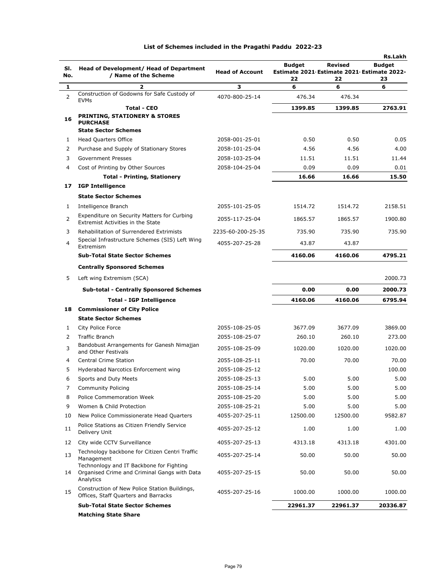| SI.<br>No. | Head of Development/ Head of Department<br>/ Name of the Scheme                                       | <b>Head of Account</b> | <b>Budget</b><br>Estimate 2021 Estimate 2021 Estimate 2022-<br>22 | Revised<br>22 | <b>Rs.Lakh</b><br><b>Budget</b><br>23 |
|------------|-------------------------------------------------------------------------------------------------------|------------------------|-------------------------------------------------------------------|---------------|---------------------------------------|
| 1          | 2                                                                                                     | 3                      | 6                                                                 | 6             | 6                                     |
| 2          | Construction of Godowns for Safe Custody of                                                           | 4070-800-25-14         | 476.34                                                            | 476.34        |                                       |
|            | <b>EVMs</b><br>Total - CEO                                                                            |                        | 1399.85                                                           | 1399.85       | 2763.91                               |
| 16         | <b>PRINTING, STATIONERY &amp; STORES</b><br><b>PURCHASE</b><br><b>State Sector Schemes</b>            |                        |                                                                   |               |                                       |
| 1          | <b>Head Quarters Office</b>                                                                           | 2058-001-25-01         | 0.50                                                              | 0.50          | 0.05                                  |
| 2          | Purchase and Supply of Stationary Stores                                                              | 2058-101-25-04         | 4.56                                                              | 4.56          | 4.00                                  |
| 3          | <b>Government Presses</b>                                                                             | 2058-103-25-04         | 11.51                                                             | 11.51         | 11.44                                 |
| 4          | Cost of Printing by Other Sources                                                                     | 2058-104-25-04         | 0.09                                                              | 0.09          | 0.01                                  |
|            | <b>Total - Printing, Stationery</b>                                                                   |                        | 16.66                                                             | 16.66         | 15.50                                 |
| 17         | <b>IGP Intelligence</b>                                                                               |                        |                                                                   |               |                                       |
|            | <b>State Sector Schemes</b>                                                                           |                        |                                                                   |               |                                       |
| 1          | Intelligence Branch                                                                                   | 2055-101-25-05         | 1514.72                                                           | 1514.72       | 2158.51                               |
| 2          | Expenditure on Security Matters for Curbing<br>Extremist Activities in the State                      | 2055-117-25-04         | 1865.57                                                           | 1865.57       | 1900.80                               |
| 3          | Rehabilitation of Surrendered Extrimists                                                              | 2235-60-200-25-35      | 735.90                                                            | 735.90        | 735.90                                |
| 4          | Special Infrastructure Schemes (SIS) Left Wing<br>Extremism                                           | 4055-207-25-28         | 43.87                                                             | 43.87         |                                       |
|            | <b>Sub-Total State Sector Schemes</b>                                                                 |                        | 4160.06                                                           | 4160.06       | 4795.21                               |
|            | <b>Centrally Sponsored Schemes</b>                                                                    |                        |                                                                   |               |                                       |
| 5          | Left wing Extremism (SCA)                                                                             |                        |                                                                   |               | 2000.73                               |
|            | <b>Sub-total - Centrally Sponsored Schemes</b>                                                        |                        | 0.00                                                              | 0.00          | 2000.73                               |
|            | <b>Total - IGP Intelligence</b>                                                                       |                        | 4160.06                                                           | 4160.06       | 6795.94                               |
| 18         | <b>Commissioner of City Police</b>                                                                    |                        |                                                                   |               |                                       |
|            | <b>State Sector Schemes</b>                                                                           |                        |                                                                   |               |                                       |
| 1          | City Police Force                                                                                     | 2055-108-25-05         | 3677.09                                                           | 3677.09       | 3869.00                               |
| 2          | <b>Traffic Branch</b>                                                                                 | 2055-108-25-07         | 260.10                                                            | 260.10        | 273.00                                |
| 3          | Bandobust Arrangements for Ganesh Nimajjan<br>and Other Festivals                                     | 2055-108-25-09         | 1020.00                                                           | 1020.00       | 1020.00                               |
| 4          | <b>Central Crime Station</b>                                                                          | 2055-108-25-11         | 70.00                                                             | 70.00         | 70.00                                 |
| 5          | Hyderabad Narcotics Enforcement wing                                                                  | 2055-108-25-12         |                                                                   |               | 100.00                                |
| 6          | Sports and Duty Meets                                                                                 | 2055-108-25-13         | 5.00                                                              | 5.00          | 5.00                                  |
| 7          | <b>Community Policing</b>                                                                             | 2055-108-25-14         | 5.00                                                              | 5.00          | 5.00                                  |
| 8          | Police Commemoration Week                                                                             | 2055-108-25-20         | 5.00                                                              | 5.00          | 5.00                                  |
| 9          | Women & Child Protection                                                                              | 2055-108-25-21         | 5.00                                                              | 5.00          | 5.00                                  |
| 10         | New Police Commissionerate Head Quarters                                                              | 4055-207-25-11         | 12500.00                                                          | 12500.00      | 9582.87                               |
| 11         | Police Stations as Citizen Friendly Service<br>Delivery Unit                                          | 4055-207-25-12         | 1.00                                                              | 1.00          | 1.00                                  |
| 12         | City wide CCTV Surveillance                                                                           | 4055-207-25-13         | 4313.18                                                           | 4313.18       | 4301.00                               |
| 13         | Technology backbone for Citizen Centri Traffic<br>Management                                          | 4055-207-25-14         | 50.00                                                             | 50.00         | 50.00                                 |
| 14         | Technonlogy and IT Backbone for Fighting<br>Organised Crime and Criminal Gangs with Data<br>Analytics | 4055-207-25-15         | 50.00                                                             | 50.00         | 50.00                                 |
| 15         | Construction of New Police Station Buildings,<br>Offices, Staff Quarters and Barracks                 | 4055-207-25-16         | 1000.00                                                           | 1000.00       | 1000.00                               |
|            | <b>Sub-Total State Sector Schemes</b>                                                                 |                        | 22961.37                                                          | 22961.37      | 20336.87                              |
|            | <b>Matching State Share</b>                                                                           |                        |                                                                   |               |                                       |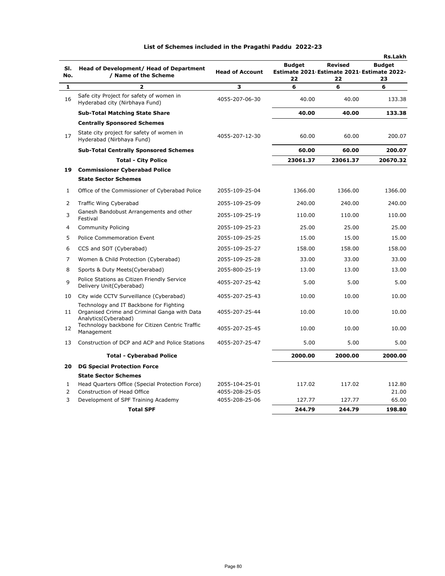|     |                                                                                         |                        |                                                             |                | <b>Rs.Lakh</b> |
|-----|-----------------------------------------------------------------------------------------|------------------------|-------------------------------------------------------------|----------------|----------------|
| SI. | Head of Development/ Head of Department                                                 | <b>Head of Account</b> | <b>Budget</b><br>Estimate 2021 Estimate 2021 Estimate 2022- | <b>Revised</b> | <b>Budget</b>  |
| No. | / Name of the Scheme                                                                    |                        | 22                                                          | 22             | 23             |
| 1   | 2                                                                                       | 3                      | 6                                                           | 6              | 6              |
| 16  | Safe city Project for safety of women in<br>Hyderabad city (Nirbhaya Fund)              | 4055-207-06-30         | 40.00                                                       | 40.00          | 133.38         |
|     | <b>Sub-Total Matching State Share</b>                                                   |                        | 40.00                                                       | 40.00          | 133.38         |
|     | <b>Centrally Sponsored Schemes</b>                                                      |                        |                                                             |                |                |
| 17  | State city project for safety of women in<br>Hyderabad (Nirbhaya Fund)                  | 4055-207-12-30         | 60.00                                                       | 60.00          | 200.07         |
|     | <b>Sub-Total Centrally Sponsored Schemes</b>                                            |                        | 60.00                                                       | 60.00          | 200.07         |
|     | <b>Total - City Police</b>                                                              |                        | 23061.37                                                    | 23061.37       | 20670.32       |
| 19  | <b>Commissioner Cyberabad Police</b>                                                    |                        |                                                             |                |                |
|     | <b>State Sector Schemes</b>                                                             |                        |                                                             |                |                |
| 1   | Office of the Commissioner of Cyberabad Police                                          | 2055-109-25-04         | 1366.00                                                     | 1366.00        | 1366.00        |
| 2   | Traffic Wing Cyberabad                                                                  | 2055-109-25-09         | 240.00                                                      | 240.00         | 240.00         |
| 3   | Ganesh Bandobust Arrangements and other<br>Festival                                     | 2055-109-25-19         | 110.00                                                      | 110.00         | 110.00         |
| 4   | <b>Community Policing</b>                                                               | 2055-109-25-23         | 25.00                                                       | 25.00          | 25.00          |
| 5   | <b>Police Commemoration Event</b>                                                       | 2055-109-25-25         | 15.00                                                       | 15.00          | 15.00          |
| 6   | CCS and SOT (Cyberabad)                                                                 | 2055-109-25-27         | 158.00                                                      | 158.00         | 158.00         |
| 7   | Women & Child Protection (Cyberabad)                                                    | 2055-109-25-28         | 33.00                                                       | 33.00          | 33.00          |
| 8   | Sports & Duty Meets(Cyberabad)                                                          | 2055-800-25-19         | 13.00                                                       | 13.00          | 13.00          |
| 9   | Police Stations as Citizen Friendly Service<br>Delivery Unit(Cyberabad)                 | 4055-207-25-42         | 5.00                                                        | 5.00           | 5.00           |
| 10  | City wide CCTV Surveillance (Cyberabad)                                                 | 4055-207-25-43         | 10.00                                                       | 10.00          | 10.00          |
| 11  | Technology and IT Backbone for Fighting<br>Organised Crime and Criminal Ganga with Data | 4055-207-25-44         | 10.00                                                       | 10.00          | 10.00          |
| 12  | Analytics (Cyberabad)<br>Technology backbone for Citizen Centric Traffic<br>Management  | 4055-207-25-45         | 10.00                                                       | 10.00          | 10.00          |
| 13  | Construction of DCP and ACP and Police Stations                                         | 4055-207-25-47         | 5.00                                                        | 5.00           | 5.00           |
|     | <b>Total - Cyberabad Police</b>                                                         |                        | 2000.00                                                     | 2000.00        | 2000.00        |
| 20  | <b>DG Special Protection Force</b>                                                      |                        |                                                             |                |                |
|     | <b>State Sector Schemes</b>                                                             |                        |                                                             |                |                |
| 1   | Head Quarters Office (Special Protection Force)                                         | 2055-104-25-01         | 117.02                                                      | 117.02         | 112.80         |
| 2   | Construction of Head Office                                                             | 4055-208-25-05         |                                                             |                | 21.00          |
| 3   | Development of SPF Training Academy                                                     | 4055-208-25-06         | 127.77                                                      | 127.77         | 65.00          |
|     | <b>Total SPF</b>                                                                        |                        | 244.79                                                      | 244.79         | 198.80         |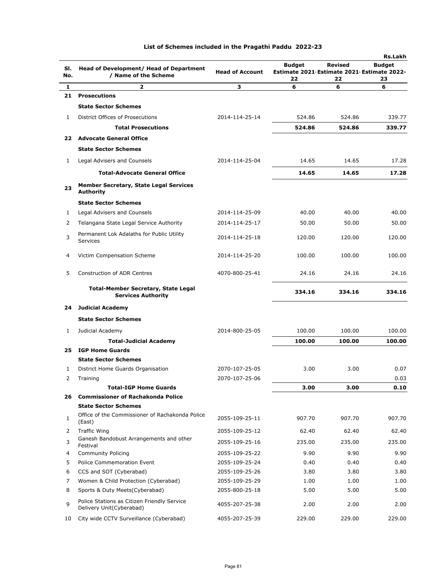| SI.<br>No. | Head of Development/ Head of Department<br>/ Name of the Scheme                | <b>Head of Account</b> | <b>Budget</b><br>Estimate 2021 Estimate 2021 Estimate 2022-<br>22 | Revised<br>22 | <b>Rs.Lakh</b><br><b>Budget</b><br>23 |
|------------|--------------------------------------------------------------------------------|------------------------|-------------------------------------------------------------------|---------------|---------------------------------------|
| 1          | 2                                                                              | з                      | 6                                                                 | 6             | 6                                     |
| 21         | <b>Prosecutions</b>                                                            |                        |                                                                   |               |                                       |
|            | <b>State Sector Schemes</b>                                                    |                        |                                                                   |               |                                       |
| 1          | District Offices of Prosecutions                                               | 2014-114-25-14         | 524.86                                                            | 524.86        | 339.77                                |
|            | <b>Total Prosecutions</b>                                                      |                        | 524.86                                                            | 524.86        | 339.77                                |
| 22         | <b>Advocate General Office</b>                                                 |                        |                                                                   |               |                                       |
|            | <b>State Sector Schemes</b>                                                    |                        |                                                                   |               |                                       |
| 1          | Legal Advisers and Counsels                                                    | 2014-114-25-04         | 14.65                                                             | 14.65         | 17.28                                 |
|            |                                                                                |                        |                                                                   |               |                                       |
|            | <b>Total-Advocate General Office</b>                                           |                        | 14.65                                                             | 14.65         | 17.28                                 |
| 23         | Member Secretary, State Legal Services<br><b>Authority</b>                     |                        |                                                                   |               |                                       |
|            | <b>State Sector Schemes</b>                                                    |                        |                                                                   |               |                                       |
| 1          | Legal Advisers and Counsels                                                    | 2014-114-25-09         | 40.00                                                             | 40.00         | 40.00                                 |
| 2          | Telangana State Legal Service Authority                                        | 2014-114-25-17         | 50.00                                                             | 50.00         | 50.00                                 |
| 3          | Permanent Lok Adalaths for Public Utility<br>Services                          | 2014-114-25-18         | 120.00                                                            | 120.00        | 120.00                                |
| 4          | Victim Compensation Scheme                                                     | 2014-114-25-20         | 100.00                                                            | 100.00        | 100.00                                |
| 5          | <b>Construction of ADR Centres</b>                                             | 4070-800-25-41         | 24.16                                                             | 24.16         | 24.16                                 |
|            | <b>Total-Member Secretary, State Legal</b><br><b>Services Authority</b>        |                        | 334.16                                                            | 334.16        | 334.16                                |
| 24         | <b>Judicial Academy</b>                                                        |                        |                                                                   |               |                                       |
|            | <b>State Sector Schemes</b>                                                    |                        |                                                                   |               |                                       |
| 1          | Judicial Academy                                                               | 2014-800-25-05         | 100.00                                                            | 100.00        | 100.00                                |
|            | <b>Total-Judicial Academy</b>                                                  |                        | 100.00                                                            | 100.00        | 100.00                                |
| 25         | <b>IGP Home Guards</b>                                                         |                        |                                                                   |               |                                       |
|            | <b>State Sector Schemes</b>                                                    |                        |                                                                   |               |                                       |
| 1          | District Home Guards Organisation                                              | 2070-107-25-05         | 3.00                                                              | 3.00          | 0.07                                  |
| 2          | Training                                                                       | 2070-107-25-06         |                                                                   |               | 0.03                                  |
|            | <b>Total-IGP Home Guards</b>                                                   |                        | 3.00                                                              | 3.00          | 0.10                                  |
| 26         | <b>Commissioner of Rachakonda Police</b>                                       |                        |                                                                   |               |                                       |
|            | <b>State Sector Schemes</b><br>Office of the Commissioner of Rachakonda Police |                        |                                                                   |               |                                       |
| 1          | (East)                                                                         | 2055-109-25-11         | 907.70                                                            | 907.70        | 907.70                                |
| 2          | <b>Traffic Wing</b>                                                            | 2055-109-25-12         | 62.40                                                             | 62.40         | 62.40                                 |
| 3          | Ganesh Bandobust Arrangements and other<br>Festival                            | 2055-109-25-16         | 235.00                                                            | 235.00        | 235.00                                |
| 4          | <b>Community Policing</b>                                                      | 2055-109-25-22         | 9.90                                                              | 9.90          | 9.90                                  |
| 5          | Police Commemoration Event                                                     | 2055-109-25-24         | 0.40                                                              | 0.40          | 0.40                                  |
| 6          | CCS and SOT (Cyberabad)                                                        | 2055-109-25-26         | 3.80                                                              | 3.80          | 3.80                                  |
| 7          | Women & Child Protection (Cyberabad)                                           | 2055-109-25-29         | 1.00                                                              | 1.00          | 1.00                                  |
| 8          | Sports & Duty Meets (Cyberabad)                                                | 2055-800-25-18         | 5.00                                                              | 5.00          | 5.00                                  |
| 9          | Police Stations as Citizen Friendly Service<br>Delivery Unit(Cyberabad)        | 4055-207-25-38         | 2.00                                                              | 2.00          | 2.00                                  |
| 10         | City wide CCTV Surveillance (Cyberabad)                                        | 4055-207-25-39         | 229.00                                                            | 229.00        | 229.00                                |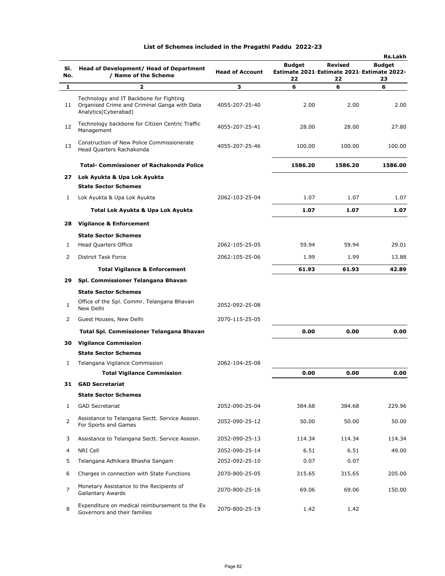|                |                                                                                                                 |                        |                                                             |                | <b>Rs.Lakh</b> |
|----------------|-----------------------------------------------------------------------------------------------------------------|------------------------|-------------------------------------------------------------|----------------|----------------|
| SI.<br>No.     | Head of Development/ Head of Department<br>/ Name of the Scheme                                                 | <b>Head of Account</b> | <b>Budget</b><br>Estimate 2021 Estimate 2021 Estimate 2022- | <b>Revised</b> | <b>Budget</b>  |
|                |                                                                                                                 |                        | 22                                                          | 22             | 23             |
| 1              | $\overline{\mathbf{z}}$                                                                                         | 3                      | 6                                                           | 6              | 6              |
| 11             | Technology and IT Backbone for Fighting<br>Organised Crime and Criminal Ganga with Data<br>Analytics(Cyberabad) | 4055-207-25-40         | 2.00                                                        | 2.00           | 2.00           |
| 12             | Technology backbone for Citizen Centric Traffic<br>Management                                                   | 4055-207-25-41         | 28.00                                                       | 28.00          | 27.80          |
| 13             | Construction of New Police Commissionerate<br>Head Quarters Rachakonda                                          | 4055-207-25-46         | 100.00                                                      | 100.00         | 100.00         |
|                | <b>Total- Commissioner of Rachakonda Police</b>                                                                 |                        | 1586.20                                                     | 1586.20        | 1586.00        |
| 27             | Lok Ayukta & Upa Lok Ayukta                                                                                     |                        |                                                             |                |                |
|                | <b>State Sector Schemes</b>                                                                                     |                        |                                                             |                |                |
| 1              | Lok Ayukta & Upa Lok Ayukta                                                                                     | 2062-103-25-04         | 1.07                                                        | 1.07           | 1.07           |
|                | Total Lok Ayukta & Upa Lok Ayukta                                                                               |                        | 1.07                                                        | 1.07           | 1.07           |
| 28             | <b>Vigilance &amp; Enforcement</b>                                                                              |                        |                                                             |                |                |
|                | <b>State Sector Schemes</b>                                                                                     |                        |                                                             |                |                |
| 1              | Head Quarters Office                                                                                            | 2062-105-25-05         | 59.94                                                       | 59.94          | 29.01          |
| 2              | <b>District Task Force</b>                                                                                      | 2062-105-25-06         | 1.99                                                        | 1.99           | 13.88          |
|                | <b>Total Vigilance &amp; Enforcement</b>                                                                        |                        | 61.93                                                       | 61.93          | 42.89          |
| 29             | Spl. Commissioner Telangana Bhavan                                                                              |                        |                                                             |                |                |
|                | <b>State Sector Schemes</b>                                                                                     |                        |                                                             |                |                |
| $\mathbf{1}$   | Office of the Spl. Commr. Telangana Bhavan<br>New Delhi                                                         | 2052-092-25-08         |                                                             |                |                |
| 2              | Guest Houses, New Delhi                                                                                         | 2070-115-25-05         |                                                             |                |                |
|                | Total Spl. Commissioner Telangana Bhavan                                                                        |                        | 0.00                                                        | 0.00           | 0.00           |
| 30             | <b>Vigilance Commission</b>                                                                                     |                        |                                                             |                |                |
|                | <b>State Sector Schemes</b>                                                                                     |                        |                                                             |                |                |
| 1              | Telangana Vigilance Commission                                                                                  | 2062-104-25-08         |                                                             |                |                |
|                | <b>Total Vigilance Commission</b>                                                                               |                        | 0.00                                                        | 0.00           | 0.00           |
| 31             | <b>GAD Secretariat</b>                                                                                          |                        |                                                             |                |                |
|                | <b>State Sector Schemes</b>                                                                                     |                        |                                                             |                |                |
| 1              | <b>GAD Secretariat</b>                                                                                          | 2052-090-25-04         | 384.68                                                      | 384.68         | 229.96         |
| 2              | Assistance to Telangana Sectt. Service Assosn.<br>For Sports and Games                                          | 2052-090-25-12         | 50.00                                                       | 50.00          | 50.00          |
| 3              | Assistance to Telangana Sectt. Service Assosn.                                                                  | 2052-090-25-13         | 114.34                                                      | 114.34         | 114.34         |
| 4              | NRI Cell                                                                                                        | 2052-090-25-14         | 6.51                                                        | 6.51           | 49.00          |
| 5              | Telangana Adhikara Bhasha Sangam                                                                                | 2052-092-25-10         | 0.07                                                        | 0.07           |                |
| 6              | Charges in connection with State Functions                                                                      | 2070-800-25-05         | 315.65                                                      | 315.65         | 205.00         |
| $\overline{7}$ | Monetary Assistance to the Recipients of<br><b>Gallantary Awards</b>                                            | 2070-800-25-16         | 69.06                                                       | 69.06          | 150.00         |
| 8              | Expenditure on medical reimbursement to the Ex-<br>Governors and their families                                 | 2070-800-25-19         | 1.42                                                        | 1.42           |                |